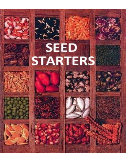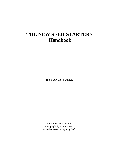# **THE NEW SEED-STARTERS Handbook**

**BY NANCY BUBEL**

Illustrations by Frank Fretz Photographs by Alison Miksch & Rodale Press Photography Staff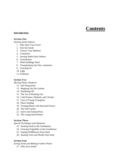# **Contents**

### **Introduction**

#### **Section One**

*Starting Seeds Indoors*

- 1. Why Start Your Own?
- 2. First the Seeds
- 3. Choose Your Medium
- 4. Containers
- 5. Sowing Seeds Early Indoors
- 6. Germination
- 7. What Seedlings Need
- 8. Transplanting into New containers
- 9. Growing On
- 10. Light
- 11. Problems

#### **Section Two**

*Moving Plants Outdoors*

- 12. Soil Preparation
- 13. Mapping Out the Garden
- 14. Hardening Off
- 15. The Art of Planting Out
- 16. Cold Frames, Hotbeds, and Cloches
- 17. Care of Young Transplant
- 18. Direct Seeding
- 19. Treating Plants with Seaweed Extract
- 20. The Fall Garden
- 21. Insect and Animal Pests
- 22. The young Seed-Planter

#### **Section Three**

*Special Techniques and Situations*

- 23. Starting Seeds in the Greenhouse
- 24. Growing Vegetables in the Greenhouse
- 25. Starting Wildflowers from Seed
- 26. Starting Trees and Shrubs from Seed

### **Section Four**

*Saving Seeds and Making Further Plants* 27. Why Save Seeds?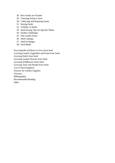- 28. How Seeds are Formed
- 29. Choosing Seeds to Save
- 30. Collecting and Preparing Seeds
- 31. Storing Seeds
- 32. Viability of Seeds
- 33. Seed-Saving Tips for Specific Plants
- 34. Further Challenges
- 35. The Garden Diary
- 36. Seed Catalogs
- 37. Seed Exchanges
- 38. Seed Banks

*Encyclopedia of Plants to Grow from Seed* Growing Garden Vegetables and Fruits from Seed Growing Herbs from Seed Growing Garden Flowers from Seed Growing Wildflowers from Seed Growing Trees and Shrubs from Seed List of Seed Suppliers Sources for Garden Supplies Glossary Bibliography Recommended Reading Index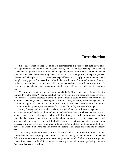## **Introduction**

Since 1957, when we tried (are failed!) to grow radishes in a window box outside our thirdfloor apartment in Philadelphia, my husband, Mike, and I have been learning about growing vegetables. We got off to slow start. I had only vague memories of the Victory Garden my parents grew for a few years in our New England backyard, and an insistent yearning to begin a garden of my own. Mike had grown up on home-raised vegetables—a surprisingly limited variety of them, though, mostly grown from seed his mother had carefully saved from one harvest to the next: cabbage, potatoes, beans, carrots, beets dill, cucumbers, and sunflowers. Later, during a stay in Germany, he had taken a course in gardening at a free university of sorts. Mike wanted a garden, too.

When we moved into our first house, we bought digging forks and shovels almost before the ink was dry on the deed. We started that first years with tomatoes and beans and many flowers. It took us several years to progress to planting a garden that we could eat from all summer, but by 1970 our vegetable garden was carrying us year round. Today we hardly ever buy vegetable. Our year-round supply of vegetables is due in large part to starting seeds early indoors and making continuous outdoor plantings of varieties of food chosen for quality and ease of storage.

Along the way, we've learned a lot about how and when to start different vegetables. Trial and error has helped. Older relatives and neighbors have been generous with advice and lore, and we never start a new gardening year without thinking fondly of our different mentors and how much they have given us over the years. Reading about gardens and gardening, seeds, plants, soil, and insects has given us a framework that often supports relationships between what we've observed and what we've been told. Mostly, though, we've muddled along, taking longer than it now seems we should have to see and use the full potential of a piece of ground and a packet of seeds.

That's why I decided to write the first edition of The Seed-Starter's Handbook—to help other gardeners make that jump from dabbling on self-sufficiency sooner and more easily than we did. At the same time, I hoped that experienced gardeners would find in it some insight into possibilities never considered, into alternatives and experiments in areas of gardening where the final word had yet to be written.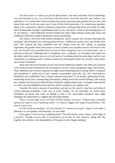You know how it is when you put the phone down. You then remember all the otherthings you had intended to say. So it has been with this book. From the time the first edition was published, I've wished that I had included more about growing other garden flowers and wild plants from seed. In the ten years since I sent off that first manuscript, I've visited many gardens, asked a lot of questions, talked to numerous researchers, tried growing many new kinds of seeds, and read thousands of pages of gardening research, lore, and advice. Some of my learning grew out of my failures— with stubbornly dormant linden tree seeds, light-seeking scarlet sage seeds, and wildflower seeds that wouldn't germinate without prechilling.

The result is The New Seed-Starters Handbook, which contains new sections that detail the principles and techniques for starting garden flowers, wildflowers, herbs, trees, and shrubs from seed. This material has been combined with the chapter from the first edition on growing vegetables and garden fruits from seed to create to handy encyclopedia section. No book of this size can include every possible plant in each of these categories, but I've tried to give you a selection of the best. Although this is a handbook, not a textbook, I've included Latin names for the plants under discussion, just so we're all sure we're talking about the same plant, and for your convenience in ordering seeds. Common names are charming but often vary locally. Latin names are accurate worldwide.

Apart from the encyclopedia section and several additional chapters, the other new material in the book has been inserted into the existing text via new words, paragraphs, page, and sections. These additions and revisions represent an eight-month distilling process during which I evaluated and interpreted a whole file of new material accumulated since the day The Seed-Starter's Handbook was established. Not a chapter remains untouched. To be honest, gardening friends, rechecking all the facts, summarizing old material, adding newly discovered findings, and writing new chapters has been more difficult than writing the original manuscript. I'm hugely relieved that it is done, but also delighted to have had the chance to improve my original work.

Consider this book a manual of procedures, giving you the step-by -step how and when of various planting techniques. Look, too, in every chapter, for the principles on which these techniques are based, and count on finding at least a few open-ended questions that might challenge old suppositions or suggest new growing frontiers.

There's no one right way to do most of these things, you know. A good many workable options are open to you in planting seeds. I've tried to suggest the range of possibilities. The choice is up to you.

Let this book be smudged. Let it be marked. It's meant to be used. I hope it will make a difference in your garden, and ultimately, on your table.

Once again, I wish you joy in planting seeds. The seed-starter works, always, at the edge of a mystery. Though we may take it for granted, we are part of that mystery, along with the fragility, the resilience, the dependability of the green world. Happy planting!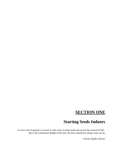# **SECTION ONE**

# **Starting Seeds Indoors**

To own a bit of ground, to scratch it with a hoe, to plant seeds and swatch the renewal of life this is the commonest delight of the race, the most satisfactory thing a man can do.

*Charles Dudley Warner*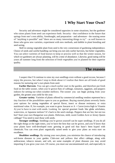### **1 Why Start Your Own?**

Security and adventure might be considered opposites in some situations, but the gardener who raises plants from seed can experience both. Security - that confidence in the future that springs from one's own ability, forethought, and preparation - and adventure - the soaring sense of "anything is possible" and "there are so many interesting things to try" - as well known to those who grow new varieties, experiment with new methods, and dabble in plant breeding and seed saving.

Skill in raising vegetable plant from seed is the very cornerstone of gardening independence. Choice of seeds and careful handling can bring you not only earlier harvests, but better vegetables. You can select varieties of food known to keep or process well so that the winter season, for which we gardeners are always planning, will be a time of abundance. Likewise, good eating will be yours all summer long from the selection of fresh vegetables you're planted for their superior quality.

### **The reasons**

I suspect that I'd continue to raise my own seedlings even without a good excuse, because I enjoy the process, but when I stop to think about it I realize that there are all kinds of good reasons for nurturing one's own plants from seed.

**Earlier Harvests**. You can get a much earlier start in the garden, and therefore put fresh food on the table sooner, when you're grown flats of cabbage, tomatoes, eggplant, and peppers indoors for setting out when weather mellows. The sooner you can begin picking from your garden, the greater your yield for the year.

**Greater variety**. Varieties of plants offered by commercial seedling vendors represent but a tiny fraction of the possibilities open to you as gardener. Buying started plants severely limits your options for raising vegetables of special flavor, insect or disease resistance, or extra nutritional value. If, for example, you want to grow Juwarot or  $A +$  Carrot (extra high in Vitamin A) you're have to start with seeds. Looking for special gourmet foods like globe artichokes, watercress, or Japanese melons? It's back to the seed catalogs. Peppers that are hot, but not too hot? Start your own Hungarian wax plants. Delicious, mild, sweet Golden Acre or Jersey Queen cabbage? You need to start those with seeds.

**Stronger seedlings**. Seedlings you're grown yourself can be super seedlings. If you do all the right things at the right times, you're have the best that can be grown, and you'll know that your plants have well-developed roots growing in good soil that hasn't been hyped with chemicals. You can even plant organically raised seeds to give your plans an extra start on excellence.

**Healthier seedlings**. By raising your own plants, you minimize the chance of introducing soil-borne diseases to your garden. Club-root and yellows that affect cabbage, along with anthracnose, tobacco mosaic, and wilt, are some examples of plant diseases you may avoid importing if you grow your own. Of course, you must use uncontaminated soil, and especially in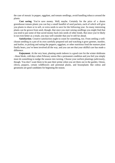the case of mosaic in pepper, eggplant, and tomato seedlings, avoid handling tobacco around the plants.

**Cost saving**. You're save money. Well, maybe. Certainly for the price of a dozen greenhouse tomato plants you can buy a small handful of seed packets, each of which will give you plants to share or to sell, or extra seeds to save for the following year. So many interesting plants can be grown from seed, though, that once you start raising seedlings you might find that you tend to put some of that saved money back into seeds of other kinds. But since you're likely to eat even better as a result, you may well consider that you're still far ahead.

**Satisfaction**. Creative satisfaction ought to count for something, too. From settling a wellchosen seedling in a pot of its own carefully prepared soil and watching it grow greener, sturdier, and leafier, to picking and eating the peppers, eggplant, or other nutritious food the manure plant finally bears, you've been involved all the way, and you can see that your skillful care has made a difference.

**Enjoyment**. At the very least, planting seeds indoors is a good cure for the winter doldrums - those bleak, cold days when February seems like a permanent condition and you feel you simply must do something to nudge the season into turning. Choose your earliest plantings judiciously, though. You don't want them to be past their prime when you set them out in the garden. Onion, chives, peppers, certain wildflowers and perennial plants, and houseplants like coleus and geraniums are good candidates for beginning the season.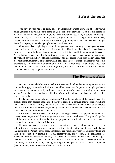### **2 First the seeds**

You have in your hands an array of seed packets and perhaps a few jars of seeds you've saved yourself. You're anxious to plant, to get a start on the growing season that still seems far away. Take a minute now, if you will, to be aware of what the seed really is before committing it to the soil. Dry, flaky, hard, smooth, warted, ridged, powdery, or wispy, these distinctively shapes particles may look as lifeless as the February garden patch. Don't be deceived, though. Seeds don't spring to life when you plant them. Seeds are alive.

Often symbols of beginning, seeds are living guarantees of continuity between generations of plants. Inside even the most minute, dustlike grain of seed is a living plant. True, it's in embryonic form, possessing only the most rudimentary parts, but it lives, and it is not completely passive. At levels that we can't see, but laboratory scientists can measure, seeds carry on respiration. They absorb oxygen and give off carbon dioxide. They also absorb water from the air. Seeds need a certain minimum amount of moisture within their cells in order to make possible the metabolic processes by which they convert some of their stored carbohydrates into available food. Thus they maintain their spark of life - dim though it may be - until conditions are right for them to complete their destiny as germinated plants.

### **The Botanical Facts**

By strict botanical definition, a seed is a ripened fertilized ovule containing an embryonic plant and a supply of stored food, all surrounded by a seed coat. In practice, though, gardeners use many seeds that are actually fruits (the mature ovary of a flower containing one or more seeds). A kernel of corn is really a seedlike fruit. Carrot, dill, and fennel seeds are, technically, dry, one-seeded fruits.

Seeds, then, are completely self-contained. Within the boundaries of the hard, dry coat that protects them, they possess enough food energy to carry them through their dormancy and into their first few days as seedlings. They have all the enzymes they'll need to convert this stored food into a form their tissues can use, and they carry within their cells the genetic information that directs what they will be and when and how.

Let's look at the bush bean as an example - not a typical seed, perhaps, but one in which it is easy to see the parts and their arrangement that are common to all seeds. The good old garden bush bean is the favorite of botanists for this purpose because its size and structure make it possible for us to see clearly how it is formed.

If you soak a been seed in water for a few hours, the hard outer coat will slip off easily. The bulk of the bean that you now see is composed of the cotyledons, the two identical fleshy halves that comprise the "meat" of the seed. Cotyledons are rudimentary leaves. Unusually large and thick in the bean, they contain stored fat, carbohydrates, and protein. Both cotyledons are attached to a rudimentary stem, and they curve protectively over a tiny leafy bud. The root tip, at the other end of the seed, will elongate into the first root of the plant when the seed germinates. Any seed, no matter how tiny, wispy, or irregular, will possess these features: cotyledons (sometimes one, more often two), a leafy bud, and a root tip.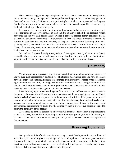Most seed-bearing garden vegetable plants are dicots; that is, they possess two cotyledons. Bean, tomatoes, celery, cabbage, and other vegetable seedlings are dicots. When they germinate they send up two "wings." Monocots, with just a single cotyledon, are represented by the grass family (Gramineae), with includes corn, wheat, rye, and other cereal crops. These seeds send up the familiar, single grasslike spear of green.

In many seeds, some of which are important food crops in their own right, the stored food is not contained in the cotyledons, as in the bean, but in a layer called the endosperm, which surrounds the embryo. This part of the seed varies in different species. It may consist of starch, oil, protein, or waxy or horny matter, but whatever its form, its function remains the same - to nourish the seed from the time of its maturity on the parent plant until the beginning of the next growing season, when conditions will be favorable for its success as a plant in its own right. Often, of course, they tasty endosperm is what we are after when we raise the crop, as with buckwheat, corn, wheat, and rye.

Just to keep the record straight: cotyledons of some plant may synthesize nourishment needed by the seed; others may both make and store food for the embryo. If you find that fact surprising, reflect that there is more - much more - that we don't yet know about seeds.

### **Dormancy**

We're beginning to appreciate, too, how much is still unknown a bout dormancy in seeds. If you've ever tried unsuccessfully to start a row of lettuce in midsummer heat, you have an idea of how a dormant seed behaves. It refuses to germinate, even if otherwise viable, when it lacks the right temperature, moisture, and oxygen supply that would ordinarily favor germination. Even though conditions might seem favorable for germination, such as those that occur in midsummer, they might not be right to induce germination in certain seeds.

It can be annoying to miss a seedling date for a certain crop and be unable to plant it later in the summer; however, the ability of seeds to remain dormant, in varying degrees, has contributed to the survival of seed-bearing plants as we know doomed to failure if it sprouts as soon as it matures at the end of the summer, shortly after the first frost. Lettuce, likewise, has less chance of success under random conditions when sown in hot, dry soil than it does in the moist, cool surroundings that promote its quick growth. Dormancy, then is a protective device, designed to assure the continuity of the species.

A seed may be dormant because its embryo is still immature, its seed coat is impermeable to water or to gases, its coat is too unyielding to permit embryo growth (although this is rare), or because of a metabolic block within the embryo. Often, more than one of these factors operates at that same time.

### **Breaking Dormancy**

As a gardener, it is often in your interest to try to beak development in certain kinds of seed. Since you intend to give the plant special care and optimum conditions, you can often dormancy this and get away with it. For example, if you are anxious to raise a fine bed of lettuce to eat with your midsummer tomatoes - a real mark of gardening expertise - how do you give your lettuce seeds the message that it's all right for them to sprout?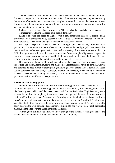Studies of seeds in research laboratories have finished valuable clues to the interruption of dormancy. The period is relative, not absolute. In fact, there seems to be general agreement among the number of scientists who have studied this phenomenon that the whole question of seed dormancy must be considered a matter of balance the growth-promoting and growth-inhibiting substances that are found in all plants.

So how do you tip that balance in your favor? Here is what the experts have discovered.

**Temperature**. Chilling the seeds often breaks dormancy.

Light. Subjecting the seeds to light - even a dim continuous light or a sudden bright photoflash - will sometimes help, especially with lettuce. Germination depends on the total amount received. The dimmer the light, the longer the necessary exposure.

**Red light**. Exposure of some seeds to red light (600 nanometers) promotes seed germination. Experiments with lettuce bear this out. However, far-red light (730 nanometers) has been found to inhibit seed germination. Practically speaking, this means that seeds that are difficult to germinate will often dormancy better under fluorescent plant lights (see chapter 10). Some seeds won't germinate when shaded by leaf cover, probably because the leaves filter out helpful rays while allowing the inhibiting far-red light to reach the seeds.

Dormancy is seldom a problem with vegetables seeds, except for some heat-sensitive seeds like lettuce and celery. Beans, mustard, and many other vegetable seeds never go dormant. Carrots and parsnips do need month of afterripening following harvest before they'll germinate. Seeds you've purchased have had time, of course, to undergo any necessary afterripening in the months between collection and planting. Dormancy is not an uncommon problem when trying to germinate seeds of wildflowers, trees, or shrubs.

#### **History of seed-bearing plants**

We know very little about the origin of seed-bearing plants. Charles Darwin called it an "abominable mystery." Spore-bearing plants, like ferns, existed first, followed by gymnosperms, like the evergreens, which shed their seeds unencased. Discoveries in West Virginia of early seeds encased in cupules - incompletely fused seed coats - have pushed the date of known true seeds back to 360 million year ago. Angiosperms, flowering plants in which the seeds (encased in an ovary) are more fully protected, appeared during the Cretaceous period (roughly 100 million year ago). Eventually they dominated the more primitive spore-bearing forms of green life, probably partly because the well-developed seed embryo, clinging to the parent plant until thoroughly mature, had the edge over the naked, randomly shed seed.

 Although we still know so little, we know enough of the internal workings of the seed to stand in awe at its variety, its toughness, and its practical simplicity.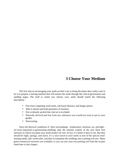### **3 Choose Your Medium**

The first step in encouraging your seeds on their way to being the plants they really want to be is to prepare a starting medium that will nurture the seeds through the critical germination and seedling stages. The stuff to which you entrust your seeds should match the following description:

- Free from competing weed seeds, soil-borne diseases, and fungus spores.
- Able to absorb and hold quantities of moisture.
- Not so densely packed that vital air is excluded.
- Naturally derived and free from any substance you would not want to put in your garden.
- Noncrusting.

Since the physical conditions of their surroundings - temperature, moisture, air, and light are more important to germinating seedlings than the nutrient content of the soil, these first mixtures in which you plant your seeds needn't be rich. In fact, it's better if they're not. But they should be light, spongy, and moist. It's a nice touch to start seeds in one of the special seedstarting media, like vermiculite, and then to transplant the seedlings into a potting soil mix. Many good commercial mixtures are available, or you can mix your own potting soil from the recipes listed later in this chapter.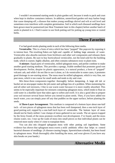I wouldn't recommend starting seeds in plain garden soil, because it tends to pack and crust when kept in shallow containers indoors. In addition, unsterilized garden soil may harbor fungi that cause damping-off, a disease that makes young seedlings shrivel and wilt at soil level and sometimes even interferes with complete germination. Soil in which such diseased seedlings have been grown must be pasteurized (see Heat Treatment later in this chapter) before another batch of seeds in planted in it. I find it easier to use fresh potting soil for potting up young trees or rooted herbs.

### **Three Favorites**

I've had good results planting seeds in each of the following three media.

**Vermiculite**. This is a form of mica which has been "popped" like popcorn by exposing it to intense heat. The resulting flakes are light and capable of holding large amounts of water. Vermiculite also absorbs nutrients from fertilizers and other soil components and releases them gradually to plants. Be sure to buy horticultural vermiculite, not the kind sold for the building trade, which is coarser, highly alkaline, and often contains substances toxic to plant roots.

**A mixture**. Equal parts of vermiculite, milled sphagnum moss, and perlite combine to make another good starting medium. This provides a spongy, friable seedbed that promotes good root development. Perlite, despite its plastic appearance, is a natural product, a form of "popped" volcanic ash, and while I do not like to use it alone, as I do vermiculite in some cases, it promotes good drainage in see-starting mixes. The moss must be milled sphagnum, which is very fine, not peat moss, which is too coarse for small seeds and tends to dry and crust.

Mix these three components together thoroughly before dampening. A large old tub or bucket set on newspaper makes the job easier and spillage less of a problem. When moistening his and all other soil mixtures, I like to use warm water because it is more readily absorbed. This seems to be especially important for mixtures containing sphagnum moss, which tends to float on cold water in a dustlike layer that takes ages to soften and swell. It is also a good idea to prepare your soil mixture several hours before you intend to plant seeds. Then, if you have added too much water, you can simply pour off any that puddles on the upper surface, before planting the seeds.

**A Three-Layer Arrangement**. This medium is composed of a bottom layer about one-half inch - of torn pieces of sphagnum moss that has been well dampened, then a one-inch layer of good potting soil, topped by a one-half-inch layer of vermiculite. The bottom layer of moss should not be finely milled. I use clumps of moss gathered in our woods. The air spaces trapped by the ferny fronds of the moss promote excellent root development. I've found, and the moss retains water, too. I tear up the wads of moss into small pieces so that individual plants can be removed more easily when it's time to transplant them.

You can also mix chopped sphagnum moss with other potting soil ingredients. Some evidence has shown that sphagnum moss exerts a mild antibiotic effect that helps to control bacterial diseases of seedlings. (A disease-causing fungus, Sporotrichum schenkii, has been found in sphagnum moss. Wash thoroughly after handling the moss, and wear gloves if you have any skin breaks on your hands.)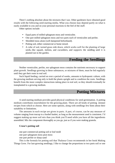There's nothing absolute about the mixtures that I use. Other gardeners have obtained good results with the following seed-starting media. What you choose may depend partly on what is easily available to you and on your personal reactions to the feel of the stuff.

Other options include:

- Equal parts of milled sphagnum moss and vermiculite.
- One part milled sphagnum moss and two parts each of vermiculite and perlite.
- Shredded moss alone (well dampened beforehand).
- Potting soil, either commercial or home mixed.
- A cube of sod, turned grass side down, which works well for the planting of large seeds, like squash, melons, and cucumbers, and supports the seedling until it is planted out in the garden.

## **Feeding the Seedlings**

Neither vermiculite, perlite, nor sphagnum moss contains the nutrients necessary to support plant growth. Seedlings growing in these substances, or mixtures of them, must be fed regularly until they get their roots in real soil.

Such liquid feeding, carried on over a period of weeks, amounts to hydroponic culture, with the growing medium serving only to hold the plants upright and to condition the roots. Seedlings benefit from the more complex interactions taking place in real soil, so they should eventually be transplanted to a growing medium.

### **Potting Mixtures**

A seed-starting medium provides good physical conditions for seed germination. A potting medium contributes nourishment for the growing plant. There are all kinds of potting mixture recipes from which to choose. Here are some options, along with seedlings few hints about their suitability or limitations.

The amounts in each recipe are given in parts. A part, of course, can be any measure of volume ranging from teacup to a bushel basket, as long as the measurement used is consistent. I'd suggest making up more soil mix than you think you'll need while you have all the ingredients assembled. Mix the component thoroughly as you go, just as if you were making granola.

### **Cruso's potting soil**

one part commercial potting soil or leaf mold one part sphagnum moss peat moss one part perlite or sharp sand

This is the formula for potting soil that Thalassa Cruso recommends in her book Making Things Grow. For last-growing seedlings, I like to change the proportions to two parts soil or one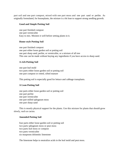part soil and one part compost, mixed with one part moss and one part sand or perlite. As originally formulated, for houseplants, the mixture is a bit lean to support strong seedling growth.

#### **Good and Simple Potting Soil**

one part finished compost one part vermiculite Easy to mix. Moisten it well before setting plants in it.

#### **Home-style Potting Soil**

one part finished compost one part either loose garden soil or potting soil one part sharp sand, perlite, or vermiculite, or a mixture of all tree This one can be made without buying any ingredients if you have access to sharp sand.

#### **A rich Potting Soil**

one part leaf mold two parts either loose garden soil or potting soil one part compost or rotted, sifted manure

This potting soil is especially good for lettuce and cabbage transplants.

#### **A Lean Potting Soil**

one parts either loose garden soil or potting soil one part perlite one part vermiculite one part milled sphagnum moss one part sharp sand

This is mostly physical support for the plants. Use this mixture for plants that should grow slowly, such as cactus.

#### **Amended Potting Soil**

four parts either loose garden soil or potting soil two parts sphagnum moss or peat moss two parts leaf moss or compost two parts vermiculite six teaspoons dolomitic limestone

The limestone helps to neutralize acids in the leaf mold and peat moss.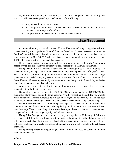If you want to formulate your own potting mixture from what you have or can readily find, you'll probably be on safe ground if you include each of the following:

- Soil, preferably loam, for nutrients.
- Sand or perlite for drainage. Gravel may also be used in the bottom of a solid container but not as part of a soil mix.
- Compost, leaf mold, vermiculite, or moss for water retention.

### **Heat Treatment**

Commercial potting soil should be free of harmful bacteria and fungi, but garden soil is, of course, teeming with organisms. Most of them are beneficial. I never heat-treat or otherwise "sterilize" my soil. Besides being a large nuisance, the process kills helpful soil organisms and, at temperatures above  $180^0$ F ( $82^0$ C), releases dissolved salts that can be toxic to plants. Even at  $160^{\circ}$ F (71<sup>o</sup>C), some salt-releasing breakdown occurs.

If you decide to sterilize a batch of soil, the following methods will work. Plan a picnic supper or weekend trip when you do treat your soil, because the kitchen will smell awful.

**Using the Oven.** Before heating the soil, moisten it thoroughly so that small puddles form when you press your finger into it. Bake the soil in metal pans in a preheated  $275^{\circ}F (135^{\circ}C)$  oven. Small amounts, a gallon or so by volume, should be ready within 30 to 40 minutes. Larger quantities, a half bushel or so, may need to remain in the oven for 1 1/2 hours. It is important that the soil be wet. The steam generate by the water penetrates the spaces in the soil. Dry soil takes much longer to treat and smells much worse.

A meat thermometer inserted in the soil will indicate when it has arrived at the proper temperature to kill offending organisms.

Damping-off fungi, for example, die at  $130^0F (54^0C)$ , and a temperature of  $160^0F (71^0C)$  kill most other plant viruses and pathogenic bacteria. Avoid overheating the soil, for you want to retain as many of the more numerous helpful soil microorganisms as possible. Soil that has been baked should be rubbed through a hardware cloth screen to break up the clumps before using.

**Using the Microwave**. Soil poured into plastic bags can be sterilized in a microwave oven. Do this in batches of up to ten pounds. Placing the bags in the oven for 7 1/2 minutes will skill most damping-off and root-rot fungi. Some researchers report, however, that microwave treatment changes soil pH, cation exchange capacity, and mineral content.

**Using Solar Energy**. An easier method recently developed at the University of California uses solar heat. Fill gallon-sized black plastic planting pots with moist soil and then place each pot in a clear plastic bag. Tie the bag closed and set the bagged pot in a sheltered location where it will receive full sun. Two weeks of direct-sun treatment in warm weather should kill most disease organisms.

**Using Boiling Water**. Pouring boiling water over a flat of soil does not sterilize it, but kills many microorganisms.

#### **Table 1**

#### **Temperature Necessary to Kill Soil-Inhabiting Pests and Diseases**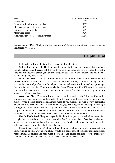| Pests                                    | 30 minutes at Temperature |
|------------------------------------------|---------------------------|
| Nematodes                                | $120^0$ F                 |
| Damping-off and soft-rot organisms       | $130^0$ F                 |
| Most pathogenic bacteria and fungi       | $150^0$ F                 |
| Soil insects and most plant viruses      | $160^0$ F                 |
| Most weed seeds                          | $175^0$ F                 |
| A few resistant weeds, resistant viruses | $212^{0}F$                |

Source: George "Doc" Abraham and Katy Abraham. Orgarnic Gardening Under Glass (Emmaus, Pa: Rodale Press, 1975).

### **Helpful Hint**

Perhaps the following hints will save you a bit of trouble, too.

**Collect Soil in the Fall**. The time to collect good garden soil for spring seed starting is in the fall, before the soil freezes solid. Even if you're lucky enough to have a winter thaw at the time you're doing your planting and transplanting, the soil is likely to be mucky, and you may not be able to dig very deeply, either.

**Make Leaf Mold**. There's leaf mold and there's leaf mold. Make your own seasoned pile for use in potting mixtures. One year I scraped up a bushel of lovely, crumbly, woodsy-smelling leaf mold from the edge of our woods and put it into my soil mixture. All the seedlings growing in this "special" mixture died. I'm not sure whether the stuff was too acid or if it was toxic in some other way, but from now on I test such soil amendments on a few plants rather than gambling my whole crop of early seedlings.

**Avoid Peat Moss**. Watch out for peat moss, too. Personally, I don't like it. It's chunky, unmercifully hard to moisten, and it crusts when it dries. I would never use peat moss in a soil mixture when I could get milled sphagnum moss. If you must use it, wet it very thoroughly several hours before you need it. I'd caution you, too, against using wetting agents (surfactants) in potting mixes or irrigation systems. They tend to reduce soil water retention, and their effect on people who handle and consume them hasn't been tested. Even mild soaps like Basic H, when mixed with soil in highly dilute solutions, reduced the growth of vital root hairs.

**Use Builder's Sand**. Sharp sand, specified in the soil recipes, is coarse builder's sand. Sand brought from the seashore is too fine and too salty. Don't use it for plants. Even lake sand or sand scraped up by the roadside is too fine for our purposes. It will pack into a cementlike mass that kills plant roots. I know - I used it by mistake ... once.

**Make Your Own Mix**. What would I use if commercial potting mixture ingredients like vermiculite and perlite were unavailable? I would mix equal parts of compost; good garden soil, rubbed through a screen; and torn moss. I would not use garden soil alone, for no matter how would the soil, it tends to pack and harden when used indoors in small pots.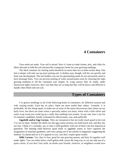### **4 Containers**

Your seeds are ready. Your soil is mixed. Now it's time to comb closets, attic, and cellar for likely discards to hold the soil and provide a temporary home for your growing seedlings.

The ideal container for starting seeds should be no more than two to three inches deep. One that is deeper will only use up more potting soil. A shallow pan, though, will dry out quickly and limit root development. The soil holders you use for germinating seeds do not necessarily need to have drainage holes. You can prevent pooling of water around plant roots by choosing the right growing mediums to fill the containers (see chapter 3). Long, narrow flats fit neatly under fluorescent lights; however, don't use flats that are so long that they will be heavy and difficult to handle when filled with wet soil.

### **Types of Containers**

I've grown seedlings in all of the following kinds of containers, for different reasons and with varying results. Each has its place. Some are more useful than others. Certainly it is preferable, all else being equal, to make use of some of the many throwaways that clutter up our daily lives, but there are times when a specially unless you must, when with a little effort and some scrap wood you could rig up a really fine seedling-care system. At any rate, here's my list of container candidates, briefly evaluated for effectiveness, cost, and useful life.

**Eggshells and/or Egg Cartons**. They are inexpensive but not really much good in the trial I've run on them. Neither the shells nor the egg carton sections can hold much soil, and they dry out fast. I think it's a mistake, too, to start a child gardener with one of these cute but impractical gimmicks. The learning child deserves good seeds in eggshells seems to have captured the imagination of armchair gardeners, and every spring you'll see articles in magazines suggesting the method. Go ahead and try it if it appeals to you. Just don't expect great results.

**Milk Cartons**. Yes, they're free, good for one growing season, and they fit together well under lights. You can either halve a half-gallon milk carton the long way or cut one side out of a quart carton. If you don't buy milk, no doubt your friends, relatives, or neighbors would save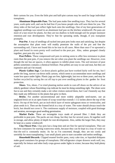their cartons for you. Even the little pint and half-pint cartons may be used for large individual transplants.

**Aluminum Disposable Pans**. The loaf pans make fine seedling trays. They last for several years, work quite well, and can be had free if you know people who will save them for you. The shiny sides of the loaf pan reflect light back onto the seedlings. One of my best generations of eggplant seedlings was raised in an aluminum loaf pan on the kitchen windowsill. Pie pans are more of a last resort for plants, for they are too shallow to hold enough soil for proper moisture retention and root development. They're fine for sprouting seeds, though, if you transplant promptly.

**Peat Pot**. A tray of seedlings all tucked into peat pots looks neat and satisfying, but despite the assumption that plant roots will readily penetrate the walls of the pot and fine the surrounding soil, I have not found this to be true in all cases. More than once I've uprooted a plant and found its roots pretty well confined to the peat pot. Also, unless grouped closely together, peat pots dry out fast.

**Peat Pellets**. These compressed-soil pots in netting seem to offer less resistance to plant roots than the peat pots, if you remove the net when you plant the seedlings out. However, even though the net has air spaces, it often appears to inhibit plant roots. The soil mixture of peat pellets sometimes contains a chemical fertilizer. Peat pellets are easy to use and neat, but they are expensive and can't be reused.

**Plastic Gallon Jugs**. Cut-down plastic gallon just have worked fairly well for me, but I prefer the long, narrow cut-down milk cartons, which seem to accommodate more seedlings and waste less space under lights. Plastic jugs are free, lightweight, last two or three years, and may be further recycled by saving the cut off top to put over seedling plants in the garden for frost protection.

**Shoes**. Yes, shoes. I've tried planting melon seeds in cast-off shoes on the advice of an elderly gardener whose flourishing crop indicate he must be doing something right. The shoes were fun to use and they certainly make a stir when visitors noticed them, but I can't honestly say that they made any difference in the plants that grew in them.

**Bricks**. For another unconventional and more widely adaptable seed-starter, use an unglazed brick set in an open frame of scrap wood that extends 1 1/2 inches above the top of the brick. On top of the brick, put an inch-thick layer of moist sphagnum moss or vermiculite, and plant seeds in it. Then set the framed brick in a tray of water. The water should always touch the brick, but should not cover it. The continuous supply of moisture, coupled with good drainage and aeration, encourages good seedling germination.

**Market Packs**. These are rectangular trays made of pressed fiber. I think they are preferable to peat pots. The packs are not cheap, but they last for several years, fit together well in storage, and allow plenty of depth for root development. Also, unlike the larger flats, they may be kept on a sunny windowsill.

**Clay Flower Pots**. Clay pots last a long time and are fine for special transplants. They are the best containers for starting watercress seeds, because they can be kept in a tray of water so that the soil is constantly moist. As far as I'm concerned, though, they are too costly and unwieldy for most transplanting. I use small plastic pots to start cucumber and melon seedlings.

**Household Discards**. Clipped enamel broiler pans, rusty cake tins, or lopsided dishpans make good containers for groups of transplants. Old refrigerator crisper drawers work well, too, especially for lettuce and other leafy crops grown under lights in winter, because they hold plenty of soil.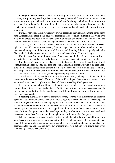**Cottage Cheese Cartons**. These cost nothing and outlast at least one use. I use them primarily for give-away seedlings, because in my setup the round shape of the containers wastes space under the lights. They do fit on most windowsills, though, which can be a boon to the gardener without lights. Incidentally, if you do set them at your window, you'll probably need to provide some protection - a tray or foil liner - to prevent spills and splashes from spotting your windowsills.

**Flats**. My favorite. When you raise your own seedlings, there is no such thing as too many flats. A flat is noting more than a four-sided frame made of wood, about three inches wide, with slats nailed across one open side. The slats should be spaced one-eighth to one-fourth inch apart to allow for drainage. Most flats are rectangular, because that is the most efficient shape.

Six 12- by 16-inch flats will fit on each shelf of a 26- by 48-inch, double-bank fluorescent light cart. I wouldn't recommend making flats any larger than about 14 by 18 inches, or they'll need extra bracing to hold the weight of all that soil, and then they'll be too ungainly to handle. Flats are basic. Make as many as you can find time and materials for. You won't regret it.

**Plastic trays**. Commercial plastic trays 2 inches deep and 18 to 20 inches long work well and last a long time, but they are costly. Poke a few drainage holes in them with an ice-pick.

**Soil Blocks**. These are better than beat pots because they promote good root growth without forming a barrier. They take time and special equipment to make, though. You need a soilblock mold, a metal device with a plunger that ejects blocks of soil from a mold; a tub for mixing; soil composed of two parts peat moss that has been rubbed transport through one-fourth-inch hardware cloth, one part garden soil, and one part compost; water; and a tray.

To make a soil block, wet the soil mix until it forms a slurry. Then pack a four-cube block maker with the wet mix, level off the top of the mold, and eject the cubes onto a tray. Plant a single seed in each block, or plant two and cut off the extra seedling if both germinate.

In my experiments with soil blocks, I found that they do indeed promote good root growth. For me, though, they had two disadvantages. The first was the time and trouble necessary to make the blocks. Secondly, the blocks must be very carefully and frequently watered from above so they don't disintegrate.

**Speedling Flats**. A more serious competitor for my favorite plain old rectangular flat is the Speedling flat - a molded plastic-foam tray 3 inches high, 13 inches wide, and 26 inches long. The plant-holding cells taper to a narrow open point at the bottom of each cell - an ingenious way to encourage a dense root ball that makes good use of the soil mix. In order to keep the roots confined to their spaces, the foam tray must be propped an inch or so above the surface to admit air. In my trials, foam flats produce excellent seedlings, but they're a bit more cumbersome to work with than conventional flats. They're durable, though; mine is still in use after four years.

Like most gardeners who can't resist starting enough plants for the whole neighborhood, my spring seedling setup is a motley arrangement of all the flats I can muster, plus representatives of most of the other kinds of containers mentioned above, which just about sums up my advice for other seed-starters. Use what you have, buy what intrigues you, but aim for a growing supply of long-lasting, inexpensive wooden flats.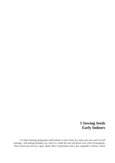## **5 Sowing Seeds Early Indoors**

I've been starting spring plant seeds indoors in late winter for some years now and I'm still learning - still making mistakes, too. Once in a while the cats will knock over a flat of transplants. Then I must start all over a gain. Quite often I experiment with a new vegetable or flower, which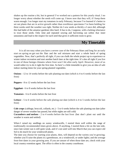shakes up the routine a bit, but in general I've worked out a pattern for this yearly ritual. I no longer worry about whether the seeds will come up. I know now that they will, if I keep them warm enough. I no longer start my tomatoes in early February, because I've learned it's better to set out plants that are in active growth rather than overblown specimens I've been holding for three weeks until the weather was right. Neither do I sow seeds as thickly a I once did, although this bad habit of the amateur gardener dies hard. It has to do, I suppose, with a lurking reluctance to trust those seeds. Only time and repeated sowing and harvesting can soften that inner uneasiness and lead to the respect for each seed that gives it sufficient room to grow.

### **My Timetable**

It is all too easy when you have a severe case of the February blues and long for an early start on spring on get out the flats and the soil mixtures and start a whole batch of spring vegetables. Now, that's perfectly all right, if you can chalk the whole project up to experience or winter indoor recreation and start another batch later at the right time. It's also all right if you live in one of those benign climates where frost won't hit after early April. However, most of us would rather try to do it right the first time. So here's a little timetable to give you an idea of safe indoor starting times for your spring-planted vegetables.

**Onions** - 12 to 14 weeks before the safe planting-out date (which is 4 to 6 weeks before the last frost)

**Peppers** - 8 to 12 weeks before the last frost

**Eggplant** - 6 to 8 weeks before the last frost

**Tomatoes** - 6 to 8 weeks before the last frost

**Lettuce** - 5 to 6 weeks before the safe plating-out date (which is 4 to 5 weeks before the last frost)

**Cole crops** (cabbage, broccoli, collards, etc.) - 5 to 6 weeks before the safe planting-out date (after danger of severe weather has passed, but while nights are still cold)

**Cucumbers and melons** - 2 to 4 weeks before the last frost (but don't plant out until the weather is warm and settled)

When I raised my seedlings on sunny windowsills, I started them well within the range of traditionally recommended times given above. If anything, I started them a bit on the late side, since late-winter sun is still quite weak, and it's not until well into March that you can expect old Sol to do much for your windowsill plants.

The date you choose for starting your plants, then, will depend on the variety you're growing; whether you'll raise the plants in a greenhouse, on a windowsill, or under lights; and the average frost-free dates in your growing area. If you are unsure of when those date are, check with your local country extention agent. The office is often in the country courthouse.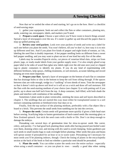### **A Sowing Checklist**

Now that we've settled the when of seed starting, let's go on to the how. Here's a checklist of seed-sowing steps:

1. gather your equipment. Seek out and collect the flats or other containers, planting mix, seeds, watering can, newspapers, labels, and markers you'll need.

2. **Prepare a work space**. Choose a spot where you'll have room to knock things around. Spread a layer of newspapers over the sea. It's easier to gather up and discard the papers than to mop up spilled potting soil.

3. **Review your seed packets**. Look over your packets of seeds and write out a label for each one before you plant the seeds. You won't believe, till you've don't it, how easy it is to mix up different seed lots. And if you plant five kinds of pepper and eight kinds of tomato, as I do, labeling the seed flats is doubly important. A hot pepper seedling looks no different from a sweet bell pepper seedling, and you may want to plant out ten of one kind but only five of the other.

Labels may be wooden Popsicle sticks, cut pieces of venetian blind slats, strips cut from plastic jugs, or ready-made labels from your garden supply store. I've also simply glued scrap paper label to be sides of wood flats (glue new labels right over the old ones next year) or clipped tags to plastic containers to identify my plants. If you do any kind of experimenting with different fertilizers, kelp sprays, chilling treatments, or soil mixtures, accurate labeling and record keeping are even more important.

4. **Prepare your flats**. Spread a layer of newspaper on the bottom of each flat or container that has drainage holes or slits in the bottom to keep the soil from sifting through. If the spaces between slats are wide enough, wedge in a "caulking" of torn shreds of moss. Trim the newspaper so that it doesn't stick up above soil level or it will act as a wick and draw off soil moisture. Fill the flats with the seed-starting medium of your choice (see chapter 3) or with potting soil if you prefer, up to about one-half inch from the top. A deep container, half-filled, with both shade the plants and interfere with ventilation of the seedlings.

Sometimes I plant seeds in plain vermiculite, omitting the moss and soil layers described in chapter 3. The seedlings that are started this way must either be transplanted sooner to a soil mixture containing nutrients or fertilized every four days or so.

Finally, firm the top surface of the planting medium, preferably with a flat object like a board or a brick. This prevents the small seeds from tumbling too far into the crevices.

5. **Prepare the seeds**. Certain seeds will germinate more quickly if given a little head start before sowing. Scarifying helps to hasten germination of hard-coated seeds like morning-glory or New Zealand spinach. Just nick the seed coats with a knife or file. Don't cut deep enough to damage the embryo.

Presoaking cuts several days of germination time for slow-to-sprout seeds like carrot, celery, and parsley. I've had good luck planting these seeds after having poured just-boiled water over them, draining when cool, and mixing with dry sand to avoid clumping. Some gardeners put such seeds in small muslin bags to soak overnight before planting. Other seeds like peas and beans will sprout sooner if presoaked for an hour or so in warm water. Presoaking isn't necessary for most seeds you'll be planting indoors, though. Check the listing of plants in the encyclopedia section at the back of the book to find out whether a particular seed should be presoaked.

6. **Plant the seeds**. You can either scatter the seeds over the entire surface - especially when using a small container - or you can plant in rows - usually a good idea when raising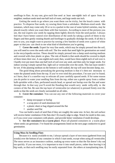seedlings in flats. At any rate, give each fine seed at least one-eighth inch of space from its neighbor; medium seeds need one-half inch of room, and large seeds one inch.

Getting the seeds to go where you want them can be tricky, but the knack comes with practice. To disperse fine seeds, try sowing them from a saltshaker. Medium-sized seeds like tomatoes, which may come only 20 or so to a packet in the case of some hybrid varieties, may be placed exactly where you want them with fine tweezers. According to most of the pictures you see, the real experts sow seeds by tapping them lightly directly from the seed packet. I always feel that I have better control over distribution of the seeds by taking a pinch of them in my fingers and then gently rotating thumb and forefinger to gradually dislodge the seeds. If all this is new to you, you might want to practice by sowing a few batches of seeds over a piece of white paper so that you can check to see what kind of distribution you're getting.

7. **Cover the seeds**. Expert for very fine seeds, which may be simply pressed into the soil, you will need to cover the seeds with soil. The few seeds that need light for germination are noted in the encyclopedia section. These should be simply pressed into a damp seed-starting medium and covered with clear plastic or glass. The rule of thumb is that seeds should be covered to depth of three times their size. A one-eighth-inch seed, then, would have three-eighth inch of soil over it. I hardly ever put more than one-half inch of soil over any seed, and then only for larger seeds. For indoor sowing I simply spread fine, light soil or vermiculite over the seeds. This last layer needn't be wet. If the planting medium on the bottom is well soaked, the top will soon become damp, too.

The good thing about presoaking the growing medium is that it's then not necessary to water the planted seeds from the top. If you've ever tried this procedure, I'm sure you've found, as I have, that it's a surefire way to relocate all your carefully spaced seeds. If for some reason you do prefer to water your seedling flats from the top, either use a gentle spray from a rubber bulb sprinkler with a flats, perforated nozzle head, or spread wet burlap over the flat and water through that. In that way you'll avoid the flooding that would carry seeds willy-nilly to the corners of the flat. Be sure the top layer of vermiculite (or whatever) is pressed firmly over the seeds so that the seeds are closely surrounded on all sides.

8. **Cover the container**. You can use any one of the following materials to cover your container:

- damp newspaper or burlap
- a scrap piece of used aluminum foil
- a plastic sheet or bag slipped around the flat
- another seed flat

You can build a stack of seed flats if they are roughly the same size. In fact, the soil surface will receive better ventilation if the flats don't fit exactly edge to edge. Watch for mold in this case, or if you cover your containers with plastic, and provide better ventilation if mold develops.

9. **Set the containers in a warm place**. Place all planted containers in a warm place where seeds can germinate. I've found the arrangements listed on the next page conductive to good germination.

#### **Using Moss In Seedling Flats**

Because it is easily available to me, I always spread a layer of torn moss (gathered from our woods) over the bottom of any container in which I start seeds, except when using all vermiculite. The moss serves as an insurance cushion, soaking up extra water so that the flat doesn't dry out too quickly. If you use moss, it is important to tear it into small pieces, rather than leaving it in big wads, so that each seedling may be easily separated from the others at transplanting time. I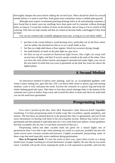thoroughly dampen the moss before adding the second layer. Moss should be dried for several months before it is used in seed flats; fresh green moss sometimes seems to inhibit plant growth.

Although most experts recommend punching drainage holes in all seed-planting containers, I have found that in many cases my seedlings have done quite well in container without drainage holes, as long as I've put this cushion of moss on the bottom, and as long as I'm in control of the watering. Flats that are kept outside and that are rained on become badly waterlogged if they have no holes.

You can use commercially available sphagnum moss also, as long as it is not finely milled

- put flats in the corner behind a wood-burning stove, preferably not on the floor where cool air settles, but elevated two feet or so on a small stable or box.
- Set flats on a high shelf above a floor register. Watch for excessive drying, though.
- Set small batches of seeds on the pilot light on a gas stove.
- Set flats on top of a turned-on fluorescent light fixture, like a light cart setup with several tiers of lights, and they'll receive steady warmth at the ends of the tubes. Once you have the early plants (onions and peppers) sprouted and under lights, you can set the next batch of seeds that you want to germinate on the dark but warm tier above the lighted plants.

### **A Second Method**

An alternative method of indoor seed planting, used by an accomplished gardener with whom I enjoy trading lore, goes like this. Fill a cut-down milk carton or plastic jug with starting medium, water it well, and plant the seeds. Enclose the container in a plastic bag and keep the whole shebang good and warm. After three or four days, punch drainage holes in the bottom of the container (use a pick or knife). Keep warm and covered but allow to drain and check for mold until you see the seeds have germinated.

### **Presprouting Seeds**

Ever since I picked up the idea from Dick Raymond's book *Down-to-Earth Vegetables Gardening*, I've been presprouting seeds of tender crops like cucumbers, squash, pumpkins, and melons. The first three are planted directly in the ground after they've germinated, and you'll find more information on dealing with them in the encyclopedia section. Melons bear earlier if pregerminated and then planted in individual pots for a two-week head start indoors. (Some gardeners feel that cucumbers also do, but I've not been convinced of that yet.)

Presprouting melon and other cucurbit seeds has given me a munch higher rate of germination than I was able to get when planting two seeds to a peat pot, probably because the seeds receive more constant warmth and moisture. I highly recommend presprouting seeds of those crops that need especially warm conditions during germination**.**

**How to Presprout Seeds**. To start the seeds on their way, space them evenly on a damp double layer of paper toweling (or several thicknesses of paper napkin). Be sure that no two seeds touch. Carefully roll up the towel, keeping the seeds as well separated as possible, and tuck the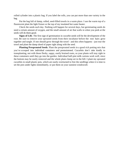rolled cylinder into a plastic bag. If you label the rolls, you can put more than one variety in the bag.

Put the bag full of damp, rolled, seed-filled towels in a warm place. I use the warm top of a fluorescent plant the light fixture or the top of my insulated hot water heater.

Check the seeds each day. Nothing will happen for several days, but germinating seeds do need a certain amount of oxygen, and the small amount of air that wafts in when you peek at the seeds will do them good.

**Signs of Life**. The first sign of germination in cucurbit seeds will be the development of the root. Be sure to remove your sprouted seeds from their incubator before the root hairs grow together and tangle. If one should grow through the towel - and this often happens - just tear the towel and plant the damp shred of paper right along with the seed.

**Planting Presprouted Seeds**. Plant the presprouted seeds in a good rich potting mix that you've scooped into individual containers and premoistened. Cucurbits don't take kindly to transplanting, not with those fleshy, sappy, easily bruised roots, so your plants will stay right in these containers until they go into the garden. Individual half-pint milk cartons work well, since the bottom may be easily removed and the whole plant clump set in the hill. I plant my sprouted cucurbits in small plastic pots, which are easily overturned to free the seedlings when it is time to set the pots under lights immediately, or put them on your sunniest windowsill.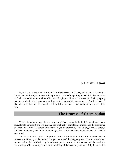### **6 Germination**

If you've ever lost track of a flat of germinated seeds, as I have, and discovered them too late - when the thready white stems had grown an inch before putting on pale little leaves - then no doubt you've also muttered ruefully, "out of sight, out of mind." It is easy, in the busy spring rush, to overlook flats of planted seedlings tucked in out-of-the-way comers. For that reason, I like to keep my flats together in a place where I'll see them every day and remember to check on them.

### **The Process of Germination**

What's going on in those flats while we wait? We commonly think of germination as being equivalent to sprouting, and it's true that the final test of complete germination is the emergence of a growing root or leaf sprout from the seed, yet the process by which a dry, dormant embryo quickens into tender, new green growth begins well before we have visible evidence of the new root or leaf.

The first step in the process of germination is the absorption of water by the seed. This is necessary preliminary to the internal changes in the seed that trigger growth. The uptake of water by the seed (called imbibition by botanists) depends in turn on the content of the seed, the permeability of its outer layer, and the availability of the necessary amount of liquid. Seed that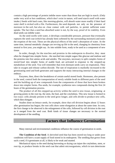contain a high percentage of protein imbibe more water than those that are high in starch. (Only under very acid or hot conditions, which don't exist in nature, will seed starch swell with water intake.) Seeds with hard coats, like morning-glories, will absorb water more readily if their hard outer shell is nicked with a file. Furthermore, the seed depends not only on the presence of moisture in the soil, but also on close contact with soil particles, to permit sufficient water uptake. The fact that a seed has absorbed water is not, by the way, proof of its viability. Even dead seeds can imbibe water.

As the seed swells with water, it develops considerable pressure, pressure that eventually ruptures the seed coat (which has already been softened by the surrounding moisture) and eases the eruption of the root. These are the physical effects of the seed's absorption of water. At the same time, internal metabolic changes are revving up life in the seed, changing its chemistry from neutral to first year, you might say. As into soluble form, ready to be used as a component of new tissue.

In order, though, for the starches and proteins in the endosperm to dissolve, they must often be changed into simpler forms - the starched into simple sugars like glucose and maltose and the proteins into free amino acids and amides. The enzymes, necessary to split complex forms of stored food into simpler forms of usable food, are activated in response to the stepped-up metabolism of the seed. You will remember that even dormant seeds carry on respiration. They take in oxygen and release carbon dioxide. The rate of respiration is markedly increased in the germinating seed and both generates and supports the many interacting internal changes in the embryo.

Enzymes, then, direct the breakdown of certain useful stored foods. Hormones, also present in the seed, control both the transportation of newly soluble foods to different parts of the seed and the building up of new compounds from the components of those that have been broken down into simpler forms. Pea seeds, for example, synthesize new compounds during the first 24 hours of the germination process.

The product of all this stepped-up activity within the seed is new tissue, originating at growing points in the root tip, the stem, the bud, and the cotyledons. This new tissue is formed in two ways: cells already present in the seed grow longer, and cells divide to produce new cells, which then elongate.

Studies done on lettuce seeds, for example, show that cell division begins about 12 hours after germination has begun; the root cells show some elongation at about the same time. In corn, the first change to be observed is the enlargement of the cells, followed by cell division in the root as it merged from the seed coat. Both kinds of tissue changes are necessary to the normal development of the seedling.

### **Factors that Influence Germination**

Many internal and environmental conditions influence the course of germination in seeds.

**The Condition of the Seed**. A shriveled seed that has been stored too long or under poor conditions will have a scant supply of food stored in its endosperm. The seedling that grows from such a seed, if it germinates at all, is likely to be weak and stunted.

Mechanical injury to the seed during harvesting or drying can injure the cotyledons, stem, or root tip, or produce breaks in the seed coat that admit microorganisms, which in turn deteriorate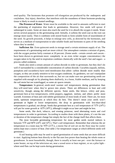seed quality. The hormones that promote cell elongation are produced by the endosperm and cotyledons. Any injury, therefore, that interferes with the soundness of these hormone-producing tissue is likely to result in stunted seedlings.

**The Presence of Water**. Water must be available to the seed in amounts sufficient to start the quickening of respiration that leads to germination. However, few seeds will sprout if submerged in water. Some air must also reach the seed for it to absorb the oxygen it needs. Water serves several purposes in the germinating seed. Initially, it softens the seed coat so the root can emerge more easily. Then it combines with stored foods to form soluble form of nourishment of the seed. As growth proceeds, it helps to enlarge new cells, as directed by the hormones, and serves as a medium of transportation to take soluble foods and hormones to parts of the seedling where they're needed.

**Sufficient Air**. Even quiescent seeds in storage need a certain minimum supply of air. The requirements of a germinating seed are more critical. Our atmosphere contains a mixture of gases, with the oxygen portion fairly constant at 20 percent. (Some seeds - certain cereals and carrots have been shown to germinate more completely in an even richer oxygen concentration.) the oxygen taken in by the seed in respiration combines chemically with the seed's fast and sugars - a process called oxidation.

Seeds also need a certain amount of carbon dioxide in order to germinate, but they don't do well if surrounded by a considerable concentration of carbon dioxide. Cucurbits (squash, melons, pumpkins and cucumbers) have seed membranes that admit carbon dioxide more readily than oxygen, so they are acutely sensitive to low-oxygen conditions. As gardeners, we can't manipulate the composition of the air that surrounds us, but we can make sure our germinating seeds are supplied with enough air by planting them shallowly, in a loose, friable medium, and by keeping the soil moist but not waterlogged, so some air spaces remain.

**Temperature**. In general, seeds need warmer soil temperatures during germination than they will need later when they're grown into plants. There are differences in heat and cold sensitivity, though, among the different species. Some seeds, like lettuce, celery and peas, germinate best at low temperatures, while peppers, eggplant, melons, and others prefer more warmth. Extremes of heat and cold inhibit germination of most kinds of seed. There are, for most seeds, optimum temperatures at which they do best. This doesn't mean your seeds won't germinate at higher or lower temperatures; the drop in germination with less-than-ideal temperatures is gradual, not abrupt. Seeds that germinate best at a soil temperature of  $75^{\circ}F (24^{\circ}C)$ will put for some growth at  $65^{\circ}F(18^{\circ}C)$ , although it might occur later and might be less.

Some seeds, like dock, tobacco, and evening primrose, need alternating warm and cool temperatures in order to germinate. According to studies done with these plants, it's not the rate or duration of the temperature change but simply the fact of the change itself that affects them.

The most favorable germinating temperature for most garden seeds started indoors is between  $75^{\circ}$ F and  $90^{\circ}$ F (24<sup>o</sup>C and 32<sup>o</sup>C). That's soil temperature. Remember that whereas the air temperature in a room may be  $70^0F(21^0C)$ , a moist flat of soil set on the floor may be cooler unless kept near a source of heat. (See table 2 for temperature ranges at which different seeds will germinate.)

A soil heating cable may be used to speed germination of some seeds that are more difficult to start. Applying bottom heat directly to the flat uses less power than heating the whole room or greenhouse. In most households, though, there is usually at least one pot - over the furnace or water heater, on top of the television set, near a wood stove or heat register, or on a pilot light where seed flats can be kept warm during germination.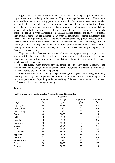Light. A fair number of flower seeds and some tree seeds either require light for germination or germinate more completely in the presence of light. Most vegetable seed are indifferent to the amount of light they receive during germination. We used to think that darkness was essential to germination, but recent studies don't seem to support that conclusion as a generality. Some flower seeds, like those of the pansy, germinate best in darkness, and germination of an onions and chives appears to be retarded by exposure to light. A few vegetable seeds germinate more completely under some conditions when they receive some light. In the case of lettuce and celery, for example, light promotes more complete germination only when the temperature is higher than that at which these seeds usually germinate best. At the lower temperatures they prefer, exposure to light doesn't seem to make much difference. The lesson from this is clear: when putting in a late planting of lettuce or celery when the weather is warm, press the seeds into moist soil, covering them lightly, if at all, with fine soil - although you could also spread a few dry grass clippings over the row to prevent crusting.

Vegetable seedling flats can be covered with wet newspapers, damp burlap, or used aluminum foil. Flats of seeds that need light to germinate should usually be covered with clear plastic sheets, bags, or food wrap, expert for seeds that are known to germinate within a week, which may be left uncovered.

**Soil conditions**. Apart from the physical conditions of friability, aeration, moisture, and freedom from waterlogging, all of which promote germination, there are other conditions in the soil that may be affect the outcome of seed planting.

**Organic Matter**. Soil containing a high percentage of organic matter along with many microorganisms may have a higher concentration of carbon dioxide than the surrounding air. This can retard germination, depending on the permeability of the seed coat to carbon dioxide. Seed don't need a rich mixture to start germinating.

#### **Table 2**

|                   |         | Оринцин   |         |         |
|-------------------|---------|-----------|---------|---------|
|                   | Minimum | Range     | Optimum | Maximum |
| Crops             | $(^0F)$ | $(^0F)$   | $(^0F)$ | $(^0F)$ |
| Asparagus         | 50      | 60-85     | 75      | 95      |
| Beans, Lima       | 60      | 65-85     | 85      | 85      |
| Beans, Snap       | 60      | 65-85     | 80      | 95      |
| <b>Beets</b>      | 40      | 50-85     | 85      | 95      |
| Cabbage           | 40      | 45-95     | 85      | 100     |
| Carrots           | 40      | $45 - 85$ | 80      | 95      |
| Cauliflower       | 40      | $45 - 85$ | 80      | 100     |
| Celery            | 40      | 60-70     | 70      | 85      |
| Corn              | 50      | 60-95     | 95      | 105     |
| Cucumbers         | 60      | 65-95     | 95      | 105     |
| Eggplant          | 60      | 75-90     | 85      | 95      |
| Lettuce           | 35      | 40-80     | 75      | 85      |
| <b>Muskmelons</b> | 60      | 75-95     | 90      | 100     |
| Okra              | 60      | 70-95     | 95      | 105     |
| Onions            | 35      | 50-95     | 75      | 95      |

#### **Soil Temperature Conditions for Vegetable Seed Germination**  $O<sub>min</sub>$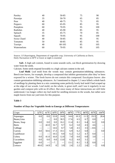| Parsley            | 40 | 50-85     | 75 | 90  |
|--------------------|----|-----------|----|-----|
| Parsnips           | 35 | 50-70     | 65 | 85  |
| Peas               | 40 | 40-75     | 75 | 85  |
| Peppers            | 60 | 65-95     | 85 | 95  |
| Pumpkins           | 60 | 70-95     | 95 | 100 |
| Radishes           | 40 | 45-90     | 85 | 95  |
| Spinach            | 35 | $45 - 75$ | 70 | 85  |
| Squash             | 60 | 70-95     | 95 | 100 |
| <b>Swiss Chard</b> | 40 | 50-85     | 85 | 95  |
| Tomatoes           | 50 | 60-85     | 85 | 95  |
| Turnips            | 40 | 60-105    | 85 | 105 |
| Watermelons        | 60 | 70-95     | 95 | 105 |

Source: J.F.Haarrington, Department of vegetable crop, University of California at Davis. Daily fluctuation to  $60^0$ F or lower at night is essential

**Salt**. A high salt content, found in some seaside soils, can block germination by drawing water from the seeds.

Calcium. Some seeds respond favorably to a high calcium content in the soil.

Leaf Mold. Leaf mold from the woods may contain germination-inhibiting substances. Beech tree leaves, for example, develop a compound that inhibits germination after they've been exposed for a winter. The fresh leaves do not contain this compound. Eucalyptus leaves also contain germination-inhibiting substances. As I mentioned in chapter 3, I once killed a whole batch of seedlings by planting them in a mix containing some perfectly lovely leaf mold I had scraped up at the edge of our woods. Leaf mold, on the whole, is great stuff, and I use it regularly in our garden and compost pile with no ill effect. But since many of these interactions are still little understood, I no longer collect my leaf mold for seedling mixtures in the woods, but rather save maple leaves from our yard trees for this purpose.

#### **Table 3**

| Crops        | $32^0$ F         | $41^0$ F | $50^0$ F | $59^0F$ | $68^0$ F | $77^0F$ | $86^0$ F | $95^0$ F | $104^0$ F |
|--------------|------------------|----------|----------|---------|----------|---------|----------|----------|-----------|
| Asparagus    | 0.0              | 0.0      | 52.8     | 24.0    | 14.6     | 10.3    | 11.5     | 19.3     | 28.4      |
| Beans, Lima  |                  |          | 0.0      | 30.5    | 17.6     | 6.5     | 6.7      | 0.0      |           |
| Beans, Snap  | 0.0              | 0.0      | 0.0      | 16.1    | 11.4     | 8.1     | 6.4      | 6.2      | 0.0       |
| <b>Beets</b> |                  | 42.0     | 16.7     | 9.7     | 6.2      | 5.0     | 4.5      | 4.6      |           |
| Cabbage      |                  |          | 14.6     | 8.7     | 5.8      | 4.5     | 3.5      | $-8.6$   |           |
| Carrots      | 0.0              | 50.6     | 17.3     | 10.1    | 6.9      | 6.2     | 6.0      |          | 0.0       |
| Cauliflower  |                  |          | 19.5     | 9.9     | 6.2      | 5.2     | 4.7      | 0.0      |           |
| Celery       | 0.0              | 41.0     | 16.0     | 12.0    | 7.0      | 0.0     | 0.0      | 3.0      |           |
| Cucumbers    | 0.0 <sub>l</sub> | 0.0      | 0.0      | 13.0    | 6.2      | 4.0     | 3.1      |          |           |
| Eggplant     | 0.0              |          | 7.       |         | 13.1     | 8.1     | 5.3      | 0.0      |           |
| Lettuce      | 49.0             | 14.9     |          | 3.9     | 2.6      | 2.2     | 2.6      |          | 0.0       |

#### **Number of Days for Vegetable Seeds to Emerge at Different Temperatures**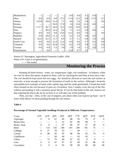| Muskmelons        |                  |      |      |      | 8.4  | 4.0  | 3.1  | 6.4  |     |
|-------------------|------------------|------|------|------|------|------|------|------|-----|
| Okra              | 0.0              | 0.0  | 0.0  | 27.2 | 17.4 | 12.5 | 6.8  | 12.5 | 6.7 |
| Onions            | 135.8            | 30.6 | 13.4 | 7.1  | 4.6  | 3.6  | 3.9  |      | 0.0 |
| Parsley           |                  |      | 29.0 | 17.0 | 14   | 13.0 | 12.3 | 0.0  |     |
| Parsnips          | 171.7            | 56.7 | 26.6 | 19.3 | 13.6 | 14.9 | 31.6 |      | 0.0 |
| Peas              |                  | 36.0 | 13.5 | 9.4  | 7.5  | 6.2  | 5.9  | 8.8  |     |
| Peppers           | 0.0              | 0.0  | 0.0  | 25.0 | 12.5 | 8.4  | 7.6  |      | 0.0 |
| Radishes          | 0.0 <sub>l</sub> | 29.0 | 11.2 | 6.3  | 4.2  | 3.5  | 3.0  | 0.0  |     |
| Spinach           | 62.6             | 22.5 | 11.7 | 6.9  | 5.7  | 5.1  | 6.4  | 3.4  | 0.0 |
| <b>Sweet Corn</b> | 0.0 <sub>l</sub> | 0.0  | 21.6 | 12.4 | 6.9  | 4.0  | 3.7  | 9.2  | 0.0 |
| Tomatoes          | 0.0              | 0.0  | 42.9 | 13.6 | 8.2  | 5.9  | 5.9  | 1.2  | 0.0 |
| Turnips           | 0.0              | 0.0  | 5.2  | 3.0  | 1.9  | 1.4  | 1.1  | 3.0  | 2.5 |
| Watermelons       |                  | 0.0  |      |      | 11.8 | 4.7  | 3.5  |      |     |

Source:J.F. Harrington, Agricultural Extension Leaflet, 1954.

Notes: 0.0= Little or no germination.

 $\overline{\phantom{a}}$  = Not tested

### **Monitoring the Process**

Keeping all these factors - water, air, temperature, light, soil conditions - in balance, while we wait for those first spears of green to show, calls for checking the seed flats at least once a day. The soil should be kept moist but not soggy. Air should be allowed to reach the soil surface at intervals, at least enough to prevent the formation of mold on the surface. Although I formerly surrounded each container of seeds with a plastic bag until the seeds germinated, I found that mold often formed on the soil because of poor air circulation. Now I simply cover the top of the flat, without surrounding it with a moisture-proof barrier. If you do find mold on the soil, chances are that exposing the flat to the air for an hour or so will take care of the problem.

Then, one day - often, in the case of peppers, just about when you'd given up hope - you'll notice little elbows of stems pushing through the soil surface.

#### **Table 4**

#### **Percentage of Normal Vegetable Seedlings Produced at Different Temperatures**

| Crops        | $32^0$ F       | $41^0$ F       | $50^0$ F | $59^0$ F | $68^0$ F | $77^0$ F | $86^0$ F       | $95^0$ F | $104^0$ F        |
|--------------|----------------|----------------|----------|----------|----------|----------|----------------|----------|------------------|
| Asparagus    | $\overline{0}$ | $\overline{0}$ | 61       | 80       | 88       | 95       | 79             | 37       | $\boldsymbol{0}$ |
| Beans, Lima  |                |                |          | 52       | 82       | 80       | 88             | 2        |                  |
| Beans, Snap  | $\overline{0}$ | $\Omega$       |          | 97       | 90       | 97       | 47             | 39       | $\overline{0}$   |
| <b>Beets</b> |                | 114            | 156      | 189      | 193      | 209      | 192            | 75       |                  |
| Cabbage      | $\overline{0}$ | 27             | 78       | 93       |          | 99       |                |          |                  |
| Carrots      | $\overline{0}$ | 48             | 93       | 95       | 96       | 96       | 95             | 74       | $\overline{0}$   |
| Cauliflower  |                |                | 58       | 60       |          | 63       | 45             |          |                  |
| Celery       |                | 72             | 70       | 40       | 97       | 65       | $\overline{0}$ | $\theta$ |                  |
| Corn         | $\overline{0}$ | $\overline{0}$ | 47       | 97       | 97       | 98       | 91             | 88       | 10               |
| Cucumbers    | $\overline{0}$ | $\theta$       | $\theta$ | 95       | 99       | 99       | 99             | 99       | 49               |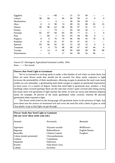| Eggplant          |                  |                | -98            |    | 21 | 53  | 60 |                |                |
|-------------------|------------------|----------------|----------------|----|----|-----|----|----------------|----------------|
| Lettuce           | 98               | 98             |                | 99 | 99 | 99  | 12 | $\overline{0}$ | $\overline{0}$ |
| <b>Muskmelons</b> |                  |                | $\overline{0}$ |    | 38 | 94  | 90 |                |                |
| Okra              | $\boldsymbol{0}$ | $\overline{0}$ | 98             | 74 | 89 | 92  | 88 | 85             | 35             |
| Onions            | 90               | 98             | 63             | 98 | 99 | 97  | 91 | 73             | $\overline{2}$ |
| Parsley           |                  |                | 79             |    | 69 | 64  | 50 |                |                |
| Parsnips          | 82               | 87             | 94             | 85 | 89 | 77  | 51 |                | $\overline{0}$ |
| Peas              |                  | 89             | 1              | 93 | 93 | 94  | 89 | $\overline{0}$ |                |
| Peppers           | $\boldsymbol{0}$ | $\overline{0}$ | 76             | 70 | 96 | 98  | 95 | 70             | $\overline{0}$ |
| Radishes          | $\overline{0}$   | 42             | 91             | 97 | 95 | 97  | 95 |                |                |
| Spinach           | 83               | 96             | 82             | 82 | 52 | 28  | 32 | $\overline{0}$ | $\overline{0}$ |
| Tomatoes          | $\overline{0}$   | $\overline{0}$ | 79             | 98 | 98 | 97  | 83 | 46             | $\overline{0}$ |
| Turnips           | 1                | 14             | $\overline{0}$ | 98 | 99 | 100 | 99 | 99             | 88             |
| Watermelons       |                  | $\overline{0}$ |                | 17 | 94 | 90  | 92 | 96             |                |

Source:J.F. Harrington, Agricultural Extension Leaflet, 1954.

Note:  $\_\ =$  Not tested.

#### **Flowers that Need Light to Germinate**

We're accustomed to tucking seeds in under a thin blanket of soil when we plant them, but there are some flower seeds that should not be covered. For these seeds, exposure to light increases the permeability of their membranes, allowing oxygen to penetrate the seed coats more readily (as you remember, a germinating seed needs oxygen to support its quickened respiration). In most cases, it's a matter of degree. Seeds that need light to germinate may produce a few seedlings when covered (perhaps these are the ones that weren't quite covered after being sown), but many more will germinate if light reaches the seeds. In tests on cactus and tuberous begonia seeds, for example, 30 percent of the seeds germinated when covered, whereas 80 percent germinated when exposed to light.

The flower seeds listed on the facing page will germinate better in the presence of light. Just press them into the surface of moistened soil and cover the seed flat with a sheet of glass or with clear plastic wrap so that light can get through.

### **Flower Seeds that Need Light to Geminate (Do not cover these seeds with soil.)**

| Annuals                   | Perennials              | <b>Biennials</b>       |
|---------------------------|-------------------------|------------------------|
|                           |                         |                        |
| Ageratum                  | Alyssum saxatile        | <b>Bellflowers</b>     |
| Begonias                  | <b>Balloonflower</b>    | <b>English Daisies</b> |
| Browallia                 | <b>Chinese Lantern</b>  | Foxglove               |
| Coleus (tender perennial) | Chrysanthemums          |                        |
| Godetia                   | Columbines              |                        |
| Impatiens                 | Edelweiss               |                        |
| Kochia                    | <b>False Rock Cress</b> |                        |
| Lobelia                   | Feverfew                |                        |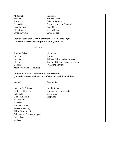| Petunias<br><b>Maltese Cross</b><br>Portulaca<br><b>Oriental Poppies</b><br><b>Scarlet Sage</b><br>Primroses (except Chinese)<br><b>Rock Cress</b><br>Snapdragons<br><b>Strawflowers</b><br><b>Shasta Daisies</b><br><b>Sweet Alyssum</b><br><b>Sweet Rocket</b><br><b>Flower Seeds that Often Germinate Best in Some Light</b><br>(Cover these seeds very lightly, if at all, with soil.)<br><b>Annuals</b><br><b>African Daisies</b><br>Nicotiana<br><b>Balsam</b><br><b>Stocks</b><br>Celosia<br>Tithonia (Mexican Sunflower)<br>Cleome<br>Transvaal Daisies (tender perennial)<br>Wishbone flowers<br>Cosmos<br>Monkey Flower (Mimulus)<br><b>Flower Seed that Germinate Best in Darkness</b> |
|---------------------------------------------------------------------------------------------------------------------------------------------------------------------------------------------------------------------------------------------------------------------------------------------------------------------------------------------------------------------------------------------------------------------------------------------------------------------------------------------------------------------------------------------------------------------------------------------------------------------------------------------------------------------------------------------------|
|                                                                                                                                                                                                                                                                                                                                                                                                                                                                                                                                                                                                                                                                                                   |
|                                                                                                                                                                                                                                                                                                                                                                                                                                                                                                                                                                                                                                                                                                   |
|                                                                                                                                                                                                                                                                                                                                                                                                                                                                                                                                                                                                                                                                                                   |
|                                                                                                                                                                                                                                                                                                                                                                                                                                                                                                                                                                                                                                                                                                   |
|                                                                                                                                                                                                                                                                                                                                                                                                                                                                                                                                                                                                                                                                                                   |
|                                                                                                                                                                                                                                                                                                                                                                                                                                                                                                                                                                                                                                                                                                   |
|                                                                                                                                                                                                                                                                                                                                                                                                                                                                                                                                                                                                                                                                                                   |
|                                                                                                                                                                                                                                                                                                                                                                                                                                                                                                                                                                                                                                                                                                   |
|                                                                                                                                                                                                                                                                                                                                                                                                                                                                                                                                                                                                                                                                                                   |
|                                                                                                                                                                                                                                                                                                                                                                                                                                                                                                                                                                                                                                                                                                   |
|                                                                                                                                                                                                                                                                                                                                                                                                                                                                                                                                                                                                                                                                                                   |
|                                                                                                                                                                                                                                                                                                                                                                                                                                                                                                                                                                                                                                                                                                   |
|                                                                                                                                                                                                                                                                                                                                                                                                                                                                                                                                                                                                                                                                                                   |
|                                                                                                                                                                                                                                                                                                                                                                                                                                                                                                                                                                                                                                                                                                   |
|                                                                                                                                                                                                                                                                                                                                                                                                                                                                                                                                                                                                                                                                                                   |
|                                                                                                                                                                                                                                                                                                                                                                                                                                                                                                                                                                                                                                                                                                   |
| (Cove these seeds with 1/4 inch of fine soil, well firmed down.)                                                                                                                                                                                                                                                                                                                                                                                                                                                                                                                                                                                                                                  |
| <b>Annuals</b><br>Perennials                                                                                                                                                                                                                                                                                                                                                                                                                                                                                                                                                                                                                                                                      |
| <b>Bachelor's Buttons</b><br>Delphiniums                                                                                                                                                                                                                                                                                                                                                                                                                                                                                                                                                                                                                                                          |
| <b>Butterfly Flowers</b><br>Poppies (except Oriental)                                                                                                                                                                                                                                                                                                                                                                                                                                                                                                                                                                                                                                             |
| Calendula<br><b>Shamrocks</b>                                                                                                                                                                                                                                                                                                                                                                                                                                                                                                                                                                                                                                                                     |
| Globe Amaranth<br>Soapwort                                                                                                                                                                                                                                                                                                                                                                                                                                                                                                                                                                                                                                                                        |
| Nasturtiums                                                                                                                                                                                                                                                                                                                                                                                                                                                                                                                                                                                                                                                                                       |
| Nemesia                                                                                                                                                                                                                                                                                                                                                                                                                                                                                                                                                                                                                                                                                           |
| <b>Painted Daisies</b>                                                                                                                                                                                                                                                                                                                                                                                                                                                                                                                                                                                                                                                                            |
| Pansies (biennial)                                                                                                                                                                                                                                                                                                                                                                                                                                                                                                                                                                                                                                                                                |
| Phlox Drummondi                                                                                                                                                                                                                                                                                                                                                                                                                                                                                                                                                                                                                                                                                   |
| Salpiglossus (painted tongue)                                                                                                                                                                                                                                                                                                                                                                                                                                                                                                                                                                                                                                                                     |
| <b>Sweet Peas</b>                                                                                                                                                                                                                                                                                                                                                                                                                                                                                                                                                                                                                                                                                 |
| Verbena                                                                                                                                                                                                                                                                                                                                                                                                                                                                                                                                                                                                                                                                                           |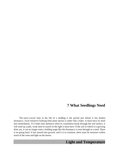### **7 What Seedlings Need**

The most crucial time in the life of a seedling is the period just before it has broken dormancy. Each tentative-looking little plant sprout is rather like a baby. It must have its need met immediately. If it finds only darkness when its cotyledons break through the soil surface, it will send up a pale, weak stem in search of the light it must have. If the soil in which it is growing dries out, it can no longer enter a holding stage like the dormancy it went through as a seed. There is no going back. It has started into growth, and it is to continue, there must be moisture within reach of the roots and light on the leaves.

## **Light and Temperature**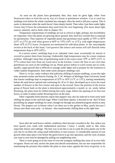As soon ass the plants have germinated, then, they must be given light, either from fluorescent tubes or from the sun by way of a house or greenhouse window. I try to catch my seedlings even before the whole cotyledon has emerged, when the seed is still just a sprout. This is easier to determine when the seeds haven't been deeply buried. Then when I put them under lights I know they'll have the stimulation they need from the very beginning. (For more about light sources, intensity, and so forth, refer to chapter 10.)

Temperature requirements of seedlings are not as critical as light, perhaps, but nevertheless are important. Once the plants are growing above ground, they need less warmth than is required for germination. They majority of vegetable plants that germinate most rapidly at  $70^0$ F to  $80^0$ F (21<sup>o</sup>C to 27<sup>o</sup>C) do well when grown at  $60^{\circ}$ F to  $70^{\circ}$ F (16<sup>o</sup>C to 21<sup>o</sup>C), with night temperatures about  $10^{0}F (5.5^{0}C)$  lower. Exceptions are mentioned for individual plants in the encyclopedia section at the back of this book. Cool growers like lettuce and onions will still flourish when temperatures drop to  $50^0$ F (10<sup>0</sup>C).

In a severe winter, seedlings kept in an unheated room must occasionally be moved or covered to protect them from freezing. Undesirably high temperatures may be a more common problem. Although I keep flats of germinating seeds in the warm corner  $70^0$ F to  $80^0$ F (21<sup>0</sup>C to  $27^{\circ}$ C) where heat rises from our wood stove in the kitchen, I move the flats to our cool solar greenhouse ass soon as the seedlings are up. Plants grown indoor in warm rooms put on weak, spindly, sappy growth that is difficult to manage under lights and to prepare for the transition to colder outdoor temperatures. Start seeds warm and grow seedlings cool.

There is, in fact, some evidence that judicious chilling of tomato seedlings, at just the right time, promotes earlier and heavier fruiting. Dr. S .W .Wittmer of Michigan State University found that tomato seedlings kept at temperatures of  $52^0$ F to  $56^0$ F (11<sup>0</sup>C to 13<sup>0</sup>C), starting immediately before the seed leaves opened and continuing for 10 to 21 days, developed up to twice the usual number of flowers in the first cluster and open in the second. Since the position of the lowest group of flower buds on the plant is determined approximately a month to six weeks before blooming, the plant must be chilled during this early stage, before the opening of its first true leaves, in order to induce earlier flowering lower on the stem.

Other vegetable horticulturists report that peppers may also be induced to form early buds chilling the plants in the seed leaf stage. When I read these reports, it dawned on me that I'd been prechilling my pepper seedlings for years, though not through any planned program aimed at early bloom. The peppers are in bloom when I set them out in the garden in May, partly because I always start them extra early - in January - thus inadvertently chilling them at the right time.

# **Space**

Soon after the seed leaves unfold, conditions often become crowded in the flat, unless you have spaced your seeds with mathematical precision. I know I usually need to thin mine, especially lettuce and cabbage. The best way to do this is not to yank the extra plants out of the soil, but to cut them off, using small embroidery or nail scissors. A considerable amount of root growth often takes place even before the green leaves to go into operation, and the roots of plants you want to save may be damaged by pulling out neighboring roots.

There is more going on in the roots of even the youngest seedling than most of us ever fully recognize. Roots not only anchor the plant and absorb nourishment, but are also responsible for maintaining the pressure that enables the plant to raise water, against the force of gravity, to its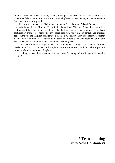topmost leaves and stems. In many plants, roots give off exudates that help to define and sometimes defend the plant's territory. Roots of all plants synthesize many of the amino acids that control the plant's growth.

Roots are examples of "being and becoming," to borrow Aristotle's phrase, used perceptively by Charles Morrow Wilson in his book Roots:Miracles Below. Root growth is continuous. It does not stop, ever, as long as the plant lives. At the same time, root filaments are continuously dying. Root hairs, the tiny fibers that form the point of contact and exchange between the soil and the plant, constantly extent into new territory. They need moisture, but they also need air. A soil mix that is half solid matter and half pore space, with about half of the bore space filled with water, provides ideal conditions for root growth.

Superfluous seedlings are just like weeds. Thinning the seedlings, so that their leaves don't overlap, cuts down on competition for light, moisture, and nutrients and also helps to promote better circulation of air around the plant.

Seedlings also need water and nutrients, of course. Watering and fertilizing are discussed in chapter 9.

# **8 Transplanting into New Containers**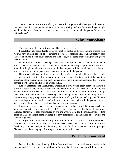There comes a time shortly after your seeds have germinated when you will want to transplant them into a deeper container with a richer growing medium. Some seedlings, though, should not be moved from their original containers until you plant them in the garden (see the box in this chapter).

### **Why Transplant?**

Those seedlings that can be transplanted benefit in several ways.

**Stimulation of Feeder Roots**. Some fine root are broken in the transplanting process. As a result, a new, bushier network of feeder roots is formed. If roots are very long and thready, as in the case of onions, I often prune them to one inch or so, at the same time pruning the top growth to correspond.

**Room to Grow**. Crowded seedlings become weak and spindly, and the lack of air circulation around them can encourage disease. Giving them more root and leaf space promotes the health and strength of the plant and ensures that the root ball of the plant will have sufficient protective soil around it when you cut the plants apart later to set them out in the garden.

**Richer soil**. Although seedlings started in soilless mixes seem to be able to subsist on liquid feedings for quite a while, I like to get my plants into a good soil mixture so that they can take advantage of the micronutrients and the beneficial interactions in the microscopic soil life, limited as these may be in the small space of a wooden flat.

**Easier Selection and Evaluation**. Discarding a new young green sprout is always a painful process for me. In fact, I usually keep a small container of these extra plants by the kitchen window for a week or so after transplanting, in the hope that some visitor will adopt them. Selection, nevertheless, is a necessary step in raising the best possible nursery plants. No matter how sparingly I try to sow the seeds or how carefully I thin the seedlings, usually have more seedlings in the starting flat than I will have room for under lights or in the garden row, and so I choose, as I transplant, the seedlings that appear most vigorous.

I look for good green leaves that are symmetrical and well developed. Deformed cotyledons sometimes indicate early damage to the seed. Vegetable seeds that sprout early usually grow into vigorous plants unless they are retarded by waiting without light for the other, slower seeds to come up. There is, in fact, some evidence that early emergence is an indication of seed vigor and ultimate high yield.

Root growth is an important as top growth in evaluating seedlings. Look for a compact, well-developed root ball. A fringe of well-branched feeder roots will do far more for the developing plant than a single, thready trailing root. It is also difficult to transplant a long, singlefilament root without tangling it, bruising it, or doubling it back on itself.

#### **When to Transplant**

By the time they have developed their first true leaves, your seedlings are ready to be transplanted. It's better to get the job bone before the plant has a second set of fully developed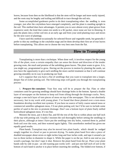leaves, because from then on the likelihood is that the stem will be longer and more easily injured, and the roots may be lengthy and trailing and difficult to trace through the soil mix.

Some accomplished gardeners prefer to do their transplanting when the seedling is even younger, just after the cotyledons have emerged completely, and the plant is standing upright in the soil. This method does have advantages. It permits you to save almost every plant grown from expensive seed, the kind that comes ten seeds to a \$2 packet, since none are lost in thinning. It puts the plants into a richer soil mix at an early age and frees your seed-planting trays and mixes for the next wave of plantings.

I have used this method occasionally for selected flower and vegetable seeds, but generally I prefer to thin my seedlings in the cotyledon stage and let them develop their first set of true leaves before transplanting. This allows me to choose the very best ones from the flat.

#### **How to Transplant**

Transplanting is more than a technique. When done well, it involves respect for the young life of the plant, even a certain empathy that can sense the thrust and direction of the tender growing roots, the reach and promise of the unfolding green leaves. The plant wants to grow. It is, you might say, programmed to grow. Having set the process in motion by planting the seeds, we now have the opportunity to give each seedling the most careful treatment so that it will continue growing smoothly on its way to producing our food.

Let's suppose that you have a flat of seedlings that you want to transplant into a larger, deeper flat of richer potting soil. The following steps will guide you through the transplanting process:

1. **Prepare the container**. Your first step will be to prepare the flat. Flats or other containers used for growing seedlings should have drainage holes in the bottom. Spread a double layer of newspaper on the bottom to keep soil from sifting through the drainage cracks. Next, arrange a one-inch layer of torn pieces of moss on top of the newspaper. This is not absolutely necessary, but in my work with young plant. I've found that those planted over a torn-moss foundation develop excellent toot systems. If you have no source of fairly coarse natural moss or commercial unmilleo sphagnum moss, I'd use plain potting soil, but I'd be sure to include some perlite of sand in the mix to promote drainage. Don't use a bottom layer of plain finely milled horticultural sphagnum moss. It's too fine.

Moisten the moss, pat it down flat, and fill the rest of the flat to within about one half inch of the top with potting soil. Usually I moisten the soil thoroughly before setting the seedlings in their places, although at times I have put the seedlings into dry holes, watered them in, pulled fresh soil over the roots, and then watered again lightly. This unorthodox method has given me equally good results.

*Plant bands*. Transplant may also be moved into plant bands, which should be wedged snugly together in a bowl or pan to prevent drying. To make plant band first take a piece of doubled newspaper about seven or eight inches long and four inches wide, and tape it around a jar two to three inches in diameter to shape it. While the paper is on the jar, fold in one end as you would a package, but don't tape it shut. Remove the plant band from the jar. Place your plant bands side by side in pan - an old roasting pan works well - and put one-half inch of soil in the bottom of each band to anchor it in place before inserting the seedling. The folded-over bottom, if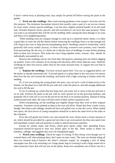it hasn't rotted away at planting time, may simply be peeled off before setting the plant in the garden.

2. **Prick out the seedlings**. Most seed-starting gardeners soon acquire a favorite tool for this purpose. The miniature houseplant shovels that usually come a part of a set are too clumsy for most small, closely spaced seedlings. I use the slim, slightly pointed handle of an old salad fork. Wooden Popsicle sticks, pencils, and old screwdrivers can serve the same purpose. What you want is an instrument that will lift out the seedling while causing the least damage to its roots and those of its neighboring plants.

When seedling roots are compact enough to come up in a relatively dense cluster, it is often a good idea to water the old flat shortly before removing the seedlings from it so that enough soil will cling to the roots to help prevent transplanting shock. Seedlings raised in vermiculite, which generally falls away readily anyway, or those with long, extensive root systems, won't benefit from prewatering. By the way, it's better not to dip the roots of seedlings in water before planting them in their new location. This make the roots cling together when, instead, they should be individually surrounded by soil.

Remove the seedlings one by one from their old quarters, planting each one before digging up another. Even a few minutes of air drying will adversely affect those delicate roots. Hold the seedlings by their first leaves rather than by the easily bruised stem, or support the root ball in your hand.

3. **Replant the seedlings**. You have several option here. You can, as suggested above, set the plants in already-moistened soil. A second option is to plant them in dry soil (over wet moss); then firm the dry soil around the seedling, and finish with a light watering to further settle the seedling.

Or, if you are putting the young plants into pots, you can tuck a wad of damp moss in the bottom, set the plant on it, half fill the pot with soil, water the plant in, and add enough additional dry soil to fill the pot.

If you're potting up a plant that has long roots, put some soil or moss in the pot and turn it on its side. Position the plant in the pot with its roots spread out on the growing medium, and gradually fill in with soil as you tilt the pot bit by bit back to its normal position. Instead of being coiled around each other, the roots will have more of their surface exposed to soil.

When transplanting, set the seedlings just slightly deeper than they were in their original container. Tomatoes can be planted as deep as the root will allow. Plants that form a leafy crown, though, like lettuce and cabbage, should not have soil pulled over or into the crown. When settled into space, the first leaves of young transplants should be at about the same level as the sides of the container.

Press the soil gently but firmly over and around the roots. Roots need a certain amount of air, which should be provided by a good soil mix that is not overwatered, but they also need close and immediate contact with soil particles in order to absorb necessary nutrients.

Except for onions, leeks, and chives, which grow spears rather than spreading leaves, transplant should be spaced at least two inches apart in the flat. Three inches is better for tomatoes, cabbage, and eggplant that won't be transplanted again.

4. **Watch your seedlings**. Check for signs of wilting. If they droop, even though you've watered them well when planting them, don't pour on more water. The roots are already doing all they can. Instead, help to balance the plant's moisture supply by arranging a tent of damp newspaper over flat or by enclosing it in a large plastic bag or covering it with a large roaster lid or other protective layer that will not rest on the plants. Keep new transplants out of direct sun for a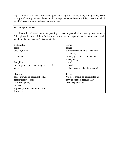day. I put mine back under fluorescent lights half a day after moving them, as long as they show no signs of wilting. Wilted plants should be kept shaded and cool until they perk up, which shouldn't take more than a day or two at the most.

#### **To Transplant or Not**

Plants that take well to the transplanting process are generally improved by the experience. Other plants, because of their fleshy or deep roots or their special sensitivity to root insult, should not be transplanted. This group includes:

| <b>Vegetables</b>                              | <b>Herbs</b>                        |
|------------------------------------------------|-------------------------------------|
| beans                                          | borage                              |
| cabbage, Chinese                               | burnet (transplant only when corn   |
|                                                | young)                              |
| cucumbers                                      | caraway (transplant only melons     |
|                                                | when young)                         |
| Pumpkins                                       | chervil                             |
| root crops, except beets, turnips and celeriac | coriander                           |
| squash                                         | drill (transplant only when young)  |
| <b>Flowers</b>                                 | <b>Trees</b>                        |
| balloonflower (or transplant early,            | Nut trees should be transplanted as |
| before taproot forms)                          | early as possible because they      |
| California poppy                               | form deep taproots                  |
| Celosia                                        |                                     |
| Poppies (or transplant with care)              |                                     |
| Portulaca                                      |                                     |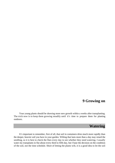## **9 Growing on**

Your young plants should be showing more new growth within a weeks after transplanting. The trick now is to keep them growing steadily until it's time to prepare them for planting outdoors.

### **Watering**

It's important to remember, first of all, that soil in containers dries much more rapidly than the deeper, heavier soil you have in your garden. Wilting that lasts more than a day may retard the seedling, so it is best to check the flats every day to see whether they need watering. I usually water my transplants in flat about every third to fifth day, but I base the decision on the condition of the soil, not the time schedule. Short of letting the plants wilt, it is a good idea to let the soil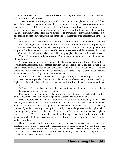dry out from time to time. Then the roots are stimulated to grow into the air spaces between the soil particles in search of water.

**When to water**. Water is powerful stuff. It can nourish your plants, or it can skill them. Water is necessary to maintain the turgidity of the plant so that there is a continuous column of moisture in the cells. It is also indispensable to the intricate intracellular chemical processes that keep the plant growing. However, too much water ruins the soil tilth and spoils the plant. Soil that is continuously waterlogged has no air spaces to promote root growth and support helpful soil bacteria. In such a situation, other less beneficial organisms take over, rot sets in, and the roots suffer.

How do you tell when a flat needs watering? By touch, by feel, and by sight. Touch the soil. Poke your finger into a corner where it won't disturb any roots. If the soil feels powdery or dry, it needs water. When you've been handling flats for a while, you can judge by feeling the weight of the flat whether it is lost most of its water. A well-watered flat is heavier than a dry one. Other than dry soil surface, visible signs like drooping plants indicate a serious lack of water.

**Water Temperature and Composition**. Does water temperature and composition matter? I think it does.

*Temperature*. Our well water is cold, but I always use tepid water for seedlings of heatloving plants like melons, cukes, peppers, eggplant and globe artichokes. Water temperature is less critical for the brassicas (which include kale, cabbage, cauliflower, broccoli, and mustard), lettuce, onions and such, which prefer a cooler environment; still, I try to temper extremely cold water to a more moderate  $70^0$ F (21<sup>0</sup>C) to avoid shocking the plant.

*Chlorine*. If your water is chlorinated, I'd suggest letting it stand overnight with as much surface as possible exposed to the air - in a bucket or dishpan - before using it to water seedlings. High levels of chlorine damage include yellowing along leaf veins and, in extreme cases, curling of leaves.

*Soft water*. Water that has gone through a water softener should not be used to water plants. It contains potentially toxic amounts of sodium.

Some gardeners who are good at planning ahead fill plastic jugs with water and keep them ready so that they always have room-temperature water available for their plants.

**How to water**. Yes, there is more than one way to water your seedlings. Some expert seedling-raisers water their flats from the bottom. This practice supplies water quickly to the root zone and avoids excess surface dampness that can encourage damping-off disease. It is a messy business if you don't have a good set up for it, but if you have a large waterproof trough in which you can partially submerge a flat, or preferably two or three at a time, the method might be practical for you. Each flat must, of course, have drainage slits or holes in the bottom so that water can be absorbed. Leave each container of seedlings in the water until the surface of the soil starts to look dark.

Bottom watering is really more of a greenhouse refinement than it is a necessity. I've had no problem at all with top watering either seedlings or more mature plants. Watering from above carries nutrients down through the soil to the roots and makes it feasible to top-dress the plants with compost or rich soil if necessary. I often use the muddy water left from rinsing root-cellar vegetables to water my indoor seedlings.

# **Maintaining Humidity**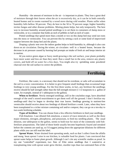Humidity - the amount of moisture in the air - is important to plants. They lose a great deal of moisture through their leaves when the air is excessively dry, as it can be in both centrally heated homes and in rooms warmed by a wood stove during cold weather. Plants suffer when humidity falls bellow 30 percent. They do best in the 50 to 70 percent range; higher humidity invites fungus and other disease problems. Misting plants helps, but only temporarily. The best way to increase humidity around potted seedlings is to set them in containers of damp moss or vermiculite, or in a container that holds an inch of pebbles in half an inch of water.

Potted seedlings that spend more than a month or two on this damp bed may send out roots into the moss or vermiculite. You can prevent this by setting a rack or some kind of improvised support between the damp bed and the plants.

Draping a plastic tent over the indoor garden helps to hold humidity in, although it also cuts down on air circulation. During the winter, air circulates well in a heated house, because the decrease in air pressure caused by burning fuel prompts an intake of fresh air and keeps interior air in motion.

Id you notice green algae or fuzzy mold growing n the soil surface, your plants probably have more water and less air than they need. Run a small fan in the area, remove any plastic covers, and hold off on water for a few days. You might also try sprinkling some powdered charcoal over the soil surface to correct the problem.

### **Fertilizing**

Fertilizer, like water, is a necessary that should not be overdone, or salts will accumulate in the soil to a toxic concentration. It is better to give frequent small feedings than occasional large feedings to very young seedlings. For the first three weeks, in fact, any fertilizer the seedlings receive should be half strength rather than the full-strength mixture (1 1/2 teaspoons to a gallon of water, for example, instead of 1 tablespoon to the gallon).

**When to fertilizer**. Newly emerged seedlings, still in the cotyledon stage, have absorbed enough of the seed's stored nourishment to get them well off the ground. I don't fertilize my seedlings until they've begun to develop their true leaves. Seedlings growing in nutrient-free vermiculite should receive about two feedings of diluted fertilizer a week. Later, when they have been transplanted to a richer mixture containing soil and/or compost, they can go on a ten-day to two-week fertilizing schedule.

**Types of fertilizer**. You can choose from a few effective fertilizers to feed your seedlings.

*Fish Emulsion*. I use diluted fish emulsion, a source of trace minerals as well as the three major elements, nitrogen, phosphorus, and potassium, to feed my seedling plants. The usual dilution, one tablespoon to the gallon, seems to hold true for most of the commonly sold fishfertilizer preparations. The label of these bottle usually become hopelessly frayed and streaked before the contents are used up, so I'd suggest jotting down the appropriate dilutions for different plants while you can still read the label.

**Sprout Water.** Water drained from sprouting seeds, such as that I collect from the alfalfa and mung bean sprout I raise in our kitchen, is valuable food for plants. I am convinced that sprout water helps to foster plant growth. Although I can't cite any scientific studies as proof. In my one "controlled" experiment, two flats of Elite onion seedlings that I watered-in at transplanting time with sprout water grew thicker, sturdier tops than two untreated flats of the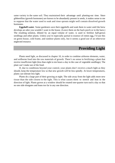same variety in the same soil. They maintained their advantage until planting-out time. Since gibberellins (growth hormones) are known to be abundantly present in seeds, it makes sense to me to suppose that the water used to soak and rinse sprouts might well contain dissolved growth hormones.

**Eggshell water**. Some gardeners save their eggshells and soak them in water until the brew develops an odor you wouldn't want in the house. (Leave them on the back porch or in the barn.) The resulting solution, diluted by an equal volume of water, is used to fertilize half-grown seedlings and other plants. Unless you're especially partial to essence of rotten egg, I'd use this on green house, cold frame, and outdoor plants only, but it seems a good use of an otherwise neglected resource.

### **Providing Light**

Plants need light, as discussed in chapter 10, in order to combine airborne elements, water, and soilborne food into the raw materials of growth. There's no sense in fertilizing a plant that receive insufficient light (less than eight to ten hours a day in the case of vegetable seedlings). The plant can't make use of the food.

If, due to conditions beyond your control, your plants don't receive a much light as they should, keep the temperature low so that new growth will be less spindly. At lower temperatures, plants can tolerate less light.

Plants do a large part of their growing at night. The side away from the light adds more new tissue than the side closest to the light. This is what causes them to stretch and lean in the direction of light. Plants grown at a window should be rotated one-quarter turn each a day so that no one side elongates and leans too far in any one direction.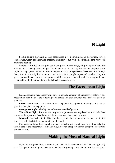## **10 Light**

Seedling plants may have all their other needs met - nourishment, air circulation, correct temperature, water, good growing medium, humidity - but without sufficient light, they will amount to nothing.

People are limited to using the sun's energy in indirect ways, but green plants have the ability to absorb energy from sunlight directly and to use that energy to make food they can store. Light striking a green leaf sets in motion the process of photosynthesis - the conversion, through the action of chlorophyll, of water and carbon dioxide to simple sugars and starches. Only the green parts of leaves carry on this process. White stripes, blotched, and leaf margins do not contain chlorophyll, but red pigment in their cells masks the green.

### **The Facts about Light**

Light, although it may appear white to us, is actually a mixture of a rainbow of colors. A full spectrum of light includes the following color gradations, each of which has a different effect on plant life.

**Green-Yellow Light**. The chlorophyll in the plant reflects green-yellow light. Its effect on growth is thought to be negligible.

**Orange-Red Light**. This light stimulates stem and leaf growth.

**Violet-Blue Light**. Enzyme and respiratory processes are regulated by the violet-blue portion of the spectrum. In addition, this light encourages low, stocky growth.

**Infrared (Far-Red) Light**. This stimulates germination of some seeds, but can inhibit others. Its full effect still isn't completely understood.

Full-spectrum light, like sunlight, includes invisible ultraviolet rays, too. It is only the visible part of the spectrum described above, however, that provides the energy necessary for photosynthesis.

# **Making the Most of Natural Light**

If you have a greenhouse, of course, your plants will receive the well-balanced light they need. The quality of sunlight that shines on windowsill-grown plants is the same as that in a glass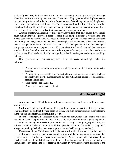enclosed greenhouse, but the intensity is much lower, especially on cloudy and early winter days when that sun is low in the sly. You can boost the amount of light your windowsill plants receive by positioning shiny metal reflectors or boards painted with flats white paint behind the plants to bounce the light back onto their leaves. Use foil-covered cardboard, shiny cookie tins, or other household findings. The resulting arrangements may not win any interior decorating prizes, but it does get more light to the leaves. Try it with eggplant, a real sun and heat lover.

Another problem with raising seedlings on windowsills is that few houses have enough south-facing windows to provide a place for more than a few pots or flats. If you are limited to raising your seedlings at the window, choose the kinds of vegetables that most need an early start - main -crop tomatoes, peppers, and eggplant, for example - and sow lettuce, cabbage and broccoli seeds in the open ground or in cold frame. You can also raise two generations of indoor seedlings if you put your tomatoes and peppers in a cold frame about the first of May and then use your windowsills for the melons and cucumbers. Where space is limited, you can plant seeds of a hardier tomato like Sub-Arctic directly in the garden rather than raise your early tomato seedlings indoors.

Other places to put your seedlings where they will receive natural light include the following:

- A sunny corner in an outbuilding or barn; best in mid-to late spring in an unheated building.
- A roof garden, protected by a plastic tent, clothes, or some other covering, which can be effective but may be cumbersome to care for. A flat, black garage roof or house roof absorbs a lot of heat.
- Cold frames see chapter 16.
- A solar greenhouse see chapter 23.

## **Artificial Light**

A few sources of artificial light are available to choose from, but fluorescent light seems to work the best.

**Sunlamps**. Sunlamps might sound like a good light source for seedlings, but any gardener who tries them will find that they are death on plants. The high concentration of ultraviolet rays in the sunlamp interferes with normal plant growth.

**Incandescent light**. Incandescent bulbs produce red light, which alone makes the plant grow leggy. They also produce a great deal of heat in relation to the amount of light they give off. It is not practical to try to raise seedlings under incandescent lights. In lighting supply stores, you will see special incandescent bulbs with built-in greenhouses or for houseplants. They must always be splashing the bulbs when watering the plants, or the blown glass may break.

**Fluorescent light**. The discovery that plants do well under fluorescent light has made it possible for many more gardeners to get a good early start on the outdoor growing season and to produce plants as good as any raised in a greenhouse. Plants grown under fluorescent lights develop excellent color and stocky growth. Fluorescent light come closer than any other artificial illumination to duplicating the color spectrum of sunlight. In varying proportions, according to the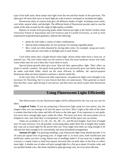type of the bulb used, these lamps emit light from the red and blue bands of the spectrum. The tubes give off more than twice as much light per watt of power consumed as incandescent lights.

Fluorescent tubes of various kind give off different shades of light, including warm white, cool white, natural white, and daylight. The different kinds of fluorescent powder used to coat the inside of the tube account for the range of light quality available.

Reports of results from growing plants under fluorescent light at the North Carolina State University School of Agriculture and Life Sciences and at Cornell University, as well as from experienced nonprofessional gardeners, indicate the following:

- plants do well under a variety of tubes combinations.
- Special plant-raising tubes are not necessary for starting vegetable plants.
- Best result are often obtained by mixing tube colors: for example, using one warmwhite and one cool-white or daylight tune in each fixture.

Cool-white tubes emit a bright bluish white light. Warm-white tubes have a faint tan or pinkish cast. The cool-white tubes are the easiest to find, but most hardware stores will order warm-white ones for you if they don't have them in stock.

Special plants growth tubes give more blue-red than green-yellow light. Their effect on plants is mostly cosmetic: the plants look good but do not necessarily grow any better than they do under cool-white bulbs, which are the most efficient. In addition, the special-purpose fluorescent tubes are more expensive and have a shorter useful life.

In the early days of fluorescent tube experiments, incandescent lights were thought to be necessary for flowering, but it is now known that they are unnecessary. They generate so much heat that they cause rapid drying of soil and air, and they burn out much sooner than fluorescent tubes.

## **Using Fluorescent Light Efficiently**

The effectiveness of your fluorescent lights will be influenced by the way you use care for them.

**Length of Tubes**. If you are preparing a fluorescent light setup for your plants, buy the longest tubes you can manage to fit into the space you have. Why? Light at the ends of the tubes is weaker than that in the center and falls off more as the tube ages. If my experience is any guide, you never have enough light space under the tubes. The more you have, the more plants you're tempted to start, and when they're transplanted, you'll need all the space you can muster.

Tubes are available in 12-,18-, 24-, 36-, 48-, 72-, and 96-inch lengths. Each foot of length uses 10 watts of power. If at all possible, avoid using tubes under three feet in length; they simply don't put out as much light for the power they use. Forty-eight-inch tubes are long enough to be efficient but short enough to fit conveniently into most household arrangements.

**Amount of Light**. For growing seedlings, your fluorescent light setup should provide 15 to 20 watts per square foot of growing area. A single tube is, in most cases, both insufficient and inefficient, unless you have a long, skinny tray of seedlings under it. If you must use a single tube, construct a simple frame to hold foot-square mirrored tiles on both sides of the flats to reflect more light. A double row of tubes will give enough light for a flat up to about 16 inches wide, and two parallel double rows, like those attached to plant-growing carts, are even more efficient.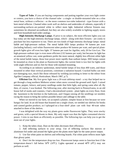**Types of Tube**. If you are buying components and putting together your own light center or centers, you have a choice of the channel tube - a single- or double-mounted tube on a slim metal base, without a reflector - or the more common two-tube industrial - type fixture with a bent metal reflector. Channel tubes work well on shelves and undersides of cabinets, especially if surrounding surfaces are painted white to reflect more light. Industrial reflector fixtures may sometimes be obtained secondhand, but they are also widely available in lighting supply stores and from household mail-order catalogs.

**High-Intensity Discharge Lamps**. If price is no subject, the most efficient lights you can buy today are the high-intensity discharge lamps, which - along with their fixtures - are costly to purchase but less expensive to run. There are two kinds of high-intensity discharge lamps: metal halide and high-pressure sodium. The metal halide HID lamps produce 94 lumens per watt (including ballast); cool-white fluorescent tubes produce 66 lumens per watt; and special plantgrowth lights give off even less light: 37 lumens per watt for Agrilite, only 20 for Gro-Lux. The high-pressure sodium type is even more efficient (132 lumens per watt), but because its light has an unnatural yellow cast, some gardeners prefer the more natural, slightly less efficient white light of the metal halide lamps; those lose power more rapidly than sodium lamps. HID lamps cannot be mounted as close to the plant as fluorescent lights; the current limit is two feet for lights with wide-angle reflectors and six feet for those with standard mounting.

According to an industry spokesman, metal halide lamps of less than 400 watts, and those mounted in other than vertical positions, constitute a radiation hazard. Cracked bulbs can emit eye-damaging rays, much like those released by welding (according to letter to the editor from Agrilite Company official, Horticulture, March 1987, p.7).

**Efficient Use**. My first grow light was a 20-watt tabletop stand - a toy that helped me to get through a long northern Midwest winter when snow covered the ground until April. I raised tomato, pepper, lettuce, and pansy seedlings under that little light, and spring came after all. By then, of course, I was hooked. The following year, after moving back to Pennsylvania, to an old house full of nooks and crannies, I had a decentralized system - plant lights on every floor, from the basement to the kitchen to the bathroom, and I began raising all the seedlings we needed, racing the reason to bring the earliest possible lettuce and cabbage to the table.

When we moved to our farm, we accepted a plainer, simpler house at first because we were hungry for land. In an old house that boasted not a single closet, we needed our shelves for books and canned garden produce, so I splurged on a four-shelf plant cart with four 40-watt tubes attached to three of the shelves.

I was delighted with the way my plants grew under fluorescent lights. They were stocky and green, with a special bloom to them. My only regret was that the lights consumed electric power. I tries to use them as efficiently as possible. The following tips can help you to get the most out of your lights.

1. Keep the tubes clean. Dust on the tubes decreases their efficiency.

2. Add reflecting surfaces to your setup. Use of reflecting surfaces like mirrors or aluminum foil under and around the lights gives the plants more light for the same power output.

3. Use flat white paint on shelves and reflecting boards. Flat white paint reflects more light than glossy paint.

4. Don't let the temperature drop too low. Fluorescent lamps seem to function best if the temperature doesn't fall below 50<sup>0</sup>F (10<sup>0</sup>C). Lights operated at around 40<sup>0</sup>F (4<sup>0</sup>C) may not perform as well.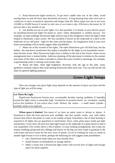5. Keep fluorescent lights turned on. To get more usable time out of the tubes, avoid turning them on and off more than absolutely necessary. A long burning time after each start is conducive to more economical operation and longer tube life. Most lamps last one to two year (10,000 to 20,000 hours) if turned to only one or two times a day. Efficiency decreases by 10 percent after a few months of use.

6. Get double use out of your lights. It is also possible, I've found, to save electric power by installing fluorescent lights for plants in spots where illumination is needed anyway. For example, we kept seedlings fluorescent light stand on top of the refrigerator where the light it shed helped to illuminate a dark corner. We also installed a fixture on the underside of a shelf in the bathroom of our old house - light for the room and the plants. An imaginative look at your own home surroundings will no doubt suggest other possibilities.

7. Make use of the warmth of the lights. The tubes themselves give off little heat, but the ballast - the step-down transformer that makes it possible for the lights to use household current does become warm. Most fluorescent lights have a ballast at the end of the fixture. Some recent arrangements have a remote ballast. Judicious planning of flat placement in relation to the warmer end zones of the tubes can make it possible to utilize this extra warmth to advantage, for example, in germinating seeds or starting sweet potato slips.

8. Reuse old tubes. Since light brightness decreases with the age of the tube, many gardeners routinely replace their seed-starting fluorescent tubes each year. You can still use the old tubes for general lighting purposes.

## **Grow-Light Setups**

How you arrange your grow-light setup depends on the amount of space you have and the type of light you will be using.

#### **Let Three Be Light.**

Rapid-start fluorescent fixtures may occasionally develop starting problems if humidity around the light center is unusually high. Ventilation to promote better air circulation usually solves this problem. If you notice that a tube flickers, the starter - a small metal cylinder probably needs to be replaced.

**When space is limited**. Not many of us have an entire room to devote to plants. A basement is often the most spacious area available, and that usually works very well unless furnace heat affects the plants or water is not readily at hand. Sometimes a bit of shoe horning is required to fit lights into an apartment or small home. Once, when plant space really got tight around here, I even tied a 36-inch two-tube light fixture to the underside of a piano bench so that it was suspended a few inches above a flat of plants. A crazy-looking arrangements, but it kept my tomato seedlings going until the cabbage and lettuce on the big cart were ready to graduate to the cold frame and leave room for the next wave of plants. If you're looking for ways to sneak in another light fixture or two or three, perhaps the following list will suggest some possibilities:

- use a fluorescent study lamp you may already have.
- Install fixtures on bookshelves or storage shelves.
- Make a closet into a fluorescent light center with several tiers of lights and storage space for plant supplies.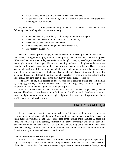- Install fixtures on the bottom surface of kitchen wall cabinets.
- Fit old buffet tables, radio cabinets, and other furniture with fluorescent tubes after removing interior partitions.

If your indoor seed-starting space is severely limited, you'd be wise to consider some of the following when deciding which plants to start early:

- Plants that need long period of growth to prepare them for setting out.
- Those that are most costly or difficult to find commercially.
- Those that produce well over a long period.
- Fine-seeded plants that might get lost in the garden row.
- Vegetables you like best.

**Distance from Light**. Seedlings, in general, need more intense light than mature plants. If they are not getting enough light, they will develop long stems before their first leaves appear. Either they're overcrowded or they are too far from the light. I keep my seedlings extremely close to the light tubes, as close as possible short of touching the leaves to the glass, and never more than three to four inches away for the first three or four weeks after germination. Then, if they are stocky and growing well, I lower them by an inch or two and continue to lower the flat placement gradually as plant height increases. Light spreads more when plants are farther from the tubes. It's also a good idea, since light at the ends of the tubes is relatively weak, to trade positions of the various flats of plants from the ends to the more fully lit center every week or so.

The shelves on my plant cart are adjustable, but I find it easier to jack up the seedling flats by using egg cartons, shallow cardboard cartons, piles of magazines, and other improvised supports that may be removed gradually as the plants grow.

Industrial reflector fixtures, the kind we once used in a basement light center, may be suspended by chains. If you leave enough slack, about 12 to 15 inches, in the chain to raise and lower the light so that it can be set at the right height for either small seedlings or taller plants, you'll have a good adjustable setup.

## **The Hours of Light**

In my experience, seedlings do very well with 16 hours of light a day, the usual recommended time. I have made do with 12-hour light exposures under limited light space. The lights burned day and night, and the seedlings took turns basking under them for 12 hours at a time. The tomatoes got a bit spindly, but most plants grew surprisingly well on this schedule. Sixteen hours in much better, though. Even 18 hours is not too long, but it's longer than necessary for most seedlings. Lighting time should not be increased above 18 hours. Too much light will disturb a plant, just as too much water or fertilizer will.

#### **Cooler Temperatures Help in Low Light**

Plants can better weather a period of light deprivation if they are kept cool, especially at night. According to studies conducted by a group of Russian Scientists, the consequent lowering of the plant's metabolism that occurs at cooler temperatures apparently forestalls damage to the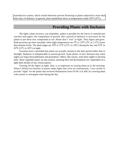reproductive system, which would otherwise prevent flowering in plants subjected to more than three days of darkness. In general, plant metabolism slows at temperatures under  $50^0F (10^0C)$ .

### **Providing Plants with Darkness**

The light a plant receives, you remember, makes it possible for the leaves to manufacture starches and sugars, the components of growth. But a period of darkness is necessary for the plants to put these new compounds to use. Plants don't "rest" at night. They digest and grow. Both processes go more smoothly when night temperatures are  $5^{0}F$  to  $10^{0}F$  ( $3^{0}C$  to  $5.5^{0}C$ ) lower than daytime levels. The ideal ranges are  $70^0$ F to  $75^0$ F ( $21^0$ C to  $24^0$ C) during the day and  $55^0$ F to  $65^{0}$ F (13<sup>0</sup>C to 18<sup>0</sup>C) at night.

Scientists have concluded that plants are actually attuned to the dark period rather than to daylight. Darkness is indispensable to normal growth. Some plants, in fact, blossom only when nights are long (chrysanthemum and poinsettia). Others, like onions, need short nights to develop fully. Most vegetable plants are day-neutral, meaning their full development isn't dependent on a light-dark rhythm of any certain pattern.

Turning off the lights at night, then, is as important as turning them on in the morning. When I shifted two batches of plants under lights that were on continuously, I was careful to provide "night" for the plants that received illumination from 8 P.M. to 8 AM. by covering them with cartons or newspaper tents during the day.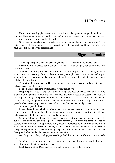## **11 Problems**

Fortunately, seedling plants seem to thrive within a rather generous range of conditions. If your seedlings show compact growth, plenty of good green leaves, short internodes between leaves, and slow but steady growth, all is well.

Occasionally, though, excess or deficiency in one or another of the young plant's life requirements will cause trouble. Of you interpret the problem correctly and treat it promptly, you have a good chance of saving the seedlings.

#### **Signs of Trouble**

Troubled plants give clues. What should you look for? Check for the following signs.

Leaf curl. A plant whose leaves curl under, especially in bright light, may be suffering from overfertilization.

*Solution*. Naturally, you'll decrease the amount of fertilizer your plants receive if you notice symptoms of overfeeding. If the problem is severe, you might need to replant the seedlings in another flat of fresh potting soil. Be sure to leach out the extra fertilizer salts from the soil in the old flat before reusing it.

**Yellowing of Lower Leaves**. This is sometimes a sign of overfeeding, although it can also indicate magnesium deficiency.

*Solution*. Follow the same procedures as for leaf curl above.

**Dropping of leaves**. Along with plant stunting, the loss of leaves may be caused by exposure of the plant to leakage of partly consumed gas from the stove or water heater. You can test for gas leaks by buying yourself a bouquet of carnations. If the flower petals curl upward. Gas has probably escaped into the air. Tomatoes will droop in the presence of gas, too. Natural gases like butane and propane don't seem to hurt plants, but manufactured gas does.

*Solution*. Repair the leak.

**Leggy plants**. Plants with long, often weak stems that have large spaces between the leaves growing from the stem may be suffering from any one of the following conditions: insufficient light, excessively high temperature, and crowding of plants.

*Solution*. A leggy plant can't be reshaped to conform to the stocky, well-grown ideal form, but there are steps you can take to promote more normal growth from this point on. First, of course, remedy the cause: supply more light, lower the temperature, or thin the plants. Plants kept at a window might need some auxiliary evening light on cloudy days. Then, if at all possible, transplant leggy seedlings. The root pruning and general mild trauma of being moved will set back their growth a bit. Set the plant deeper in the new container.

**Bud drop**. Particularly with pepper seedlings, bud drop may occur if the air is excessively dry.

*Solution*. Try setting the flat in a tray containing pebbles and water, or mist the blossoms with a fine spray of water at least once a day**.**

**Leaf Discoloration**. Discolored leaves usually indicate a nutrient deficiency.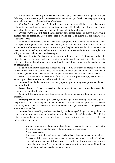*Pale Leaves*. In seedlings that receive sufficient light, pale leaves are a sign of nitrogen deficiency. Tomato seedlings that are severely deficient in nitrogen develop a deep purple veining, especially prominent on the undersides of the leaves.

*Reddish Purple Undersides*. A plant deficient in phosphorus will have a reddish purple color on the undersides of its leaves. In addition, the plant will often be stunted, with thin, fibrous stems. Soil that is too acid may contribute to the unavailability of phosphorus.

*Bronze or Brown Leaf Edges*. Leaf edges that have turned bronze or brown may reveal a plant in need of potassium. Brown leaf edges may also appear on plants that are overwatered. (See table 5, page 71)

*Solution.* The differences among the various symptoms of deficiency are not always clear cut, especially in young plants. Your best bet, if you do notice leaf discoloration that can't be accounted for otherwise, is - in the short run - to give the plant a dose of fertilizer that contains trace minerals. In the long run, include some compost in your next soil mixture, or transplant the ailing plants to a medium that contains compost.

**Discolored roots**. This is often the result of a buildup of excess fertilizer salt in the soil. Either the plant has been overfed, or overheating the soil in an attempt to sterilize it has released a high concentration of soluble salts into the soil. Water-logged roots often turn dark and may have an unpleasant odor.

*Solution*. Replant the seedlings in fresh soil if possible. Your second choice would be to floor and drain the flats several times in an attempt to leach out the toxic salt. If the flat is waterlogged, either provide better drainage or replant seedlings in better aerated and drier soil.

**Mold**. If you see mold on the surface of the soil, it indicates poor drainage, insufficient soil aeration, possible overfetilization, and/or a lack of air circulation.

*Solution*. Remedy the cause and treat the symptom by scratching some powdered charcoal into the soil surface.

**Insect Damage**. Damage on seedling plants grown indoor most probably means that conditions are not ideal for the plant.

*Solution*. Information on controlling pest damage on plants grow indoor can be found in chapter 23**.**

**Damping-off**. When damping-off occurs, you don't get much warning. your first sign that the problem has hit your new plants is the total collapse of a few seedlings; the green leaves are still intact, but the stem has characteristically withered away right at soil level. Young seedlings are the most vulnerable.

*Solution*. Once a seedling has been attacked by the damping-off fungus (actually, there is a complex of microorganisms, any of which may cause the trouble) it can't be revived. The lifeline between root and stem has been cut off. However, you can try to prevent the problem by following these practices:

- Maintain good air circulation around seedlings by keeping the soil level high in the growing containers and thinning seedlings to avoid over-crowding.
- Avoid overwatering.
- Sow seeds in a sterile medium such as finely milled sphagnum moss or vermiculite.
- Presoak seeds in a small amount of water containing one or two crushed garlic cloves - an ancient practice that still makes sense, now that we know more about garlic's fungicidal properties. You can also treat seedlings with a garlic spray. (Blend one clove of garlic with one quart of water or strain.)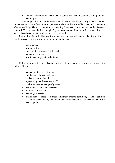• sprays of chamomile or nettle tea are sometimes used on seedlings to help prevent damping-off.

 It is often possible to save the remainder of a flat of seedlings if only a few have died. Immediately move the flat to a more open area; make sure that it is well drained; and remove the affected seedlings. There is no sense in transplanting the others - you'd just transfer the disease to new soil. You can save the flats though. Dry them out and ventilate them. I've salvaged several such flats and used them to produce early crops after all.

Skimpy Root Growth. This won't be evident, of course, until you transplant the seedling. It may be caused by any one or more of the following factors:

- poor drainage
- low soil fertility
- concentration of excess fertilizer salts
- temperature too low
- insufficient air space in soil mixture

Failure to Sprout. If your seeds don't even sprout, the cause may be any one or more of the following factors:

- temperature too low or too high
- soil that was allowed to dry out
- seeds too deeply planted
- top watering that floated seeds off
- seeds that were old and poorly stored
- insufficient contact between seeds and soil
- toxic substances in soil
- damping-off disease
- lack of light for those seeds that need light in order to germinate, or lack of darkness for certain seeds, mostly flowers but also a few vegetables, that need this condition (see chapter 6)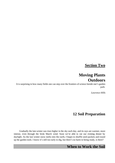## **Section Two**

# **Moving Plants Outdoors**

It is surprising in how many fields one can step over the frontiers of science beside one's garden path.

*Lawrence Hills*

## **12 Soil Preparation**

Gradually the late-winter sun rises higher in the sky each day, and its rays are warmer, more intense, even through the brisk March wind. Soon we're able to eat our evening dinner by daylight. As the last winter snow melts into the earth, I begin to shuffle seed packets and round up the garden tools. I know it's still too early to dig, but there's no harm in being ready, is there?

# **When to Work the Soil**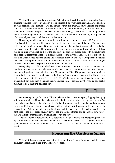Working the soil too early is a mistake. When the earth is still saturated with melting snow or spring rain, it is easily compacted by treading across it, or even worse, driving heavy equipment on it. In addition, large clumps of wet soil turned over at this time will only bake into impervious clods that will be very difficult to break up later, and as you remember, plant roots grow best when there are some air spaces between soil particles. Heavy, wet soil doesn't break up into the loose, air-retaining texture that is best for plants. Its clumpy texture is also likely to trap pockets of air around plant roots, and that is just as bad as no air.

How can you tell whether your garden has dried out enough to be worked? The truest test of soil condition is that age-old gesture of the gardener - fingering a handful of soil. Pick up about half a cup of earth in your hand. Now squeeze the soil together so that it forms a ball. If the ball of earth can readily be shattered by pressing with your fingers or dropping it from a height of three feet or so, it is dry enough to dig. If the ball keeps its shape or breaks only with difficulty into solid sections rather than loose soil, it still contains too much water. Clay soil that is too wet will feel slick when rubbed between thumb and forefinger. It is very wet (75 to 100 percent moisture), the mass will be pliable, and a ribbon of earth can be drawn out and pressed with your finger. Working soil that wet can spoil its texture for the whole season.

Heavy clay soil will form a ball even when moisture content is less than 50 percent. Soil that is somewhat coarser, a sandy loam or slit loam, tends to crumble when moisture content is low but will probably form a ball at about 50 percent. At 75 to 100 percent moisture, it will be dark, pliable, and may feel slick between the fingers. Coarse-textured sandy soil will not form a ball if moisture content is below 50 percent. At 75 to 100 percent moisture, it can be pressed into a weak ball, but even then it shatters easily. Coarser soil, of course, may be worked at a higher moisture content than fine-particled clay.

### **Fall Tillage**

By preparing our garden in the fall, we've been able to move our spring digging date up by at least two weeks. In November, when frost has laid low all but the root vegetables that we've purposely planted at one edge of the garden, Mike plows up the garden. As the one-bottom plow carves up thick slices of earth, I stand ready with a hayfork to stuff coarse mulch into the newly opened trench. Where mulch has worn thin, I toss in all the leaves we've been able to collect. The next pass of the plow blade roughly covers the mulch-filled trench and opens up a new furrow into which I rake another humus-building line of hay and leaves.

The patch remains rough all winter, catching all the poor-man's fertilizer (snow) that falls. By spring, frost action has mellowed and pulverized the rows of raised soil. The garden dries out a good two weeks earlier that it did when leaf flat under a season's-end-accumulation of mulch and weeds.

## **Preparing the Garden in Spring**

With fall tillage, our garden does not need spring plowing, just a going-over with the rotary cultivator. I often hand-dig an extra-early row for peas.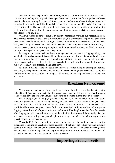We often mature the garden in the fall now, but when our barn was full of animals, we did our manure spreading in spring. Fall cleaning of the animals' pens is fine for the garden, but leaves too thin a layer of bedding for winter. Chicken manure, which the hens have finely pulverized and mixed with their well-shredded bedding, is loose and fine enough to blend in easily with just a few passes of the tiller. The heavy sheep, with their sharp hooves, do the next best job of chopping up their bedding. Manure from the large loafing pen of milking goats tends to be coarse because it has a lot of waste hay in it.

When we farmed an acre of ground, on our first homestead, we tilled our vegetable garden. Two or three passes with the rotary cultivator, each slightly overlapping the previous path of the tines, fines the soil up quite well. It's a good idea to till in both directions (north-south and eastwest). Depending on the size and shape of the patch we're working, we'll sometimes till in a grid pattern, making the furrows at right angles to each other. At other times, we'll till in a spiral, perhaps finishing off with a pass across the garden.

During previous years, in city and small-town garden, we practiced and digging entirely. In a small, closely worked garden it is possible to dig a few rows at a time as higher land drains or as time becomes available. Dig as deeply as possible so that the soil is loose to a depth of eight to ten inches. As each shovelful of earth is turned over, shatter it with your fork or spade. If it doesn't fall apart readily, you're probably digging too early.

It's a good idea to let the soil settle for a day or two after tilling or digging and raking, especially before planting fine seeds like carrots and parley that might get washed too deeply into the furrow if a heavy rain follows planting. I seldom wait, though, to plant large seeds like peas and beans.

### **Breaking New Ground**

When turning a sodded area into a garden, get a heat start, if you can. Dig the patch in the fall and turn it grass side down so that all that green manure can break down over winter. If digging is impossible, cove the area with a layer of old boards or plastic to kill the grass over winter.

Often, though, you'll be digging in the spring. That's when expansion fever seems to hit most of us gardeners. To avoid having all that grass come back at you all summer long, shake out each clump of sod as you dig it up and toss the grass, roots and all, on the compost heap. Then you'll be able to rake the ground into a fairly smooth seedbed. If the size of the sod plot you're digging makes this kind of operation impractical, then I'd let the plot weather for a few weeks after digging, smooth it as well as you can, and use it either for crops with large seeds, like corn and beans, or for seedlings that you will plant into the garden. Mulch heavily to suppress the grass that will still try to come up.

**When to Dig**. The very best way to develop a sense of the right time is to have the experience of looking up a section of loose, crumbly soil that rakes out so fine you can practically comb it. You know, then, that you've chosen the right time, and you'll find when the next growing season starts that your impatience to begin is tempered by your memory of that moment of perfection. You won't want to lose it by starting too soon.

## **Improving Problem Soils**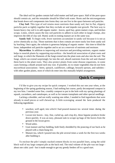The ideal soil for garden contain half solid matter and half pore space. Half of the pore space should contain air, and the remainder should be filled with water. Roots and the microorganisms that break down soil components into forms they can use live in the space between soil particles.

**Clay Soil**. This type of soil retains more nutrients than sandy soil, but its flat, slippery particles pack so tightly together that they exclude air and impede root growth. The best way to loosen heavy clay soil is to add organic matter - leaves, spoil hay, green mature crops, and kitchen scraps. Limes, which causes the tiny soil particles to adhere to each other in larger clumps, also improves the tilth of clay soil. Humic acids in rooting manure act in the same way.

**Sandy Soil**. To begin with, fewer nutrients accumulate in sandy soil because it is not as active chemically as clay. Those nutrients that it does contain are more easily lost from sandy soil by leaching. Once again, the solution is generous helping of organic matter - this time to blind the loose, independent soil particles together and to act as a reservoir of nutrients and moisture.

**Mycorrhiza**. In addition to improving soil structure and providing nutrients, organic matter helps to nourish plants by supporting mycorrhiza - the beneficial association of plant roots and soil fungi, in which the filaments of the fungi extend into the plant roots and also into the soil. The fungi, which can extend surprisingly far into the soil, absorb nutrients from the soil and channel them back to the plant roots. They also protect plants from some disease organisms, in some cases forming a sheath around each tiny root. If possible, try to rotate vegetables that do not form mycorrhizal associations - beets, spinach, cauliflower, cabbage, brussels sprouts, and radishes with other garden plants, most of which do enter into this mutually helpful arrangement.

## **Quick Compost**

I'd like to give you my recipe for quick compost. I worked this out one year when, at the beginning of the spring gardening season, I had nothing but coarse, partly decomposed compost in my two bins. I needed some fine, crumbly compost to put in the hole with my spring plantings of squash, cucumbers, and cantaloupes, as well as for tomato transplants and other special seedlings.

Lacking a shredder, and not really wanting one either, I needed to find ingredients that were already in small pieces or well chewed up. A little scavenging around the farm produced the following ingredients:

- sawdust, well aged, into which I had poured manure tea several times during the previous year.
- Locust tree leaves tiny, fine, curled up, and crisp dry, these legume products broke down quickly. It was an easy, pleasant task to scrape up bags of the leaves from the ground in the locust grove.
- Wood ashes.
- Goat manure and hay bedding, both finely shredded by the prancing of our buck as he played with a chain-hung tire.
- Manure tea, which I poured into the pile several times a week for the first two weeks after building it.

To enclose the pile I simply stacked cement blocks in two parallel lines, using the solid block wall of my large compost pile as the back end. The total volume of the pile was not large about one cubic yard - but it made enough to get my greedy feeders off to a good start.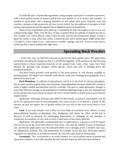To build the pile, I layered the ingredients, using roughly equal parts of sawdust and leaves, with a three-gallon bucket of manure sifted over each bushel or so of leaves and sawdust. A handful of wood ashes and a heaping shovelful of soil salted each layer. Sawdust, even old sawdust, contains a high proportion of slow-to-rot carbon, but the addition of nitrogen in both manure and manure tea and the legume leaves helped to hasten its breakdown.

When all the ingredients were piled up, I moistened the pile thoroughly so that it was wet without being soggy. Then, over the next 14 days, I poured about ten gallons of manure tea into it. The weather was cold in March, when I built the pile, and the microorganisms sleepy. It took a good two weeks to heat. After four weeks, I turned the pile, and it heated again. Eight weeks after I'd make it, it was ready to use - dark brown, crumbly, spongy, and rich. It was so easy and so satisfying that I started another pile right away.

#### **Spreading Rock Powders**

 Every few year, we add rock minerals to each of our three garden areas. We apply them just before spreading the manure so that it is all tilled in together. Acids produces by the decaying manure help to release important nutrients in the ground rock. Later, when crops have been planted, the growing roots produce carbon dioxide, which also aids in breaking down the powdered minerals.

The more finely ground a rock powder is, the more quickly it will become available to growing plants. All natural rock minerals work slowly in the soil, breaking down gradually over a period of several years.

**Rock Phosphate**. In addition to phosphorus, which is in the form of calcium phosphate, this powder contains a good many trace elements. Superphosphate has been chemically treated to make it highly soluble and therefore quickly available. The gain in rapid absorption, though, is more than offset by damage to the population of cellulose-digesting fungi in the soil. Repeated use of this product has been shown to impair the soil's natural ability to build humus out of buried organic matter.

*Application*. Although, because soils differ in their needs, no general prescription can be given for application rates of rock phosphate, the usual practice is to spread a pound of the powder on each ten square feet of garden surface (or two tons to the acre) every three to five years.

**Lime**. It not only tempers soil acidity but also helps to minimize toxic effects of such plant-inhibiting elements as aluminum, iron, manganese, and others. Its effect on the soil is physical as well as chemical. By encouraging flocculation, or clumping, of soil granules, it counteracts the tendency of clay soils to form a solid mass of fine sticky particles.

*Application*. The generally recommended rate of application is a pound to each 20 square feet (or one ton to the acre) every three or four years. Less may be needed in areas of limestone soil, and heavier applications may be indicated where soil is strongly acidic. Consider your crop, too. Blueberries, potatoes, flax, and watermelon, for example, do not like lime. Most other garden vegetables are benefited, or at least not harmed, by soil with a pH closer to neutral (pH).

**Greensand**. This rock powder is an ocean mineral. It is an excellent source of potash and many trace elements. It not only enriches the soil, but also improves tilth and water retention.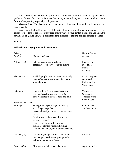*Application*. The usual rate of application is about two pounds to each ten square feet of garden surface (or four tons to the acre) about every three to five years. I often sprinkle it in the furrow when planting, especially with potatoes.

Granite Dust. This is another excellent source of potash, along with small quantities of trace minerals.

*Application*. It should be spread at the rate of about a pound to each ten square feet of garden (or two tons to the acre) every three or five years. If your garden is large and you intend to spread a lot of granite dust, use a dust mask; long exposure to the fine dust can damage the lungs.

#### **Table 5**

#### **Soil Deficiency Symptoms and Treatments**

| Primary                    |                                                                             | <b>Natural Sources</b>        |
|----------------------------|-----------------------------------------------------------------------------|-------------------------------|
| <b>Nutrients</b>           | Signs of Deficiency                                                         | of elements                   |
| Nitrogen (N)               | Pale leaves, turning to yellow,                                             | Manure tea                    |
|                            | especially lower leaves, stunted growth                                     | <b>Bloodmeal</b>              |
|                            |                                                                             | Manure<br>Feathers            |
| Phosphorus $(P)$           | Reddish purple color on leaves, especially                                  | Rock phosphate                |
|                            | undersides, veins, and stems; thin stems;<br>stunted growth.                | Bone meal<br>Fish emulsion    |
|                            |                                                                             | Waste wool                    |
| Potassium (K)              | Bronze coloring, curling, and drying of                                     | Wood ashes                    |
|                            | leaf margins; slow growth; low vigor;                                       | Greensand                     |
|                            | poor resistance to disease, heat, and cold                                  | Tobacco stems<br>Granite dust |
| <b>Secondary Nutrients</b> |                                                                             |                               |
| Boron (B)                  | Slow growth; specific symptoms vary                                         | Granite dust                  |
|                            | according to vegetable:                                                     | Vetch or clover               |
|                            | beets and turnips - brown corky spots on<br>roots;                          |                               |
|                            | Cauliflower - hollow stem, brown curl;                                      |                               |
|                            | Celery - cracking;                                                          |                               |
|                            | chard - dark stripe with cracking;<br>tomatoes - stunted stems and curling, |                               |
|                            | yellowing, and drying of terminal shoots.                                   |                               |
| Calcium (Ca)               | Curling of young leaf tips; wavy, irregular                                 | Limestone                     |
|                            | leaf margins; weak stems; poor growth;                                      |                               |
|                            | yellow spots on upper leaves.                                               |                               |
| Copper (Cu)                | Slow growth; faded color; flabby leaves                                     | Agricultural frit             |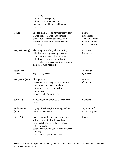|                    | and stems;<br>lettuce - leaf elongation;<br>onions - thin, pale outer skin;<br>tomatoes - curled leaves and blue-green<br>foliage.                                                                                                          |                                                                                |
|--------------------|---------------------------------------------------------------------------------------------------------------------------------------------------------------------------------------------------------------------------------------------|--------------------------------------------------------------------------------|
| Iron $(Fe)$        | Spotted, pale areas on new leaves; yellow<br>leaves; yellow leaves on upper part of<br>plant. (Iron is more often unavailable<br>because of insolubility rather than actual<br>soil lack.)                                                  | Manure<br>Dried blood<br>Tankage (Humus<br>helps make iron<br>more available.) |
| Magnesium (Mg)     | Plant may be brittle; yellow mottling on<br>older leaves; margin and tips may be<br>brown; corn shows yellow stripes on<br>older leaves. (Deficiencies ordinarily<br>show up late, near seedling time, when the<br>element is most needed.) | Dolomite<br>Limestone                                                          |
| Secondary          |                                                                                                                                                                                                                                             | <b>Natural Sources</b>                                                         |
| <b>Nutrients</b>   | Signs of Deficiency                                                                                                                                                                                                                         | of Elements                                                                    |
|                    |                                                                                                                                                                                                                                             |                                                                                |
| Manganese (Mn)     | Slow growth;<br>beets - leaf turns deep red, then yellow<br>and brown; spots develop between veins;<br>onions and corn - narrow yellow stripes<br>on leaves;<br>spinach - pale growing tips.                                                | Manure<br>Compost                                                              |
| Sulfur $(S)$       | Yellowing of lower leaves; slender, hard<br>stems                                                                                                                                                                                           | Compost                                                                        |
| Molybdenum<br>(Mo) | Drying of leaf margins; stunting; yellow<br>tissue between veins                                                                                                                                                                            | Agricultural frit<br>Rock phosphate                                            |

**Sources:** Editors *of Organic Gardening, The Encyclopedia of Organic Gardening* (Emmaus, Pa.: Rodale Press, 1978).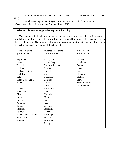J.E. Knott, *Handbook for Vegetable Growers* (New York: John Wiley and Sons,

1962).

United States Department of Agriculture, *Soil, the Yearbook of Agriculture* (Washington, D.C.: U.S.Government Printing Office, 1957).

#### **Relative Tolerance of Vegetable Crops to Soil Acidity**

The vegetables in the slightly tolerant group can be grown successfully in soils that are on the alkaline side of neutrality. They do well in soils with a pH up to 7.6 if there is no deficiency of essential nutrients. Calcium, phosphorus, and magnesium are the nutrients most likely to be deficient in more acid soils with a pH less than 6.0.

| <b>Slightly Tolerant</b> | <b>Moderately Tolerant</b> | Very Tolerant         |
|--------------------------|----------------------------|-----------------------|
| (pH 6.8 to 6.0)          | (pH 6.8 to 5.5)            | (pH 6.8 to 5.0)       |
| Asparagus                | Beans, Lima                | Chicory               |
| <b>Beets</b>             | Beans, Snap                | Dandelions            |
| <b>Broccoli</b>          | <b>Brussels Sprouts</b>    | Endive                |
| Cabbage                  | Carrots                    | Fennel                |
| Cabbage, Chinese         | Collards                   | Potatoes              |
| Cauliflower              | Corn                       | Rhubarb               |
| Celery                   | Cucumbers                  | <b>Shallots</b>       |
| Cress, Garden and        | Eggplant                   | Sorrel                |
| Upland                   | Garlic                     | <b>Sweet Potatoes</b> |
| Leeks                    | Gherkins                   | Watermelons           |
| Lettuce                  | Horseradish                |                       |
| <b>Muskmelons</b>        | Kale                       |                       |
| Okra                     | Kohlrabi                   |                       |
| Onions                   | Mustard                    |                       |
| Orache                   | Parsley                    |                       |
| Parsnips                 | Peas                       |                       |
| Salsify                  | Peppers                    |                       |
| Soybeans                 | Pumpkins                   |                       |
| Spinach                  | Radishes                   |                       |
| Spinach, New Zealand     | Rutabagas                  |                       |
| <b>Swiss Chard</b>       | Squash                     |                       |
| Watercress               | Tomatoes                   |                       |
|                          | Turnips                    |                       |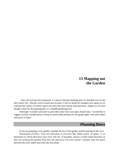# **13 Mapping out the Garden**

Once the soil has been prepared, it's time to find the planting plan we doodled over by the late-winter fire. Already much erased and revised, it will no doubt be changed once again as we confront the reality of freshly raked soil and extra last-minute seed purchase. Subject to revision though it may be, the planting plan is a valuable gardening tool.

Although I wouldn't presume to prescribe what form your plan should take, I would like to suggest several considerations to keep in mind while poring over the graph paper with seed orders and pencil in hand.

### **Planning Rows**

If you are planning a row garden, consider the lay of the garden and the spacing of the rows.

Orientation of Rows. Your first decision, as you face that blank pieces of paper, is to determine in which direction your rows will run. If possible, choose a north-south direction so that sun striking the garden from the east and west will cast a plant's shadow onto the space between the rows rather than onto the next plant.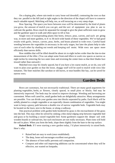On a sloping plot, where rain tends to carry loose soil downhill, contouring the rows so that they run parallel to the hill (and at right angles to the direction of the slope) will have to conserve much valuable topsoil. Mulching will help, too, as will terracing on a very steep slope.

Row Spacing. The space you leave between rows will be determined by the kind of plants you grow, the amount of mulch you can get, and the sort of equipment you plan to use to cultivate the garden. Rows much be separated for enough to give the plant sufficient room to grow and the gardener space to walk and often space to till or hoe.

Single rows of nonspreading plants like beets, lettuce, peas, carrots, and such are giving way, in more and more gardens, to 4- to 36-inch-wide bands of these vegetables. We've had good results with garlic, lettuce, carrots, peas, herbs, and beans planted in wide rows. Careful hand weeding between the vegetables in necessary in the early stages, but later the plants help to take care of each other by shading out weeds and keeping soil moist. Wide rows use space more efficiently than narrow drills.

Row middles that will be tilled should be about six to eight inches wider than the tine-to-tine measurement of the tiller. (You can adapt some front-end tillers to work row spaces as narrow as eight inches by removing the two outer tines and reversing the center tines so that their blades face inward rather than outward.)

Mulched rows may be closely spaced, but if you have a lot coarse mulch, as we do, you will want to plan your garden so that the loose, shaggy stuff will be used to mulch wide rows like tomatoes. The finer mulches like sawdust or old leaves, or neat bundles like hay, can be saved for narrow rows.

# **Garden Beds**

Rows are customary, but not necessarily traditional. There are many good arguments for planting vegetables, herbs, or flowers, closely spaced, in small plots or blocks. Soil may be intensively improved. The beds may be raised to improve drainage. Weeding and harvesting are convenient. When well cared for, small garden beds are delightfully attractive. Many arrangements are possible. You can divide your garden area into blocks separated by paths. Each block will be solidly planted to a single vegetable or an especially chosen combination of vegetables. You might want to keep a grassy path between a double row of narrow vegetable beds. Vegetable beds may be located on the lawn, next to the house, or along a walkway.

One practical problem with garden beds bordered by grass is the encroachment of the grass into the bed. This may often be solved by sinking a thin metal edging strip between vegetable bed and grass or by building a raised vegetable bed. Some gardeners support the deeper soil with wooden boards or railroad ties, but such enclosures are not really necessary. Plant roots will hold the soil in place. When you form the beds, slope them slightly from the base to the top surface.

**Raised Beds**. If I were starting a new garden today, I'd plant intensively in raised beds. Here's why:

- Raised bed are easy to work (once established).
- The deep, loose soil encourages excellent root growth.
- The absence of foot traffic prevents soil compaction.
- Compost and other soil improving additions can be concentrated where they will be effective, not wasted on footpaths.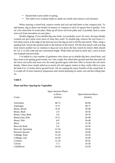- Raised beds warm earlier in spring.
- The solid cover of plants helps to shade out weeds and conserve soil moisture.

When starting a raised bed, remove weeds and sod and add them to the compost pile. To add humus, dig in about one bushel of manure or compost to each 25 square feet of garden. Toss on a few shovefuls of wood ashes. Rake up all loose soil from paths and, if possible, haul in some extra soil from elsewhere on your place.

Double digging. If you double-dig your beds, you probably won't be sorry, because deeply worked soil give plant roots more of what they need. To double-dig, remove the soil from a 1 foot-deep trench at the edge of the bed and save the dig-up soil to fill the last trench. Then, using a spading fork, loosen the packed earth in the bottom of the trench. Fill the first trench with soil dug from trench number two or continue to dig your way down the bed, trench by trench. Beds should be 3 to 3 1/2 feet wide and any convenient length. Wider beds are hard to reach into. Leave at least one footpath between beds.

I've talked to a fair number of gardeners who chose not to double-dig their raised beds, and they seem to be getting good results, too. One couple first tilled their ground and then shoveled all the loose soil aside and went over the same ground again with their tiller to loosen the soil more deeply. Others have simply piled up as much soil and organic matter as they could collect to raise the beds 8 to 12 inches above ground level. All are reaping the many benefits of the raised bed. It is a trade-off of more intensive preparation and careful planning for easier care and less tilling later on.

#### **Table 6**

|                         | Space between Plants |                    |
|-------------------------|----------------------|--------------------|
|                         | in Rows              | Space between Rows |
| Crops                   | (inches)             | (inches)           |
| Artichokes              | 48-72                | 84-96              |
| Asparagus               | $9 - 15$             | 48-72              |
| Beans, Broad            | $8 - 10$             | 20-48              |
| Beans, Bush             | $2 - 4$              | 18-36              |
| Beans, Lima, Bush       | $3-6$                | 18-36              |
| Beans, Lima, Pole       | $8 - 12$             | 36-48              |
| Beans, Pole             | $6-9$                | 36-48              |
| <b>Beets</b>            | $2 - 4$              | $12 - 30$          |
| Broccoli, Raab          | $3-4$                | $24 - 36$          |
| Broccoli, Sprouting     | $12 - 24$            | 18-36              |
| <b>Brussels Sprouts</b> | 18-24                | 24-40              |
| Cabbage, Early          | $12 - 24$            | $24 - 36$          |
| Cabbage, Late           | $16-30$              | 24-40              |
| Cardoon                 | $12 - 18$            | 36-42              |
| Carrots                 | $1-3$                | 16-30              |
| Cauliflower             | 14-24                | $24 - 36$          |

#### **Plant and Row Spacing for Vegetables**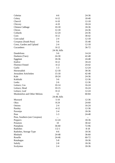| Celeriac                     | $4 - 6$      | 24-36     |
|------------------------------|--------------|-----------|
| Celery                       | $6 - 12$     | 18-40     |
| Chervil                      | $6 - 10$     | $12 - 18$ |
| Chicory                      | $4 - 10$     | 18-24     |
| <b>Chinese Cabbage</b>       | $10-18$      | 18-36     |
| Chives                       | $12 - 18$    | 24-36     |
| Collards                     | 12-24        | 24-36     |
| Corn                         | $8 - 12$     | $30 - 42$ |
| Corn-salad                   | $2 - 4$      | $12 - 18$ |
| Cowpeas (South Peas)         | $5 - 6$      | $35 - 48$ |
| Cress, Garden and Upland     | $2 - 4$      | $12 - 18$ |
| Cucumbers                    | $8 - 12$     | $36 - 72$ |
|                              | 24-36, hills |           |
| Dandelions                   | $3-6$        | 14-24     |
| Dasheen (Taro)               | $24 - 30$    | 42-48     |
| Eggplant                     | 18-36        | 24-48     |
| Endive                       | $8 - 12$     | 18-24     |
| <b>Florence Fennel</b>       | $4 - 12$     | 24-42     |
| Garlic                       | $1 - 3$      | 12-24     |
| Horseradish                  | $12 - 18$    | $30 - 36$ |
| Jerusalem Artichokes         | $15 - 18$    | 42-48     |
| Kale                         | 18-24        | 24-36     |
| Kohlrabi                     | $3 - 6$      | 12-36     |
| Leeks                        | $2 - 6$      | $12 - 36$ |
| Lettuce, Cos                 | $10 - 14$    | $16-24$   |
| Lettuce, Head                | $10-15$      | $16-24$   |
| Lettuce, Leaf                | $8 - 12$     | 12-24     |
| Muskmelon and Other Melons   | 12           | 60-84     |
|                              | 24-48, hills |           |
| Mustard                      | $5 - 10$     | $12 - 36$ |
| Okra                         | $8 - 24$     | 24-60     |
| Onions                       | $2 - 4$      | $16-24$   |
| Parsley                      | $4 - 12$     | 12-36     |
| Parsnips                     | $2 - 4$      | 18-36     |
| Peas                         | $1 - 3$      | 24-48     |
| Peas, Southern (see Cowpeas) |              |           |
| Peppers                      | 12-24        | 18-36     |
| Potatoes                     | 10           | 30-42     |
| Pumpkins                     | $36 - 60$    | 72-96     |
| Radishes                     | $1/2 - 1$    | $8 - 18$  |
| Radishes, Storage Type       | $4 - 6$      | 18-36     |
| Rhubarb                      | 24-48        | $36 - 60$ |
| Roselle                      | 24-46        | 60-72     |
| Rutabagas                    | $5 - 8$      | 18-36     |
| Salsify                      | $2 - 8$      | 18-36     |
| Scolymus                     | $2 - 4$      | 18-36     |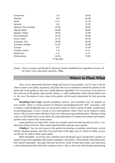| Scorzonera            | $2 - 4$      | 18-36     |
|-----------------------|--------------|-----------|
| <b>Shallots</b>       | $4 - 8$      | 36-48     |
| Sorrel                | $1/2 - 1$    | $12 - 18$ |
| Spinach               | $2 - 6$      | $12 - 36$ |
| Spinach, New Zealand  | $10 - 20$    | $36 - 60$ |
| Squash, Bush          | 24-48        | $36 - 60$ |
| Squash, Vining        | 36-96        | 72-96     |
| <b>Sweet Potatoes</b> | $10 - 18$    | 36-48     |
| <b>Swiss Chard</b>    | $12 - 15$    | 24-36     |
| Tomatoes, Flat        | 18-48        | $36 - 60$ |
| Tomatoes, Staked      | 12-24        | 36-48     |
| Turnips               | $2 - 6$      | $12 - 36$ |
| <b>Turnips Greens</b> | $1-4$        | $6 - 12$  |
| Watercress            | $1-3$        | $6 - 12$  |
| Watermelons           | 24-36        | 72-96     |
|                       | 72-96, hills |           |

Source: Oscar A.Lorenz and Donald N. Maynard, Knott's Handbook for vegetable Growers, 2d ed. (New York: John Wiley and Sons, 1980).

### **Where to Plant What**

Once you've determined the basic design and layout of your garden, you'll want to decide where to place your plants. In general, tall plants like corn or sunflowers should be planted on the north side of the garden so they don't shade adjacent vegetables. If it is necessary to put them on the south end of the garden, plant parsley, lettuce, or other midsummer shade-tolerant plants next to the corn. Placement of your crops in the garden will be partly determined by their growing habits.

**Rambling Vine Crops**. Squash, pumpkins, melons, and cucumbers may be planted on rows or hills. There's a certain amount of confusion surrounding the term "hill". Generally, a hill is simply a small designated area, not necessarily raised, in which a group of seeds, usually those of spreading plants, is sown. Except in very small gardens, where vines can be trained to climb fences, hills use space more efficiency than rows when growing rambling plants. Planting vining crops in a hill rather than in rows allows for easier placement of compost and manure and simpler, quicker insect control early in the season.

Some gardeners do make hills, which are actually small elevated mounds an inch or two above the normal soil level. These small raised bed drain well and warm quickly.

**Climbers**. You can save space in the garden by planting cucumbers, pole beans, certain melons. Malabar spinach, and other if you put them at the edge, next to a fence or trellis, so save an end row for some of these space-takers.

*Bush Vegetables* . In recent years, breeders have developed space-saving bush varieties of popular long-vined vegetables like squash, pumpkins, and melons. Those shorter-vined plants also have shorter internodes - less space between the leaves. Some of them bear earlier, and some have a more determinate habit than their roaming cousins - that is, they may stop bearing and growing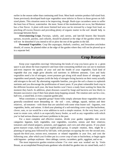earlier in the season rather than continuing until frost. Most bush varieties produce full-sized fruit. Some previously developed bush-type vegetables were inferior in flavor to those grown on fullsized plants. This situation seem to be improving, though. Bush-type cucumbers seem to suffer the least loss of flavor, watermelon the most. Some of the muskmelons are so-so, but Musketeer has a fine flavor. A plant with more limited leaf area can be stressed by a large fruit load, so pinching off excess flowers and providing plenty of organic matter in the soil should help to encourage between flavor.

**Overwintering Crops**. Parsnips, salsify, and carrots, and late-fall bearers like brussels sprouts, escarole, parsley, and collards, should be planted at the edge of the garden where they will not be disturbed if you intend to till or plow the rest of the garden in the fall.

**Perennial Vegetables**. Crop like asparagus, rhubarb, comfrey, and Jerusalem artichokes should, of course, be planted either at the edge of the garden where they will not be plowed up or in a separate bed.

## **Crop Rotation**

Keep your vegetables moving! Alternating the kinds of crop you know grow in a given space is just about the least expensive and least time-consuming method you can use to maintain and even improve the quality of your soil and the health of your vegetables. Each kind of vegetable that you might grow absorbs soil nutrients in different amounts. Corn and leafy vegetables need a lot of nitrogen; sweet potatoes get along with small doses of nitrogen; root vegetables need potash; legumes (with the help of nitrogen-fixing bacteria on their roots) actually add nitrogen to the soil. By alternating vegetable families, you give the soil a chance to replenish nutrients and you discourage the proliferation of insect pests. If you plant vulnerable food crop in the different location each year, the bean beetles won't have a ready feast waiting for them the moment they hatch. In addition, plant diseases caused by fungi and bacteria are less likely to threaten successive crop if their host plants keep hopping around. The rotation unit can be a row, half-row, a raised bed, or even a separate garden plot.

What constitutes a vegetable group? Some folks simply alternate those vegetables that are generally considered more demanding on the soil - corn, cabbage, squash, melons and their relatives, ad tomatoes - with those that are satisfied with some what leaner soil - legumes, root vegetables, herbs, and onions. A third-year planting of a soil-enriching cover crop like buckwheat, clover, oats, or rye would be a wise addition to such a simple rotation. At the very least, you'd want to rotate corn, which is an especially heavy feeder, as well as any vegetables with which you've had serious disease and insect problems in the past.

For a more complete and effective rotation, divide your garden vegetables into seven categories: legumes, leafy vegetables, root vegetables, cucurbits, onions and their relatives; tomatoes and related peppers, potatoes, and eggplant; and corn and other grains. If you plant green manure crops, make that your eighth plant group. A sample rotation, then, might be a planting of spring peas followed by fall kale, with parsnips occupying the row the second year, squash the third year, onions next, tomatoes or related vegetables in year five, and corn the following year, after which you'd either put in a cover crop of oats or buckwheat, or begin again with legumes - perhaps soybeans - then cabbage, carrots, cucumbers, garlic, eggplant, and so on.

The most impressive garden rotation scheme I've ever seen was worked out by Vertis Bream, an accomplished Pennsylvania gardener who divided his garden into six raised beds, each 3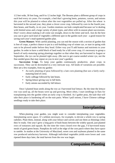1/2 feet wide, 30 feet long, and 8 to 12 inches high. The Breams plant a different group of crops in each bed every six years. For example, a bed that's growing beets, potatoes, carrots, and onions this year will be planted to wheat after the root vegetables are pulled up. After the wheat is harvested in the second year, they plant a clover cover crop, followed by corn in the fourth year, then beans, and finally, in six year. Garden rotations can look complicated because we're dealing with limited areas and a large variety of plant types, and often with in-season plant successions. Don't worry about making it all come out straight, down to the letter and inch. Just do the best you can to give each kind of vegetable a different spot in the garden each year - a good reason for saving each year's mud-spattered garden plan.

**Green Manure**. With careful planning, you can end the season with a section of garden that is free of crops, a perfect chance to put in a soil-building crop of winter rye, or start in spring with oats to be plowed under before they head. Either way you'll add humus and nutrients to your garden. In order to have a solid block of land ready for a fall cover crop, it's necessary to group a bunch of early-maturing spring plantings together so that when they are harvested in August or September, the rye can be planted right away. (Be sure to get coarse-seeded winter rye, not the fine-seeded grass that may repeat on you in next year's garden).

**Succession Crops**. To keep your garden continuously productive, plant crops in succession. They can be dovetailed in a very intricate way. All kinds of variations are possible. Here are a few examples, from my garden:

- An early planting of peas followed by a late corn planting (but use a fairly earlymaturing kind of corn).
- Early cabbage followed by late beans.
- Spring lettuce giving way to fall beets.
- Early onions succeeded by fall lettuce.

Once I planted bean seeds along the row as I harvested leaf lettuce. By the time the lettuce row was used up, all the beans were up and growing. More often, I start seedlings in flats for transplanting into the garden when an early crop is finished. As I gather peas, the kale that will take their place is hardening off on the east patio. When I pull onions, I have Chinese cabbage seedlings ready to take their place.

# **Interplanting**

When planting your garden, you might want to consider interplanting your vegetables. Interplanting saves space. It's seldom necessary, for example, to devote a whole row to spring radishes. Plant them, instead, along with your lettuce and carrots and use them as thinnings when they're ready. One year I grew a long grow of bush beans between the widely spaced, just-planted rows of tomatoes and squash. By the time the vines closed over the gap, I'd harvested many meals of good green beans. Pumpkins do well at the edge of the corn patch where they have space to ramble. In studies at the University of Maryland, sweet corn and soybeans planted in the same row produced satisfactory harvests. Although individual vegetable yields were lower and corn ripened three days later, the total harvest from the row was larger.

# **Companion Planting**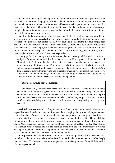Companion planting, the pairing of plants that benefit each other in close proximity, adds yet another dimension to the juggling of rows and beds. Reports on certain vegetables sometimes vary widely; some authorities say that onions and beans do well together, while others warn that beans don't like onions. There is a firm scientific basis for the study od plant relationships, though: plants are known to produce root exudates that do, in many cases, affect soil life and roots of the other plants around them.

A whole body of companion planting lore exists that is difficult to dismiss, but difficult also, so far, to prove conclusively. Some of these protective interplanting arrangements seem to work for some gardeners but not for others. A few sound to me like myths that have simply been repeated from one writer to another without serious trial. Others have been proven effective in published studies - for example, the nematode-suppressing effect of French marigolds. Catnip oil, too, has been shown to repel 17 species of insects, but unfortunately, like the mints, it is an invasive plant that can choke out flowers and vegetables.

 In my garden, I make only a few international plantings, usually radishes with cucurbits and marigolds for nematode control, but I do try to keep different plant varieties well mixed. Although I don't follow the lore closely in my garden, partly out of busyness and preoccupation with other matters, I'm no more ready to dismiss it entirely than I am to endorse without reservation the various companion-planting combinations I've heard of. One thing is certain: growing things relate and interact in amazingly complicated and subtle ways. Much study remains to be done, and close observation by gardeners continues to be a valid source of information about the success of companion planting.

#### **Marigolds Are Ancient Companions**

On vases and grave furniture unearthed in Equator and Peru, archaeologists have noted depictions of the marigold Tagetes minuta painted right next to pictures of crops on which the people depended for food. Farmers in these pre-Inca civilizations were, in fact, able to grow corn, tomatoes, beans, and potatoes on the same land, without any crop rotation, for more than 1,000 years by fertilizing with bird guano and fish waste and interplanting their crops with marigolds.

**Helpful Companions**. According to traditional lore, certain herbs, weeds, flowers, and vegetables have the effect of deterring insects and encouraging plant growth when planted near compatible plants. Borage, chamomile, and lovage are supposed to enhance growth and flavor in nearby vegetables. Garlic planted near roses and raspberries should deter aphids. Horseradish has the reputation of repelling potato bugs. Marjoram is said to improve the flavor of nearby food plants. Mint, sage, and rosemary are the traditional enemies of cabbage moths. Nasturtiums, which actually attract aphids and thus are useful as a trap crop, are sometimes erroneously listed as an aphid repellent. Catnip is often planted to deter flea beetles. Yarrow planted near aromatic herbs is thought to enhance their production of essential oils.

**Companions for Garden Space.** Another branch of companion planting pairs shallowrooted plant like onions and celery with others, like chard and carrots, whose roots delve deeply into the subsoil. This seems to me a sensible practice that makes good use of that third dimension of garden space - depth.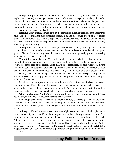**Interplanting**. There seems to be no question that monoculture (planting large areas to a single plant species) encourages heavier insect infestation. In repeated studies, diversified plantings have suffered less insect damage than monocultured fields. Therefore, the practice of mixing aromatic herbs and flowers with vegetables, alternating rows of different species, and interplanting various species within the row should help, at least, to confuse the insects and, at best, to promote positive plant health.

**Harmful Companions**. Some plants, in the companion-planting tradition, harm rather than help each other. Fennel, the most notorious outcast, is said to discourage growth of most garden plants. Dill and carrots, basil and rue, sage and cucumbers, cabbage and grapes, and chives and peas or beans are all plants that reputedly make poor companions because one or both are badly affected by close proximity.

**Allelopathy**. The inhibition of seed germination and plant growth by certain plantproduced natural compounds is sometimes responsible for otherwise unexplained poor plant growth. Plant toxins are usually exuded by roots, but they are also generally present, in varying amounts, in stems, leaves, and fruits.

**Walnut Trees and Juglone**. Walnut trees release juglone, which retards many plants. I found that out the hard way in my own garden when I planted a row of beets near an English walnut tree at the edge of the garden. Beets, I have since discovered, are particularly sensitive to toxin in the soil. The beet seeds didn't even germinate. Other plants -onions and marigolds - have grown fairly well in the same spot, but most things I plant near that tree produce rather halfheartedly. Shade and competing tree roots could also be a factor, but 200 species of plants are known to be susceptible to juglone. Black walnut trees produce more of the toxin than English walnuts or butternuts.

Like beets, some crops are more vulnerable to the effect of toxins. Soybeans, tomatoes, okra, asparagus, alfalfa, lilacs, apples, peonies, and chrysanthemums, among others, have been shown to be seriously inhibited by juglone in the soil. Those plants that are resistant to juglone include red cedars, redbuds, quinces, black raspberries, corn, beans, carrots, and zinnias.

**Other Allelopathic Plants.** Other notorious allelopathic plants are ailanthus, artemisia, absinthium, eucalyptus, sunflowers and sometimes sycamores.

Some crops plants inhibit weeds. For example, Kentucky-31 fescue grass retards growth of black mustard and trefoil. Weeds can suppress crop plants, too. In some experiments, residues of lamb's-quarters, pigweed, velvet lead, and yellow foxtail have inhibited the growth of corn and soybeans.

Although published observations of the effect of plants on the growth of other plants date back hundreds of years, scientific study of the phenomenon has only begun to scratch the surface. So many plants and variable are involved that few sweeping generalizations can be made. Allelopathy can throw a wide card into some of your planting schemes, but keep an open mind and don't let it worry you. Just try to plant your sunflowers separately and keep your garden away from walnut trees. (A distance of 1 1/2 times the height of the tree should be safe). If the subject interests you, conduct your own experiments, and jot down what you planted and what you observed.

## **Taking Pollination into Account**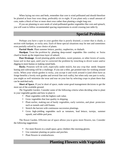When laying out rows and beds, remember that corn is wind pollinated and should therefore be planted at least four rows deep, preferably six to eight. If you plant only a small amount of corn, make a block of four or more short rows rather than planting a single long row.

If you are planning to save seeds of wind-pollinated garden vegetables like corn and spinach, you will want to follow recommended spacing requirements to avoid crossing (see table 6).

# **Special Problems**

Perhaps you have a spot in your garden that is poorly drained, a corner that is shady, a section with hardpan, or rocky area. Each of these special situations may be met and sometimes even partially solved by your choice of plants.

**Partial Shade**. Plant summer lettuce, parsley, raspberries, or rhubarb.

**Hardpan**. Treat the problem by planting deep-rooted vegetables like comfrey or Swiss chard to break up the impervious layer of subsoil.

**Poor Drainage**. Avoid planting globe artichokes, sweet potatoes, or other lovers of warm, loose soil in that spot, until you're corrected the problem by trenching to divert water and/or digging in more humus or making raised beds.

**Rocks**. Potatoes will do well, especially under mulch, but any crop that needs frequent hoeing and cultivating will be a challenge. If you use a tiller, get pointed tines for working around rocks. When your whole garden is rocky, you accept it and work around it (and often have as fringe benefits a lovely rock garden and several fine rock walls), but when only one part is rocky, you might as well minimize the wear and tear on your hoe by selecting crops to plant there that can be mulched early.

**Short of Space.** If you're short of space, make some good management decisions to get the most out of the available ground.

*The Vegetable Garden*. Consider some of the following criteria when deciding what to plant in your vegetable garden and how to plant it:

- Plant vegetables with the highest cash value.
- Grow vegetables that lose quality in shipping.
- Plant earlier, making use of hardy vegetables, early varieties, and plant protectors such as tunnels and cold frames.
- Stretch the harvest with continuous succession plantings.
- Grow high-yielding vegetables such as tomatoes, lead lettuce, turnips, summer squash, and edible-pod peas.

The flower Garden. Efficient use of space allows you to grow more flowers, too. Consider the following suggestions:

- For more flowers in a small space, grow climbers like morning-glories.
- Use container planting on patios and porches.
- Plant flowers in windowboxes.

#### **Planting Flowers with Vegetables** I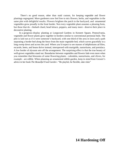There's no good reason, other than staid custom, for keeping vegetable and flower plantings segregated. More gardeners now feel free to mix flowers, herbs, and vegetables in the same plot with delightful results. Flowers brighten the patch in the backyard, and ornamental vegetables grow proudly in the front border. Not every vegetable plant assumes a pleasing form, but those that do - rhubarb chard, head lettuce, peppers, and many more - deserve their place in decorative planting.

In a gorgeous display planting at Longwood Gardens in Kennett Square, Pennsylvania, vegetable and flower plants grow together in borders similar to conventional perennial beds. The plot is laid out as if it were someone's backyard, with one-third of the area in lawn and a path separating a border bed along the fence from the main vegetable bed, which curves gracefully in a long sweep down and across the yard. Where you'd expect to see masses of delphiniums ad lilies, escarole, beets, and beans thrive instead, interspersed with marigolds, nasturtiums, and portulaca. A low border of alyssum sets off the arrangement. The surprising effect is that the true beauty of well-grown vegetables stand out. Boundaries between vegetables and flowers fade even more when you remember that blossoms of some flowering plants - calendula, nasturtiums, and chives, for example - are edible. When planning an ornamental edible garden, keep in mind Kate Gessert's advice in her book *The Beautiful Food Garden* : "Be playful, be flexible, take risks"

# **14 Hardening Off**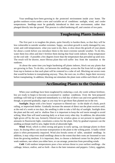Your seedlings have been growing in the protected environment inside your home. The garden outdoors exists under a new and variable set of conditions: sunlight, wind, and cooler temperatures. Seedlings must be gradually introduced to their new environment, rather than plunged directly into the ground. This process is called hardening off, and consists of two parts.

#### **Toughening Plants Indoors**

The first part is to toughen the plants, quite literally to harden them, so that they will be less vulnerable to outside weather extremes. Sappy, succulent growth is easily damaged by sun, wind, and cold temperatures. what you want to do, then, is slow down the growth of your plants for about a week before you introduce them to the more extreme outside weather. To do this, water them less often and don't fertilize them during that final week indoors. Keep temperature on the cool side - if possible a few degrees lower than the temperature that prevailed up until now. The result will be shorter, more fibrous plant that will suffer less from the transition to the outdoors.

At about the same time you begin hardening off plants indoors, block out any plants that are growing in flats. To do this, cut between the seedlings, across the flat from left to right and from top to bottom so that each plant will be centered in a cube of soil. Blocking out severs roots that would be broken in transplanting anyway. Thus, the root can, in effect, begin their recovery before transplanting. In addition, blocking out stimulates the plant roots within each block of soil.

#### **Acclimating Plants to the Outdoors**

When your seedlings have been toughened by enduring a cool, dry week without fertilizer, hey are ready to begin to become accustomed to outdoor conditions. Even the best-prepared seedlings will fold up if subjected immediately to a full day of direct sun and even gentle breeze, though, so proceed gradually, eager as you may be to get those flats planted out in the row.

**Sunlight**. Begin with a few hours' exposure to filtered sun - in the shade of a bush, porch railing, or improvised shelter. Gradually increase the amount of direct sun the plant receives until, at the end of a week or ten days, the seedling is able to take a full day of sunlight. Sunlight dries the plant and the soil, and in shallow flats it is important to keep the soil moist enough to avoid wilting. Most flats will need watering daily or at least every other day. In addition, the ultraviolet light given off by the sun, formerly filtered out by window glass or not present in significant amounts in fluorescent light, constitutes a stress for the plant. Only by gradual exposure can the seedling acclimate itself to new, higher levels of ultraviolet light.

Wind. Wind, which is often strong and gusty in early spring, can damage plants in three ways. Its drying effect can increase transpiration in the plant to the wilting point. A badly wilted plant is often permanently impaired. Wind also breaks stems of taller, unstaked seedlings. In addition, it may whip even small seedlings about to the extent that their roots are loosened or torn from the growing medium. It is important, then, to choose a sheltered corner for the plant's first week outdoors, one where you either have, or can arrange, protection from prevailing winds.

**Cold**. Cold outdoor temperatures pose a less serious threat to your earliest seedlings - the cabbage, lettuce, endive, and so forth - than to the later tomatoes and peppers. Celery, eggplant,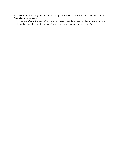and melons are especially sensitive to cold temperatures. Have cartons ready to put over outdoor flats when frost threatens.

The use of cold frames and hotbeds can make possible an even earlier transition to the outdoors. For more information on building and using these structures see chapter 16.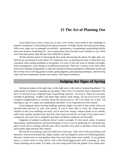# **15 The Art of Planting Out**

Your plants have come a long way in only a few weeks, from seeds to tiny seedlings to hopeful transplants to flourishing leafy green promises of bright bloom and early good eating. With every stage you've managed successfully - germination, transplanting, maintaining fertility and water balance, hardening off - your young plants have become more valuable to you. With each week that passes, they become more difficult to replace.

All the attention given to choosing the best seeds and starting the plants off right, then, has built up an investment in your plants. It's important now, at planting-out time, to keep that care consistent when setting seedlings in the garden. It is easy to lose the work of months overnight, from overeagerness, poor timing, or insufficient protection. There are, it seems to me, three skills involved in helping young plants to make the transition between pampered confinement inside and life on their own in the big garden outside: good judgment, good planting technique, and knowing when and how temperature protect your plants from harsh conditions.

#### **Judging the Signs of Spring**

Setting out plants at the right time, in the right way, is the mark of seasoned gardener. I've made plenty of mistakes in putting out my plants. That's how I've learned what's important. Not that I've arrived at any completed state of gardening expertise - far from it. There are too many variables in gardening - weather, soil, plant vigor, insects, wind, timing - for any of us ever to claim complete enlightenment or certainly about the whole process. All I can really say is that I'm learning as I go. It's a path, not a destination, and there's a lot of ground yet to be covered.

Good judgment about moving seedlings outdoors began way back in late winter when you decided when and how to start your plants. If you've been able to resist the winter-weary impulse to start your seedlings too early, you'll now have strong, compact plants to set outside, rather than spindly retarded ones that have been kept on hold for too long. If the plants aren't overgrown, you won't be so tempted to put them out before conditions are favorable.

Judgment of outdoor conditions doesn't come overnight. It's the result, rather, of patient observation, experimentation, and record keeping. If you're new to gardening or to the particular piece of soil you're working with this year, allow yourself a few years to develop a sense of earth and weather signs and how they interact.

Record the last (spring) and first (fall) frost each year. Take note of the prevailing wind direction. Find several protected, lightly shades, and sun-dappled corners for hardening plants. Discover which areas in your gardens thaw first and which drain more rapidly. In my gardens there is a small corner or strip where, with a little hand digging after early warming, an early chance planting can be made. If it takes, you start eating fresh from the garden a few weeks early.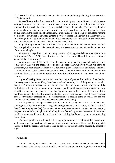If it doesn't, there's still time and space to make the certain main-crop plantings that must wait a bit for better odds.

**Microclimate**. What this means is that you must study your microclimate. It help to know average frost dates for your area, but it helps even more to know how cold air moves on your terrain and which patched of ground become workable first. Cold air sinks. Warm air rises. Land in a valley, where there is no lower point to which frosty air may drain, can be a frost pocket. Here on our farm, on the south side of a mountain, our open land lies on a long gradual slope running from north to southwest. The upper gardens may escape frost damage that hits the lower patch. Even though there is still lower land below this lower spot to which the cold air can continue to move, it is more vulnerable to frost than the more elevated plot.

City buildings hold heat and block wind. Large trees shelter plants from wind but not from frost. Large bodies of water and even small ones, to a lesser extent, can moderate the temperature of the surrounding land.

Observe and experiment, then and keep notes on what happens. When did you set out the first tomatoes? Where? Did frost hit after you planted them out? How did you protect them? When did they start bearing?

After a few years of gardening in Philadelphia, we found that it was generally safe to set out tomatoes by May 9 in the sheltered block of old houses where we lived. When we move to Wisconsin, we soon discovered that it was foolish to plant tender plants out before Memorial Day. Now, on our south central Pennsylvania farm, we count on setting plants out around the middle of May, up to a week later than the prevailing safe time in the southern part of our country.

**Signs of Spring**. You can run into trouble, though, if you work strictly by the calendar. Not every year is the same. Keep the calendar at hand, certainly; it will help you to know what to expect. But try also to listen and look for the actual signs of spring - the return of certain birds, the budding of key trees, the blooming of flowers - that let you know what the situation actually is right around you. In trying to learn this approach myself, I've found that much of the traditional country lore, like the advice to plant soybeans when oak leaves are the size of mouse ears, is surprisingly accurate. (For more information on specific signs to watch for, see the individual plant entries in the encylopedia at the back of this book).

Spring peepers, although a cheering early sound of spring, don't tell you much about planting out safely. Those little tree frogs get spring fever early, and country wisdom has it that they'll see through glass (ice) three times before spring weather settles in. For me, the cheeping peepers are a reminder, though, to start looking for the first wild greens of the season. Sometimes I can till the garden within a week after they start their trilling, but I don't rely on them for planting information.

The more you become attuned to what is going on around you outdoors, the sharper your sixth sense about the weather will become. Soon you will find it possible to sniff the air, watch the moon, feel the breeze, and make at least an educated guess about the possibility of frost at night.

#### **Phenology**

There is actually a branch of science that deals with the interrelationships that occur in the natural world. Phenology, the study of the cycle of development of living things as it unfolds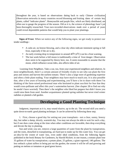throughout the year, is based on observations dating back to early Chinese civilization. Observation networks in many countries record blooming and fruiting dates of certain key plants, called "indicator plants". Honeysuckle and purple lilac, which are likely distributed, are often use to gauge the progress of the season. Old as it is, the science of phenology hasn't yet been thoroughly researched. Your own recorded observations made over a period of years could reveal dependable patterns that would help you to plant your plantings.

**Signs of Frost**. When we notice any of the following signs, we get ready to protect our tender seedlings :

- A calm air, no breeze blowing, and a clear sky often indicate imminent spring or fall frost, especially if the air is dry.
- An early evening drop in temperature to around  $40^{\circ}F (4^{\circ}C)$  can be a frost warning.
- The last week before a full moon is traditionally a time of frost danger. Observation does seem to be supported by theory here, too. It seem reasonable to assume that the moon, which influence ocean tides, also affects tides of air.

 Learning from Neighbors. Take a cue, too, from your experienced neighbors and relatives. In most neighborhoods, there's a certain amount of friendly rivalry to see who can plant the first peas and onions and harvest the earliest tomato. There's also a large store of gardening expertise and often a little plant trading. Your neighbors may have much to teach you. It is also possible that, after a few years of learning and experimenting, you'll have a lot to share with them I'm thinking of the farm-raised professional man who hesitated to plant zucchini for fear that they would cross-pollinate and affect this year's watermelon harvest. (See chapter 28 to find out why he needn't have worried). Then there's the neighbor who liked hot peppers but didn't know you could raise them from seed. Another acquaintance planted spring radishes but never tried winter radishes or planted a fall garden.

## **Developing a Good Planting Technique**

Judgment, important as it is, may sound elusive, up in the air. The second skill you need a quite down-to-earth: good planting technique. It can be achieved by following these step.

1. First, choose a good day for setting out your transplants - not a clear, sunny, breezy day, but rather a damp, drizzly, warmish day. You may not always be able to wait for such a day, but if one does come along at the time when other conditions are favorable, then drop everything and devote the day to planting.

Sun and wind, you see, remove a large quantities of water from the plant by transpiration, and the roots, disturbed in transplanting, are hard put to make up for this water loss. You can get an idea for the extent of water loss, even under ideal conditions, from the following figures published in the book Botany for Gardeners, by Harold Rickett. in one reason, a tomato plant lose 35 gallons of water by transpiration; a potato plant, 25 gallons, a giant ragweed, 140 gallons. The less setback a plant suffers in being put out the garden, the sooner it will be off and growing and putting on melons or tomatoes or good green leaves.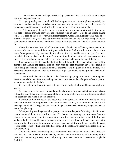2. Use a shovel or an extra-large trowel to dig a generous hole - one that will provide ample space for the plant's root ball.

3. If you possibly can, put a handful of compost into each planting hole, especially for melons, cucumbers, and squash. When adding compost, dig the hole a few inches deeper, mix in the compost, and toss on a handful of fine loose soil before setting the plant in place.

4. A tomato plant placed flat on the ground in a shallow trench with just the top one or two sets of leaves showing above ground will form roots at each leaf node and escape drying winds. It is also be easier to cover when frost threatens. Cabbage and lettuce plants may be set more deeply than they grew in the flat if they have developed a one-to two-inch stem; otherwise, cove them with soil only up to the bottom leaves. Soil in the crown of the plant will encourage rot.

Plants that have been blocked off in advance will often have a sufficiently dense network of roots to hold the soil around them until you settle them in the hole. A bare root plant suffers more. Some gardeners dip bare roots in the slurry of thick, muddy water to coat the roots, especially if the day is dry and sunny. As you position the plant in the hole, try to arrange the roots so that they do not double back on each other or fold back toward the top of the hole.

Some gardeners like to soak the planting flat with liquid fertilizer just before removing the plants to set them in the garden. It is true that this one-step treatment saves the trouble of individual plant feeding to a certain extent. I prefer to leave the plant a bit on the hungry side, reasoning that the roots will then be more likely to put out extensive new growth in search of nourishment.

5. Water each plant as you plant it, rather than setting a group of plants and returning later to water the whole row. After the seedling has been positioned in the hole, pour at least a quart of water on it to settle it in the hole.

6. Next, fill in the hole with loose soil - never with clods, which would leave root-drying air spaces.

7. Finally, press the loose soil gently but firmly around the plant so that no air pockets are left. At the same time, form the soil around the stem into a shallow, saucerlike depression which will catch rain and funnel it toward the roots.

Continue to plant the rest of the seedlings in the same way. If you're making an early planting in hops of moving your harvest day up a week or two, it's a good idea to save a few seedlings of each kind of vegetable you're gambling on as insurance in case anything would happen to the first planting.

When planting seedlings started in peat pots or pellets, keep the following points in mind: peat pots that stick out above soil level are effective wicks, drawing moisture away from the plant's roots. Foe that reason, it is important to tear off at least the top inch or so of the fiber pot so that only the stem and leaves are above ground. Since I have less faith than I once did in the permeability of peat pots to plant roots, I sometimes peel off the whole pot - gently, to avoid tearing roots - when setting out a potted seedling. (If the roots have already penetrated the pot, I don't remove it).

The plastic netting surrounding those compressed peat-pellet containers is also suspect in my eyes, but I've noticed that roots usually seem to penetrate it more readily than they do the peat pots. The netting is easy to tear off, though, in a case where root penetration might be doubtful.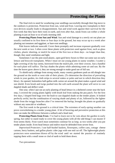#### **Protecting the Plants**

The final trick to need for weathering your seedlings successfully through their big move to the outdoors is protection. Protection from sun, wind and frost. Leaving new transplants to their own devices usually leads to disappointment. Sun and wind work against their survival for the first week that they have their roots in earth, and even after that, sneak frosts can wither a whole planting in just an hour or so of early morning chill.

**Protecting Plants from Sun and Wind**. Sun and wind damage to a newly set out plant are usually confined to its first three or four days in the ground, but may occur up to a week after planting out tomatoes and eggplant, or bare-root seedlings.

Pale leaves indicate sunscald. Cover them promptly and increase exposure gradually over the next week or two. I often cover these plants with protectors used against frost, such as glass clothes, plastic sheeting, or mulch for most of the first two or three days - no longer than that, though; they need ventilation and light.

Sometimes I use the pint-sized plastic, open-grid berry boxes to filter out some sun on early lettuce and broccoli transplants. When I must set out young plants in sunny weather, I scatter a light covering of dry hay stems, borrowed from the mulch pile, over their crowns. Just a handful for each plant will suffice. The hay shades the plants while admitting some air and sun. By the time the leaves grow above it, they are strong enough to make good use of full sun.

To shield early cabbage from strong winds, many country gardeners push an old shingle into the ground on the north or west side of their plants. (To determine the direction of prevailing winds in your garden, tie cloth strips to several stakes or poles and not in which direction they blow). An opened, bottomless half-gallon milk carton set around the plant makes a good wind and sun shield. Even brush and twigs pushed into the soft earth around the plant will serve to cast dappled shade and deflect wind.

One year, when I put out an early planting of head lettuce in a sheltered corner near the back step, I covered the young plants lightly with brush leaf from staking the pea patch. For the first few days, I draped feed bags over the bush to cast dappled shade on the tender plants. It looked perfectly awful, but the combination of varying shade and plenty of air, followed by the lighter shade from the twiggy branches after I've removed the burlap, brought the plants on gradually without any sunscald or windburn.

The first week in the ground is a critical time. The extremes of early-spring weather can prove overwhelming to a tender young plant. A bit of hovering and preventive protection at this time can make the difference between a setback and a head start.

**Protecting Plants from Frost.** I've had to learn not to be vain about the garden in early spring, but rather to stand ready to cover the young plants with all the odd things I can muster if frost seems likely. Frost watch must sometimes continue for as long as two weeks after you put tender plants inside. Even head lettuce and endive must be defended from severe frost.

*Improvised Protectors*. I use half-bushel baskets, flowerpots, coffee cans, cottage cheese cartons, berry baskets, and gallon plastic cider jugs with one end cut off. The lightweight plastic protectors were sometimes blown off by the wind until we started the practice of routinely topping them with a small stone or clod of earth to hold them down.

Two precautions: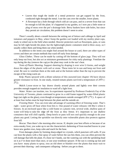- Leaves that tough the inside of a metal protector can get zapped by the frost, conducted right through the metal. I use the cans over the smaller, lower plants.
- A flowerpot has a hole through which cold air can pass, and in a severe frost that can be enough to kill the plant. It's happened in my garden, so I now put a little stone or plug of moss over the pot's drainage hole. Berry baskets have side holes, but since they permit air circulation, this problem doesn't seem to arise.

There's usually about a month between the setting out of lettuce and cabbage in April and tomatoes and peppers in May, when I keep the garden cart loaded with my motley plant caps, ready to wheel out to the field when needed. Heavier protectors such as flowerpots, pans, or cans may be left right beside the plant, but the lightweight plastic containers tend to blow away, so I usually collect them and bring them out when needed.

In addition to the items you might find around the house or yard, there are other types of covers and there are certain methods that ward off early frost damage.

*Glass Clothes*. These can be made by cutting off the bottom of glass jugs. They will not only keep out frost, but also act as miniature greenhouses for risky early plantings. Ventilate the top during the day (remove the cap),or the plant may cook in the sun's heat.

*Tents of Plastic Sheeting*. Support sheeting by draping it over wire U-forms, and weight down the edges of the plastic with soil or stone. These tents let in sun and keep out frost and wind. Be sure to ventilate them at the ends and at the bottom rather than the top to prevent the escape of the rising warm air.

*Kelp*. Plants sprayed with a dilute solution of this seaweed (see chapter 19) have shown greater resistance to frost. In one study, treated tomato plants survived a temperature of  $29^0F$  (- $2^0C$ ).

*Mulch*. Loose straw or hay drawn closely around plants and lightly over their crowns provides enough trapped-air insulation to ward off a light frost.

*Water*. Water can insulate, too. In experiment reported by Professor Frederick Fay of the University of Toronto, plants continued to grow in a cold frame topped by water-filled plastic bags (set right on the glass), even though at temperatures outside averaged  $20^0F (7^0C)$ . A space of at least four inches must be kept between the plant and the outside air.

*Freezing Water*. You can even take advantage of warming effect of freezing water. That's right - water gives off heat when frost hits it. One pound of water releases 144 Btu's when it freezes. In an enclosed space like a cold frame or a plastic tent, several wide, shallow pans of water will help to take the edge off the frost as they freeze. It's important to use shallow containers that will chill rapidly. Deep bowls or pans will not cool quickly enough to do your plants any good. Letting the sprinkler run directly onto vulnerable plants also protects against frost kill.

*Rescue.* Then there's the morning-after rescue. If, despite your best efforts or because of an extra-sneaky frost, you wake up to see the characteristic darkening of frost-touched leaves in your brave new garden rows, keep calm and reach for the hose.

Frost damages plants by forming sharp-edged ice crystals, which puncture cell walls. If you can hose the plants with a fine spray of water before the sun hits them, you can often prevent the cell damage that kills the plant. If a hose isn't handy, use the watering can with the sprinkling head on it as I've done more than once, or use your trombone sprayer. If the sun is coming up fast and you have many plants to spray, toss an old sheet or blanket over the plants that must wait to prevent their thawing - and consequent collapsing - before you get to them.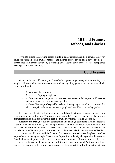# **16 Cold Frames, Hotbeds, and Cloches**

Trying to extend the growing season a little in either direction can be a gamble. However, using structures like cold frames, hotbeds, and cloches or row covers often pays off in more garden food and earlier flowers by protecting your fleshly sown seeds or just transplanted seedlings from harsh conditions.

#### **Cold Frames**

Once you have a cold frame, you'll wonder how you ever get along without one. My own simple cold frame adds several weeks to the productivity of my garden, in both spring and fall. Here's how I use it:

- To start seeds in early spring.
- To harden off spring transplants.
- For late-summer plantings (or transplants) of easy-to-cover fall vegetables like endive and lettuce - and even to winter-over parsley.
- For late-fall sowings of vegetable seeds, such as asparagus, sorrel, or corn-salad, that will come up in early spring but would get plowed over if sown in the big garden.

My small three-by six-foot frame can't serve all those functions at once, of course. I really need several more cold frames. (Are you reading this, Mike?) However, by careful planning and prompt rotation of plant populations, I keep the frame busy from March to December.

**Location and Design**. Your first consideration in planning a cold frame should be location. A southern exposure is a must, and some protection from cold winds will help to maintain the sun-generated warmth in the frame. If the site slopes slightly to the south, so much the better. The spot should be well drained, too. Don't place your cold frame in a hollow where water will collect.

Your aim should be to build the frame so that the sun's rays will strike the glass at as close as possible to a 90 degree angle. Since the sun's position in the sky changes with the seasons, from its low, weak point in winter to its commanding summer position high in the sky, you obviously can't ensure a 90 degree angle at all times. Because March and April are the critical months for seedling protection for many gardeners, the greatest good for the most plants can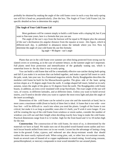probably be obtained by making the angle of the cold frame cover in such a way that early-spring sun will hit it head-on, perpendicularly. (See the box, The Angle of Your Cold Frame Lid, for specific detailed on how to determine this angle).

#### **The Angle of Your Cold Frame Lid**

Most gardeners will be content simply to build a cold frame with a sloping lid, but if you want to fine-tune yours, here is a formula that you can use.

The angle of the sun's rays from the horizon will be equal to 90 degree plus the amount of the sun's declination (its angular distance from the equator at noon - this figure, which is different each day, is published in almanacs) minus the latitude where you live. Now to determine the angle of your cold frame lid, use this formula:

lig angle = 90 degree - sun's angle

Plants that are in the cold frame over summer are often being protected from strong sun by slatted covers or screening, as in the case of summer lettuce, so the summer angle isn't important. Fall plants need frost protection and intensification of the gradually waning sun, which is somewhat lower in the sky than it was in early spring.

You can build a cold frame that will be a remarkably effective sun-catcher during both spring and fall if you make it in sections that can bolted together, and make a special fall insert to catch the pale, weak, late-year sun. In a Farmstead magazine article, Rocky Roughgarden describes the modular cold frame he built for his Massachusetts garden. The glass side of the basic spring section slopes at a 35 degree angle from the earth. A wedge-shaped fall insert, bolted on in early autumn, raises the angle of the glass to 55 degrees from the earth. The Roughgarden cold frame boasts, in addition, an extra cover insulated with scrap Styrofoam. The exact angle of the sun will vary, of course, in different latitudes, and at different times. Unless you want to build several inserts, you'll need to decide when you want to capture the most extra light and plan the angle of the insert accordingly.

Dimensions of the cold frame can be suited to your site and the materials at hand, but in most cases a maximum width (front to back) of three feet is ideal. A frame that is too wide - over four feet - will be difficult to reach into when you tend the plants. Length of the frame is not critical, but make it is as long as possible; soon after it's built, you'll wish it were longer. If you will be creating the top of the cold frame from windows or storm sashes, consider the number of windows you will use and their length when deciding exactly how long to make the cold frame. Practical dimensions range from 6 to 12 inches high for the front board and 12 to 18 inches high for the rear.

**Construction**. The construction of the cold frame, for most of us, is determined by the materials we have at hand. We make ours out of discarded wood-framed storm sashes and twoinch locust boards milled from trees cut in our woods. Locust has the advantage of lasting a long time in the ground. Cedar, cypress, and redwood are also decay-resistant woods that should outlast the more easily replaced sash. When using pine, oak, or other less rot-resistant woods, brush on several coats of linseed oil or copper naphthenate to retard rotting. Avoid using creosote, pentachlorophenol, or mercury compounds to treat wood intended for use around plants.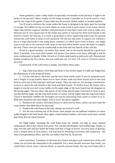Some gardeners, make a deep frame of especially rot-resistant wood and bury it eight to ten inches in the ground. Others simply set the frame to make it portable so it can be used to cover special row crops in the garden. Frame sides may be screwed, bolted, nailed, or hooked together.

You'll want to reinforce the corner unless the frame is designed to be taken apart for moving or storage. We nailed two-by two-inch stakes of scrap wood in each corner of our frame. Purists object that inferior supports interfere with placement of seed flats; some who wish to make very efficient use of very square inch of the frame may prefer to nail one-by three-inch boards to the exterior corners for bracing. It is often a good ideal to drive supporting stakes into the ground around the cold frame to keep it well anchored. We did not add struts to support our windows, but in a long cold frame or one using heavy windows, or where snow cover is heavy, you might want to nail one or two one-inch-wide strips of one-inch-thick lumber across the frame to support the sash. These cross ties may be countersunk in the front and rear boards of the cold ties.

Wood is a good insulator, far better than metal, and so the boards should be a good inch thick, if possible. Two-inch-thick lumber will protect your plants even more, although it will be more cumbersome to handle. Either 10-inch or 12-inch-wide boards would work well. Dimensional lumber would be my first choice, but you could also use 1/2-inch, 5/8- inch, or 3/4-inch exterior plywood.

Construction of the cold frame is simple. Just follow these steps:

1. Dig a hole bout about a foot deep and three to four inches larger in width and length than the dimensions of your projected frame.

2. Cut the side pieces, the front, and the back from sturdy wood. If you're using plywood, nail a length of scrap lumber about two or three inches wide and three-fourth inch to one inch thick to each end of the long back and front boards. Then use nails (or, for stronger construction, screws) to attach the side boards to the front and back boards. To further brace the frame, nail a length of one-by two-inch scrap lumber to the upper edge of the back board (see the diagram on the facing page). The two short side pieces of the frame should taper from back to front to give you the desired angle, and the long back board, of course, will be higher than the long front board. Check to determine whether the rectangles are true by measuring from corner to corner in an X. Both lines should be the same length. Nail or screw the pieces together.

3. Reinforce the corners with metal braces or short two-by-fours, unless you have used the scrap lumber described above for plywood.

4. Position the cold frame in the hole, taking care to level it well.

5. For the sun-catching top of the frame, most people use secondhand windows or storm sashes hinged to the back board. Here again, wood-framed windows will retain much more warmth than those that are metal-rimmed.

On frigid nights, insulating the cold frame from the outside can help to keep internal temperatures above that critical frost point. You can pile old blankets, leaf stuffed bags, boards, or rugs over the sash and also blank the frame with hay or bags of leaves. An extra layer of glazing, even a simple sheet of clear plastic, will trap heat by blocking convection and conduction - the often-cited greenhouse effect -and this can reduce heat loss by 34 percent.

*A few variations*. Variations on the basic box-frame and glass-sash construction of the cold frame can run from the substantial to the makeshift. For a more durable structure than wood, you could build a brick, stone, concrete block, or poured concrete frame. For any such frame that is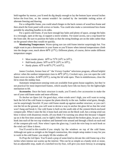held together by mortar, you'd need do dig deeply enough to lay the bottom layer several inches below the frost line, so the cement wouldn't be cracked by the inevitable rocking action of alternate freezing and thawing.

For a collapsible frame, you could attach hinges to the back corners of wood box-frame and then attach the front panel with screws or hooks. You could also make a conventional box-frame portable by attaching handles to its sides.

For a quick cold frame, if you have enough hay bales and plenty of space, arrange the bales in a rectangle, open at the top, to support a storm window. For easier access, use a crap board for the front side. Be sure to position the bales so that the string bindings are on the sides rather than on the ground where they would rot quickly.

**Monitoring Temperature**. Warm spring sun can cold frame interior surprisingly hot. You might want to put a thermometer in your frame so you'll know when internal temperatures climb into the danger zone, much above  $80^0F (27^0C)$ . Different plants, of course, thrive under different temperature ranges:

- Most tender plants:  $60^{\circ}$ F to  $75^{\circ}$ F (16<sup>o</sup>C to 24<sup>o</sup>C).
- Half-hardy plants:  $50^0$ F to  $65^0$ F ( $10^0$ C to  $18^0$ C).
- Hardy plants:  $45^{\circ}$ F to  $60^{\circ}$ F (7<sup>o</sup>C to16<sup>o</sup>C).

James Crockett, former host of " the Victory Garden" television program, offered helpful advice: when the outdoor temperature rises to  $40^{\circ}F (4^{\circ}C)$ , Crockett says, you can open the cold frame cover six inches. At  $60^{\circ}F (16^{\circ}C)$ , swing the lid wide open. Then in midafternoon, close the lid to retain the midday heat.

Automatic temperature-sensing vents are available from green house suppliers, but they're not practical for most improvised frames, which usually have lids too heavy for the lightweight mechanism to lift.

**Accessories**. Once the basic structure is made, you'll need a few accessories to make the use of your cold frame easier and more efficient.

*To Anchor an Open Lid*. On good days, when winds aren't high, you will want to swing back the lid of the cold frame to expose the plants directly to the sun. Sudden wind gusts, though, can be surprisingly forceful. If your cold frame stands up against another structure, or you can't rest the lid on the ground, you will want to devise a way to anchor the glass lid so that the wind won't bang and break it. Our cold frame is built on the south side of the cement-block-enclosed compost pile. When I raise the lid, it leans back and rests on the block wall, but a strong wind can blow it down with disastrous results. (If you think I'm warning you about this because I slipped up on it the first time around, you're right!) After Mike replaced the broken glass, he put a crew hook into each of the two top windows and fastened wire around and through a block on each end of the compost-pile wall. Now when I open the glass top, I catch the wire loop in each hook so the wind can't blow it down.

You'll avoid in this trouble if you simply lay the windows on top of the cold frame. Although not quite as airtight as the hinged construction, this simple setup makes it easy for you to work in the cold frame: you simply lift the window off.

*To Prop the Lid Open*. You'll need a prop of some kind to elevate the cold frame top a few inches when intense sun warms up the interior. This can be as simple as a handy stick or stone, but an adjustable stop, made of a notched two-by-four, will give you more leeway in arranging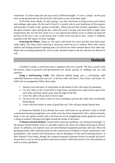ventilation. Cut three steps into the prop stick at different heights. To use it, simply set the prop stick on the ground and rest the lid of the cold frame on one of the three steps*.*

*To Provide Some Shade*. In early spring, I use the cold frame to bring on the early lettuce and cabbage under glass. By the end of April it's usually safe to start hardening off the peppers and tomatoes I'll plant in the garden in mid-May. When I put out flats of these vegetables, I leave the glass windows open during the day, unless the wind is strong, and close them at night when temperatures dip. For the first week or so, I use improvised slatted covers to shade out about 60 percent of the sun's rays so the plants don't suffer from suncald as they would if suddenly exposed to the full impact on direct sunlight.

**Watering the Plants.** Plants in the open cold frame dry more quickly than those kept under lights. For some, daily watering is necessary when the sun is intense. Most flats, unless shallow and lacking moisture-retaining moss, do well for me when watered about every other day. Plants that are being hardened off, you'll recall, should be kept on the dry side but not allowed to wilt.

## **Hotbeds**

A hotbed is simply a cold frame that is supplied with extra warmth. The heat, usually from the bottom, helps to promote seed germination and steady growth of seedlings that are cold sensitive.

**Using a Soil-heating Cable**. One effective hotbed design uses a soil-heating cable imbedded between vermiculite and soil. A 30-foot cable will heat a 3-by 6-foot cold frame. To build such an arrangement follow these steps:

- 1. Spread a two-inch layer of vermiculite on the bottom of the cold frame for insulation.
- 2. Lay the cable on the vermiculite in long loops, keeping wires eight inches apart from each other and three inches away from the edge of the bed.
- 3. Cover the cable with an inch of soil or sand.
- 4. On top of the soil, place a layer of wire screening to prevent the cable from accidentally being dug up.
- 5. Cover with four inches or more of good fine soil. This will give steady bottom heat.

A Temporary Hotbed. If you already have your cold frame set up and don't want to install a permanent heating arrangement, you could warm the frame temporarily with a chicken brooder lamp, or for very gentle warmth, take a tip from one of our neighboring master gardeners and tack a string of outdoor Christmas tree lights around the inside of the frame.

**A Manure-heated Hotbed**. Conservation-conscious gardeners are turning increasingly to the manure-heated hotbed, since it's possible achieve the same end without drawing on electric power. In addition, you improve your soil and eliminate equipment purchase and care. Most old gardening books offer elaborate plans for the construction of hotbeds of heroic proportions. Our grandfathers, who farmed with horsepower, had an abundance of this quick-heating manure at their disposal. Even today, though, the common keeping of pleasure horses by people who don't always have a use for the by-products puts horse manure within the reach of city and suburban as well as country gardeners.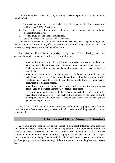The following instructions will take you through the simple process of making a manureheated hotbed:

- 1. Dig a rectangular hole three to four inches larger all around than the dimensions of your cold frame and 1 1/2 to 2 feet deep.
- 2. A week to ten days before planting, pack horse or chicken manure into the hold up to six inches from soil level.
- 3. Hose this layer down to start decomposition.
- 4. Spread six inches of fine soil on top of the manure.

The manure will reach its peak of heat within three to six days. Wait to plant, though, until the soil temperature fall to  $85^{\circ}F(29^{\circ}C)$ , or you'll cook your seedlings. Ventilate the bed as necessary to keep the temperature below  $90^0F (32^0C)$ .

Improvisations. If you like to improvise, perhaps some of the following ideas, used successfully by other experienced gardeners, will work for you:

- Make a mini-hotbed from a discarded refrigerator crisper drawer set in a hole over packed, moistened manure as described above and topped with its original glass.
- Back a portable cold frame up to a cellar window, which can be opened to admit heat from the house.
- Make a long, low tent from two screen doors covered on each side with a layer of tacked-on plastic sheeting. Attach triangular end frames of outdoor plywood in which ventilation holes have been drilled. Use this as a cold frame, or bury manure underneath to it make it a hotbed.
- Make frames from scrap wood covered with poultry netting (or use old screen doors). Tack on plastic for an inexpensive portable cold frame.
- Line sturdy cardboard cartons with black plastic that is stapled on. Top with a flap clear plastic that is stapled to the back end and clipped to the front end with clothespins. The waxed cartons used for chicken parts work especially well; you can get them from grocery stores.

As you've no doubt noticed by now, part of the satisfaction of rigging up a cold frame or hotbed - for me at least - lies in using materials at hand to make a useful thing. See what you can come up with.

# **Cloches and Other Season Extenders**

A bit of extra protection in early spring can make a significant difference in the growth of your plants. Probably the most effective use of temporary row or plant covers is to moderate harsh spring weather for seedlings planted at or near their normal planting time. You can also use spot covers to enable you to get away with planting up to three weeks early, but don't expect much more than that. Although they certainly do reduce heat lost by convection and radiation, small temporary covers can't retain enough of the sun's heat to tide a tender plant over a severe freeze.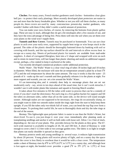**Cloches**. For many years, French market gardeners used cloches - bottomless clear glass bell jars - to protect their early plantings. More recently developed plant protectors are easier to use and store than the heavy breakable glass. Whether or not you still call them cloches, as many people do, these covers are used by many costconscious present-day market gardeners, who wouldn't bother with them if they didn't confer a useful amount of protection.

You can make your own cloches, of course, by removing the bottoms from plastic gallon jugs. These are easy to stack, although they do get a bit misshapen after a few seasons of use, and they have the extra advantage of being free. Press them well into the soil when you set them over your plants so the wind won't topple them.

**Tunnels and Row Covers**. Tunnels may be purchased or homemade. You can use clear plastic to arch over your early rows, supported by supple bent twigs or wire hoops stuck in the ground. The sides of the plastic should be thoroughly battened down by banking with soil or covering with boards, and the top surface should be slit and intervals to allow excess heat to escape on a sunny day. Sheets of perforated plastic for tunnels are available from mail-order suppliers. A sheet of corrugated fiberglass, bent into a U shape and wrapped with wire on each and to retain its tunnel form, will last longer than plastic sheeting and needs no additional support except, perhaps, a few staked to keep it anchored at the sides.

Two recently developed commercial products confer additional protection.

*Wallo' Water* . The Wallo' Water is a clear vinyl ring of tubes 18 inches high and 18 inches in diameter. When filled, the enclosure will raise the air temperature around a plant by at least  $5^{0}F$  $(3<sup>0</sup>C)$  and the soil temperature by about the same amount. The way it works is that the water - 25 pounds of it - soaks up the sun's warmth and then gradually releases it to the plants at night. For more support and warmth, you can set a tire around the Wallo' Water.

It's an interesting idea, and it certainly does help to encourage plants that are set out moderately early - say, seven to ten days ahead of the usual time, but it can't work miracles. I wouldn't use it with tender plants like tomatoes and squash in freezing March weather.

It takes about five minutes to fill the tubes with water (a process that can be a comedy of errors if you don't read the directions). Put each ring in a five-gallon bucket for support and fill the tubes on alternate sides, rather than all on the same side, so the device will stand straight sooner. Although stakes are not supposed to be necessary, the rings do occasionally slump, so you might want to slide two smooth stakes inside the rings right from the start to help keep them upright. If you fill the tubes only two-thirds full of water, you can bend the top flap over form a closed teepee. To prolong their useful life, be sure to thoroughly drain and dry the tube rings at the end of the season.

*Reemay*. This lightweight spun polyester fabric is easier to use than the Wallo's Water, but short-lived. To use it, you just drape it over your rows immediately after planting seeds or transplanting seedlings and anchor it well on both sides with loose soil. Allow 1 to 2 feet of slack, depending on the size of your plants. This provides leeway for the plants as they grow. The 67 inch-wide material is available in lengths of 20, 50, and 100 feet. A sheet of Reemay is wide enough to cover a bed 3 1/2 feet wide or two average garden rows. The fabric is so light in weight that plants can easily shoulder it upward as they grow.

Reemay protects seeds and young seedlings in several ways. it reduces light transmission by about 20 percent. Young plants still receive plenty of light, and on a sunny day the space under the cover is less likely to overheat than it would be with a clear cover. The temperature under a sheet of Reemay rises by  $8^{0}F$  to  $10^{0}F$  (4.5<sup>o</sup>C to 5.5<sup>o</sup>C) on a sunny day, and although heat is lost again at night, the bonded cover provides a good  $2^{0}F$  to  $3^{0}F$  (1<sup>0</sup>C to 1.5<sup>0</sup>C) of frost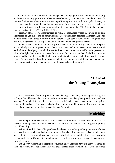protection. It also retains moisture, which helps to encourage germination, and when thoroughly anchored without any gaps, it's an effective insect barrier. (If you use it for cucumbers or squash, remove the Reemay when blossoms form so pollinating insects can do their job). Reemay is permeable, so rain can soak in and hot air can escape. In warm weather, you might need to loosen it is to permit more ventilation; when outside air temperature is  $85^{\circ}F$  (29<sup>0</sup>C), the air under Reemay heats to  $95^{\circ}$ F to  $97^{\circ}$ F (35<sup>o</sup>C to 36<sup>o</sup>C).

Reemay offers a few disadvantages as well. It encourages weeds as much as it does vegetables, so you'll need to do some weeding. Because sunlight degrades the material, it often starts to shred after a three-month stint in the garden. If you pack it away out of the light as soon as it's no longer needed, you might find that it will last for another growing season.

*Other Row Covers*. Other brands of porous row covers include Agronet, Arryl, Vispore, and Kimberly Farms. Agronet is available in a 42-foot width. A newer row-cover material, Tufbell, is made of polyvinyl alcohol and is three to ten times more stable in the presence of ultraviolet light than other row covers. It is also, so far, more expensive. Tufbell is not yet as widely available as Reemay. No doubt these products will continue to be improved in years to come. The best use for these fabrics seems to be to ease plants through those marginal days of early-spring weather, when an ounce of prevention can enhance their growth.

# **17 Care of the Young Transplant**

Extra measures of support given to new plantings - mulching, watering, fertilizing, and staking - should be carried out with regard for variations in weather, plant growth habits, and row spacing. Although difference in climates and individual gardens make rigid prescriptions unworkable, perhaps a few loosely scheduled suggestions would help you to time these practices correctly to encourage rather than impede the plant's growth.

# **Mulching**

Mulch spread between rows smothers weeds and helps to slow the evaporation of soil moisture. Biodegradable mulches like straw and leaves have the additional advantage of improving soil tilth fertility.

**Kinds of Mulch**. Generally, you have the choice of mulching with organic materials like leaves and straw or with synthetic plastic products. Mulches of organic materials tend to keep the soil cooler than if the ground were bare, whereas polyvinyl sheets, both black and clear, warm the ground under them. Use any fine mulch you may have for narrow rows and save the coarse stuff for wider aisles.

*Newspaper*. According to recent reports, most newspapers are now using low-lead inks on their newsprint, but not necessarily on their glazed-paper supplements. Both unprinted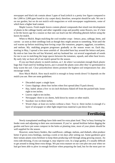newspaper and black ink contain about 5 ppm of lead (which is a pretty low figure compared to the 1,000 to 2,000 ppm found in city carpet dust); therefore, newsprint should be safe. We use it on our garden, but we do not mulch with magazines or with newspaper supplements, some of which have a higher lead content.

Maple Leaves. Fresh maple leaves contain phenol compounds that retard root development of plants in the cabbage family and other vegetable crops and possibly some flowers, too. It's best to let the leaves age for a season so that rain can leach out the offending phenols before using the leaves for mulch.

When to Mulch. Begin mulching the cool-weather crops - lettuce, peas, cabbage, beets, and carrots - as soon as their seedlings look as though they might amount to something. Wait until the soil warms up before mulching heat-loving crops like tomatoes, peppers, eggplant, cucumbers, and melons. My mulching program progresses gradually as the season wears on. Each day, starting in May, I spread a few more armfuls of discarded barn hay around the lettuce and peas. By mid-or late June the soil has Warmed, and my husband has cut several wagonloads of weeds for me to use in mulching the large spaces between the tomatoes, squash, and other heat lovers. By early July we have all of our mulch spread for the season.

If you use black plastic to mulch melons, as I do when I accumulate enough black plastic bags that I had used for holding leaves, put it around the plants soon after they've germinated to help warm the soil. Clear polyethylene sheets promote the highest soil temperatures but also encourage weeds.

How Much Mulch. How much mulch is enough to keep weeds down? It depends on the mulch you use. Here are some guidelines:

- Discarded carpet: a single layer.
- Grass clippings: about four inches when first spread (they'll pack down).
- Hay, baled: about a five- to six-inch thickness flaked off from the packed bale; loose: eight to ten inches.
- Leaves: eight to ten inches.
- Newspaper: three to six sheets, held down by stones or other mulch.
- Sawdust: two to three inches.
- Wood chips: at least six inches without a liner. Two to three inches is enough if a layer of newspaper or other light-impervious material is put down first.

## **Fertilizing**

Newly transplanted seedlings have little need for extra plant food. They're busy forming for feeder roots and adjusting to their new environment. If you've spread fertilizer before digging the garden and have put some compost in the holes at planting time, most of your plants should be well supplied for the season.

However, some heavy feeders, like cauliflower, cabbage, melons, and rhubarb, often produce better if given extra feedings, starting a week or ten days after setting out. Some gardeners give their tomato plants extra fertilizer to keep them producing well through along growing season. An extra side-dressing, if you can manage it, may improve corn. In a large garden, it's usually difficult to get around to doing these extra things. We put extra manure on our corn plot one year when we had got been able to plow in enough fertilizer when preparing the land, but for the most part we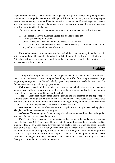depend on the manuring we did before planting carry most plants through the growing season. Exceptions, in your garden, are lettuce, cabbage, cauliflower, and melons, to which we try to give several booster feedings of either dilute fish emulsion or manure tea. These nitrogenous boosters, since they promote leafy growth, should not be given to your root vegetables, or you may have great leafy carrots with spindly roots.

To prepare manure tea for your garden or to pour on the compost pile, follow these steps:

- 1. Fill a burlap sack with manure and place it in a barrel or trash can.
- 2. Fill the can or barrel with water.
- 3. Cover (to keep out flies), and let the brew steep for several days.
- 4. Dip off some of the enriched water into a bucket or watering can, dilute it to the color of tea, and pour it around the base of the plant.

For smaller amounts of manure tea, use this method. Put manure directly in old buckets, fill with water, and dip off as needed. Leaving the original manure in the bucket, refill with water. After three to four batches have been made from the same manure, pour the slurry on the garden and start again with fresh manure.

### **Staking**

Vining or climbing plants that are well supported usually produce more fruit or flowers. Because air circulation is better, they're less likely to suffer from fungus diseases. Cropsupporting arrangements are limited only by your imagination and available resources. The following are some suggestions to get you started.

**Cylinders**. Concrete-reinforcing wire can be formed into cylinders that make excellent plant supports, especially for tomatoes. Clip off the horizontal wire on one end so that you can poke the resulting prongs into the soil to anchor the cylinder.

**Teepees**. Eight-foot poles pushed into the ground and ties together at the top support climbing beans. Although soil cultivation is not as convenient around board based teepees, they are more stable in the wind and easier to set up than single poles, which must be buried more deeply. You can form teepees using last year's sunflower stalks, too.

**Box Frames**. You can make box frames from scrap lumber to set right over seedling plants. The plants will then lean on them as they grow.

**A-Frames**. Two rectangular frames strung with wire or twine and hinged or tied together work well for both cucumbers and tomatoes**.**

**Pole Tents**. These can support an impressive wall of flowers or beans. To make one, drive two eight-foot-long 2- by 4-inch posts 18 inches into the ground, spacing them ten feet apart. Nail a ten-foot-long 2- by 2-inch board between the two posts at the top. Then nail three stakes to each of two 1-by 2-inch ten-foot-long boards. Drive the stakes (with boards attached) into the ground on either side of the posts, four feet artificial. Tie a length of twine to one long bottom board, run it up and over the top of the support, and tie it to the opposite bottom board. Continue to tie lengths of twine to the board, spacing them 6 inches apart. Nail may be driven in the top and bottom boards to stabilize the twine.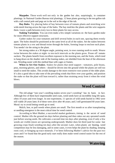**Maypoles**. These work well not only in the garden but also, surprisingly, in container plantings. In National Garden Bureau trial plantings, 12 bean plants growing in the ten-gallon tub with a tall central pole and pegs set in the soil at the edge of the tub.

**Hay Bales**. Try placing bales of hay between rows of tomato plants and stretching wire wide-mesh fencing across the tops of the bales. The hay mulches the plants and the wire supports them. Leave a path between every two to three plants for easy access.

**Staking Variations**. You can even make a few simple variations on the basic garden stake for more effective support structures.

Gather stakes for your tomatoes and drill several holes in each one, spacing them evenly apart. The holes should be positioned at the same level at all of the stakes. Set the stakes between tomato plants in a row and thread twine through the holes, forming loops to enclose each plant. You needn't tie the string to the plant.

Set strong stakes at a 30 degree angle, pointing west, in rows running north to south. Weave twine between the stakes at night- to ten-inch intervals as the plants grow. Prune off tomato suckers. The plants benefit from excellent exposure to the morning sun, and the fruits, which tend to hang down on the shadier side of the leaning stakes, are shielded from the heat of the afternoon sun. Weeding easier with this method than with cages or frames.

**When to Set Out Stakes**. Stakes for plants that need support - tomatoes, pole beans, peas, morning-glories, and others - should be driven into the ground while the plants are still too small to need the stakes. This avoids damage to the more extensive root system of the older plant. It's also a good idea to take note of the prevailing winds that blow over your garden, and position the stake so that the plant will lean toward it, rather than straining away from it when the wind blows.

## **Weed Control**

**Watering**

The old adage "one year's seedling makes seven year's weeding" has its basis in fact. Although few of them have impermeable seed coats, weed seeds have an incredibly long life span, often 10 years and even longer. In one experiment, 11 species of wild seeds buried in 1902 were still viable 20 years later; 8 of these were alive after 40 years; and 2 still germinated 60 years later. Moral: try to avoid letting weeds go to seed.

Mulch, hoe, or pull weeds when plants are small. The first month or so after transplanting or seedling emergence is the most critical time for weed control.

According to Mort Mather, a successful market gardeners, timing is the secret of weed control. Mather tills the ground ten days before planting and then rakes out any sprouted weeds just before sowing seeds. He cultivates a second time ten days after planting, even if only a few weeds are visible (more are sprouting underground). Mather does hit third (and for some fast growing crops final) weeding ten days after the second. Later, when plants are bearing, weed competition may be less damaging, and in some cases, it even helps the plant by shading, keeping roots cool, or bringing up trace minerals. I've been following Mather's advice for the past two years and I've found that the good early start really does make weed control easier for the rest of the season.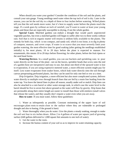When should you water your garden? Consider the condition of the soil and the plants, and consult your rain gauge. Young seedlings need water when the top inch of soil is dry. Later in the season, you can let the soil dry to a depth of three to four inches before watering. Wilted plants tell you that the soil needs more water, but it's best to supply water before the plants reach the stage. If a week goes by without an inch of rainfall, you'll want to water at least your young plants and those that are especially susceptible to drying, if not the whole garden.

**Special Cases**. Mulched gardens can endure a drought that would parch unprotected vegetable parches, but even a mulched garden will begin to suffer after two to three weeks without rain. Soil that is rich in organic matter will retains is seldom fully available to the plants. The remedy for both clay, which is too compact, and sandy soil, which is too loose, is to dig in plenty of compost, manure, and cover crops. If water is so scarce that you must severely limit your garden watering, the most effective time for good soaking (after getting the seedlings established initially) is, for most plants, 10 to 20 days before the plant is expected to manure. For ornamentals, this means 10 to 20 days before flowering; for other plants, before the fruit ripens or the seed head forms.

**Watering Devices**. In a small garden, you can use buckets and sprinkling cans to pour water directly on the base of the plant - not on the leaves, sprinkler heads that screw onto the end of a garden hose are inexpensive and easy to use, but about one-third of the sprayed water is lost to evaporation, if you are using expensive metered water, a more efficient system might pay for itself. Less water evaporates from soaker hoses, which leak water directly onto the soil through canvas presprouting perforated plastic, but they can be used for only one bed or row at a time.

*Drip Irrigation*. Drip irrigation, a more efficient but also more complicated system, delivers water directly to multiple rows through branch lines that are fed by a main line leading from the water tap. You leave the lateral lines in place all season, usually under soil or mulch. Drip lines can also be attached to a rain barrel or other water-storage tank, in which case the water level in the barrel should be five to seven feet above ground so the water will flow by gravity. Drip hoses that are permeable along their entire length are easier to install than those with emitters (small valves that release the water), and they usually don't require a water even when you are away.

**How to water**. If you must water, follow these guidelines:

1. Water as infrequently as possible. Constant moistening of the upper layer of soil encourages plant roots to retain close to the surface where they are vulnerable to prolonged drought and also to hoeing, if the ground is bare)

2. Water thoroughly when you do water. Give the plants a steady soaking, enough to make the soil wet four to six inches down. Allow 2 to 4 gallons of water per square yard of growing surface (640 gallons delivered to 1,000 square feet amounts to one inch of water).

- 3. Get the water to the roots.
- 4. Increase the humus content of your soil so as to improve its water-retaining capacity.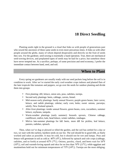## **18 Direct Seedling**

Planting seeds right in the ground is a ritual that links us with people of generations past who sowed the ancestors of these same seeds in even more precarious times. It links us with other people around the globe, many of whom depend desperately and directly on the fruit of seeds they sow. For the gardener, seed sowing is essentially a hand operation. True, there are mechanical seed-sowing devices, and preplanted tapes of seeds may be had for a price, but somehow these have never tempted me. At a sacrifice, perhaps, of some precision and seed economy, I prefer the immediate contact between hand, seed, and soil.

#### **When to Plant**

Every spring we gardeners are usually ready with our seed packets long before the soil is in condition to work. After we've started the early cool-weather crops indoors and planted flats of the later tropicals like tomatoes and peppers, we go over the seeds for outdoor planting and divide them into groups:

- First planting: dill, lettuce, onion sets, peas, radishes, turnips.
- Second early plantings: beets, cabbage, carrots, fennel.
- Mid-season early plantings: hardy annual flowers; purple green beans; later carrot, lettuce, and radish plantings; celeriac; early corn; leeks; sweet onions, parsnips; salsify; New Zealand spinach.
- After-frost plantings: tender annual flowers, green beans, corn, cucumbers, summer lettuce, soybeans, tampala.
- Warm-weather plantings (early summer): brussels sprouts, Chinese cabbage, cauliflower, endive, kale, head lettuce, winter radishes, rutabagas.
- Mid-to late-summer plantings for fall: beets, more dill for pickles, leaf lettuce, pansies, radishes, spinach.

Then, when we've dug or plowed or tilled the garden, and the soil has settled for a day or two, we start with the earliest, hardiest seeds on our list. The soil should be in good tilth, as finely worked and rakes as possible. It may be cold, but it should not be wet and lumpy. Peas and lettuce will germinate in soil as cold as  $40^0F (4^0C)$ , followed by spinach and cole crops (cabbage, radishes, and so forth) at around  $45^{\circ}F$  (7<sup>o</sup>C). Onions, parsley, chard, and beets wait for  $50^{\circ}F$ (10<sup>0</sup>C), soil and warmth-loving squash and okra for no less than  $70^0F(21^0C)$ , while eggplant and muskmelons hold out for minimum temperatures of  $75^{\circ}F (24^{\circ}C)$ . Turnips are the most obliging: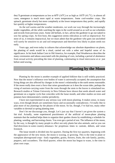they'll germinate at temperatures as low as  $60^{\circ}F (16^{\circ}C)$  or as high as  $105^{\circ}F (41.^{\circ}C)$ . in almost all cases, emergence is much more rapid at warm temperatures. Some cool-weather crops, like spinach, germinate slowly but more completely at the lower temperatures they prefer, and rapidly but spottily at higher temperatures.

As the soil warms and the weather moderates, we work our way through the increasingly tender vegetables, all the while watching the signs in the world around us as well as our schedules and records from previous years. Some old herbals, in fact, advise the gardener to go out naked to sow his spring crops. At first hoot, this suggestion seems ridiculous as well as impractical. For most of us, it remains impractical, but we must admit that the gardener who goes out unclothed will surely be sensitive to air and soil temperature and therefore less likely to plant seeds too early.

Years ago, and even today in cultures that acknowledge our absolute dependence on plants, the planting of seeds would be a ritual, carried out with a sober and hopeful sense of its significance. In his book Indian Corn in Old America, for example, Paul Weatherwax describes the many ceremonies and taboos associated with the planting of corn, including a period of abstinence from sexual activity preceding the time of planting, culminating in ritual intercourse at or just before seed sowing.

#### **Planting by the Moon**

Planting by the moon is another example of applied folklore that is still widely practiced. Now that the moon's influence over bodies of water is universally accepted, the assumption that living things are also affected by changes in the moon's relationship to the earth seems reasonable. If the moon really does exert a force that raises groundwater as it does the ocean tides, perhaps the rising of nutrient-carrying water from the roots through the stem to the leaves is stimulated too. Research studies at Tulane University in New Orleans have shown that seeds absorb water and germinate on a regular cycle that coincides with the lunar month, and other studies on trees and potatoes have demonstrated a similar periodicity.

I have not experimented in any serious way with moon planting. It makes sense, in many ways, even though details are sometimes fuzzy and occasionally contradictory. I'd really like to plan more of my plantings by the phases of the moon. So far, though, I've had too, many other variables to dovetail at spring planting time.

Don't let me discourage you, though. Let's just say that I haven't yet given the system a fair trial. Actually, some experienced practitioners of the artificial of moon-phase planting maintain that the method helps them to organize their garden chores by establishing a schedule for planting, weeding, and harvesting chores. You even get a period of rest. The influence of the moon, by the way, is thought by many people to affect not only plants but also animals, and so you can find directions in some country almanacs for propitious times to castrate, dehorn, and wean livestock.

The lunar month is divided into for quarters. During the first two quarters, beginning with the appearance of the new moon, the moon is waxing, or growing. This is the time to plant or transplant aboveground crops - leafy vegetables, grains, flowers, fruits, the cole family, parsley, peppers, and cucumbers. The third quarter, when the moon has begun to wane, is the time to plant root crops.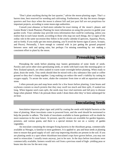"Don't plant anything during the last quarter," advise the moon-planting sages. That's a barren time, best reserved for weeding and cultivating. Furthermore, the day the moon changes quarters and four days when the moon is almost full and just past full are not propitious for important projects, according to some moon-sign authorities.

Consult your almanac or feed-store calendar for exact timing of the moon's phases and Louise Riotte's book Planetary Planting for more information on using this practice to guilde your garden work. Your calendar may provide extra information that could be confusing, unless you realize that in each lunar month, according to those who map out such things, the 12 signs of the zodiac rule in the same succession they follow in the yearly calendar (Capricorn, Aquarius, Pisces, and so forth). If you really get into moon planting, you'll avoid the barren signs (Cancer, Scorpio, and Pisces). Personally, I have enough to contend with in just getting the ground prepared between snow melt and spring rains, but perhaps I'm missing something by not making a consistent effort to plant by the moon.

#### **Presoaking Seeds**

Presoaking the seeds before planting may hasten germination of some kinds of seeds. Parsley and carrot other-slow-germinating seeds, or seeds with hard coats like morning-glory or New Zealand spinach, are often soaked in warm water overnight before planting. When ready to plant, drain the seeds. Tiny seeds should then be mixed with a dry substance like sand or coffee ground so they don't clump together. Long soaking can reduce the seed's viability by cutting its oxygen supply. To aerate the water, shake the container from time or add an aquarium aerator stone.

I often presoak pea and snap bean seeds for a few hours before planting. Lime beans and soybeans contain so much protein that they may swell too much and then split, if soaked too long. When legume seed coats split, the seeds may lose vital nutrients and fall prey to disease fungi when planted. When I do presoak these seeds I drain them after they've been submerged for an hour.

### **Inoculating Seeds**

Inoculation improves plant vigor and yield by coating the seeds with helpful bacteria at the time of planting. Most inoculants come in powered form, and the seed should be moistened to help the powder to adhere. The kinds of inoculants available to home gardeners will no doubt be more numerous in the near future. At present, specific strains are available for garden legumes, potatoes, and various grains, and there is a special mixture for use on a variety of garden vegetables.

An inoculant containing the nitrogen-fixing bacteria in the rhizobium group, commercially available as Nitragin, is familiar to most gardeners. It is applied to pea and bean seeds at planting time to ensure that good supply of soil- and crop improving rhizobia are present in the soil. If you are planting seeds in a spot where rhizobium-inoculated crops have grown before, you may not need to reinoculate. I usually treats anyway, just to be sure. In the days before inoculants were commercially available, farmers would mix soil from a previous stand of high- yielding peas or beans into the row for the next crop.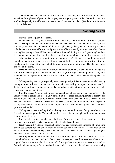Specific strains of the bacterium are available for different legume crops like alfalfa or clover, as well as for soybeans. If you are planting soybeans in your garden, either the field variety or a kind bred especially for table use, you need a special soybean inoculant. (See the source list at the back of this book).

## **Sowing Seeds**

Now it's time to plant those seeds.

**Mark the row**. First, you'll want to mark the row so that you have a guilde for sowing seeds in a straight line. An old farmer of our acquaintance maintains, with a twinkle in his eye, that you can grow more plants in a crooked than a straight rows (unless you are contouring around a hillside) use space more efficiently and prevent a lot of headaches if you use a Rototiller. There's nothing like getting to the middle of a row with the tiller and finding you can't get through without destroying some plants. I know - I've done it. Marking rows with a string tied to stakes at each end of the row is a method very familiar to most gardeners. What is not so generally recognized, though, is that your row will be marked more accurately if you tie the string near the bottom of the stakes, rather than at the top, so that it doesn't water around in the wind. Then hoe or rake to one side of the string.

**Prepare to row**. When making a furrow, common practice is to use the pointed edge of a hoe to form seedlings V-shaped trough. This is all right for large, sparsely planted seeds, but a wider, shallower depression in the soil allows seeds to spread out rather than tumble together in a clump.

When planting root crops, especially carrots and parsnips, I like to make a mounded row by raking up loose soil from both sides of the row. After smoothing the top of the mound to a flat 12-inch-wide surface, I broadcast the seeds, tamp them gently with a rake, and sprinkle a light covering of fine soil over them.

**Sow the seeds**. Planting depth affects both aeration and temperature surrounding the seeds. Soil at lowers is cooler and more tightly packed. In most cases, shallow planting is preferred in spring. Cover the seeds with no more than three times their diameter in soil. Firming of the seedbed is important to ensure close contact between seeds and soil. Ground moisture in spring is usually sufficient for germination. Occasionally I'll water carrot and parsley seeds into the row to get them well settled.

To help avoid overcrowding, find seeds may be mixed with three or four parts of sand, fine dry soil, or coffee grounds. Too much sand or other diluent, though, will cause an uneven distribution of the seeds.

Some gardeners like to make spot plantings. They place group of two to six seeds in the row, leaving a few inches between groups. Later, the plants are thinned.

**Early weeding**. Vegetable specialist Victor Tiedjens recommends a method of eliminating early weed competition that should work well if the soil has a fine texture. Rake an inch of fine soil over the row where you've just sown and covered seeds. Then, in about ten days, go along the row with it thousands of potential weeds.

**Identify Rows**. A last reminder from an absentminded gardener: mark the row you've just planted with a stake at each end and label it. Seed packets pull over the stakes look cheerful and hopeful, but the wind usually blows them off. Some gardeners staple the packets to the stakes. Record, indoors, what you've planted and where. After a few rains, the evidence of your having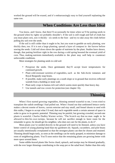worked the ground will be erased, and it's embarrassingly easy to find yourself replanting the same row.

### **When Conditions Are Less than Ideal**

You know, and I know, that there'll occasionally be times when we'll be putting seeds in the ground when by rights we probably shouldn't. If the soil is still rough and full of clods but you must plant corn, sow it thickly - six seeds to the foot - and try to rake away the clods before pulling dry soil over the seeds.

If the soil is still colder than it ought to be, but you want to gamble an early planting, sow thickly then, too. If it is not a large planting, spread a layer of compost in the furrow before sowing the seeds. Cold soil slows down the uptake of nutrients by the plant. Studies have shown, though, that putting fertilizer right in the row during a cold spring boosted the eventual yield of corn. Thus, making nutrients immediately available to the plant may well help to counteract unfavorable conditions.

More strategies for planting seeds in cold soil:

- Presprout the seeds. Once germinated, they'll accept lower temperatures for continued growth.
- Plant cold-resistant varieties of vegetables, such as the Sub-Arctic tomatoes and Royal Burgundy snap beans.
- If possible, make early plantings on a south slope or in ground that receives reflected warmth from a building or stone wall.
- Plant early crops in humus-rich soil which warms more quickly than heavy day.
- Use tunnels and row covers for protection (see chapter 16).

### **Thinning**

When I first started growing vegetables, thinning seemed wasteful to me, I even tried to transplant the radish seedlings I had pulled out. When I found out that unthinned lettuce rarely makes a decent rosette of leaves, carrots entwine and stay small, and fennel shoots to seed with thin stalks, I began to accept what I'd read, that each vegetable needs a certain amount of space in order to grow to its genetic potential. Thinning may be painful, but growing crowded, second-rate plants is wasteful. Charles Dudley Warner writes, "The Scotch say that no man ought to be allowed to thin his own turnips, because he will not sacrifice enough to leave room for the remainder to grow; he should get his neighbor, who does not care for the plants, to do it".

Most plants you've seeded directly in the ground will need to be thinned, unless you have better control of young planting hand than my gardeners do. Squash, cucumbers, and pole beans are usually intentionally overplanted so that the strongest plants can then be chosen and retained. Thinning should begin early, as soon as the seedlings can be easily grasped, to minimize damage to roots of neighboring plants. You'll soon notice that the remaining plants are growing better with more space around them.

Some edible-leaved plants like Swiss chard, spinach, and turnips may be thinned gradually, with the ever larger thinnings contributing to the soup pot or the salad bowl. Rather than thin only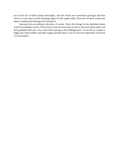part of the row of these plants thoroughly, thin the whole row somewhat sparingly and then return in a few days to pick thinnings again for the supper table. Firm the soil back around the plants if pulling out thinnings has loosened it.

Spacing varies according to the plant, of course. Check the listings for the individual plants in the encyclopedia section of this book to find out how many inches or feet each plant needs, and then gradually thin your way to that ideal spacing as the seedlings grow. If you live in a damp or foggy area where mildew and other fungus diseases thrive, you'll want to be especially careful not to crowd plants.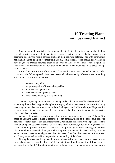# **19 Treating Plants with Seaweed Extract**

Some remarkable results have been obtained both in the laboratory and in the field by researchers using a spray of diluted liquified seaweed extract to treat plants. Gardeners are beginning to apply the results of these studies in their backyard patches, often with surprisingly noticeable benefits, and perhaps most telling of all, commercial growers of fruit and vegetables have begun to purchase seaweed products to spray on their crops. Some report a significant increase in yield from treated plants. Other notice that beneficial ladybugs are attracted to kelpsprayed plants.

Let's take a look at some of the beneficial results that have been obtained under controlled conditions. The following results have been measured and recorded by different scientists working with various crops in several nations:

- increase crop yields
- longer storage life of fruits and vegetables
- improved seed germination
- frost resistance in growing plants
- resistance to attack by insects and fungi

Studies, beginning in 1959 and continuing today, have repeatedly demonstrated that something does indeed happen when plants are sprayed with a seaweed extract solution. Why have we gardeners been so slow to apply these findings to our family food crops? Kept solution is nontoxic, easy to use, and moderate in cost. However, the idea is new to us, skepticism has too often squelched curiosity.

Actually, the practice of using seaweed to improve plant growth is very old. All along the shore of northern Europe, since at least the twelfth century, tillers of the land have collected seaweed for cattle fodder and soil improvement. Portuguese fishermen who kept their catches fresh by piling wet seaweed over the fish tossed the slimy stuff aside, often on their gardens, after it had served its primary purpose. Gradually, as people recognized that plants grew better in plots treated with seaweed, they gathered and spread it intentionally. Even earlier, centuries earlier, in fact, coastal Oriental gardeners had discovered the value of seaweed as a soil improver, and they systematically used it to help maintain the fertility of their land.

During the seventeenth, eighteenth, nineteenth centuries, the ash of burnt seaweed, known then as kelp, was used as a fertilizer. In 1912, a patent on a liquid preparation of dried seaweed was issued in England. A few studies on the use of liquid seaweed preparations were done during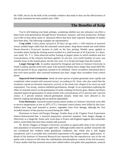the 1930s, but by far the bulk of the scientific evidence that tends to bear out the effectiveness of this plant treatment has been printed since 1960.

#### **The Benefits of Kelp**

You're still shaking your head, perhaps, wondering whether nay one substance can effect a plant from seed germination through flower formation, maturity, and fruit production. Perhaps you'd like to hear about some of measured effects that have been reported. Hundreds of studies have been done. The following examples are representative:

**Crop yields**. Celery plants sprayed at 20 days od age with a 1:100 solution of seaweed extract yielded larger stalks than the untreated control plants. Snap beans treated one week before bloom showed a 10 percent increase in yield on the first picking. Weekly spray applied to cucumber plants during the fruiting season resulted in a yield increase of 41.8 percent, in a threeyear study. Dr. T. L. Senn observed earlier fruiting of pepper plants to which medium and low concentrations of the solution had been applied. In one test, corn yield (number of ears) was actually lower in the treated plants, but the ears were 15 to 20 percent larger than the controls.

**Longer Storage Life.** In studies reported by Kingman and Senn at Clemson University in South Carolina, peaches from trees spray with seaweed solution had a longer than usual shelf life, and the growth of decay organisms seemed to be inhibited. Those cucumbers mentioned above that were more prolific after seaweed treatment also kept longer than cucumbers from control plants.

**Improved Seed Germination**. Seeds od some species of plants germinate more rapidly and completely when treated with seaweed extract, according to Dr. Senn, who also noted that the treatment caused accelerated respiratory activity in the seeds (see chapter 6 for more on seed respiration). Too strong solution inhibited germination, though. In an experiment exploring the effect of seaweed extract on the germination of seeds creeping red fescue grass, Button and Noyes reported improved germination of seeds treated with concentrations of 0.5 percent and 1 percent extract. A 5 percent solution reduced germination sharply. Seeds that were allowed to dry between soaking and planting did not perform dependably.

**Frost Resistance**. Seaweed-treated tomato plants studies at Clemson University were able to survive temperatures as low as  $29^0F(-2^0C)$ . Untreated control plants were killed by this frost. Eskimo have long used seaweed to protect vegetables from frost damage, although the first recorded instance of this practice occurred during the 1940s.

Resistance to Insect and Fungus Damage. Studies done at the Virginia Truck Experiment Station demonstrated that a seaweed preparation protected tomatoes from fungus damage as effectively as a fungicide. Some early work done in France and England suggests that nematodes tend to avoid fields that have been treated with seaweed.

Dr. Byrley Diggers of Rutgers University recorded an appreciable drop in the red spider mite population of seaweed-sprayed apple trees. Although studies done by another researcher did not corroborate this evidence under greenhouse conditions, this whole area is still largely unexplored, and it is possible that controlled experiments will suggest further applications. E. Booth of the Institute of Seaweed Research has reported that the reproductive rate of the red spider mite is known to fall when the carbohydrate and phosphorus content of the leaf increases. If more studies find that seaweed extract does indeed reduce red spider mite populations, research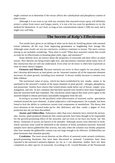might continue on to determine if the extract affects the carbohydrate and phosphorus content of plant tissues.

Although it is too soon to say with any certainty that seaweed extract spray will definitely protect a plant from insect and fungus attack, it is not a bit too soon for gardeners to try the method for themselves. It can't hurt, as long as low concentrations (about 1:100) are used, and it might very well help.

### **The Secrets of Kelp's Effectiveness**

Test results have given us an inkling of what can be done by fortifying plants with seaweed extract solutions, all the way from improving germination to lengthening fruit storage life. Although some results are not yet conclusive, evidence continues to mount. The more curious among us are probably wondering, "How does it work? What does seaweed contain that would account for its effectiveness in boosting plant yield, vigor, and resistance?"

Some definite facts are known about the properties of seaweeds and their effect on plant tissues. New theories are being tested right now, and speculation continues about many facts of this interaction that are still not understood. Even what we do know is often best expressed as what we know doesn't happen.

**Elements and Minerals**. Because nutrients are never in short supply for sea plants, they don't develop deficiencies as land plants can do. Seaweed contains all of the important elements necessary for plant growth, including trace minerals. It decays readily because it contains very little cellulose.

The nutritional value of spray, which has been established by test results, seems to be unrelated to the seaweed's content of the major elements in plant growth - nitrogen, phosphorus, and potassium. Studies have shown that treated plants made better use of boron, copper, iron, manganese, and zinc. In fact, tomatoes that had been sprayed were found to have more manganese than the seaweed itself had contained. The conclusion seems logical that some active agent in the seaweed helped to release previously unavailable manganese from the soil.

In trying to account for the peculiarly wide-effectiveness of seaweed, earlier speculation centered around the trace elements. A plant subjected to cold temperatures, for example, has been found to lack the ability to synthesize certain vital components of metabolism. The theory that trace elements in the seaweed make up for this deficiency and thus confer a degree of frost protection has not yet been discredited.

**Auxins and Gibberellins**. Substances other than trace elements have entered the picture, also. Auxins, plant-produced chemicals that control growth, have been thought to be responsible for the growth-promoting effect of the seaweed, and yet tests so far have not borne out this theory. Solutions of auxins are known to be unstable. Although auxins were detected in fresh, whole seaweed, none could be identified in the solution of dried, powdered seaweed. Seaweed samples have shown gibberellin-like activity, but only when the solution was freshly prepared; after four months the gibberellin content was not large enough to be effective. (Gibberellins are plant hormones that stimulate growth).

**Cytokinins**. The most recent theories on the effects of seaweed center around cytokinins, growth-promoting hormones that have been discovered in seaweed. Cytokinins have been reported in the seaweed Laminaria digitata (as far as I can determine, studies have not been completed on other species of seaweed). According to Dr. Gerald Blunden of the Portsmouth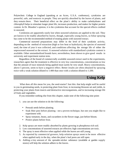Polytechnic College in England (speaking at an Acres, U.S.A. conference), cytokinins are powerful, safe, and nontoxic to people. They are quickly absorbed by the leaves of plants, and they remain there. Their beneficial effect on the plant's ability to make carbohydrates and chlorophyll helps to stimulate longer plant life, increases production, and makes for higher protein content. In Dr. Blunden's opinion, it is the cytokinins that account for the special effects credited to seaweed.

Cytokinins are apparently easily lost when seaweed solutions are applied to the soil. They are known to be readily absorbed by leaves, though, especially young leaves, so foliar spraying has come to be the recommended method of treating plants with seaweed extract.

Commercial seaweed preparations may differ in the level of their cytokinin activity, depending on the method of extraction (high or low heat or hydrolysis), the species of seaweed used, the time of year it was collected, and conditions affecting the storage life of either the unprocessed seaweed or the extract. A seaweed solution with standardized cytokinin content is available. Other unstandardized brands have, nevertheless, been shown to give good results in university and experiment station tests.

Regardless of the brand of commercially available seaweed extract used in the experiments, researchers agree that the treatment is effective in very low concentrations, concentrations so low that the amount of trace minerals being applied must surely be very small. Heavy concentrations, above 5 percent, seem to have a negative effect. Better results are often obtained by spraying twice with a weak solution diluted to 1:400 than once with a solution diluted to 1:200.

## **Using Kelp**

 What does all this mean for you, the seed-starter? Just this: that kelp might well be useful to you in germinating seeds, in protecting plant from frost, in increasing blossom set and yields, in protecting your plants from insects and destructive microorganisms, and in increasing storage life of fruits and vegetables.

If you remember nothing else from this chapter, make note of the following nine point:

- 1. you can use the solution to do the following:
	- Presoak seeds before planting.
	- Soak fiber pots before planting not a proven technique, but one you might like to experiment with.
	- Spray tomatoes, beans, and cucumbers in the flower stage, just before bloom.
	- Protect plants before frost.
- 2. Kelp sprays are more readily absorbed by plants growing in phosphorus-rich soil.
- 3. Low concentrations of seaweed extracts are effective; high concentrations are toxic.
- 4. The spray is most effective when applied while the leaves are still young.
- 5. As reported by commercial growers, kelp solution sprays seem to be more effective when applied early in the day, when the plant's leaf pores are still open.
- 6. Adding a tiny amount of the spreader-sticker substance (available at garden supply stores) will help the solution adhere to the leaves.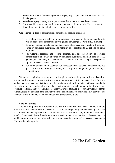- 7. You should use the first setting on the sprayer; tiny droplets are more easily absorbed than large ones.
- 8. You should spray not only the upper surfaces, but also the undersides of leaves.
- 9. For vegetable plants, one application per season is often enough. Use no more than three. Remember that cytokinins are absorbed by the leaf.

**Concentration**. Proper concentrations for different uses are a follows:

- for soaking seeds and bulbs before planting, or for presoaking pear pots, add one to two tablespoons of concentrate to two gallons of water (a 1:400 to 1:200 dilution).
- To spray vegetable plants, add one tablespoon of seaweed concentrate to 1 gallon of water or, for larger quantities, one-half pint of concentrate to 25 gallons (a 1:400) dilution).
- For watering seedbeds and rooting cuttings, add one tablespoon of seaweed concentrate to one quart of water or, for larger quantities, one-half pint to 7 1/2 gallons (approximately a 1:120 dilution). To control mildew, use eight tablespoons to 1 gallon of water (a 1:150 dilution).
- For potted plants and houseplants, add for teaspoons of seaweed concentrate to two quarts of water or, for larger amounts, one-half pint to ten gallons (approximately a 1:160 dilution).

We are just beginning to get more complete picture of what kelp can do for seeds and for garden and farm plants. Many questions remain unanswered, but the message I get from the studies that have been done is this: seaweed extract appears to be beneficial. Let's use it, and take careful note of our results. Mike and I have just begun to use kelp spray for frost protection, watering seedlings, and presoaking seeds. This year we're spraying more young vegetable plants. Although it is too soon for us to draw any definite conclusions, we are sufficiently convinced of the merit of the method to recommend that other gardeners try it, too.

#### **Kelp or Seaweed**?

The word kelp originally referred to the ash of burned brown seaweeds. Today the word kelp is used as a general term for the several varieties of large, many-celled ocean algae that are used to make extracts. Species most commonly harvested include Ascophyllum nodosum (knotted wrack), Fucus vesiculosus (bladder wrack), and various species of Laminaria. Seaweed extracts sold in stores are sometimes called kelp concentrate, sometimes seaweed extracts or concentrates. Use them interchangeably.

# **20 The Fall Garden**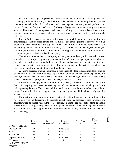One of the surest signs of gardening expertise, to my way of thinking, is the fall garden, still producing good food all the way to the first frost and even beyond. Something about fall gardens please me so much, in fact, that my husband and I have begun to seek out good fall gardens in our travels. One of my favorites had rows of silvery cabbage; red tomatoes; blue green brussels sprouts; ribbony leeks; fat, complacent rutabagas; and ruffly green escarole, all edged by a row of marigolds blooming with the deep, rich, almost glowing oranges and golds of those last few weeks before frost.

Such a garden doesn't just happen. It is very easy to let the rows peter out and the hills grow scraggly when the first planting of beans finishes and tomato picking takes over. Keeping a productive garden right up to the edge or winter takes a little planning and sometimes a little shoehorning, but the slight extra trouble will repay you well. Succession planting can double your garden's yield. Most cole crops, root vegetables, and types of lettuce will stay in good eating condition longer in cool fall weather than in spring.

The trick is to remember, in late spring and early summer, how good it was to have fresh young beets and turnips, crisp new greens, and delicate Chinese cabbage to put on the table last fall. After the spring rush, when both the early lettuce and cabbage and the later tomatoes and pepper have graduated from grow light to cold frame to garden, and the heat-loving melons have just been set out, I turn my attention to starting the fall crops.

A child's discarded wading pool makes a good starting bed for fall seedlings. If it's cracked on the bottom, all the better, you need to provide for drainage anyway. Some vegetables, like carrots, Chinese cabbage, winter radishes, and turnips, are planted right in the garden row, usually where an earlier crop - peas, early cabbage, lettuce, or radishes has finished.

For summer sowings, when weather is likely to be dry, I hoe out a slightly deeper furrow than I did in spring, and I take the watering can and run a stream of water all along the furrow before planting the seeds. Then I rake and firm dry, loose soil over the seeds. Often, especially for carrots, I scatter fine dry grass clippings over the planted grow, an additional ounce of prevention against crusty soil.

For most other midsummer plantings, I started seeds in flats, and transplant them to the row after a week of hardening off. Brussels sprout, escarole, cabbage, lettuce, broccoli, and cauliflower can be seeded right in the row, of course, but I find I can raise better plants and make more efficient use of garden space if I start the plants indoors or in flats in the open cold frame, and set them out in their appointed rows or odd corners when they're three to four inches high and flourishing.

 $Cov$ 

|                     | Days to<br>Maturity <sup>1</sup> | Days to<br>$+$<br>Germination <sup>2</sup> | Days to<br>$^{+}$<br>Transplanting | $+$ | $Short-Days +$<br>Factor | Days<br>before First<br>Frost <sup>4</sup> | $=$ | fro<br>Fro |  |
|---------------------|----------------------------------|--------------------------------------------|------------------------------------|-----|--------------------------|--------------------------------------------|-----|------------|--|
| <b>FROST TENDER</b> |                                  |                                            |                                    |     |                          |                                            |     |            |  |
| Beans, Snap         | 50                               |                                            | direct seed                        |     | 14                       | 14                                         |     |            |  |
| Corn                | 65                               | 4                                          | direct seed                        |     | 14                       | 14                                         |     |            |  |
| Cucumbers           | 55                               | 3                                          | direct seed                        |     | 14                       | 14                                         |     |            |  |
| Squash, Summer      | 50                               | 3                                          | direct seed                        |     | 14                       | 14                                         |     |            |  |
| Tomatoes            | 55                               | 6                                          | 21                                 |     | 14                       | 14                                         |     |            |  |
| SURVIVE LIGHT       |                                  |                                            |                                    |     |                          |                                            |     |            |  |
| <b>FROST</b>        |                                  |                                            |                                    |     |                          |                                            |     |            |  |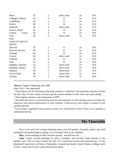| <b>Beets</b>            | 55 | 5              | direct seed | 14 | N/A |
|-------------------------|----|----------------|-------------|----|-----|
| Cabbage, Chinese        | 45 | 4              | 21          | 14 | N/A |
| Cauliflower             | 50 | 5              | 21          | 14 | N/A |
| Endive                  | 80 | 5              | 14          | 14 | N/A |
| Kohlrabi                | 45 | $\overline{4}$ | direct seed | 14 | N/A |
| Lettuce, Head           | 65 | 3              | 14          | 14 | N/A |
| Lettuce,<br>Loose-      | 45 | 3              | 14          | 14 | N/A |
| Leaf                    | 50 | 6              | direct seed | 14 | N/A |
| Peas                    |    |                |             |    |     |
| <b>SURVIVE HEAVY</b>    |    |                |             |    |     |
| <b>FROST</b>            |    |                |             |    |     |
| <b>Broccoli</b>         | 55 | 5              | 21          | 14 | N/A |
| <b>Brussels Sprouts</b> | 80 | 5              | 21          | 14 | N/A |
| Cabbage                 | 60 | 4              | 21          | 14 | N/A |
| Carrots                 | 65 | 6              | direct seed | 14 | N/A |
| Collards                | 55 | $\overline{4}$ | 21          | 14 | N/A |
| Kale                    | 55 | 5              | 21          | 14 | N/A |
| Radishes, Summer        | 25 | 3              | direct seed | 14 | N/A |
| Radishes, Winter        | 55 | 3              | direct seed | 14 | N/A |
| Spinach                 | 45 | 5              | direct seed | 14 | N/A |
| <b>Swiss Chard</b>      | 50 | 5              | direct seed | 14 | N/A |
| Turnips                 | 35 | $\overline{2}$ | direct seed | 14 | N/A |

**Source**: Organic Gardening, July 1980.

Note:  $N/A = Not$  applicable.

<sup>1</sup> These figures are for the fastest-maturing varieties I could find. Fast-maturing cultivars are best for fall crops. For the variety you have, get the correct number of days from your seed catalog.

<sup>2</sup> These figures assume a soil temperature of  $80^0$ F.

 $3$  The short-day factor is necessary because the time maturity in seed catalogs always assumes the long days and warm temperatures of early summer. Crops always take longer to mature in late summer and fall.

<sup>4</sup> Frost-tender vegetables must mature at least two weeks before frost if they are to produce a substantial harvest.

### **My Timetable**

Don't wait until fall to begin thinking about your fall garden. Actually, plants and seed starting for the garden begin in spring. As an example, look at my schedule.

**May**. I start seedlings of kale, brussels sprouts, and fall broccoli.

**June**. I make second plantings of carrot, cucumber, and zucchini seeds directly in the garden. July. This is a busy month. By July 25 is traditional turnip-seed planting day. A July planting of snap beans will bear in September. Around mid-month I plant Chinese cabbage seeds in flats. At the end of July, I plant head lettuce seeds.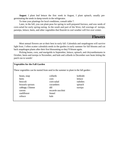**August**. I plant leaf lettuce the first week in August, I plant spinach, usually pregerminating the seeds in damp towels in the refrigerator.

To time your plantings for local conditions, consult table 7.

Later, in the fall, you can plant peas for spring in well-prepared furrows, and sow seeds of corn-salad for early spring eating. In the south and part of the West, fall sowings of turnips, parsnips, lettuce, beets, and other vegetables that flourish in cool weather will live over winter.

#### **Flowers**

Most annual flowers are at their best in early fall. Calendula and snapdragons will survive light frost. I often scatter calendula seeds in the garden in early summer for fall blooms and cut back snapdragon plants after their first blossoming so they'll bloom again.

Picking beans, corn, and marigolds in September, lettuce, spinach, and chrysanthemums in October, beets and turnips in November, and kale and collards in December sure beats letting the patch run to weeds!

#### **Vegetables for the Fall Garden**

These vegetables can be started from seed in the summer to plant in the fall garden :

beans, snap collards collards kohlrabi cauliflower fennel celtuce kale

beets corn lettuce broccoli corn-salad radishes brussels sprouts cucumbers spinach cabbage, Chinese dill turnips carrots escarole zucchini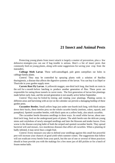### **21 Insect and Animal Pests**

Protecting young plants from insect attack is largely a matter of prevention, plus a few defensive strategies you can use if bug trouble is serious. Here's a list of insect pests that commonly feed on young plants, along with some suggestions for saving your crop from the marauders.

**Cabbage Moth Larvae**. These well-camouflaged, pale green caterpillars eat holes in cabbage-family plants.

*Control*. They may be controlled by spraying plants with a solution of Bacillus thuringiensis, a disease that affects the digestive systems of the larvae. You can buy it as Dipel or Thuricide in your garden supply store.

**Carrots Rust Fly Larvae**. A yellowish maggot, one-third inch long, that feeds on roots in the soil for a month before hatching to produce another generation of flies. These pests are responsible for eating those tunnels in carrot roots. The first generation of larvae hits plantings made before early June, and the second generation is not usually active before September.

*Control*. They may be foiled by timing and rotating your plantings. Planting carrots in different areas and harvesting with an eye on the calendar can prevent a damaging buildup of these garden pests.

**Cucumber Beetles**. Small yellow bugs just under one-fourth inch long, with black stripes down their backs, these beetles prey on the whole cucurbit family (melons, cukes, squash, and pumpkins). Spotted cucumber beetles, with black spots on a yellow body, also attack cucurbits.

The cucumber beetle threatens seedlings in three ways. Its small white larvae, about onethird inch long, feed on the underground parts of plants. The adult beetle eats the delicate young stems and cotyledons of newly emerged seedlings and later the blossom and tender leaves. Even worse is the disease-carrying habit of both the striped and spotted cucumber beetle. They spread bacterial wilt and mosaic, two murderous diseases that affect all cucurbits. When a planting id badly infested, it may never bear a single fruit.

*Control*. Every measure you take to defend your seedlings against this small but powerful pest will increase your chances of good yield when summer comes. The suggestions that follow will not eradicate every beetle from your patch, but the use of one or several of these practices should at least provide you with the makings for a few more jars of dill pickles or for a batch of frozen melon balls.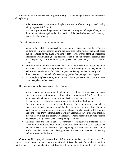Prevention of cucumber beetle damage starts early. The following measures should be taken before planting:

- order disease-resistant varieties of the plants that can be affected. A good seed catalog will give you this information.
- Try starting some seedlings indoors so they will be tougher and larger when you set them out - a defense against the direct action of the beetles but not, unfortunately, against the diseases they carry.

Then, at planting time, try the following methods:

- plan a ring of radishes around each hill of cucumbers, squash, or pumpkins. This can be done up to a week before planting the main crop in the hills, or the radish seeds can be scattered as you plant. I've done it both ways advance planting of radishes ensures ready and waiting beetle deterrent when the cucumber seeds sprout, a ploy that is especially useful when you plant presoaked cucumber (or other cucurbit) seeds.
- Bury onion skins in the hole when you plant your cucurbits. According to an experienced gardener who reported her success in following this advice, which she had read in an early issue of Rodale's Organic Gardening, the method really works. It doesn't seem to make much difference in my garden, but perhaps it will in yours.
- Try interplanting beans with your cucumbers. Some gardeners report that the beans seem to repel cucumber beetles.

Here are some controls you can apply after planting:

- in some cases, mulching around the plant apparently impedes progress of the larvae from underground to their adult feeding stations above ground. You'll need to do more than mulch, though, if your cucumber beetles are as numerous as mine!
- To trap the beetles, set out saucers of water with a thin film of oil on top.
- Dust with rotenone early in the season, before the first generation of beetles has a chance to reproduce. Rotenone, which breaks down in three to seven days, should be used cautiously near ponds since it is toxic to fish even when greatly diluted by rain and pond water. Derived from plants, it will not accumulate in your body as chemical insecticides will, but it is not entirely innocuous. Wear a mask when dusting with the powder and a long-sleeved shirt when spraying a solution.
- Scientists from the United States Department of Agriculture's Beneficial Insect Introduction Laboratory have found a nematode in the high Andes that parasitizes cucumber beetles there. Research is just beginning, but if the nematode proves to be useful cucumber beetles control here, gardeners from coast to coast will be cheering, and none more loudly than I!

**Cutworms**. These grayish pests are 1 to 1 1/2 inches long and curl up when exposed. The damage they do is large compared to the amount of plant tissue they eat. The trouble is that they operate at soil level, and so when they cut through a stem, the top of the plant dies. Well-rooted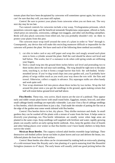tomato plant that have been decapitated by cutworms will sometimes sprout again, but since you can't be sure that they will, you must still replant.

*Control*. Be sure to protect your plants from cutworms when you set them out. The very next day may be too late.

Two natural controls for cutworms include a tiny wasp, Trichogramma prtiosum, which parasitizes cutworm eggs, and the beneficial nematode Neoplectana carpocapsae, offered as Seek, which preys on cutworms, wireworms, cabbage root maggots, and other soil-dwelling caterpillars. Birds will also pluck cutworms from tilled soil, but you probably shouldn't rely on them to protect your plants from this pest.

The cutworm must wrap itself around the stem of a plant in order to "bite" through it. Consequently, any device that will make this encircling maneuver difficult or impossible for the cutworm will protect the plant. We have used each of the following three method successfully:

- 1. cut slits in index card or any stiff paper and wrap the card snugly around each plant stem to form a cylinder around the plant. Half the card should be above soil level and half below. This works, but it's a nuisance to do when cold spring winds are stiffening your fingers.
- 2. Stick a small twig into the ground three inches below soil level and protruding two to three inches above the soil near each seedling,. The twig should be right next to the plant stem, touching it, so that it forms a tough barrier that foils the soft-bodied, bristlymouthed larvae. If you've dug wood chips into your garden soil, you'll probably have plenty of twigs within reach as you work your way down the row with the flats and trowel. Otherwise, collect a supply in advance. Dry asparagus stalks are often handy and work quite well.
- 3. Tear scrap aluminum foil into pieces about three inches by two inches. Wrap the foil around the plant stem a you get the seedlings in the ground, again making certain that half will extent below ground level and half above.

**Flea Beetles**. These tiny, very active, black insects are the size of a pinhead. They appear early and riddle certain plant leaves with small round holes. Eggplant, tomato, broccoli, and other small cabbage-family seedlings are especially vulnerable. Last year I lost a flat of cabbage seedlings to flea beetles, which devoured them in just a day. I had made the mistake of putting the flat out at the edge of the garden near some weeds infested with flea beetles.

*Control*. Flea beetles thrive in hot, dry places. They dislike moisture and shade. In small gardens they can be washed off the plants with a stream of water from the hose. It helps some to diversify your plantings, too. Flea beetle infestations are usually worse when large areas are planted to the same crops. Keep seedlings well supplied with fertilizer and water; rapidly growing plants can usually outlive an early-spring beetle outbreak. Also, keep the garden clear of boards and other hiding places over winter so that flea beetles won't have handy shelters to help them survive the winter.

**Mexican Bean Beetles**. The coppery-colored adult beetles resemble large ladybugs. Their destructive soft-bodied yellow larvae eat holes in plant leaves and scar and deform the beans, too. Affected plants die from loss of leaf surface.

*Control*. Bean beetles also often can be circumvented by making both an extra-early planting of a cold-resistant bean like Royalty and a late planting of a quick-maturing kind like Bountiful Stringless (matures in 47 days). The early beans will usually yield one good picking before the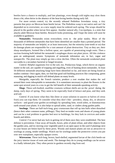beetles have a chance to multiply, and late plantings, even though cold nights may slow them down a bit, often thrive in the absence of the heat-loving beetles during early fall.

For more certain control, try the recently released Pediobius foveolatus wasp, a tiny parasite that preys on Mexican bean beetle larvae. The Pediobius wasp is not native and can't be depended on to overwinter, so a new supply must be ordered each spring. The wraps should be placed in the garden when larvae first appear. Another natural ally, Coccipolipus, is a mite that attacks adult Mexican bean beetles. Research looks promising, and I hope the mites will soon be available to gardeners.

**Nematodes**. Nematodes exists everywhere, even in the polar tundra. Most of the thousands of different nematodes that have been identified are smaller than a printed period. The majority of nematodes are helpful, or at least innocuous, but the minority (one-tenth or so) that do damage plants are responsible for a vast amount of plant destruction. Tiny as they are, their sharp mouthparts, formed like a hollow spear, are capable of penetrating tough roots. Then a suction-forming bulb behind the nematode's esophagus draws out plant juices. All this violence goes on underground, unseen. Symptoms of nematode infestation are, in fact, vague and nonspecific. The plant may simply go into a slow decline. Often the nematode-weakened plant succumbs to a secondary bacterial or fungal invasion.

*Control*. Helpful organisms live in the soil, too. Predacious fungi, which thrive on organic matter in the soil, are capable of trapping and engulfing, even of hunting down nematodes. At least 50 different nematode-attacking fungi have been identified so far, and more are being found as studies continue. Once again, then, we find that good soil-building practices like composting, green manuring, and digging in mulch will defend plants on many levels.

Marigolds, especially the French varieties, produce a root exudate that makes the soil around their roots inhospitable to nematodes. It is sometimes necessary to plant the flowers in the same spot several years in a row to get the full benefit of their nematode-spooking activity.

**Slugs**. These soft-bodied, snaillike creatures without shells are on the prowl during the damp, early days of spring. They seem to be especially fond of lettuce and peas, and they seek acid soil.

*Control*. If you know what they like (beer or yeast solution in saucers or halves of citrus fruit) you can trap them. Or consider what they don't like - powdery, sharp, dry, or abrasive surfaces - and guard your garden accordingly by spreading lime, wood ashes, or diatomaceous earth around your plants. It is also helps to spread ashes, sand, or cinders along garden paths.

**Sowbugs**. These are half-inch-long, gray crustaceans that roll up into balls when disturbed (hence their other common name, pillbugs). They feed on tender roots and shoots of young plants and can be a real problem in garden bed next to buildings, for they lurk in crevices and under boards and debris.

*Control*. I've never had any luck in getting rid of them once they were established. The best defense is prevention. Clear away all boards, boxes, piles of plant refuse, and other objects from the garden area, and try moving your vegetable patch to an open space in the yard if plantings next to your house are bitten hard by these pests. Woody and mature plants are not as attractive to sowbugs as young, tender seedlings. Watch out for sowbugs under the protective covers you put over new transplants, especially opaque covers.

**Wireworms**. These inch-long, brown, hard-shelled, segmented larvae of the click beetle eat the juicy interior tissue of roots and seeds. The damage they do to young seedlings can be severe in a badly infested plot. They often persist in gardens recently dug from sod.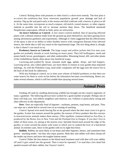*Control*. Baiting them with potatoes or other food is a short-term remedy. The best plan is to correct the conditions that favor wireworm population growth: poor drainage and lack of aeration. Dig up the sod patch early in the season and disk (cultivate with a harrow or plow) or till it. At the same time, incorporate as much compost, old mulch, rooted manure, or other organic material as possible into the soil to increase aeration deep down. The beneficial nematode Neoplectana carpocapsae, offered as Seek, preys on wireworms.

**An insect Solution as Control**. A new insect-control method, that of spraying affected plants with a diluted solution made from the ground-up pests themselves, has been gaining favor among adventurous gardeners and experiments. Although it's been suggested that the effectiveness of the spray is due to its ability to infect healthy insects with contagious diseases from infected insects, the whole idea is still very much in the experimental stage. The nice thing about it, though, is that it doesn't cost much to try.

**Predatory Insects as Controls**. The large wasps and yellow jackets that live near your garden are probably already at work feasting on insect pests. They kill leafhoppers, moth and potato beetle larvae, grasshoppers, and other undesirables. Blooming fennel, dill, and other plants of the Umbelliferae family often attract tiny beneficial wasps.

Lacewing and syrphid fly larvae consume moth eggs, aphids, thrips, and leaf hoppers. Lacewing larvae, also called aphid lions, are more likely to remain in your garden than imported ladybugs. As with the Pediobius wasp, mail-order companies sell the eggs (see the source list in the back of this book for addresses).

With any biological control, try to time your release of helpful predators so that there are some insects for them to work on but before the infestation becomes overwhelming. Better yet, make several releases, which is still less trouble than spraying several times.

## **Animal Pests**

Fending off raids by seedling-destroying wildlife has brought out the creative ingenuity of many a gardener. The following devices have worked for a good number of people. Perhaps one of them will help you. Ask elderly neighbors and relatives, too. Folklore is particularly strong and often effective in this department.

**Deer**. Deer are especially fond of legumes - soybeans, peanuts, snap beans, and peas. They can wipe out a whole bed or several rows in an evening of snacking.

*Control*. Spread wire-mesh fencing flat on the ground where the deer must cross it to get to the garden. Scatter lion manure around the garden; the essence of fierce predator that this conveys to noncarnivorous animals makes them uneasy. (This repellent, commercialized as Zoo-Doo, is produced by the Bronx Zoo in New York and the Portland Zoo in Oregon. If you don't live in either of these areas, try asking at the nearest zoo). Sprinkle blood meal around the edge of the garden, or water around the plants with water in which you've soaked the liver of a butchered animal. In extreme cases, fence in the garden with six-to eight-foot fence.

**Rabbits**. Rabbits are most likely to eat beans and other legumes, lettuce, and sometimes beet greens - anything tender - but they also enjoy pansies. Both deer and rabbits will often chomp off the tender top leaves and leave the tougher bottom stems.

*Control*. Either the lion manure or the blood meal treatment used with deer will scare rabbits off until it gets rained into the ground. Then it must be repeated. I've read that a few dead fish spotted around will deter rabbits, but I haven't tried it.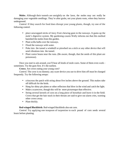**Moles**. Although their tunnels are unsightly on the lawn, the moles may not really be damaging your vegetable seedlings. They're after grubs, not your plants roots, when they burrow underground.

*Control*. If they search for food does disrupt your young plants, though, try one of the following control:

- place unwrapped sticks of Juicy Fruit chewing gum in the runways. It gums up the mole's digestive system. My gardening cousin Wally informs me that this method banished the moles from this garden.
- Plant scilla bulbs over the runways.
- Flood the runways with water.
- Poke into the tunnel a windmill or pinwheel on a stick or any other device that will send vibrations into the tunnel.
- Plant castor beans near the runs. (Be aware, though, that the seeds of this plant are poisonous).

Once you start to ask around, you'll hear all kinds of mole cures. Some of them even work sometimes. Try the gum first. It's the earliest.

**Crows**. Are crows eating your young corn?

*Control*. The crow is no dummy; any scare device you use to drive him off must be changed frequently. Try the following setups:

- crisscross the patch with string about five inches above the ground. This makes take off difficult for the birds.
- Hang fur shiny pie plates or other reflectors that blow in the wind and catch the light.
- Make a scarecrow, though this will be more picturesque than effective.
- String several kernels of corn on a long piece of horsehair and leave it in the field. Crows that get the hair stuck in their throats are said to give out alarm cries, warning other crows away.
- Plant thickly.

**Red-winged Blackbirds**. Red-winged blackbirds also eat corn.

*Control*. Try applying one teaspoon of turpentine to each pound of corn seeds several hours before planting.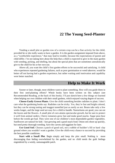## **22 The Young Seed-Planter**

Tending a small plot or garden row of a certain crop can be a fine activity for the child, provided he or she really wants to have a garden. It is the garden assignment imposed from above, as a "worthwhile experience," that may lead to trouble, because the expectations of parent and child differ. I'm not taking here about the help that a child is expected to give in the main garden with weeding, picking, and shelling, but about the special plots that are sometimes unrealistically give to the child for his or her own use.

Above all, you want the child's first garden efforts to be successful and satisfying. A child who experiences repeated gardening failures, such as poor germination or weed takeover, would be better off not having had a garden experience, but rather waiting until motivation and capability were better matched.

#### **Help to Make It Work**

Sooner or later, though, most children want to plant something. How will you guide them in their first seed-planting efforts? Whole books have been written on this subject (see Recommended Reading, at the back of this book). I'll just sketch here a few things we learned when helping our own children with their small gardens, which enjoyed varying degree of success.

**Choose Easily Grown Plants**. Give the child something besides radishes to plant. I don't care what the gardening books say: Radishes can be tricky. Yes, they're fast and bright colored, but they can be strong tasting and maggot tunnelled just as easily as not. Beans take only a few weeks longer, and the large seed are easy for a child to handle. Nasturtiums are good, you can eat the leaves and the flowers. A small plot of corn attains spectacular growth, but be sure to protect it well from animal raiders. Cherry tomatoes grow fast and make good snacks. Sugar peas bear before the weeds get bad. They were one of our children's most dependable garden vegetables. Sunflowers are natural for kids - fast growing and a good snack food. Onion sets shoot up quickly, but need pretty thorough weeding. Save the carrots and eggplant for later.

**Use Good Soil**. Choose a patch of good soil, not a rubble of builder's fill or hard clay ground where you wouldn't want a garden. Give the child every chance to succeed by providing the best possible conditions.

**Start with a Small Plot.** Begin simply and keep the plot small. Nothing is more discouraging than feeling overwhelmed by the garden, and no child needs the guilt feelings engendered by a weedy, unmanageable patch.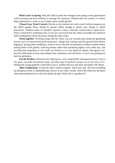**Plant Later in Spring**. Help the child to plant late enough in the spring so that germination will be prompt and frost unlikely to damage the planting. Children like fast results; it's better delay planting for a week or two to help ensure steady growth.

**Choose Easy Weed Control**. Decide on the method od weed control before mapping out the child's garden. Rows should be spaced widely enough to permit easy hoeing or mulch placement. Children under 12 shouldn't operate a rotary cultivator without direct supervision. Plant a solid bed if something only if you are convinced that the child can handle the intensive hand weeding that will be necessary during the early weeks.

**Work together**. Working along with the child, you can casually pass along the gardening lessons you've learned from hard experience - things like waiting until the ground dries before digging it, giving indoor seedlings a week or two to become accustomed to outdoor weather before putting them in the garden, watering deeply rather than sprinkling lightly every other day, and avoiding the temptation to sow seeds too thickly or to cover them too deeply. Recognize, too, that the child needs to learn some things from experience, and will learn, if you're not pushing too hard for perfection.

**Eat the Produce**. Whatever the child grows, use it respectfully and appreciatively. Even a few peas can make pea-potato soup. Zucchini may be picked young so as to use more of it. Perhaps the young gardener would like to eat it, stuffed with rice and meat and toped with cheese.

**Allow Exploration**. Accept the child's need to explore, which may take the form of pulling up half-grown beets or dismembering a flower to see what's inside. And if the child eats the beans when harvesting from his or her five plants, be glad. What else is a garden for?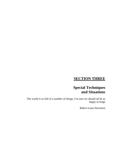# **SECTION THREE**

# **Special Techniques and Situations**

The world is so full of a number of things, I'm sure we should all be as happy as kings

*Robert Louis Stevenson*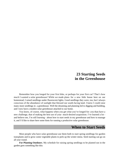# **23 Starting Seeds in the Greenhouse**

Remember how you longed for your first bike, or perhaps for your first car? That's how much I wanted a solar greenhouse! While we made plans for a new little house here on our homestead, I raised seedlings under fluorescent lights. Good seedlings they were, too, but I always conscious of the abundance of sunlight that blessed our south-facing land. I knew I could raise many more seedlings in a greenhouse. Well the dreaming and planning led to digging and building, and I now have a modest solar greenhouse attached to our home.

You know, of course, what happens when you get what you've longed for: you than have a new challenge, that of making the best use of your much-desired acquisition. I've learned a lot and believe me, I'm still learning - about how to start seeds in my greenhouse and how to manage it, and I'd like to share here some hints for running a productive solar greenhouse.

## **When to Start Seeds**

Most people who have solar greenhouse use them both to start spring seedlings for garden transplants and to grow some vegetable plants to perk up the winter menu. Seed starting can go on all year round.

**For Planting Outdoors**. My schedule for raising spring seedlings to be planted out in the garden goes something like this: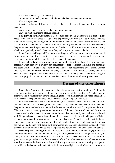*December* - pansies (if I remember!)

*January* - chives, leeks, onions, and Siberia and other cold-resistant tomatoes

*February*- peppers

*March* - hardy annual flowers, broccoli, cabbage, cauliflower, lettuce, parsley, and some tomatoes

*April* - more annual flowers, eggplant, and more tomatoes

*May* - cucumbers, melons, okra, and squash

**For growing in the Greenhouse**. To produce food in the greenhouse, it's best to plant seeds for fall and winter crops in August and September, while the sun is still strong; then you plants will be sturdy and well grown by the time cold weather and short days arrive. I start seeds of leaf crops in September and then transplant the seedlings six inched apart into the deep bed in the greenhouse. Seedlings can often remain in the flat, on hold, for another two months, during which time I gradually transfer them to the deep bed as space becomes available.

I sow Chinese cabbage and Bibb lettuce seeds again in December for late winter harvest. A for cucumbers - one of my favorite greenhouse crops - I start seeds in August for early winter cukes and again in March for vines that will produce until summer.

In general, leafy plans are more productive under glass than those that produce fruit, especially when light levels are low, but cucumbers produce well from fall and spring plantings, and beans will bear in late spring. From my experience, I can recommend Swiss chard, Chinese cabbage, leaf and butterhead lettuce, radishes, cucumbers, cherry tomatoes, beans, and New Zealand spinach as good solar greenhouse food crops, but don't stop there. Other gardeners grow beets, turnips, garlic, watercress, and many other crops in their unheated solar greenhouses.

## **Design of the Greenhouse**

Space doesn't permit a discussion of detail of greenhouse construction here. Whole books have been written on that subject alone. For the purposes of this chapter, we'll define a solar greenhouse as a structure that admits enough light to foster plant growth and stores enough heat from the sum to keep temperatures above freezing without using auxiliary heat.

Our solar greenhouse is not a textbook ideal, but it serves us very well. It's small - 8 by 12 feet - with a high ceiling. A deep growing bed, enclosed by a concrete block wall, runs the length of the greenhouse's south side. On the north side, we've settled five steel drums painted black and filled with water to soak up and store the warmth of the sun. On top of the steel drums, we created a work surface made of strips of locust lumber. Two locust-strip shelves line the tall north wall. The greenhouse's concrete block foundation is insulated on the outside with panels of 2-inch urethane foam faced by pressured-treated exterior plywood. We used vertically installed patio replacement doors for the glazing and kept the well-insulated west wall unglazed. Our greenhouse has two 21- by 36-inch vent doors, both sandwiches of 1 1/2-inch Styrofoam fastened between panels of exterior plywood. The ceiling is unglazed and heavily insulated with Styrofoam panels.

**Preparing the Growing Bed.** If at all possible, you'll want to include a large growing bed in your greenhouse. This massive hunk of soil, of course, serves as the growing medium for your plants, but it also provides thermal mass to absorb and retain the sun warmth. When we built our greenhouse, we poured concrete for that section of the floor where we would walk and where we would store water-filled steel drums, but we left the ground area under our growing bed open so the soil in the bed could drain well. We built the two-foot-high bed wall of concrete blocks; then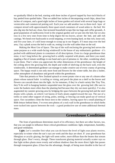we gradually filled in the bed, starting with three inches of gravel topped by four-inch blocks of hay peeled from spoiled bales. Then we added four inches of decomposing wood chips, about four inches of compost, and a good eight inches of loose garden soil mixed with several large bags or vermiculite and commercial potting soil. Each year we add another two to three-inch layer of compost mixed with approximately three quart-sized containers of wood ashes to the bed. We also dig into the bed any clean, fine-textured household scraps like tea bags and coffee grounds. A good population of earthworms lived in the original garden soil we put into the bed, but we also toss in a few new ones from time to help digest the tea leaves, aerate the bed, and add rich castings. We bend over backwards to avoid stepping, or even leaning hard, on that rich, loose soil, and five year later, it's still loose enough to scoop up in our fingers. If I must step over the bed area, I lay a plank across the bed to walk on, resting it on the wall rather than on the soil.

Making the Most Use of Space. The top of the wall enclosing the growing bed serves the same purpose as a wide south-facing windowsill in the house of any enthusiastic gardener - it's packed with additional plants in containers of all descriptions. Even in a large greenhouse than mine, it isn't long before the growing bed is solidly carpeted with plants, and there you stand, juggling a flat of tomato seedlings in one hand and a pot of petunias in the other, wondering where to put them. That's when you appreciate the other dimensions of the greenhouse: the height of the ceiling above the growing bed, the depth and width of shelving on the back wall, even the windowsills. A determined gardener can manage to make creative use of every cranny of growing space. The happy result is not only more food and flowers for the winter table, but also a lusher, softer atmosphere of abundance and growth within the greenhouse.

Take that petunia or New Zealand spinach or sweet potato vine or any one of a dozen other plants whose natural habit is trailing or vining, and perch the plant on a shelf so the leaves and flowers can cascade down into the light. As for tomatoes, if they're a bush variety like Tiny Tim, they'll do well in hanging baskets suspended near the glass over the growing bed. (Be sure to water the baskets more often than the planting bed because they dry out more quickly). I've also augmented my sunnier growing area by bridging the space between the growing bed and the steel drums with a plank, on which I set basins of leafy plants angled toward the sun. The use of a trellis or some other support of string, poles, netting, or fencing can make good use of vertical space. Our cucumbers clime the fence next to the window, leaving space for a small planting of Bibb lettuce behind them. I've even seen photos of a rock wall in the greenhouse in which herbs were tucked into spaces between the rock - a good productive use of some additional thermal mass.

### **Greenhouse Conditions**

The from of greenhouse determines much of its efficiency, but there are other factors, too, that you can jungle to influence those critical greenhouse conditions: light, temperature, humidity, and good ventilation.

Light. Let's consider first what you can do boost the level of light your plants receive, especially in winter when the sun's rays are week and the days are short. If your greenhouse has fiberglass or acrylic glazing, the light will seem softer, more diffuse than the beams that stream through glass. Don't worry, though. These translucent glazing material actually scatter rays so that light strikes plants more evenly and without shadows than the more direct light that passes through transparent glass. (Glass has the advantage, though, of being more durable in the face of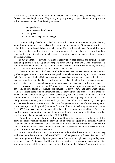ultraviolet rays, which tend to deteriorate fiberglass and acrylic panels). Most vegetable and flower plants need eight hours of light a day to grow properly. If your plants are hungry plants will show one or more of the following symptoms:

- elongated stems
- sparse leaves and frail stems
- slow growth
- excessive leaning toward the light

To increase light levels, first check to be sure that there are no tree, wood piles, leaning snow shoves, or any other materials outside that shade the greenhouse. Next, and most effective, paint all interior walls and shelves with white paint. Use exterior-grade paint for durability in the greenhouse's high humidity. If you use heat-storing barrels that face the sun on one side and the plants on the other side, slap some white paint on the side close to the plants but not, of course, on the sunny side.

In my greenhouse, I have to watch my tendency to let bags of moss and potting soil, clay pots, and planting flats pile up and cover parts of the white-painted wall. This clutter makes a good home for Toad, who likes to take his winter vacation in our little solar space, but it also absorbs a lot of light that would otherwise reflect back on plants.

Shane Smith, whose book The Bountiful Solar Greenhouse has been one of my most helpful guides, suggests that for continued summer production when there's plenty of warmth but less light from the sun, which is high in the sky, growers can hang a white sheet over the black barrels to reflect more light onto the plants. Smith also suggests that when light levels are on the low side, you'd be wise to keep the greenhouse as warm as you can and also avoid crowding the plants.

**Temperature**. On a snowbound February day, stepping into your warm, sunny greenhouse can really lift your spirits. Greenhouse temperatures soar to  $90^0F(32^0C)$  and above when sunlight is intense. In fact, some folks find that when they are growing the kind of cool weather crops best suited to the winter solar grow space, overheating can cause more problems than cold temperatures. A carefully sealed, well-insulated greenhouse with plenty of thermal mass isn't likely to freeze in winter, unless someone forgets, as I once did, to latch the door. (It blew open, and that was the end of winter tomato plants for that year!) Short of periods overheating won't hurt most crops, but a long spell (more than four to six hours) of sweltering temperatures, above  $90^{\circ}F(32^{\circ}C)$ , can make cool-weather vegetables like Chinese cabbage tough and bitter. Even plants that like warmer temperatures, such as tomatoes, will suffer from poor pollination and other problems when the thermometer goes above  $100^0$ F (38<sup>0</sup>C).

To moderate wild swings from cool to hot, add more thermal mass - another water-filled barrel or a brick retaining wall for the growing bed, or water-filled jugs on the shelves. When we installed a tank in our greenhouse to preheat household water, we noticed that the air temperature tended to retain steadier because more heat was being absorbed and slowly released by the 30 gallons of water in the black-painted tank.

At the other end of the scale, plant roots aren't able to absorb water or soil nutrients very well when the soil temperature is below  $45^{0}F (7^{0}C)$ . (Soil temperature, by the way, is more critical than air temperature). Lower night temperatures don't seem to hurt plants as long as they don't go below freezing. A big mass of soil like that in our growing bed is slower to warm up but better at retaining its warmth than the clay pots we have lined up on the shelves. Watering with warm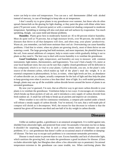water can help to raise soil temperature. You can use a soil thermometer (filled with alcohol instead of mercury, in case of breakage) to keep tabs on air temperature.

I don't usually try to grow plants in my greenhouse over summer, but those who do often spread cheesecloth on the glazing for light shading, or they paint the glass with dilute white latex paint (70 percent water, 30 percent paint) or with a commercial shading compound to moderate temperature. Sprinkling or misting will also cool plant and soil surfaces by evaporation. Too much sprinkling, though, can cause mold and disease problems.

**Humidity**. Plants grow best in moderately humid air: 45 to 60 percent relative humidity. Most do quite well at 70 percent, but at high moisture levels, over 90 percent, the molds and diseases that thrive in all that dampness will slow, and often stop, your plants' productivity. Warm air, you remember, can hold more moisture than cool air. Overwatering can cause humidity problems. I find that in winter, when my plants are growing slowly, most of them thrive on one watering a week. The large growing bed hold moisture, and more important, the plentiful humus in the soil, from annual additions of compost, help to retain water while gradually doling it out to plants as they need it. The best way to deal with excess humidity is to ventilate the greenhouse.

**Good Ventilation**. Light, temperature, and humidity are easy to measure with common instruments: light meters, thermometers, and hygrometers. You won't find a handy  $CO<sub>2</sub>$  meter at your local hardware store, but you can be sure that a tightly closed greenhouse will be deficient in this compound, which is so vital to your plants. Carbon dioxide, you see, in the plant's only source of the element carbon, which makes up half of the plant's total dry weight. It is an essential component in photosynthesis. In fact, in winter, when light levels are low, an abundance of carbon dioxide can ,to a degree, actually compensate for the lack of light and thus help the plant to keep growing even when it receives a less than ideal dose of light. In a well-sealed greenhouse, though, plants may use up all the available carbon dioxide hovers around the leaves of plants in an unvented greenhouse.

By now you've guessed, I'm sure, that an effective way to get more carbon dioxide to your plants is to ventilate the greenhouse. Ventilation helps in two ways: It encourages air circulation, which breaks up those pockets of sale air, and it introduces a new supply of carbon dioxide from fresh outdoor air. A small fan will help to break up air pockets and improve air circulation.

When weather is too cold for continuous ventilation, a compost pile stashed under a bench will release a steady supply of carbon dioxide. You've noticed, I'm sure, that a well-made pile of compost will shrink as it decomposes. Well, the reason for that decrease in volume is that the material has given off between one-third and one-half of its dry weight in carbon dioxide.

#### **Diseases**

Unlike an outdoor garden, a greenhouse is an unnatural arrangement. It is roofed against rain, shielded from ultraviolet light, and protected from wind. Occasionally it becomes too hot or damp. It shouldn't be surprising, then, that in such a setup certain insects and diseases can cause problems. It's a rare greenhouse that doesn't suffer an occasional attack of whiteflies or dampingoff disease. The best way to escape such problems is to concentrate nematodes prevention.

Disease is much easier to prevent than to cure. Excess humidity and lack of ultraviolet light, which sanitizes the growing bed, can make the greenhouse a good incubator for disease. (Glass excludes ultraviolet light, but fiberglass does allow a few ultraviolet rays to penetrate). Occasional temperature extremes in the greenhouse can cause trouble, too. When cool-loving plants like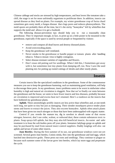Chinese cabbage and stocks are stressed by high temperatures, and heat lovers like tomatoes take a chill, the stage is set for more unfriendly organisms to proliferate there. In addition, insects can spread disease as they feed on plants. For example, my winter greenhouse crop of Swiss chard sometimes gets sooty mold, a fungus disease that clogs pores and reduces photosynthesis. The mold spores are probably there all the time, but it's the sticky "honeydew" left by whiteflies that supports the mold and allows it to get a foothold.

The following disease-prevention tips should help you to run a reasonably clean greenhouse. They're important enough, in fact, to print up on a little poster to be mounted in the greenhouse, especially if the space is used by several people or frequented by visitors:

- remove and compost all dead leaves and destroy diseased plants.
- Avoid overcrowding plants.
- Keep the greenhouse well ventilated.
- Never smoke in the greenhouse or handle pepper or tomato plants after handling tobacco. Tobacco mosaic virus is highly contagious.
- Select disease-resistant varieties of vegetables and flowers.
- Don't reuse old potting soil for seedlings. When I did this, I Sometimes got away with it, but sometimes lost tiny plants from damping-off, too. Now I save the used planting mix for potting up rooted cuttings of shrubs and other sturdy plants.

#### **Insects**

Certain insects like the specialized conditions in the greenhouse. Some of the commonsense measures you use to keep the greenhouse humming, such as maintaining good ventilation, will help to discourage these pests. In my greenhouse, insect problems seem to be worst in midwinter when humidity is high and natural air circulation is sluggish. Now that we've finally cut vents between the greenhouse and the house, we seem to have fewer insects and less diseases, probably because air circulation is improved and excess heat isn't retained. Here's a rundown on the insects that have bothered my greenhouse plants.

**Aphids**. These astonishingly prolific insects are less active than whiteflies and, at one-tenth inch long, not quite so tiny but just as damaging. Their slender mouthparts pierce tender plant stems and leaves to extract the juices. They also excrete honeydew. Aphids often attack plants that have been given too much nitrogen or those that have been undersupplied with organic matter.

*Control*. If you overdo the manure tea, dig in sawdust to absorb some of that excess nitrogen; however, don't use cedar, walnut, or redwood dust; these contain substances toxic to plants. Soap sprays kill aphids, but they may also kill beneficial insects. An easier and safer treatment is to hose the soft-bodies pests off your plants. Immature ladybugs gorge on aphids and may be purchased by mail from natural insect control suppliers. Daddy longlegs will also eat aphids and larvae of some other insects.

**June Beetles**. During the first summer of its use, our greenhouse windows were not yet screened. Several green June beetles, Cotinis nitida, flew into the greenhouse and laid eggs, which hatched into destructive grubs. These pests eat roots and seedlings. They continue to plague us because each summer some of the larvae grow into beetles, which lay more eggs and perpetuate the cycle.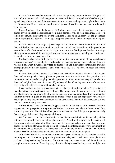*Control*. Had we installed screens before that first growing season or before filling the bed with soil, the beetles could not have gotten in. To control them, I handpick adult beetles, dig and squash the grubs, and spread diatomaceous earth around new seedlings when I plant them in the bed. Next season, I intend to try an application of parasitic juvenile nematodes to attack the grubs below ground.

**Slugs**. Sowbugs (described on page 156) nibble away gradually at seedlings and young plants. If you find leaf pieces missing from older plants as well as from seedlings, look for a telltale dried mucus trail on the soil around the plants. Take a midnight safari into the greenhouse with a flashlight. I'll bet you'll find slugs, happy as clams in all that dampness and lush plant growth.

*Control*. You can trap slugs, or you can spread wood ashes or diatomaceous earth to irritate their soft bodies. For me, the manual approach has worked best. I simply visit the greenhouse several hours after dark, armed with a thick glove, a can, and a flashlight and handpick the slugs. My highest count was 50 in one expedition, and the numbers dropped steadily as I continued o handpick regularly for seven to ten days.

**Sowbugs**. Also called pillbugs, there are among the more annoying of my greenhouse's uninvited residents. These small, gray, oval crustaceans have segmented bodies and many legs, and roll into a ball when disturbed. They feed on plant debris and hide under boards and in crevices, emerging when you're not looking - and often when you are - to feed on roots and young seedlings.

*Control*. Prevention is easy to describe but not so simple to practice. Remove fallen leaves, flats, and as many other hiding places as you can from the surface of the grapefruit, and cantaloupe rinds - an effective ploy that also generates a certain amount of vengeful satisfaction. You can handpick them, too, of course... if you have all day. Crushing even a few of them, on a daily basis, will help to decrease their numbers, though.

I have no illusions that my greenhouse will ever be free of sowbugs; rather, I'll be satisfied if I can keep them from destroying my seedlings. They do perform the useful service of reducing any plant debris on my growing bed to the consistency of coffee grounds so I try to remember that they have their place in the scheme of things. When I set out especially valuable new seedlings, like my greenhouse cucumbers, I often dust around them with diatomaceous earth to fend off those little gray marauders.

**Spider Mites**. These tiny leaf-sucking pests can live in hot, dry air or in excessively damp, stagnant air. In my experience, they are most likely to bother ornamentals, which are shifted from house to greenhouse. Plants infested by spider mites have mottled foliage, and you can usually find a skimpy, delicate webbing among their leaves.

*Control*. Your best method of prevention is to maintain good air circulation and adequate but not excessive humidity in your indoor plant nursery. A soil well supplied with calcium will discourage spider mites (good old limestone will do the trick). When you find them on your plants, knock them off with a strong steam of water. If the infestation is severe, you might try swabbing the leaves, including the undersides, with a mixture of half water and half rubbing alcohol. Test the treatment first on a few leaves to be sure it won't harm the plant.

**Whiteflies**. Whiteflies are notorious greenhouse pests. Although you'll find them outside, too, they're much more damaging in the greenhouse. They suck vital juices from plants and produce a fungus-attracting honeydew. Sometimes they are worse when soil is deficient in phosphorus or magnesium. These tiny, grayish white, flying insects live longer and multiply more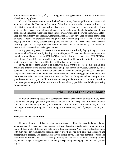at temperatures below  $65^{\circ}F$  (18<sup>0</sup>C); in spring, when the greenhouse is warmer, I find fewer whiteflies on my plants.

*Control*. The easiest way to control whiteflies is to trap them on yellow cards coated with something sticky like Vaseline or Tangletrap. Whiteflies are attracted to the color yellow. I use Stiky Strips - very sticky pieces of yellow plastic purchased from the greenhouse supplier. These are inserted in reusable wire holders and poked into the soil around the plants. When my Chinese cabbage and cucumber vines were badly infested with whiteflies, I sprayed them with Safer's Soap and noticed fairly good results. Other greenhouse gardeners have used solutions of mild soap or Basic H (about two tablespoons to the gallon) for the same purpose. Test the solution on a single plant first, though, because some plants are sensitive to these substances. Because Whitefly eggs hatch 10 days after they're laid, the soaps must be applied every 7 to 20 days for several weeks to control succeeding generations.

A tiny predatory wasp, Encarsia Formosa, controls whiteflies by laying its eggs on the immature whiteflies and also by feeding on whitefly pupae. Encarsia needs warm temperatures, though - preferably an average of  $75^{\circ}F (24^{\circ}C)$  during the day and no lower than  $55^{\circ}F (13^{\circ}C)$  at night. I haven't used Encarsia myself because my worst problems with whiteflies are in the winter, when my greenhouse would be too cool for them to be effective.

If you do adopt some Encarsia as allies, you might want to keep some blooming plants around the greenhouse to provide some nectar and pollen for the tiny wasps. Calendula, stock, geraniums, and Johnny-jump-ups have all done well for me in the winter greenhouse. At the higher temperatures Encarsia prefers, you keep a wider variety of the flowering plants. Remember, too, that these and other predators need some insects to feed on if they are to keep living in your greenhouse, so don't try to totally eliminate any pest population. Even if you don't introduce purchased predators, you'll often have some volunteers like syrphid flies and ladybugs working for you unbidden.

### **Other Uses of the Greenhouse**

In addition to starting seeds, your solar greenhouse can also be used to raise food, dry herbs, cure onions, and propagate cuttings and fresh flowers. Think of the space a little resort to which you can repair whenever you wish, for a breath of balmy, leaf-and-earth-scented air, for a few relaxing moments of pruning, for transplanting, or for a renewing spell of just plain sniffing and looking.

#### **The cycles of the Greenhouse**

If you need more proof that everything depends on everything else, look in the greenhouse. When you vent the space to dissipate excess heat, you also setup a lively pattern of circulating air that will discourage whiteflies and help control fungus diseases. When you overfertilize plants with high-nitrogen feedings, the resulting sappy growth is often both attractive to insects and susceptible to disease. The carbon dioxide you exhale as you tend your plants is to them life breath that helps them flourish. The strong, vibrant plant that result are more satisfying to tend, so you linger longer in the greenhouse - snipping, transplanting, rearranging... and breathing, and so it goes.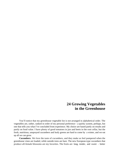# **24 Growing Vegetables in the Greenhouse**

You'll notice that my greenhouse vegetable list is not arranged in alphabetical order. The vegetables are, rather, ranked in order of my personal preference - a quirky system, perhaps, but one that tells you what I've concluded from experience. My choice are based partly on results and partly on food value. I have plenty of good tomatoes in jars and beets in the root cellar, but the fresh, nutritious, unsprayed cucumbers and leafy greens are hard to come by a winter, and we eat up all we can grow.

**Cucumbers**. We love the taste of cucumbers, and they make us feel pampered when the greenhouse vines are loaded, while outside trees are bare. The new European-type cucumbers that produce all-female blossoms are my favorites. The fruits are long, tender, and sweet - better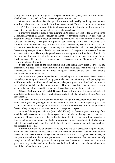quality than those I grow in the garden. Two good varieties are Dynasty and Superator. Pandex, which I haven't tried, will set fruit at lower temperatures than others.

Greenhouse cucumbers likes the good life - warm soil, weekly fertilizing, and frequent watering. (About every day when in fruit. I use warm water). They prefer temperatures above  $60^{\circ}F(16^{\circ}C)$ , but if they get plenty of light and warmth during the day, they will be more able to tolerate the cool night temperatures in the average solar greenhouse.

I grow two cucumber crops a year, planting in August or September for a November to December harvest and again in February or March for harvesting during May and June. To support the vines, I suspend a length of wire fencing from two nails driven into the framework. I don't always get my vines probably pruned, but according to Colleen Armstrong, staff horticulturist at the New Alchemy Institute, you should remove every sucker from the six lowest leaf joints to make the vine stronger. The next eight shoots should be cut back to a single leaf, and the remaining ones permitted to develop two to three leaves. Over-production weakens the vines and reduces fruit size. These special greenhouse cucumbers produce fruit without pollination; in fact, any male blossoms that develop should be removed to keep the cukes tender and free of developed seeds. (Even before they open, female blossoms lack the "baby cuke" end that characterizes female flowers).

**Swiss Chard**. This is the most reliable and long-lasting leafy green I grow in my greenhouse. It is deep rooted, so it will survive (if in a deep-soiled bed) even if you forget to water it some week. The leaves are low in calories and high in vitamins, and the flavor is considerably milder than that of outdoor chard.

I plant seeds in August or September and start picking the succulent seersuckered leaves in December, continuing all winter till spring greens take over. Sometimes my chard gets a plague of aphids or whiteflies in midwinter when cloudy days keep the greenhouse closed and cut down on the ventilation that helps to discourage these pests. However, once I start opening vents regularly again, the bug pox clears up, and the leaves are clean and green again. Chard is a winner!

**Chinese Cabbage and Oriental Greens**. Loose-leaf varieties of Chinese cabbage will grow better in the greenhouse than types that form heads. I've had good luck with Prize Choy and Spoon cabbage.

I sow seeds in a flat in August or September and again in December or January. I plant some seedlings in the growing bed and keep some in the flat for later transplanting as space becomes available. I've also gotten nice winter crops of Chinese cabbage from plantings made in five-inch-deep rectangular plastic wash basins and refrigerator crispers.

Another Oriental green, Mizuna (also called Kyona), is first-rate greenhouse crop from which I can always count on repeated cuttings of tender, mild-flavored fringed leaves. I've had no trouble with Mizuna going to seed, but the heading type of Chinese cabbage will go to seed when days turn along or temperatures stay high. I was surprised to discover, though, that when grown in the greenhouse, the stalks and flower of the bolted Chinese cabbage are not bitter and tough as I had expected them to be.

Lettuce. With its delicate, buttery soft heads, Bibb lettuce is perfect for the greenhouse. I also like Kwiek, Magnet, and Mescher, a wonderful heirloom butterhead I obtained from a fellow member of the Seed Saver Exchange. Leaf lettuce is fine, too. I've grown head lettuce, as transplants rescued from the outdoor garden when black frost threatened, but they were basically being kept on hold and didn't grow much in the greenhouse. I wouldn't count on head lettuce as a greenhouse crop; it takes too long to develop, and besides, its vitamin content is much lower than that of the leaf and butterhead types.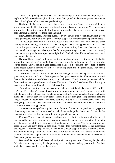The tricks to growing lettuce are to keep some seedlings in reserve, to replant regularly, and to plant the fall crop early enough so that it can finish its growth in the winter greenhouse. Lettuce likes rich soil, plenty of moisture, and good drainage.

**Radishes**. Radishes are a good greenhouse crop because their flavor is so much milder than when grown outside. They form roots best in spring when days are lengthening. You can sneak in a row at the edge of the growing bed without disturbing other plantings, or grow them in tubs or pots. Plentiful moisture keeps them crisp and mild.

**New Zealand Spinach**. This crop surprises everyone who tries it with its luxuriant growth in the greenhouse. You'll be picking the leaves for supper two months after you plant the seeds.

To encourage germination, file a little notch in the tough seed coat, and soak the seeds overnight before planting. New Zealand spinach is a good space-saving greenhouse plant because it can either grow in the tub set on a shelf, with its vines spilling down in to the sun, or it can climb a trellis or string to leave bed space free for other plants. Regular spinach (Spinacia oleracea) is not as good a greenhouse crop as you might think. Both chard and Mizuna have been much more productive for me.

**Onions**. Onions won't bulb up during the short days of winter, but onion sets tucked in around the edges of the growing bed will provide a modest supply of savory green spears for winter cutting. Chives makes a good greenhouse plant, too. For continuous production, let the plants freeze outdoors for two weeks before you bring them into the greenhouse. They need a rest after producing all summer.

**Tomatoes**. Tomatoes don't always produce enough to earn their space in a cool solar greenhouse, but the satisfaction of raising even a few ripe tomatoes in the off-season can be worth the trouble. Small-fruited kinds like Presto, Pixie, and Sweet 100 will be more productive and also faster to ripen under greenhouse conditions. Vendor and Pack's Greenhouse Hybrid are good tomato varieties to grow if you insist on full-sized fruits.

To produce fruit, tomato plants need more light and heat than leafy plants -  $60^{\circ}$ F to  $80^{\circ}$ F (16<sup>0</sup>C to 18<sup>0</sup>C) is best. To keep at least a few ripening tomatoes in the greenhouse, start with potted plants in the fall from mid- or late- summer seedlings, or rooted cutting from established plants. These should start to bear by early January. I've also brought bearing plants in pots into the greenhouse in September or October to continue fruiting for a few more weeks. Then, for a spring crop, start seeds in December for May fruits. I often use the cold-tolerant Siberia and Santa varieties for these spring plantings.

Tomatoes are self-pollinating, but in the absence of wind it's a good idea to jiggle the blossoming plants several times a week to help disperse the pollen. You won't need bushel baskets for your harvest, but the few fruits you do get will mean a lot.

**Peppers**. When I have extra pepper seedlings in spring, I often pot up several of them, each in a two-gallon pot, keep them on the sunny patio during the summer, and then return them to the greenhouse in the fall to keep bearing for at least an extra few weeks. You can also sow pepper seeds in May and grow them in pots until August; then transplant them to the greenhouse growing bed. Since they are perennials in their native climate, peppers are glad to continue leafing and podding as long as they are free of insects. Whitefly and aphid infestations often lead to disease. Greenhouse peppers tend to be small, but are nonetheless welcome salad material when the outdoor garden in frozen shut.

**Beets and Turnips**. Both beets and turnips will in the greenhouse. They may be planted in fall, winter or spring, directly in the growing bed or in eight-inch-deep pots or tubs. Eat them while the roots are small, and use the tops, too.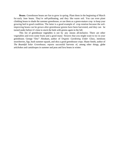**Beans**. Greenhouse beans are fun to grow in spring. Plant them in the beginning of March for early June beans. They're self-pollinating, and they like warm soil. You can even plant climbing beans to shade the summer greenhouse, or use them as a green-mature crop to keep your growing bed in good condition. The latter is a good example of crop rotation because the soilimproving beans can be grown after greenhouse greens have been harvested, and they can be turned under before it's time to stock the beds with greens again in the fall.

This list of greenhouse vegetables is not by any means all-inclusive. There are other vegetables and even some fruits and a good many flowers that you might want to try in your greenhouse. George "Doc" Abraham, author of *Organic Gardening Under Glass*, mentions strawberries, figs, bush summer squash, and okra a good greenhouse crops. Shane Smith, author of *The Bountiful Solar Greenhouse*, reports successful harvests of, among other things, globe artichokes and cantaloupes in summer and peas and fava beans in winter.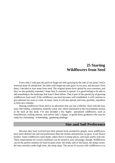## **25 Starting Wildflowers from Seed**

Every time I walk past the patch of forget-me-nots growing by the side of our pond, I feel a renewed sense of satisfaction. No other wild forget-me-nots grow in our area, and because I love them, I decided to start some from seed. The original plants have spread by root extention, and they've also probably reseeded. I hope they'll continue to spread. It is good feeling to be able to add something to the landscape that wasn't there before. That is part of the special joy of growing wildflowers from seed. If the wildflower you start becomes well established, it will continue to give pleasure for years to come. In many cases, it will also spread, and even, possibly, reproduce to form new colonies.

Raising wildflowers from seed is an adventure that can last a lifetime. Start with the easy ones, like lobelia, columbines, butterfly weed, and others mentioned in the encyclopedia section in the back of this book. I've also included a few highly specialized wildflowers, such as bunchberries, trailing arbutus, and yellow lady's slipper, to guide those gardeners who may be ready for a fascinating - if demanding - gardening challenge.

#### **Site and Soil Preference**

Because they have evolved into their present form unaided by people, most wildflowers have more definite site and soil preferences than the zinnias and petunias we grow in our flower borders. Some wildflowers need shade, others thrive in damp places, and many prefer acid soil. These requirements for certain conditions can be turned to your advantage, though. Wildflowers can be the perfect solution for hard-to-plant areas: the shady side of the house, the damp corner, the bare stretches under high trees, the steep slope. The secret of success with wildflowers is to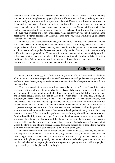match the needs of the plants to the conditions that exist in your yard, fields, or woods. To help you decide on suitable plants, study your place at different times of the day. When you start to look around your property for likely places to plant wildflowers, you'll notice that there are different degrees of shade - from the high, light dappling or birches to the heavier shadow cast by maples and oaks to the deep, year -round shade under evergreens. No one wildflower will thrive in all of those spots, but for each form of shade there is a choice of wildflowers. Check after rain to be sure your proposed site is not waterlogged. Plants that thrive in full sun when grown in the north may do better in part shade in the south. In the far north, plants will bloom up to a month later than indicated here.

When you start wildflowers from seed, you can settle them into their permanent niches while they're still small so they won't suffer setbacks from transplanting. Plants raised from a single packet or collection of seeds may vary considerably in side, germination time, even in color and hardiness - unlike garden flowers and particularly unlike hybrids, which are especially uniform in size and growth habit. These variations are a characteristic of many wild plants that helps ensure that at least some members of the new generation will be able to thrive there they find themselves. When you raise wildflowers from seed, you'll often have enough seedlings so that you can try them in several locations to determine the best site.

## **Collecting Seeds**

Once you start looking, you'll find a surprising amount of wildflower seeds available. In addition to the companies that specialize in wildflower seeds, several garden seed companies offer seeds of some of the easy-to-grow varieties, and a couple of seed exchanges offer varieties for the true enthusiast.

You can also collect your own wildflower seeds. To do so, you'll need (in addition to the permission of the landowner) to know when the seeds are likely to ripen in your area. In general, seed are ready to collect about a month after flowering. You'll find it helpful to study the plant and its habit, though. Some, like jack-in-the-pulpit, retain their seeds until fall. Others, like bloodroot, shed seeds very early or, in the case of wild geraniums, disperse them suddenly once they're ripe. Seed with arils (fleshy appendages) like those of trillium and bloodroot are often carried off by ants and animals. The plant as a whole often changed in appearance as the season progresses. Foliage may yellow and disappear, stalks droop, and seeds trail on the ground. You want the seeds to be mature, because if they haven't developed sufficiently on the plant, they may not germinate. When you collect pods and bare seeds, they should be as dry as possible. Berries should be fully formed and ripe. On the other hand, you don't want to get there too late, when seeds have fallen and blown away. If this does occur, try again the following year. Learning how to collect seeds is a process of patient observation or gradually growing understanding. Watch the plant. Return often to observe the seed formation process. It's a good idea to mark the plant from which you want to save seeds with a small stake or red yarn.

When the seeds are ready, collect a small amount - never all the seeds from any one colony with respect and appreciation. It goes without saying, of course, that you wouldn't take the seeds from a single isolated stand of plants, but only from a flourishing group in a place where you can see more of the plants growing nearby. To help catch some seeds when you're not around, you can tie small cheesecloth bags or pieces of stocking over the ripening seeds, or, with a large plant, clip an envelope onto the plant with a clothespin.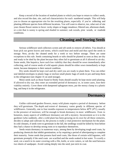Keep a record of the location of marked plants to which you hope to return to collect seeds, and also record the date, site, and soil characteristics for each numbered sample. This will help you to choose an appropriate site for the resulting plants, especially if you're collecting and planting different species form different locations. You will want to observe, too, what sort of site your chosen flower seems to favor: rocky slopes or boggy meadows; filtered sun, afternoon shade, or a site that is sunny is spring and shaded in summer; oak woods, pine woods, or roadside conditions.

## **Cleaning and Storing Seeds**

Serious wildflower seed collectors screen and sift seeds to remove all debris. You should at least pick out green leaves and stems, which could heat and mold and thus spoil the seeds in storage. Next, air-dry the cleaned seeds for a week or two before storage. There are some exceptions to this rule. Seeds containing beards or tufts should be planted as soon as they are dry and ready to be shed by the plant because they often fail to germinate at all if allowed to air-dry. Some seeds, like hepatica, have such low viability that they should be sown immediately after collecting, and of course seeds of wild aquatic plants should be either sown immediately or kept moist, because dampness is their natural condition.

Dry seeds should be kept cool and dry until you are ready to plant them. You can either seal labeled envelopes in plastic bags or enclose small plastic bags of seeds in jars and keep them in the refrigerator (see chapter 31 on seed storage).

Moist seeds such as those found in fleshy fruits should usually be kept moist until planting. If allowed to dry out, they enter an extended period of dormancy or, in some cases, lose their viability entirely. Cover them with dampened sphagnum moss, put the mossy clump in a plastic bag, and keep it in the refrigerator.

#### **Dormancy**

Unlike cultivated garden flowers, many wild plants require a period of dormancy before they will germinate. The depth and extent of dormancy varies greatly in different species of wildflowers. Generally, one to four months exposure to temperatures below  $40^{\circ}F (4^{\circ}C)$ , usually in the presence of moisture, will be enough to break dormancy in most wildflowers. Even to botanists, many aspects of wildflower dormancy are still a mystery. Inconvenient as it is to the gardener (who suddenly, after a wild plant has been growing on its own for all these centuries, decides to adopt and cultivate it), the process is really a vital protective mechanism for the plant. In cold climates, if seeds were to germinate in the fall, the seedlings would be killed by frost before they had a chance to develop strong roots or to reproduce themselves.

Seeds retain dormancy in numerous ways, among them by developing tough seed coats, by producing chemicals that inhibit germination, or by requiring a period of afterripening to complete their maturity. Some seeds that possess hard seed coats, like those of certain wild legumes, will germinate promptly if the seed coats are scarified and the seeds soaked in hot water. To scarify a seed, cut a notch in its outer covering with a file, knife, or wire cutters, or rub the seed between two sheets of sandpaper. Avoid cutting deeply into the seed; just nick its coat.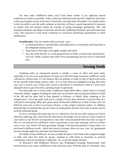For most other wildflower seeds, you'll have better results if you duplicate natural conditions as closely as possible. Unless otherwise indicated in the specific wildflower directions in the encyclopedia section at the back of the book, wait until after November 15 (a month earlier in the far north) to sow the seeds outdoors so that they will have a good long period of exposure to natural cold and moisture before the warmth of spring encourages germination. The cold repeated soaking by rain helps to inactivate and dissolve inhibiting chemicals and soften hard seed coats. This exposure to cold, moist conditions as a necessary preliminary germination is called stratification.

**Stratification**. You can stratify seeds in several ways:

- as mentioned above, surround them with damp moss or vermiculite and keep them in the refrigerator during winter.
- Plant them in flats kept in the lightly shaded cold frame.
- Sow the seeds directly in a well-prepared bed of finely screened and raked humusrich soil. Seeds of plants that suffer from transplanting may be sown in individual pots.

## **Sowing Seeds**

Scattering seeds on unprepared ground is usually a waste of effort and good seeds, especially if you do as an acquaintance of mine once did and simply broadcast wildflower seeds collected in a distant state. It's one thing to idly toss pinches of seeds of aster or black-eyed susan by the wayside while hiking country roads, as I've more than once delighted in doing. But when you want to enrich your woods with a patch of bloodroot or foamflower, then it's well worth taking the time to give the seeds a sporting chance to germinate.

For especially rate or tricky seeds, wildflower expert Bebe Miles, whose books I've found extremely helpful, suggests dividing the seeds into two portions and sowing half outdoors in beds in the fall and the other half in flats planted in February or March (after wintering in the refrigerators). Cover the seeds with soil to a depth of twice their thickness. Keep the flats on a cold porch until spring. Miles also plants seeds of biennial wildflowers in May so they won't be killed by frost just as they're starting to bloom, as they might if planted earlier. In addition, biennials that are planted later go into winter as strong plants and then have time to bloom and set seed the following spring.

If you're working with seeds that you've collected or that for any other reason you'd have difficulty replacing, take a hint from the Seed Savers Exchange: always reserve at least a pinch of your seeds in case the first sowing doesn't take. Don't discard planted flats that show no sign of life. It's not unusual for wildflower seeds to germinate a year after planting, and two to three years is not rate. Seeds will only germinate, though, if the growing medium is kept moist. For purchased wildflower seeds , which have been in storage, allow an extra year for germination because storage might have sent them into deep dormancy.

For shade-loving wildflowers, be sure to shade the bed or cold frame with evergreen boughs or laths, and when the seeds do sprout, ventilate to cold frame as necessary to prevent overheating. Good air circulation is important, too, to prevent fungus diseases.

At Bowman's Hill Wildflower Preserve near Washington Crossing, Pennsylvania, staff horticulturists raise many wildflowers from seed each year. With the help of volunteers, they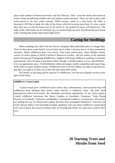plant seeds outdoors between November and late February. They cover the seeds with hardware cloth to keep out pilfering wildlife and with burlap o retain moisture. These are left in place until seeds sprout or for four winter seasons. When sowing seeds in a cold frame, the folks at Bowman's Hill like to bank the sides of the frame with soil to retain more heat. It's also a good idea, they say, to sink the frame four to six inches in the ground for more cold protection. The sides of the cold frame can be insulated, too, by sandwiching one-inch Styrofoam between board walls. Painting the inside white boosts light levels.

## **Caring for Seedlings**

When seedlings have their first true leaves, transplant them individual pots or to larger flats. Then let them grow some before you set them out in either a nursery bed or in their permanent locations. Many wildflowers grow very slowly. That's their natural pace. Harry Phillips, former curator of native plants at North Carolina's Botanical Garden, and the author of the splendid book Growing and Propagating Wildflowers, suggests fertilizing wildflower seedlings to promote rapid growth. Once the plant is growing in place, though, it should seldom, if ever, need fertilizer if it is an appropriate place. Overfertilization often encourages weedy competition and cause long, weak stems in many meadow plants. Wildflowers have evolved without our help or interference, and they can make it on their own if the soil type meets their needs.

For details on growing specific species of wildflowers, see the encyclopedia section at the back of this book.

#### **Wildflower Conservation**

A good reason grow wildflowers from seed is that, unfortunately, some nurseries that sell wildflowers have obtained their plants, either directly or indirectly, from the wild. Such depredations reduce even further the sometimes precarious populations of our native plants. Careful wildflower businesses like Native Gardens in Greenback, Tennessee, Yerba Buena Nursery in Woodside, California, and Boehlke's Woodland Gardens in Germantown, Wisconsin, are leading the way by selling native plants that they have propagated themselves. Until the rest of the industry follows that honorable example, gardeners who care about wildflower conservation will want to know the sources of plants they are buying and, better yet, learn how to grow their own.

## **26 Starting Trees and Shrubs from Seed**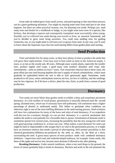Great oaks do indeed grow from small acorns, and participating in that marvelous process can be a great gardening adventure. You might try starting some trees from seed just to see what happens, but there are other practical reasons, too, for planting tree seeds. Perhaps you need many trees and shrubs for a windbreak or hedge, or you might want more trees of a species, like hickory, that develops a taproot and consequently transplants most successfully when young. Possibly you've collected tree seeds during your travels or from an ancestral homestead, and you've decided to grow some living souvenirs. You could raise seedling trees for grafting rootstocks, too, or you might plant to sell trees you've grown from seed. In any case, you'll want to know about the important ways that tree seed starting differs from garden plant seed starting.

#### **Seed Production**

Trees and shrubs live for many years, so they have plenty of time to produce the seeds that will grow their replacements. Trees may start to bear seeds as early as the American maple, 5 years, or as late as the sessile oak, 40 years. Although many woody plants, especially the smaller ones, produce regular seed crops, a good many trees produce abundant seed crops only intermittently - some as seldom as every 7 years. Tree researchers theorize that in these cases, the great effort put into seed bearing depletes the tree's supply of stored carbohydrates, which must gradually be replenished before the tree is able to fruit generously again. Sometimes, seeds produced in off years, when carbohydrate reserves are low, are low in viability, and the seedlings may be less vigorous. So if do have a choice, plant the nuts, fruits, or pods from a season of good production.

#### **Dormancy**

Tree seeds are more likely than garden seeds to exhibit a deep and sometimes persistent dormancy. In a fair number of wood plants, germination is naturally delayed until the second spring. (Isolated trees, which out of necessity have self-pollinated, will sometimes bear a higher percentage of aborted or malformed seeds). This failure to germinate when conditions are otherwise right is one of the most baffling dilemmas in the seed-starting process. Seed scientists still have few explanations for many of the hows and whys of seed dormancy. If we empathize with the tree for a moment, though, we can see that dormancy is a survival mechanism that enables the seeds to wait patiently for a favorable time to sprout. Germination of dormant seeds is sometimes spread over several years, increasing the possibility that the new young tree will meet with good growing conditions in at least one year. What makes a seed dormant? Its seed coat might be hard or impermeable to the oxygen that's so vital in the germination process, or it might have an immature embryo that needs a period of afterripening. Still another possibility is that chemical germination inhibitors are produced by the seed, or, often, by the flesh of a berry surrounding the seed. A great many species of trees produce seeds with combined dormancy inhibitors - impervious seed coats and underdeveloped embryos, for example. Some seeds, like those of the apple and service tree, become more dormant if allowed to dry after planting.

**Breaking Dormancy**. Under natural conditions, when a tree seed drops to the ground, the forces of nature gradually help to break its dormancy. Bacteria and acids in the soil penetrate the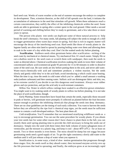hard seed coat. Weeks of warm weather at the end of summer encourage the embryo to complete its development. Then, scientists theorize, as the chill of fall spreads over the land, it initiates the accumulation of substances in the seed that stimulate cell growth. When these substances reach a certain concentration, they nullify the effect of the inhibiting chemicals within the seed. Some seeds are able to germinate in spring after a winter spent in the cool ground. Other needs a second period of warming and chilling before they're ready to germinate, and a few take three or more years to sprout.

The person who plants tree seeds can duplicate some of these natural process to help break the seed's dormancy. For many seeds, fall planting will subject the seeds to enough of a chill to trigger germination when warm days return in spring. Soil that is rich in organic matter will encourage the decay of the interfering seed coat. Hard seeds like those of woody plants in the legume family are often stim lated to sprout by pouring boiling water over them and allowing them to soak in the water of a day while they cool. Don't let the soaked seeds dry before planting.

**Scarification**. Stubborn seeds often germinate better after scarification - etching of the seed coats by mechanical or chemical means. Try mechanical first. It's much easier. Simply file or cut a shallow notch in the seed coats or scratch them with sandpaper, then soak the seeds in water as directed above. Chemical scarification involves soaking the seeds in twice their volume of concentrated sulfuric acid (commercial grade 95 percent) for 15 to 60 minutes in order to dissolve some of the seed coat. Be sure seeds are dry before putting them in the acid, and never add water. Water reacts chemically with acid and sometimes produces a violent reaction. Stir the seeds slowly and gently while they're in the acid bath; avoid introducing a which could cause heating. When the time is up, rinse the seeds in cold water which you've added a small amount o washing soda (sodium carbonate) and then running water. Sulfuric acid can disintegrate fabric and skin, too, so be extreme careful if you decide to use this dangerous seed treatment. Always wear rubber gloves and eye protection, and put the acid only in acid-resistant containers.

*Willow Tea*. Water in which willow cuttings have soaked is an effective grown stimulator. You might want to try soaking seeds of woody plants in willow tea before planting. It is not take the place of acid scarification, though.

*Early Planting*. Some researchers have found that certain the seeds, especially those encased in pods or berries, will germinate more promptly if collected an planted before the fruit becomes mature enough to produce the inhibiting chemicals that plunge the seeds into deep dormancy. There are no clear guidelines yet the timing of such early collection. You want to harvest the seeds before they are affected by the ripe fruit's chemical stop signs, yet the seeds must be sufficient mature to contain a well-developed embryo. The best plant them all.

*Cold stratification*. You'll remember that we mentioned stratifying wildflower seeds as a way to encourage germination. You can use the same procedure for woody plants. If you obtain your tree seeds late for some other reason don't have chance to plant them in the fall, you can stratify them until spring planting time to provide the chill necessary to bring the seeds out of dormancy. Simply mix the seed with three times their bulk volume of moist sphagnum moss of vermiculite, put the mixture in a plastic bag, and keep it cool - about  $40^0F (4^0C)$  - for at least on month. Two or three months is even better. The moss should be damp but not soggy because germinating seeds need a good supply of air. To get the right consistency slowly add water to the medium until it will just release a drop of water when you squeeze it.

Stratification is, in some ways, a kind of slow motion germination that progresses through three stages: first, the seeds swell as they absorb water; then increased enzyme activity revs up the life processes that lead to sprouting; and finally, the embryos grow at an increasingly rapid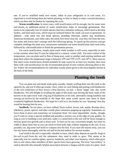rate. If you've stratified seeds over winter, either in your refrigerator or in cool room, it's important to avoid letting them dry before planting, or they're likely to enter a second dormancy, which can then only be broken by repeating the cycle.

**Warm stratification**. In most cases, cold stratification will be enough, but for some trees and shrubs, an additional period of warm stratification helps to encourage germination. This seems to be especially true of certain species that have immature embryos, which need to develop further, and hard seed coats, which must be softened before the seeds can start to germinate. In addition , with some tree and shrub species, including viburnum, eastern hop hornbeams, American hornbeams, and white oaks, the seeds first form roots the year they fall from the tree, but stems and leaves don't emerge until the following spring. To speed up this process and get complete seedlings the same year, nurserymen sometimes use warm stratification until roots form, followed by cold stratification to finish the germination process.

For warm stratification, simply plant seeds while weather is still warm, especially in midto-late summer when they'll soon be subjected to a natural winter chill. For more control of the temperature, you can plant seed in flats of damp peat, sand, or another seed-starting medium and keep them where the temperature range is between  $55^{0}F$  and  $75^{0}F$  ( $13^{0}C$  and  $24^{0}C$ ). Most species that need warm stratification should probably be kept warm for at least two months; then treat them with cold stratification for the recommended period of time without allowing them to dry out. Follow the recommendations for individual woody plants given in the encyclopedia section at the back of the book.

#### **Planting the Seeds**

You can plant tree and shrub seeds quite casually, simply scuffing them into the earth as the squirrels do, and you'll often get results. Once, when we were hiking and picking wild blueberries in the rich wilderness of New Jersey's Pine Barrens, we met a forest ranger who also loved blueberries. We still delight in recalling the sight of this burly man driving the back roads of the barrens in his open truck with a big lug of blueberries at his side, alternately eating handfuls and tossing out berries by the roadside in the hope that some would sprout into more of those wonderful highbush blueberries. We hope he's still at it; the bushes he was "planting" that day would be bearing fruit by now.

**Seedbeds**. On our place, we have redbud, black walnut, locust, oak, maple, Russian olive, elderberry, peach, apricot, and other woody plant volunteers popping up regularly. Sometimes we leave them in place and sometimes we transplant them. For more dependable results, though, you'll want to create a special seedbed and possibly a nursery row at the edge of your garden. As long as you're building a tree seed plot, make it a raised bed so the soil will be loose enough to enclose good root growth and to drain well. To bed can be any convenient length, but limit its width to about three feet so you can reach in from both sides without stepping on the soil. If you possibly can, dig some leaf mold or compost into the bed. If you start the season early, you can mix dry leaves thoroughly with the soil and let the bed mellow for several months.

Leaf mold in the soil is especially valuable to trees, which often depend on specific fungi in the soil to pull from the soil the substances they need in order to grow. This seems to be especially true for conifers (pines, spruces, hemlocks, and other cone bearers), which often grow best in soil where other members of their species have been growing. The term "mycorrhiza" is used to describe this mutually helpful association between a fungus and the roots of a plant. Each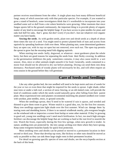partner receives nourishment from the other. A single plant may host many different beneficial fungi, many of which associate only with that particular species. For example, if you wanted to grow a stand of hemlock, some investigators think that it's worthwhile to incorporate into your seedbed some soil or duff from a site where hemlocks were growing. Other maintain that since fungus spores fall in the ground continuously, the important thing is to provide plenty of organic matter of any kind to encourage the helpful fungi. If you have access to pine needles for pines and oaks leaf duff for oaks, that's great, but don't worry if you don't. Just use whatever over organic matter you have handy.

**Sowing the seeds**. As with garden seeds, plant tree and shrub seeds at a depth of about three times the size of a seed. You might need to protect planted beds of nuts and acorns from squirrels by spreading hardware cloth over them. When planting nuts, some determined gardeners bury an open can, with its top cut open but not removed, over each nut. The open top permits the sprout to grow but the encasing metal foils digging squirrels.

When starting tree seeds- holly, dogwood, or whatever - most gardeners plant the whole berry, but there are good reasons for separating the seeds from their fleshy covering. In addition to the germination inhibitors the pulp sometimes contains, it may also cause mold in a wet season. Also, mice or other animals might unearth it for food. Generally, seeds contained in a moist fruit should not be allowed to dry out before planting. Drying can send them into deep dormancy. Purchased seeds of woody plants will necessarily be dry, and will often require an extra season in the ground before they will germinate.

#### **Care of Seeds and Seedlings**

Like any other garden bed, the tree seedbed will need to be kept moist and tree of weeds for the year or two or even three that might be required for the seeds to sprout. Light shade, either near trees or under a lath roof, a section of snow fencing, or an old slatted crate, will provide the kind of conditions under which the seeds would naturally grow after falling from their parent plant. Most experienced tree seed planters recommend mulching the planted seedbed over winter with sawdust, pine needles, straw, or ground corncobs.

When the seedlings sprout, they'll need to be watered if rain is sparse, and weeded and thinned to give them room to grow. Winter mulch is a good idea, too, for the first few seasons. Many tree seedlings appreciate light shade over the first summer. Wind can damage them by tearing roots and shredding leaves. If there is no natural windbreak nearby, pile evergreen boughs on the windward side or improvise a screen from burlap or some other material. If they're growing in good soil, young tree seedlings won't need much fertilization. In fact, too much high nitrogen fertilizer can discourage the helpful fungi that are working so hard at the root level to nourish the tree. Watch the frosts, especially during the first few springs, when new growth is tender. In nature, seedling trees are protected by the tree canopy arching over them where they have sprung. Keep some evergreen branches handy for quick frost protection.

Most seedling trees and shrubs can be potted or moved to a permanent location in their second or third year. Those that develop tap roots, like hickory or other nuts should be moved as early as possible so they can sink these large single roots in their permanent location.

For detail on growing specific species of trees and shrubs, see the encyclopedia section at the back of this book.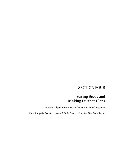# **SECTION FOUR**

# **Saving Seeds and Making Further Plans**

What we call poor is someone who has no animals and no garden.

*Patrick Kagoda, in an interview with Kathy Duncan of the New York Daily Record*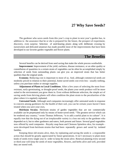## **27 Why Save Seeds?**

The gardener who saves seeds from this year's crop to plant in next year's garden has, in addition to the assurance that he or she is prepared for the future, the prospect of experiment, discovery, even surprise. Selection of seed-bearing plants along with deliberate crossing by nurserymen and delicated amateurs has made possible most of the improvements that have been developed in our favorite garden vegetable and flower plants.

### **The Benefits**

Several benefits can be derived from seed saving that make the whole process worthwhile.

**Improvement**. Improvement of the yield, earliness, disease resistance, or an other quality or constellation of quantities in a certain strain of vegetables can be often be accomplished simply by selection of seeds from outstanding plants can give you an improved strain that has better qualities than the original seeds.

**Economy**. Reducing cost is important to most of us. And, although commercial seeds are modestly priced in relation to their potential, home-saved seeds cost even less - usually nothing, unless you purchase stakes or storage supplies.

**Adjustment of Plants to Local Conditions**. After a few years of selecting the most frostresistant, early-germinating, or drought-proof seeds, the plants your seeds produce will be more suited to the environment you grow them in. Even without deliberate selection, the simple act of saving seeds from thriving plants will often condition the plant strain to the peculiarities of the place where it is regularly replanted.

**Untreated Seeds**. Although seed companies increasingly offer untreated seeds in response to concern among gardeners for the health of their soil, you can be certain yours haven't been treated when you save your own**.**

**Heirloom Strains**. Heirloom strains of garden vegetables that are not commercially available can be perpetuated only by means of home-saved seeds. "The greatest service which can be rendered any country," wrote Thomas Jefferson, "is to add a useful plant to its culture". It is equally true that the dying out of an irreplaceable variety is a loss not only to the gardener who depended on it, but to other gardeners and eaters, both present and future. Several good vegetables now offered by seed companies - Royalty snap bean and Clemson Spineless okra, for example were developed from heirloom strains that had been repeatedly grown and saved by isolated families.

Keeping these old strains alive, then, by replanting and saving the seeds is a responsible action that should be greatly appreciated by future generations. It isn't necessary to plant most kinds of seeds every single year in order to keep the strain alive. Renewal planting every second or third year will keep the seeds of most vegetables, flowers, and herbs alive and well, provided they are stored well.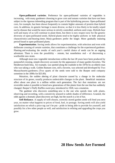**Open-pollinated varieties**. Preference for open-pollinated varieties of vegetables is increasing, with many gardeners choosing to grow corn and tomato varieties that have not been subject to the rigorous inbreeding program that is part of the hybridizing process. Open-pollinated corn, for example, has been shown frequently to contain higher amounts of protein than hybrid corn. In addition, its genetic heritage is more diverse, so that it is less likely to be totally wiped out by disease that would be more serious in strictly controlled, uniform seed crops. Hybrids bear well and many of us will continue to plant them, but there is new respect now for the genetic diversity of open-pollinated seeds. Hybrid plants tend to be highly uniform in both physical characteristics and bearing times. Many gardeners prefer the longer. More gradually maturing period found in open-pollinated plants.

**Experimentation**. Saving seeds allows for experimentation, with selection and even with deliberate crossing of certain varieties, that constitutes a challenge for the experienced gardener. Planting and evaluating the results of each year's careful choice of seeds can be an ongoing adventure. There is even the possibility - remote, but nonetheless real - of discovering a worthwhile new strain.

Although most new vegetable introductions within the last 28 years have been produced by purposeful crossing, simple discovery accounts for the appearance of many garden favorites. The Henderson bush lima, for example, was spotted along the roadside in the 1870s by an elderly man who was taking a walk. Golden Bantam corn, still a favorite, was selected and developed by Two Massachusetts gardeners. (Two quarts of the seeds were sold to the Burpee seed company sometime in the 1890s for \$25.00).

Mutation, the sudden altering of plant character caused by a change in the molecular structure of its genes, usually produces undesirable changes in the plant. Beneficial mutations affect about one plant in a million within each generation. The fact that mutations are not reversible makes it possible to breed new generations of like plants from the one that has suddenly changed. Burpee's Fluffy Ruffles sweet pea, introduced in 1928, was a mutation.

The gardener who discovers something new is the one who spends time with plants, observing and recording, with a sensitivity attuned to subtle shades of difference. Granted, the odds against a dramatic plant discovery are high, but the search is a lot of fun.

**Self-Reliance**. A supply of well-chosen, correctly stored garden seeds will feed you next year, no matter what happens to prices of food, fuel, or postage. Saving seeds will also yield satisfaction on which a price tag can't be put - pride in being able to provide for yourself, and possibly for a few other people as well, and satisfaction in refining and upgrading the crops you grow.

## **28 How Seeds Are Formed**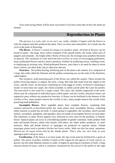Your seed-saving efforts will be more successful if you have some idea of how the seeds are formed.

## **Reproduction in Plants**

The process is a cycle, and so we can't say, really, whether it begins with the flower or with the original seed that produced the plant. Since we must start somewhere, let's break into the cycle at the point of flowering.

**The flower**. A flower's reason for being is to produce seeds. All kind of flowers can be found in nature - the large, show yellow trumpets of the squash family, the small, white stars of peppers and tomatoes; the bright yellow florets of broccoli; the inconspicuous petalless blossoms of spinach. The variations in color and form have evolves as ways of encouraging pollination. Insect-pollinated flowers need to attract attention, whether by producing nectar, smelling sweet, or displaying an inviting color. Wind-pollinated flowers, since there is no need for them to invite insect visitors, are often drab, tiny,or otherwise obscure.

**Structure**. The pollen-bearing, fertilizing part of the plant is the stamen. It is composed of a long, thin stalk called the filament and the pollen-containing sacs on the ends of the filaments, called anthers.

The receptive, seed-nurturing parts of the flower are called the carpels. These include the pollen-receiving region, or stigma; the style, a long, thin tube that leads from the stigma to the ovary; and the ovary, an enclosure containing an ovule (egg) or ovules. In flowers containing a cluster of more than one carpel, the whole assembly is called a pistil (after the Latin for pestle). The term pistil is also used for a single carpel. The calyx, the cuplike outgrowth of the stem, which may be composed of individual parts called sepals, and the corolla, and petal cluster, are supportive parts without any productive function. A flower can be fertilized in the absence of the corolla; in fact, many people remove the corolla; in fact, many people remove the corolla when practicing hand-pollination.

**Incomplete flowers.** Most vegetable plants have complete flowers, containing both stamens and pistils as described earlier, but some plants have incomplete flowers, containing either stamens or pistils but not both. A whole group of vegetables, the cucurbits, which include melons, cucumbers, pumpkins, and squashes, bear two kinds of incomplete flowers on each plant. The staminate, or male, flower appears first, followed in a few days by the pistillate, or female, flower. Spinach plants can occur in a bewildering number of gender variations. Some produce both male and female flowers, others only female; still others are either pollen producers or seednurturers. Male and female flowers of asparagus are produced on separate plants. Female asparagus plants tend to produce thicker but fewer stalks. Male are thin but more numerous. Berries are, of course, borne only by the female plants. That's why not very front in your asparagus patch will go to seed.

**Fertilization.** If the flower is to form seeds, the ripe ovule must be fertilized by a grain of pollen. The speck of pollen, whether it lands on the stigma by the agency of wind, insects, or gravity, has the same fabulous journey to make. It begins by growing an extension of itself, a long, tenuous thread of tissue, which is somehow stimulated by the arrival of the pollen in the right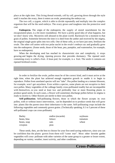place at the right time. This living thread extends, cell by cell, growing down through the style until it reaches the ovary, there it enters an ovule, penetrating the embryo sac.

The two cell, a zygote, which is able to divide repeatedly and multiply into the complex organism that will be the seed embryo. The ovary grows and toughens into the protective seed coat.

**Endosperm.** The origin of the endosperm, the supply of stored nourishment for the encapsulated plant, is a bit more roundabout. We have a pretty good idea of what happens, but we don't know why. Mysteries still abound in the plant world. Backtrack for a moment to that grain of pollen. Sometime between the time it is shed from the anther and received by the stigma, the original single grain splits into two cells. One of these cells, as we have just seen, fertilizes the ovule. The other cell unites with two polar nuclei in the ovule's embryo sac and gradually grow into the endosperm. (Some seeds, those of the bean, pea, pumpkin, and watermelon, for example, have no endosperm).

When the developing seed has reached its characteristic size and complexity, it stops growing and begins the drying, ripening process that precedes dormancy. The ripened seedcontaining ovary is called a fruit. A bean pod, for example, is a fruit. The seeds it contains are ripened fertilized ovules.

#### **Pollination**

In order to fertilize the ovule, pollen must be of the correct kind, and it must arrive at the right time, when the plant has achieved enough vegetative growth to enable it to begin to reproduce. Pollen from unrelated species will not "take". Pea pollen landing on a tomato blossom, for example, won't get anywhere. Even within a species, some plants are not receptive to their own pollen. Many vegetables of the cabbage family cross-pollinated readily but are incompatible with themselves, so you need at least two and preferably four or more flowering plants to produce good seeds. In such cases, a flower will sometimes discharge pollen before its stigma is ready to receive it. Other flowers are sterile to their own pollen.

**Self-pollination**. Self-pollinating flowers, those in which the flower accepts its own pollen, with or without insect intervention, can be depended on to produce seeds that will grow into plants like the parent since their inheritance is the same. Self-pollinating crops include the following vegetables and commonly grown grains. (Technically speaking, 0.1 to 5 percent of these self-pollinated crops can cross-pollinate).

| Barley      | endive (escarole) | soybeans |
|-------------|-------------------|----------|
| beans, lima | lettuce           | tomatoes |
| beans, snap | oats              | wheat    |
| cowpeas     | peas              |          |

These seeds, then, are the best to choose for your first seed-saving endeavors, since you can be confident that the plants grown from them will "come true". Most other favorite garden vegetables will cross- pollinate with other varieties of the same group to a greater or lesser extent, depending on variety, weather, insect activity, and other conditions.

#### **Cross-Pollination**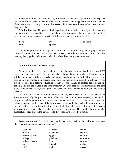Cross-pollination - the acceptance by a flower of pollen from a plant of the same species that has a different genetic makeup - often results in seeds containing genes that differ from those of the parent plant. Plants grown from those seeds, then, may have different characteristics from the parent plant.

**Wind pollination**. The pollen of wind-pollinated plant is fine, virtually dustlike, and the number of grains produced is lavish, since the wing can sometimes be more unpredictable than insect activity when distances are great. The following plants are wind-pollinated:

| beets | rye     | Swiss chard |
|-------|---------|-------------|
| corn  | spinach |             |

The pollen produced by these plants is so fine and so light that any plantings spaced more closely than one mile apart have a chance of crossing, with the exception of corn, which has relatively heavy pollen and crosses rarely (if at all) at distances greater 1,000 feet.

#### **Wind Pollination and Plant Design**

Wind pollination is a very uncertain occurrence; botanists estimate than I grain out of 1,000 might reach a receptive ovule. Recent studies have shown, though, that wind pollination is not as wildly random as it might seem. When scientists tested pine cones, millet flowers, and ovulebearing parts of 18 other plant species, they found that most of them created air turbulence when struck by wind. This pattern of turbulence increases the chance of contact between airborne pollen grains and the ovules in the cone or flower. Even the bean needles surrounding the cone exert a "snow fence" effect, slowing the wind speed and thus encouraging more pollen to land on the cone.

According to a recent report in Scientific American, researchers concluded that many plants are aerodynamically designed to capture pollen from the air. Even more amazing is the fact that the pollen itself is, at least in the examples considered, so shaped that it responds well to the air turbulence created by the shape of the inflorescence of its particular species. Further proof of this theory is offered by studies of fossil ovules, which show that ovules developed increasingly aerodynamically efficient shapes as they evolved over the millenia. One wonders how many other purposeful designs exist in the natural world that so far have escaped our notice.

**Insect pollination**. The large insect-pollinated group include the following vegetables (those marked with an asterisk are biennials):

asparagus collards parsley broccoli cucumbers parsnips brussels sprouts eggplant peppers cabbage gherkins pumpkins cabbage, chinese kale radishes carrots kohlrabi rutabagas celeriac melons melons squash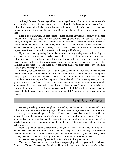celery onions turnips

Although flowers of these vegetables may cross-pollinate within one mile, a quarter-mile separation is generally sufficient to prevent cross-pollination for home garden purposes. Crosspollination is especially likely if several stands of different varieties of the same vegetable are located on the direct flight line of a bee colony. Bees generally collect pollen from one species at a time.

**Keeping Strains Pure**. To keep strains of cross-pollinating vegetables pure, you will need to isolate flowering seed crops from any other flowering plants of the same species. You can do this by planting different times. For example, if you want to save seeds from varieties of carrots, plant one early and another late so that they will flower at different times, or isolate by distance as described earlier. (Remember , though, that carrots, radishes, sunflowers, and some other vegetable and flower plants will cross readily with nearby wild relatives).

If you can't control planting time or distance due to short growing season or lack of space, you can cage seed-bearing plants. When using wire or cheesecloth cages to keep out crosspollinating insects, or muslin to shut out fine wind-blown pollen, it's important to put the cage over the plants well before the blossoms are ready to open, and not remove it until you see that the plant has produced seeds. For caged insect-pollinated plants, you might need to put some flies in the cage to ensure pollination.

Crossing, however, can occur only within a species. When you know this, you can dismiss the old garden myth that you shouldn't grow cucumbers next to cantaloupes. It's amazing how many people still take this seriously. You'll even hear tales about the cucamelons or water cucumbers that someone grew, but they're just that - tales. If you're not saving seeds, you can grow any of the cucurbits next to each other. Any close-relative crossing that did occur would show up only in the next generation planted from seeds of this year's plants. I hope this is good news to the man who remarked to us last year that his wife didn't want him to plant zucchini because he had already planted watermelon, and she didn't want to waste garden on weird crosses.

# **Seed-Saver Caveats**

Generally speaking, squash, pumpkins, watermelon, cantaloupes, and cucumbers will crosspollinate within their own species. A pumpkin blossom won't accept watermelon, cantaloupe, or cucumber pollen; a cantaloupe can't be pollinated by a cucumber, squash, pumpkin, or watermelon; and the cucumber won't mix with a zucchini, pumpkin, or watermelon. However, some kinds of pumpkin and squash do cross, with odd and sometimes picturesque results. The vegetables produced by such crosses are edible, but they may not always be as tender or delicious as the originals.

Here's a quick look at the cucurbit family tree you an idea of what to expect in your garden. The cucurbit genus is divided into various species. The species *Cucurbita pepo,* for example, includes pumpkins, all summer squashes (zucchini, scallop, crookneck, and so forth), acorn squash, spaghetti squash, and small gourds. All of these widely varied vegetables can cross, so you can see that there's plenty of potential for mischief within this group alone.

The species *Cucurbita maxima* includes the long-keeping winter squashes like Hubbard, Buttercup, Turban, Banana, and Delicious. These will cross with the species *C.moschata*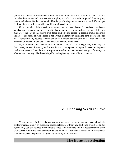(Butternut, Cheese, and Melon squashes), but they are less likely to cross with *C.mixta*, which includes the Cushaw and Japanese Pie Pumpkin, or with *C.pepo* - the large and diverse group mentioned above. Neither hard-shelled bottle gourds (*Lagenaria siceraria*) nor luffa sponges (Luffa cylindrica) will cross with cucurbits or with each other.

Corn, a member of the grass family, presents another special case. A cross between adjacent stands of, say, popcorn and sweet corn, field corn and sweet corn, or yellow corn and white corn, may affect the ears of this year's crop depending on wind direction, tasseling time, and other variables. The result of such a cross is not always evident upon eating the corn, because enough sweet kernels usually develop to cover any odd-pollinated, less flavorful ones. When the kernels are dried, difference - if any between kernels will be more pronounced.

If you intend to save seeds of more than one variety of a certain vegetable, especially one that is easily cross-pollinated, you'll probably find it more practical to plan for seed development in alternate years to keep the strains as pure as possible. Since most seeds are good for two years after harvest, any way, this should simplify garden planning, especially for biennials.

# **29 Choosing Seeds to Save**

When you save garden seeds, you can improve as well as perpetuate your vegetable, herb, or flower crops. Simply by practicing careful selection, without any deliberate cross-breeding or hybridizing, you can develop a strain that is suited to your climate and that possesses some of the characteristics you find most desirable. Selection won't introduce dramatic new improvements, but over the years the process can gradually intensify good qualities.

# **The Bases for Selection**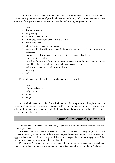Your aims in selecting plants from which to save seeds will depend on the strain with which you're starting, the peculiarities of your local weather conditions, and your personal tastes. Here are some of the qualities you might want to consider in choosing your parent plants:

- color
- disease resistance
- early bearing
- flavor in vegetables and herbs
- ability to germinate and thrive in cold weather
- insect resistance
- lateness to go to seed (in leafy crops)
- resistance to drought, wind, smog, dampness, or other stressful atmospheric conditions
- size special qualities absence of thorns, spines, strings, and so forth
- storage life in vegetables
- suitability for purpose, for example, paste tomatoes should be meaty, kraut cabbage should be solid, flowers for drying should have pleasing colors
- fruit texture tenderness, juiciness, seediness
- plant vigor
- yield

Flower characteristics for which you might want to select include:

- color
- disease resistance
- early bloom
- fragrance
- height

Acquired characteristics like fanciful shapes or dwarfing due to drought cannot be transmitted to the next generation. Disease itself is not an inherited trait, but resistance or vulnerability to plant ailments may be inherited. Seed-borne diseases, although they affect the next generation, are not genetically based.

### **Annual, Perennials, Biennials**

The choice of which seeds you save may depend in part on whether the plant is an annual, perennial, or biennial.

**Annuals**. The easiest seeds to save, and those you should probably begin with if the process is new to you, and those of the annuals: vegetables such as tomatoes, lettuce, corn, and eggplant; herbs such as dill and borage; and flowers such as portulaca and morning-glories. All of these produce seed the same season they're planted.

**Perennials**. Perennials are easy to save seeds from, too, since the seeds appear each year once the plant has reached the proper stage of maturity. Vegetable perennials don't always set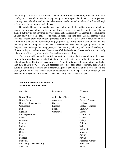seed, though. Those that do are listed in the box that follows. The others, Jerusalem artichoke, comfrey, and horseradish, must be propagated by root cuttings or plan division. The Burpee seed company once offered \$1,000 for viable horseradish seeds, but had no takers. Comfrey, although it flowers, hardy ever produces viable seeds.

**Biennials**. Biennials are another story. Vegetables and herbs in this group, which includes most of the root vegetables and the cabbage family, produce an edible crop the year they're planted, but they do not flower and develop seeds until the second year. Biennial flowers, like the English daisy, flower in their second year. In most temperate-zone gardens, biennial plants intended for seed production must be protected over the winter either with a heavy mulch or, if winter cold is severe and persistent, by digging them up, storing them in sand or sawdust, and replanting them in spring. When replanted, they should be buried deeply, right up to the crown of the plant. Biennial vegetables vary greatly in their seeding behavior, and some, like celery and Chinese cabbage, may bolt to seed the first year if chilled early. Don't save seeds from such early bolters, or you'll end up with a strain of vegetables prone to bolting.

The flower stalk that will grow tall and go to seed in the plant's second spring begins to form in the winter. Biennial vegetables that are at marketing size in the fall neither immature nor old and woody, will be the best seed producers. A month or two of cold temperatures, no higher than 40<sup>0</sup>F to 50<sup>0</sup>F (4<sup>0</sup>C to 10<sup>0</sup>C), is necessary to promote seed-stalk formation. Hot weather during the short days of winter can interfere with proper development of the flower in beets and cabbage. When you save seeds of biennial vegetables that have kept well over winter, you are selecting for long storage life, which is a valuable quality in these winter keepers.

| <b>Annual, Perennial, and Biennials</b><br><b>Vegetables that Form Seed</b> |                   |                         |  |  |
|-----------------------------------------------------------------------------|-------------------|-------------------------|--|--|
| <b>Annuals</b>                                                              | Perennials        | <b>Biennials</b>        |  |  |
| Beans, Lima                                                                 | Artichokes, Globe | <b>Beets</b>            |  |  |
| Beans, Snap                                                                 | Asparagus         | <b>Brussels Sprouts</b> |  |  |
| Broccoli (if planted early)                                                 | Chives            | Cabbage                 |  |  |
| Cucumbers                                                                   | Rhubarb           | Cabbage, Chinese        |  |  |
| Dill                                                                        | Sorrel            | Caraway                 |  |  |
| Eggplant                                                                    | Watercress        | Carrots                 |  |  |
| Endive (Escarole)                                                           |                   | Cauliflower             |  |  |
| Fennel                                                                      |                   | Celeriac                |  |  |
| Gherkins                                                                    |                   | Celery                  |  |  |
| Lettuce                                                                     |                   | Collards                |  |  |
| Melons                                                                      |                   | Kale                    |  |  |
| Okra                                                                        |                   | Kohlrabi                |  |  |
| Onions                                                                      |                   | Mustard                 |  |  |
| Peas                                                                        |                   | Parsley                 |  |  |
| Peppers                                                                     |                   | Parsnip                 |  |  |
| Pumpkins                                                                    |                   | Radishes, Winter        |  |  |
| Radishes (if planted early)                                                 |                   | Rutabagas               |  |  |
| Soybeans                                                                    |                   | Salsify                 |  |  |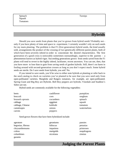Spinach Turnips Squash Tomatoes

# **Hybrids**

Should you save seeds from plants that you've grown from hybrid seeds? Probably not only if you have plenty of time and space to experiment. I certainly wouldn't rely on such seeds for my main planting. The problem is that F1 (first generation) hybrid seeds, the kind usually sold, arrangements the product of the crossing of two genetically different parent plants, both of which have been severely inbred in order to concentrate the desired characteristics. The first generation of a good cross is noticeably sometimes outstandingly, superior to the parents - a phenomenon known as hybrid vigor. Succeeding generations grown from seeds saved from the F1 plants will tend to revert to the highly inbred, lackluster, recent ancestors. You can see, then, that you have more to lose than to gain from saving seeds of garden hybrids. Still, there's no harm in fooling around with second-generation crosses as long as you don't expect much. Some hybrid seeds are sterile. Do I save seeds from hybrids, you ask? No.

If you intend to save seeds, you'd be wise to either note hybrids at planting or refer back to the seed catalog to check on varieties you've planted to be sure that you save seed only from open-pollinated varieties. Marglobe and Rutgers tomatoes, for example, are open-pollinated; Spring Giant and Big Boy are Hybrids. Bell Boy peppers are hybrids; Vinedale and Staddon's Select are not.

Hybrid seeds are commonly available for the following vegetables:

| beets            | cauliflower | pumpkins    |
|------------------|-------------|-------------|
| broccoli         | corn        | sorghum     |
| brussels sprouts | cucumbers   | spinach     |
| cabbage          | eggplant    | squash      |
| cabbage, Chinese | kohlrabi    | tomatoes    |
| cantaloupes      | onions      | watermelons |
| carrots          | peppers     |             |

Seed-grown flowers that have been hybridized include:

| ageratum          | geraniums | pansies     |  |
|-------------------|-----------|-------------|--|
| begonias, fibrous | hibiscus  | petunias    |  |
| chrysanthemums    | impatiens | primroses   |  |
| coleus            | marigolds | snapdragons |  |
| columbines        | nicotiana | zinnias     |  |
| gazania           |           |             |  |

# **Judging the Parent Plants**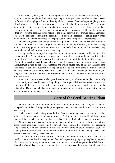Even though you may not be collecting the seeds until toward the end of the season, you'll want to observe the plants from very beginning so that you have an idea of their overall performance. Although your first impulse might be to save seeds from the largest single specimen of fruit that you can find, the best approach is to consider the plant as a whole. You might not want to intensify the characteristics of a giant tomato from a disease-prone or low-yielding plant. It is the entire plant - its vigor, resistance to disease and insect predation, yield, and other qualities - that gives you the best clue to the nature of the plants that will grow from its seeds. Biennials, which don't produce seeds until the second season, should be selected for eating quality when stored in the fall and then reselected for keeping quality in the spring after winter storage.

When saving seeds from any plant that cross-pollinates, it's wise to collect from more than one plant. Otherwise you may find yourself selecting increasingly inbred, you needn't worry about preserving genetic variety. Go ahead and save seeds from exceptional individuals; they needn't be mixed with others to preserve their vigor.

Saving seeds from superior vegetable plants sometimes involves a bit of sacrifice, particularly if you're selecting for earliness, and your family is counting the days until that first round of sweet corn or salad tomatoes. It's not always easy to let the plants be. Unfortunately, it's not often possible to eat the vegetable and retain the seeds, because in order to produce seeds the fruit must mature on the plant. Pumpkins and winter squash may be eaten at the same time their seeds are collected, but most other vegetables must be left on the plant. Naturally, if you're selecting for some other quality or quantities such as yield, flavor, or size, you can indulge your hunger for the first fruits and wait to observe the plant's mid-season performance before setting aside seed-bearers.

Even if you're not absentminded, you'll want to mark your chosen parent plants, especially if other family members do some of the picking. If that super, all-time champion cucumber gets put in the pickle crock, you might have no wait until next year to get another that is equally outstanding. Use a stake, chicken wire, a ribbon or string, a tag - anything that will stay in place and call attention to the plant's special purpose.

### **Care of the Seed-Bearing Plant**

Having chosen and marked the plants from which you plan to save seeds, you'll want to take good care of them throughout the growing season. Mulch, water, fertilize, and control insects as necessary.

Stake, mulch, or otherwise protect the fruit from rot-inducing ground moisture and bird or animal predation so that seeds can mature properly. During their second year, biennials develop a long seed stalk, which sometimes needs to be staked so it isn't broken by strong spring winds.

Conditions during seed development have considerable effect on the vigor of the matured seeds. Some influential factors will be beyond your control. For example, the prevailing temperatures 20 to 40 days before maturity have a definite effect on the oil content of soybeans. A sharp rise in temperature affects the protein content and yield of developing wheat seeds. Excess moisture can delay seed development.

You can look at this nurturing process in two ways. You certainly want the plants to be healthy. On the other hand, some gardeners feel, and I agree, that pampering the plant to the point of giving extra care that you wouldn't have time to give to your whole garden is self-defeating. Your aim, after all, is to raise, over a period of several years, a race of cucumbers or whatever that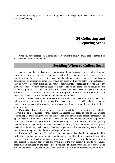do well under ordinary garden conditions. So give the plant everything it needs, but don't hover it with second helpings.

# **30 Collecting and Preparing Seeds**

Once you have decided which kinds of seed you want to save, you will need to gather them and prepare them for winter storage.

### **Deciding When to Collect Seeds**

As you remember, seeds depend on stored nourishment to carry them through their winter dormancy so they can live a green plants next spring. Seeds that are harvested too early, even though they may look the same as other seeds, may be deficient in either endosperm or embryonic development or immature in some other way. Such seeds are likely to deteriorate in storage. If they do survive, they may germinate unevenly or produce inferior seedlings. I proved this to my own satisfaction last year by saving seeds from both red (ripe) and green (unripe, though good to eat) cherry peppers. The seeds saved from the green pods had a very low germination rate, although as far as I could tell the few plants that did grow were normal. Germination of seeds saved from the red pods was more rapid and much more complete.

Recent studies have shown that seeds of tomatoes, snap beans, lettuce, spinach, and radishes will germinate satisfactorily even if the seeds are harvested while slightly underripe. Pepper, carrot, celery, and pea seeds, however, germinated poorly when picked before the fruits were fully ripe.

**Plants that Shatter**. Still, you must be sure to collect the seeds before they rot or shatter. Harvest time is most critical for those plants that release their seeds as soon as they are ripe (shattering). To make things trickier yet, the seed stalks of certain plants that shatter readily also ripen one stalk at a time over a period of weeks a valuable survival mechanism for the plant, but inconvenient for the gardener. If you're counting on saving seeds from lettuce, onions, okra, or any member of the cabbage family - all of which behave in this way - you can tie small paper bags over the heads of developing seeds to catch them in case you're not able to make daily seed-collecting rounds. Be sure to punch a few holes in the bag to admit air.

**Plant with Fleshy fruits**. The fruit of plants that bear seeds embedded or encased in edible flesh - the cucumbers, eggplant, tomatoes, and peppers - should be slightly overripe before being picked. Let the fruit develop just past the point where you'd want o eat it. Tomatoes should be soft, cucumbers yellow, peppers red and wrinkling. If the fruit actually begins to rot, though, seeds may be damaged by the heat of decomposition. The flesh of the vegetable shouldn't be allowed temperatures dry around the seeds either, or it may form an impermeable covering that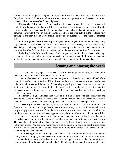will cur down on the gas exchange necessary to the life of the seeds in storage. Because some fungal and bacterial diseases can be transmitted to the next generation by the seeds, be sure to collect seeds from disease-free fruits and plants.

**Plants with Edible Seeds**. Plants bearing edible seeds, especially corn and wheat, will retain their fully matured seeds for awhile. These grains may be left on the plant for several weeks or until you have a chance to collect them. Snap beans and soybeans also retain their dry seeds for some time, although they do eventually shatter. Seed heads are often cut when the seeds are fully developed, and then piled in a dry, protected place to cure further before the seeds are threshed out.

**Collecting Seed from Plants**. If possible, seed collecting should be done on a dry, sunny day when the seeds are free of rain or dew. Frost doesn't hurt most seeds, as long as they are dry. The danger in allowing seeds to remain out in freezing weather is that the condensation of moisture that often follows a frost can be damaging to the seeds if another frost follows soon.

**Labeling Seeds**. It's awfully easy, I find, to get batches of collected seeds mixed up, particularly if you are saving more than one variety of the same vegetable. Putting each batch of seeds into a marked bag, jar, or envelop as you collect it can save a lot of confusion later on.

### **Cleaning and Storing the Seeds**

You have good, fully ripe seeds collected dry from healthy plants. The way you prepare the seeds for storage can make a difference in their viability.

The simplest seeds to prepare are those that you pluck directly from the seed head of the plant. Such seeds as lettuce, endive, dill, sunflower, and the brassicas, and most flower seeds, need only to be winnowed and then dried. Winnowing - pouring the seeds from one container to another in a stiff breeze or in front of a fan - blows off the lightweight chaff. Screening - passing the seeds through the holes in a piece of mesh - will separate coarser, heavier trash such as sticks, pebbles, and burrs.

Seeds that are lighter in weigh than others of their kind are also often abnormally thin and are likely to contain an imperfect embryo or deficient endosperm. They'll never make it through the winter. Even your hens will probably ignore them. Toss them on the compost pile.

**Threshing.** Snap beans, soybeans, limas, and peas must be threshed to remove the seeds from the pods. Generations of gardeners have sough easy ways to accomplish this task. Some people simply whack handfuls of the plants, a few at a time, on a hard clean surface. This is an excellent way to spend those awkward aggressive impulses, but it's not too efficient. You'll find beans in the corners for years afterward. I've threshed soybeans by spreading the dry plants on a clean sheet, covering them with another sheet, and treading back and forth over the covered vines. The beans fall out on the bottom sheet. The plants may be lifted off and the chaff winnowed out in the next breeze. You can also swing handfuls of the dried plant stalks so that the seed heads strike a sawhorse set on a sheet or tarp, or swing them inside the barrel. This works somewhat better with grains than legumes.

The threshing hand tool of the ages has been the flail, a long wooden handle with a short stick (called the swingle) attached securely to one end with leather. You can use an old mop or broom handle if you have one, and some rope if you can't get pieces of leather. In the traditional peasant household in Poland, Mike recalls, the flail handle would be made from a strong hazelnut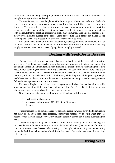shoot, which - unlike many tree saplings - does not taper much from one end to the other. The swingle is always made of hardwood.

To use this tool, you beat the plants with the swingle to release the seeds from the brittle pods. If you remembered to spread a tarp or sheet down first, you'll find it easier to gather the dry seeds. Vigorous a this method is, it injures few seeds. You wouldn't want to use anything heavier or rougher to extract the seeds, though, because violent treatment can injure the embryo, with the result that the seedling, if it sprouts at all, may be stunted. Such internal damage is not always evident on the surface of the seeds. Some people find that a plastic bat makes a good threshing tool. Small lots of seeds may, of course, be shelled out by hand.

Still other seeds, those of tomatoes, cucumbers, squash, pumpkins, and melons, must be separated from the flesh that surrounds them. Pumpkin, winter squash, and melon seeds may simply be washed to remove all traces of pulp, then thoroughly air-dried.

### **Dealing with Seed-Borne Diseases**

**Drying Seeds**

Tomato seeds will be protected against bacterial canker if you let the seedy pulp ferment for a few days. The fungi that develop during fermentation produce antibiotics that control the offending bacteria. In addition, fermentation dissolves the gelatinous coats surrounding the tomato seeds, which contain germination-inhibiting substance. Just spoon the tomato pulp into a jar, cover it with water, and set it where you'll remember to check on it. In several days you'll notice that the good, heavy seeds have sunk to the bottom, while the pulp and the poor, lightweight seeds have risen on the top. Poor off the matter on top and strain out good seeds. Some gardeners follow the same procedure with cucumber seeds.

Farmers in England noticed two centuries ago that seed wheat that had been immersed in seawater was free of bunt infection. Observations by Jethro Tull 1733 led to the fairly routine use of a saltwater soak in areas where this fungus was prevalent.

Other simple ways to control seed-borne diseases include the following:

- wash seeds in plain water.
- Steep seeds in hot water,  $122^{\circ}F(50^{\circ}C)$ , for 15 minutes.
- Steam seeds.

These measures are seldom necessary for the home gardener, whose diversified plantings are not likely to build up serious seed diseases, but they are reasonably effective when they are needed. When they are used, however, they must be carefully carried out to avoid overheating the seeds.

To control fungi that may live on stored seeds and lead to seedling losses after planting, you can soak the seeds for 1/2 minutes in a solution of Clorox and Water (five teaspoons of Clorox in one pint of water). Rinse the seeds after soaking. Do this right before planting, not before storing the seeds. To kill weevil eggs that often infest dried beans, freeze the bean seeds for two days before storing.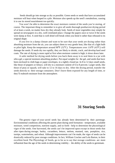Seeds should go into storage as dry as possible. Green seeds or seeds that have accumulated moisture will heat when heaped in a pile. Moisture also speeds up the seed's metabolism, causing it to use its stored nourishment too quickly.

You won't be able to determine the exact moisture content of the seeds you're storing, of course. The important thing to remember is to give all seeds thorough postharvest drying period of at least a week, no matter how dry they already look. Seeds of most vegetables may simply be spread on newspapers in a dry, well-ventilated place. Change the papers once or twice if the seeds were damp at first. A seed that is well dried will break when you bend it rather than rebound to its original shape.

If you live in a damp climate and want to be sure that your seeds are drying rather than absorbing moisture from the air, you can subject them to very gentle heat, like that of a light bulb or pilot light. Keep the temperature around  $90^{\circ}F(32^{\circ}C)$ . Temperatures over  $110^{\circ}F(43^{\circ}C)$  will damage the seeds. If seeds dry too rapidly, they are likely to shrink, crack, and develop hard seed coats. The rate of drying is more rapid at first when moisture content is high; it slows down later.

A safer method for drying seeds before you back them away is to seal them in a jar with silica gel, a special moisture-absorbing product. Put equal weights for the gel, and seeds that have been enclosed in cloth bags or paper envelopes, in a tightly closed jar. In 8 to 12 days small seeds, like those of peppers or lettuce, will dry to a moisture content of 6 to 8 percent. Larger seeds, like those of peas or squash, will take to 12 to 16 days to dry. After the drying period, transfer the seeds directly to their storage containers. Don't leave them exposed for any length of time, or they'll reabsorb moisture from the atmosphere.

### **31 Storing Seeds**

The genetic vigor of your saved seeds has already been determined by their parentage. Environmental conditions affecting the parent plant during seed formation - temperature, available moisture, weed competition, nutrient supply, and so forth - help to determine the physiological vigor of the seeds. One harvested, the seeds can't be improved upon except in those seeds that after ripen during storage; barley, cucumbers, lettuce, melons, mustard, oats, pumpkins, rice, turnips, watermelons, and wheat. Although improvements can't be made, the vigor of seeds can be drastically reduced by poor storage conditions. In fact, William Crocker and Lela Barton, in their excellent book The Physiology of Seeds, go to far as to say that storage conditions are more influential than the age of the seeds in determining viability - the ability of the seeds to germinate.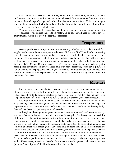Keep in mind that the stored seed is alive, with its life processes barely humming. Even in its dormant state, it reacts with its environment. The seed absorbs moisture from the air and carries on the exchange of oxygen and carbon dioxide that is characteristic of life, combining the nutrients in its stored food with the moisture it takes in to make a soluble form of plant food. Oxygen in air taken in from the dioxide, water, and heat.

Your aim when storing the seeds, then, should be to keep their metabolism operating at the lowest possible level, to keep the seeds on "hold". To do this, you'll need to control several environmental factors that affect the seed's life processes.

### **Temperatures**

Heat urges the seeds into premature internal activity, which uses up their stored food supply. Seeds store at home at temperatures between  $32^0F$  and  $41^0F$  ( $0^0C$  and  $5^0C$ ), not freezing but cold enough to retard enzyme activity, usually keep well. Ideally, temperature should fluctuate a little as possible. Under laboratory conditions, seed expert Dr. James Harrington, a professors at the University of California at Davis, has found that between the temperatures of  $32^{\circ}$ F and  $112^{\circ}$ F (0<sup>o</sup>C and 44<sup>o</sup>C), for every 9<sup>o</sup>F (5<sup>o</sup>C) that the storage temperature is lowered, the seeds' period of viability will double. Seeds have even been successfully stored at  $0^0$ F (-18<sup>0</sup>C). If you do want to try keeping some seeds in your freezer, be sure that they are good and dry. High moisture in frozen seeds will spoil them. Also, be sure the seeds you're storing are ripe. Immature seeds don't freeze well.

# **Moisture**

Moisture revs up seed metabolism. In some cases, it can be even more damaging than heat. Studies at Cornell University, for example, have shown that increasing the moisture content of lettuce seeds by 5 to 10 percent resulted in more rapid loss of viability than an increase in temperature from  $68^{\circ}$ F to  $104^{\circ}$ F ( $20^{\circ}$ C to  $40^{\circ}$ C). Test on clover seeds yielded similar results.

It is important not only to have the seeds well dried when putting them away, but also to keep them dry. Seeds that have gotten damp and then been redried suffer irreparable damage. It is important not to seal moisture in with seeds stored in a container; if seeds are not thoroughly dry, they will keep better in open storage than when sealed.

Although as a home gardener you can neither measure nor control seed moisture exactly, you might find the following recommended levels useful as a guide. Seeds vary in the permeability of their seed coats, and thus is their ability to take in moisture and oxygen, even under equal temperature and humidity. Legumes, for example, have relatively impermeable seed coats. Peas and beans will last well in storage with a moisture content as high as 13 percent (but no higher), as will corn and most other cereal grains. Soybeans have an upper limit of 12.5 percent moisture, flaxseed 10.5 percent, and peanuts and most other vegetables even less - 9 to 10 percent. Seeds to be stored for long periods of time will fare best if moisture is kept around 4 to 6 percent but no lower than 1 to 2 percent, or the embryo may be damaged. In most climates, you'd need to heatdry your seeds to get the moisture content this low. Dr. Harrington, whose storage temperature studies I have already mentioned, has also determined that each 1 percent reduction in moisture (between 5 and 14 percent) doubles the storage life of the seeds.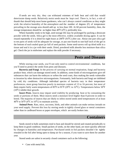If seeds are very dry, they can withstand extremes of both heat and cold that would deteriorate damp seeds. Relatively moist seeds must be kept cool. There is, in fact, a rule of thumb that should help most home gardeners, who can't always control conditions as they might wish: the relative humidity of the atmosphere and the number of degrees (F) of temperature prevailing in the storage area should add up to less than 100. At 60 percent humidity, then, the storage temperature should be no higher than  $40^{\circ}F (4^{\circ}C)$ , preferably less.

Where humidity tends to be high, seed storage life may be prolonged by packing a dessicant powder with the seeds. Silica gel is the most effective, widely available drying agent. It can be reused repeatedly if it is dried for eight hours at  $200^0F (93^0C)$  after use. About one part silica gel to ten parts of seeds will be adequate for storage, or put one-fourth to one-half inch of the gel in the bottom of each sealed quart jar full of seed packets. Some seed-savers roll up dried milk in a tissue and seal it in a jar with their seeds. Dried, powdered milk absorbs less moisture than silica gel. Check the jar in midwinter and replace the milk powder if necessary.

### **Pests and Diseases**

While storing your seeds, you'll not only need to control environmental conditions, but you'll need to protect the seeds from pests and diseases.

**Bacteria and Fungi**. In the process of carrying on normal respiration, fungi and bacteria produce heat, which can damage stored seeds. In addition, some kinds of microorganisms give off substances that can harm the embryos or soften the seed coats, thus making the seeds vulnerable to invasion by other destructive microorganisms. Fortunately, both bacteria and fungi are inhibited by cold, dry conditions. Although individual species of bacteria vary in their temperature preferences, most group function poorly in moisture content of 13 to 16 percent, but most of them require fairly warm temperatures of  $85^{\circ}F$  to  $95^{\circ}F$  (29<sup>o</sup>C to 32<sup>o</sup>C). Temperatures below  $50^{\circ}F$  $(10^0C)$  inhibit their growth.

**Insect Pests**. Insects may impair seed viability by producing heat or by consuming the seeds or portions of them. Most insects need a moisture level higher than 8 percent in order to breed. The majority of insects that are likely to infest stored seeds need temperatures of at least  $40^0$ F to  $50^0$ F ( $4^0$ C to  $10^0$ C) to maintain activity.

**Animal Pests**. Rats, mice, raccoons, birds, and other animals can make serious inroads on your seed supply. Prevent this loss by storing seeds in tightly closed glass or metal containers rather than in cardboard boxes or paper envelopes, which are easily broken into.

# **Containers**

Seeds stored in bulk sometimes tend to heat and should be stirred and rotated periodically to keep them in good condition. Small packets of seeds, on the other hand, are more quickly affected by changes in humidity and temperature. Purchased seeds in foil packets shouldn't be tightly resealed in the foil after being open to damp air for a season, if you want to save them for another year.

Stored seeds are safest in securely closed containers such as the following:

• Cans with metal lids.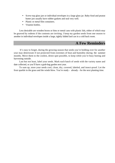- Screw-top glass jars or individual envelopes in a large glass jar. Baby-food and peanut butter jars usually have rubber gaskets and seal very well.
- Plastic or metal film containers.
- Vitamin bottles.

Less desirable are wooden boxes or bins or metal cans with plastic lids, either of which may be gnawed by rodents if the contents are inviting. I keep my garden seeds from one season to another in individual envelopes inside a large, tightly lidded lard can in a cold back room.

# **A Few Reminders**

 It's easy to forget, during the growing season that seeds you're holding over for another year may deteriorate if not protected from extremes of heat and humidity during the summer months. Move them to the coolest, driest spot possible, to keep while you're busy hoeing and harvesting outside.

Last but not least, label your seeds. Mark each batch of seeds with the variety name and date collected, or you'll have a grab-bag garden next year.

To sum up, store your seeds cool, clean, dry, covered, labeled, and insect-proof. Let the frost sparkle in the grass and the winds blow. You're ready - already - for the next planting time.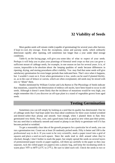### **32 Viability of Seeds**

Most garden seeds will remain viable (capable of germinating) for several years after harvest, if kept in cool, dry storage. Even the exceptions, onion and parsnip seeds, which ordinarily deteriorate rapidly after ripening, will sometimes last longer than a year under ideal storage conditions.

Table 8, on the facing page, will give you some idea of what to expect of your seeds. Perhaps it will help you to plan your plantings of biennial seed crops so that you can grow a sufficient mount of cabbage seeds, for example, in one season on last for several years. It is, of course, impossible to be absolute about the keeping qualities of seeds because differences in ripening, drying, and storing procedures affect viability. You may find that some seeds will give satisfactory germination for even longer periods than indicated here. That's nice when it happens, but I wouldn't count on it. Even when germination is low, seeds can be used if planted thickly, or, as in the case of lettuce or carrots, which are often overplanted, old seeds may be mixed with new to "dilute" them.

Studies mentioned by William Crocker and Lela Barton in The Physiology of Seeds indicate that mutations, caused by the deterioration of embryo cell nuclei, have been found to occur in old seeds. Although it doesn't seem likely that the incidence of mutations would be very high, you might remember this if you discover an off-type plant in a stand of vegetables grown from aged seeds.

### **Testing Germination**

Sometimes you can tell simply by looking at a seed that its quality has deteriorated. One lot of cabbage seeds that I had kept under less-than-ideal conditions for three years looked wrinkled and dented rather than plump and smooth. Sure enough, when I planted them in flats they germinated very thinly. Peas, corn, and a good many look as good as new when past their prime, but any seed that is ordinarily smooth and round or plump is not likely to germinate well if it has become pocked or wrinkled.

To get a reasonably clear idea of the growth prospects for a particular lot of seeds, you can run a germination test. Count out at least 20 randomly picked seeds. Fifty is better and 100 is the professional way to do it. If you want to be very scientific, mark a paper towel into a grid of squares and place a seed on each square. Since the seeds tend to shift around when they're checked, though, I don't bother to mark the paper, but simply spread the seeds on several layers of premoistened paper towels or paper napkins, roll them up carefully in the paper so they stay separate, tuck the rolled paper (or papers) into a plastic bag, and keep the incubating seeds in warm place  $70^0$ F to  $80^0$ F ( $21^0$ C to  $27^0$ C). Be sure to label each roll. Check the seeds in two or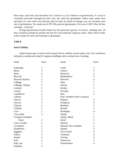three days, and every day thereafter for a week or so, for evidence of germination. If a root or cotyledon protrudes through the seed coat, the seed has germinated. When some seeds have sprouted, as a one-week wait indicates that no more are about to emerge, you can calculate your rate of germination. Ten seeds out of 20? Fifty percent germination. Five out of 100? After all that counting - 5 percent!

Prompt germination (within limits for the particular species, of course, meaning that 18 days would be prompt for parsley but late for corn) indicates vigorous seeds. Allow three weeks at the outside for most seed varieties to germinate.

#### **Table 8**

#### **Seed Viability**

Approximate age at which seed of good initial viability stored under cool, dry conditions still gives a satisfactory stand of vigorous seedlings with a normal rate of seeding.

| <b>Seeds</b>            | Years          | <b>Seeds</b>                 | Years          |
|-------------------------|----------------|------------------------------|----------------|
| Asparagus               | 3              | Leeks                        | 3              |
| Beans                   | 3              | Lettuce                      | 5              |
| <b>Beets</b>            | $\overline{4}$ | Martynia                     | $\overline{2}$ |
| <b>Broccoli</b>         | 5              | Muskmelons                   | 5              |
| <b>Brussels Sprouts</b> | 5              | Mustard                      | $\overline{4}$ |
| Cabbage                 | 5              | Okra                         | $\overline{2}$ |
| Cabbage, Chinese        | 5              | Onions                       | 1              |
| Cardoon                 | 5              | Parsley                      | 1              |
| Carrots                 | 3              | Parsnips                     | 1              |
| Cauliflower             | 5              | Peas                         | 3              |
| Celeriac                | 5              | Peas, Southern (See Cowpeas) |                |
| Chervil                 | 3              | Peppers                      | $\overline{2}$ |
| Chicory                 | 5              | Pumpkins                     | $\overline{4}$ |
| Ciboule                 | $\overline{2}$ | Radishes                     | 5              |
| Collards                | 5              | Roselle                      | 3              |
| Corn                    | $\overline{2}$ | Rutabagas                    | $\overline{4}$ |
| Corn-salad              | 5              | Salsify                      | 1              |
| Cowpeas (Southern       |                | Salsify, Black               | $\overline{2}$ |
| Peas)                   | 3              | Sorrel                       | 3              |
| Cress, Garden           | 5              | Spinach                      | 5              |
| Cucumbers               | 5              | Spinach, New Zealand         | 5              |
| Dandelions              | $\overline{2}$ | Squash                       | 4              |
| Eggplant                | 5              | Swiss chard                  | 4              |
| Endive                  | 5              | Tomatoes                     | 4              |
| Fennel                  | $\overline{4}$ | Turnips                      | 4              |
| Kale                    | 5              | Watercress                   | 5              |
| Kale, sea               | 1              | Watermelons                  | $\overline{4}$ |
| Kohlrabi                | 5              |                              |                |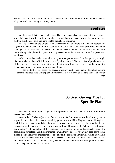Source: Oscar A. Lorenz and Donald N.Maynard, Knott's Handbook for Vegetable Grower, 2d ed. (New York: John Wiley and Sons, 1980).

# **Seed size**

Are large seeds better than small seeds? The answer depends on which scientist or seedsman you ask. There doesn't seem to be conclusive proof that large seeds produce better plants than medium-sized ones. Runts and lightweights, though, are undesirable.

In tests reported by the United States Department of Agriculture in Seeds, the Yearbook of Agriculture, small seeds, planted in separate plots but at equal distances, performed as well as plantings of large seeds made at the same population density. In mixed plantings of small and large seeds, though, the plants that grew from large seeds tended to shade out those that grew from small seeds.

After you've been selecting and saving your own garden seeds for a few years, you might like to try what seedsman Rob Johnston calls "quality control". Plant a packet of purchased seeds of the same variety as, preferably side by side with, your home-saved seeds, and evaluate the differences - if any - between the two stands of plants.

No matter how few seeds you have, always save part of your sample for future planting case the first crop fails. Never plant all your seeds. If lost to frost or drought, they can never be regai

# **33 Seed-Saving Tips for Specific Plants**

Many of the more popular vegetables are presented here with specific information or how to save their seeds.

**Artichokes, Globe**. (*Cynara scolumus, perennial).* Commonly considered a fussy exotic vegetable, this delicacy has been successfully grown in several New England states, although it is doubtful whether seeds would ripen there, adventurous gardeners in warmer climates might like to experiment with saving seeds from these cross-pollinated blossoms (the "choke" is the blossom bud). Victor Tiedjens, author of the vegetable encyclopedia, writes enthusiastically about the possibilities for selection and experimentation with this vegetable. Apparently seed-sown plants exhibit a wide variety of characteristics. The thistlelike artichoke flower will turn to a brushlike head of fluff as seeds form. Either pluck out the seeds as they dry and loosen from the head, or to save more of the seeds before they shatter, bag the whole head until it is thoroughly dry; then cut it from the plant and pull off the seeds.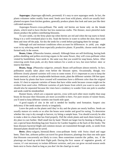**Asparagus**. (*Asparagus officinalis, perennial)*. It's easy to save asparagus seeds. In fact, the plants volunteer rather readily from seed. Seeds save from wild plants, which are usually birdplanted escapees from kitchen gardens, generally produce plants that look and taste just like their cultivated ancestors.

Asparagus flowers cross-pollinate. The seedy red berries are borne only on the female plants, which tend to have thicker but less numerous stalks. The thinner, more plentiful male shoots produce the pollen-contributing blossoms.

To save seeds, cut the ferny plant top when berries are red and when the top starts to bend. Hang it in a well-ventilated place to dry. Soak the berries in water to soften the skin; then wash them and rinse off the pulp. Air-dry the seeds for a week before packaging them for storage.

Although soil and moisture conditions often account for differences in yield, you might want to try selecting seeds from especially productive plants. If possible, choose seeds that are formed early in the season.

**Beans, Lima**. (*Phaseolus lunatus, annual).* Although limas are self-fertilizing, having both pollen-shedding and pollen-receiving organs in the same flower, they will cross-pollinate when visited by bumblebees. Save seeds in the same way that you would for snap beans, below. After removing seeds from pods, air-dry them indoors for a week or two, but store before mice or insects find them.

**Beans, Snap***. (Phaseolus vulgarize, annual).* Beans self-pollinate almost entirely. In fact, pollination usually takes place even before the blossom opens. Occasionally, though, two different closely planted varieties will cross to some extent. If it's important to you to keep the strain unmixed, as with an irreplaceable heirloom strain, plant the different varieties 100 feet apart. Seeds borne by plants that have crossed will sometimes have a different color than the original strain. It's best to separate varieties of beans that have white seeds because crosses might not be evident from seed color. Different varieties of pole beans from which you want to save seeds should also be separated because the vines have a tendency to wander from one pole to another and seeds could be misidentified.

Runner beans, which are a separate species, cross with each other more readily than snap beans do because their blossoms are more accessible to bees. For pure strains of runner beans, you'll need to keep different varieties one-fourth mile apart.

A good supply of zinc in the soil is needed for healthy seed formation. Suspect zinc deficiency if the seeds mature slowly or irregularly.

Leave the pods on the plants until they're dry and the plants are nearly leafless. Seeds are usually mature six weeks or so after the beans were tender and good for eating. To determine whether the crop is dry enough to harvest, try biting a sample bean. You should scarcely be able to make a dent in a bean that has fried properly. Pull the whole plants and stack them loosely in a dry place to cure further. Shell small lots by hand. Thresh out larger lost by beating or flailing, or use a special bean-threshing bag (see Sources for Garden Supplies at the back of this book). The bean diseases bacterial blight and common mosaic are transmitted through seeds, so seeds from diseased plants should not be saved.

**Beets**. (Beta vulgaris, biennial) Beets cross-pollinate freely with Swiss chard and sugar beets. Their fine, airborne pollen can travel for great distances; plantings less than one mile apart that blossom concurrently are likely to cross. Bees sometimes transfer the pollen, too, if the plantings are lined up with their flight path. During the first season of vegetative growth, of course, it's not necessary to isolate different varieties, and you can grow second-season seeds beets next to Swiss chard as long as you don't let the chard go to seed.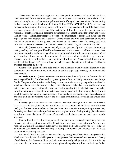Select roots that aren't too large, and treat them gently to prevent bruises, which could rot. Don't save seed from a beet that goes to seed in its first year. You needn't store a whole row of beets, six or eight can produce several gallons of seeds, if they all live over winter. Before storing the beets, cut off the tops, leaving a 1-inch stub. Chilling  $33^{0}F$  to  $45^{0}F$  (1<sup>0</sup>C to  $7^{0}C$ ) is necessary for seed-stalk formation, but long periods of below-freezing weather will spoil the beets. Most gardeners who save beet seeds harvest the beets before killing frost, store the roots in sand in a root cellar (or refrigerator, cold basement, or unheated spare room) during the winter, and replant them in spring. Plant at least three; beet flowers sometimes refuse to accept their own pollen and require pollen from another plant to set seed. Where winters are mild, seed beets may be sown in the fall to winter over in the garden, and thinned to 18 inches apart for spring seed-stalk formation. As soon as the seeds at the base of the stalk have ripened, you can full the plants.

**Broccoli**. (Brassica oleracea, annual) If you can get an early start with your broccoli by raising seedlings indoors, you'll be able to harvest seeds the first season. Fall broccoli won't have time to develop ripe seeds unless you live far enough south for it to live over the winter and set seed in spring. Choose an early-bearing plant of good type, and let the tight green flower bud clusters - the part you ordinarily eat - develop into yellow blossoms. Since broccoli flowers aren't usually self-fertilizing, you'll need at least three closely spaced plants for pollination. The flowers are cross-pollinated by insects.

Cut the whole plant when the pods are dry, and place it in a well-ventilated location to dry completely. Pods from just a few plants may be put in a paper bag, crushed, and winnowed to remove chaff.

**Brussels Sprouts**. (Brassica oleracea var. Gemmifera, biennial) Practice first on a few of easier vegetables, but don't be afraid to try saving seeds from this hardy member of the cabbage family. The plants often survive cold - though not severe - winters and go to produce seed stalks, which you should treat like those of cabbage. Brussels sprouts stalks that I have gently bent down to the ground and covered with mulch have survived winter. Storing the plants in a cold root cellar (or refrigerator, cold basement, or unheated spare room) over winter for spring replanting would be a bit chancier but by no means impossible. You could also use a cold frame. Brussels sprouts are cross-pollinated by insects. Collect and store seed from brussels sprouts as you would from cabbage.

**Cabbage***. (Brassica oleracea var. capitata, biennial)* Cabbage, like its cousins broccoli, brussels, sprouts, kale, kohlrabi, and cauliflower, is cross-pollinated by insect and will cross readily with these other members of the species B. Oleracea. For some-garden purposes keep flowering stands of the seed crops 200 feet apart, or plant a row of tall-growing plants between varieties to throw the bees off course. Commercial seed plants must be much more widely separated.

Plant at least three seed-bearing plants of cabbage and its relative, because many brassica flowers will not accept their own pollen. Select firm, ready to eat heads in the all. Pull them up, root and all, trim off the largest outer leaves, and store the heads other in the root cellar (or refrigerator, cold basement, or unheated spare room) or in trenches well covered with soil. Keep cellar-stored roots damp and cold.

Replant the heads two to three feet apart in early spring. They'll send out a long seed stalk, which rises directly from the cabbage core. Many growers slash a one-inch-deep cross into the top of each head so that the seed stalk can make its way more easily to light and air. Pick the thin, dry pods when they're brown, or harvest the whole plant when pods are yellow and let it dry further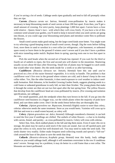if you're saving a lot of seeds. Cabbage seeds ripen gradually and tend to fall off promptly when they are ripe.

**Carrots**. *(Daucus carota var. Sativus, biennial)* cross-pollination by insects makes it necessary to keep blossoming stands of seed carrots at least 200 feet apart. Even then, you'll get a small amount of crossing. For strict purity, keep plantings 1,000 feet apart. Carrots have a close wild relative - Queen Anne's lace - with which they will cross freely. If you have a lot of this common weed around your garden, you'll need to keep it mowed when you seed carrots are going into bloom, or you could cage your blossoming seed plants and introduce some flies to pollinate the flowers.

Small-cored carrots make good eating, but the large-cored kinds store better. You might want to try selecting a good-keeping strain of small-cored carrots, though. Dig the roots before killing frost, store them in sand or sawdust in a root cellar (or refrigerator, cole basement, or unheated spare room) or leave them in the ground if winters aren't severe and if you don't have a problem with mice tunneling under mulch. Replant them in spring, spacing roots one to two feet apart in the row.

Pick the seed heads when the second set of heads has ripened. If you wait for the third or fourth set of umbels to ripen, the first and second sets will shatter in the meantime. Shattering usually occurs about 60 days after flowering. Small lots of plants may be bagged to catch seeds that would other wise shatter. Dry the seeds inside for a week or so after harvesting.

**Cauliflower**. *(Brassica oleracea var. botrytis, biennial)* Save this one until you've practiced on a few of the easier biennial vegetables. It is tricky to handle. The problem is that cauliflower won't live over in the ground where winters are cold, and it doesn't keep in the root cellar either. Yes, like the other biennials, it does need exposure to cool weather to induce seedstalk formation. Rob Johnston, in his booklet Growing Garden Seeds, suggests planting seeds in a cold frame or unheated greenhouse in early fall, no later than October. The young plants that make it through the winter are then set out two feet apart after the last spring frost. The yellow flowers that develop from the cauliflower head are cross-pollinated by insects. (For crossing and isolation specifications, see cabbage).

For small quantities, pick the seedpods when they turn brown in the fall. If you go into the cauliflower seed business in a bigger way, cut the whole plants when the majority of pods have dried, and cure them under cover. Don't let the seeds freeze before they are thoroughly dry.

**Celeriac**. *(Apium graveolens var. Repaceum, biennia*l) Slightly easier to store than celery, celeriac otherwise needs the same treatment. Store as you would beets. Varieties will cross up to 200 feet and even to a small extent beyond, as celery will.

**Celery**. *(Apium graveolens var. dulce, biennial)* Although considered a biennial, it can bolt to seed the first year if seedlings are chilled. The umbels of white flowers - a clue to its kinship with carrots, fennel, and parsley - as cross-pollinated by insects. Celery will cross with celeriac.

Select fine, firm, thick-stalked plants in the fall and dig them moist. Even if outer ribs rot in storage, the plant may be used as seed stock if the roots are sound. Just cut off spoiled parts and plant the celery in rich, moist but well-drained soil. You may need to stake the seed stalk. The seeds shatter very readily. Either make frequent seed-collecting rounds and spread a "fall-out" cloth around the base of the plant to save the seeds that drop.

**Collards**. *(Brassica oleracea, Acephala group, biennial)* treat this hardy, leafy cabbage relative as you would cabbage itself, although it will sometimes overwinter in the row if conditions aren't severe. Storage may be a problem; it may do better in a cold frame than a root cellar. The blossoms are insect-pollinated.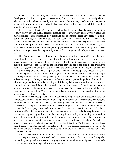**Corn***. (Zea mays var. Rugosa, annual)* Though centuries of selection, American Indians developed six kinds of corn: popcorn, sweet corn, flour corn, flint corn, dent corn, and pod corn. These varieties have been refined by further selection, but the only really new developments added by European immigrants during the last nears of cultivation have been hybridizing and the selection of new corn varieties.

Corn is wind- pollinated. The pollen, which is shed by the tassels and received by the silks, is fairly heavy, but you'll still get some crossing between varieties planted 200 feet apart. For more complete control of crossing, keep plantings, one-quarter mile apart. Save seeds from openpollinated varieties, not from hybrids. You can isolate corn varieties by time as well as by distance. Early and late varieties, which will tassel at different times, may be grown close together. All corns cross - popcorn with sweet corn, and dent corn with flint corn, for example, so you'll want to check on what kinds of corn neighboring gardeners and farmers are planting. If you're not able to isolate your seed-bearing corn by time or distance, you can hand- pollinated your seed ears.

Here's one way to hand- pollinate corn. Choose developing ears on which the silks have formed but have not yet emerged. (Once the silks are out, you can't be sure that they haven't already received some random pollen). Pull down the leaf that partly surrounds the young ear, and cut off the leafy tip of the ear, leaving the cob intact; then fit a paper bag over the ear. During the next few days, the silks will grow out of the cut end of the ear, and you can gather pollen from tassels on other plants and shake the pollen onto the silks. To collect pollen, choose tassels that have just begun to shed their pollen. Working either in the evening or the early morning, staple paper bags over the tassels, fastening the bags closely around the plant stems. Collect pollen from at least as many tassels as you have ears. Go back at noon to gather the pollen-collecting bags. Most of the pollen is shed in the morning, and if the day is hot and sunny, it may deteriorate if left too long in the bag. Mix together the pollen from all of the bags you're collected, and sprinkle some of the mixed pollen onto the silks of each young ear. Then replace the bag around the ear to keep out extraneous pollen. You can write identifying information on the bag. Pick the ear for seeds when it has dried on the stalk.

Save the fullest, most perfect ears from earliest-bearing plants. Corn is especially sensitive to inbreeding. If seeds are saved from limited sampling of ears (4 or 5) for several generations, the resulting plants will tend to be small, late bearing, and low yielding - signs of inbreeding depression. To keep the wide selection of genes that your corn needs in order to continue produce healthy progeny, save seeds from at least 35 to 50 ears chosen from at least 100 plants. Professional breeders work with lost of at least 100 ears. Mix the seeds thoroughly to ensure a representative plant population, which is especially important if you are trying to maintain a strain of corn without changing it too much. Gardeners who want to change their corn like by selecting for desired characteristics will be interested in plant breeder Dr. Mark Widrlechner's advice to Seed Savers Exchange members. Easily selected qualities, Widrlechner says, include ear height, earliness or lateness, and plant color. Seed color and disease resistance aren't so easy to select for, and the toughest traits to change by selection are yield, flavor, insect resistance, and nutritional content.

Let the seed corn ripen on the plant. It should be ready to harvest about a month after the corn was right for eating. Well-dried seed corn won't be hurt by frost. Continue drying after harvest by peeling back the husks and hanging the ears in a well-ventilated place. Incompletely cured corn may heat in storage and won't germinate well.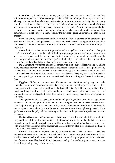**Cucumbers**. *(Cucumis sativus, annual)* your picklers may cross with your slicers, and both will cross with gherkins, but be assured your cukes will have nothing to do with your zucchinis! The separate male and female blossoms transfer pollen through insect activity. As with many other insect- pollinated plants, you can expect a certain minimal amount of crossing with 200-foot separation. One-quarter mile is necessary for absolute seed purity. As with cantaloupes and other cucurbits, you can hand- pollinate cucumbers if you plan to have several varieties in bloom at the same time or if neighbor grows them. (Follow the directions given under squash, later in this chapter).

Once in a while, cucumbers set fruit without fertilization - a process called parthenocarpy. Such fruits lack well- developed seeds. To increase your chances of getting good fruit set which viable seeds, dust the female flower with three or four different male flowers rather than just a single one.

Leave the fruit on the vine until it grows fat and turns yellow. Frost won't hurt it, but pick it before it rots. Cut the cucumber in half the long way, scrape out the seed pulp, rinse until the seeds are as clean as possible, then air-dry. Or, to ferment off the pulp and cull worthless seeds, let the pulp stand in a glass for a several days. The thick pulp will subside to a thin liquid, and the heavy, good seeds will sink. Strain them off and wash and air-dry them.

**Dill**. *(Anethum graveolens, annual)* Technically an herb, but practically indispensable to many cucumber growers. I couldn't pickle cucumbers without it. Dill is cross-pollinated by insects. It seeds are one of the easiest kinds of seed to save, just let the seeds dry on the plant and cut the seed heat off. If you full them you'll lose a lot of seeds. I keep my harvest of dill heads in an open paper bag in a warm room for several weeks before rubbing off the seeds and storing them.

**Eggplant**. *(Solanum melongena var. Esculentum, annual)* When saving eggplant seeds, remember that some of the newer varieties, like Jersey King or Early Beauty, are hybrids. For best results, stick to the open- pollinated kinds, like Black Beauty, Early Black Egg, or Early Long Purple. Although the flowers self- pollinate, they may also be cross-pollinated by insects, up to one-quarter mile or so. Eggplant seeds lose viability more quickly than those of peppers or tomatoes.

The eggplant that has escapes your attention and gone beyond the firm, glossy stage to turn somewhat dull and perhaps a bit wrinkled on the bush is a good candidate for seed harvest. A fruit picked ripe for eating that has spent several days on the kitchen counter will yield viable seeds, too. Scrape out the seedy pulp, rinse the seeds clean, and float off any lightweight seeds. Some gardeners ferment the pulp before extracting seeds, but according to several specialists, this isn't necessary.

**Endive**. *(Cichorium endivia, biennial)* These may perform like annuals if they are planted early and then bolt to seed in midsummer heat; otherwise they are biennials. Plants to be carried through the winter can be protected by a cold frame or heavy mulching and snow. Don't cover with mulch when the crown of the plant is wet. The cornflower- blue blossom is self- pollinated. Harvest and store seeds as lettuce.

**Fennel**. *(Foeniculum vulgare, annual)* Florence fennel, which produces a delicious, semicrisp bulbed stalk, form umbels of seeds that follow the tiny cross-pollinated flowers. Warm weather hastens seed production. Select seeds from slow-bolting, large-bulbed plants. The seed head formation resembles that of dill and shatters as readily. The seeds are good to eat, but save a handful for planting next year's fennel crop.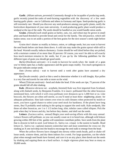**Garlic**. *(Allium sativum, perennial)* Commonly though to be incapable of producing seeds, garlic recently joined the ranks of seed-forming vegetables with the discovery of a few seedbearing garlic plants - one in California and others in Germany and Japan. Seed-producing garlic is still extremely rare. Should you discover any seed-producers among your garlic plants, notify the horticulture department of your state university. A seed-producing garlic plant would produce a seedpod at the top of the stalk. The seeds should be handled as you would handle onion seeds.

**Grains**. *(Annuals)* such small grains as barley, oats, rye, and wheat may be grown in small plots and hand-threshed to provide bread and cereal for the family. The old practice, which still makes sense, was to set aside a portion of the best grains for the next season's seeds right before harvest.

Grains don't shatter as readily as lettuce, onion, or cabbage seeds, but you want to harvest the seed heads before rain beats them down. A cold rain may make the grains sprout while still in the head. Warmth usually induces dormancy. Grains should be well dried before they are picked, with a moisture content of no more than 20 percent. Of course, you won't be able to tell exactly how much moisture remains in the seeds, but if you go by the following guidelines for the different types of grain you should get good seeds.

*Barley* (Hordeum sativum) - it is ready to harvest for seeds when the inside of a grain you've bitten open has a chalky appearance and the grain snaps readily. Too much springiness in the grain indicates unripe seeds.

*Oats* (Avena sativa) - wait to harvest until a week after grains have assumed a dry appearance.

*Rye* (Secale cereale) - pinch or bite a seed to determine whether it is still doughy. Rye pollen is a very fine and travels for one mile or more on the wind.

*Wheat* (Triticum aestivum) - bend and shake the head. If the seeds are ripe, 75 percent of the grains should fall off after shaking.

**Kale**. *(Brassica oleracea var. acephala, biennial)* Kale was first imported from Scotland, along with rhubarb seeds, by Benjamin Franklin. It is insect- pollinated like the other brassicas mentioned here, with which it will cross-pollinate over distances up to 1,000 feet or so. Like broccoli, the flowers are often self-sterile, so you'll need at least three neighboring plants for adequate pollination. Sine kale winters over even in cold climates when protected by mulch or snow, you have a good chance to select your seed stock for hardiness. If the plants have long stems, they'll probably need staking in the spring to support the seed stalk. Kale seedpods, like those od other brassicas, are 1 to 1 1/2 inches long, slim, tubular cases called siliques. Pick the pods when they're brown and dry, but before they shatter, and shell out the seeds.

**Lettuce**. *(Lactuca sativa, annual)* Begin your seed-saving efforts with this easy annual. Lettuce flowers self-pollinate, so you can usually count on it to breed true, although wild lettuce growing within 200 feet of the garden will sometimes contribute pollen. Save seeds from the plant that is slowest to bolt to seed. Leaf lettuce (L. Sativa var. crispa) is the easiest to handle. Head lettuce (L. Sativa var. capitata) matures somewhat later and must sometimes be cross-cut (by slashing an X one inch deep into the head) to encourage the seed stalk to emerge from the head.

When the yellow flowers have changed into downy white seeds heads, pull or shake off loose seeds, winnow them, and dry them indoors for a week. For large quantities, cut the whole plant when enough seed heads have formed, and cure it in an airy place; then thresh out the seeds by shaking and rapping them on a hard surface. A single vigorous plant may bear as many as 30,000 seeds.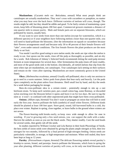**Muskmelons**. *(Cucumis melo var. Reticulatus, annual)* What most people think are cantaloupes are actually muskmelons. They won't cross with cucumbers or pumpkins, no matter what you may hear over the back fence. Different varieties of melons will cross, though. The results might be odd, but they should be edible and good. To be fairly certain of maintaining a pure strain, keep hills of blooming plants 200 feet apart. Commercial growers maintain a distance of one-quarter mile to ensure purity. Male and female parts are on separate blossoms, which are pollinated by insects, usually bees.

If you want to save seeds from more than one melon (except for watermelon, which is a different species) or if your neighbors have following melons closer than one-quarter mile, you will need to hand-pollinate the blossoms. (See the information on squash or cucumbers because their flowers arrangements small and because only 30 to 40 percent of their female flowers will "take", even under natural conditions. The first female flowers the plant produces are the most likely to set fruit.

You needn't sacrifice good eating to save melon seeds; the seeds are ripe when the melon is ready to eat. Just spoon out the seeds, rinse off the pulp as thoroughly as possible, and air-dry for a week. Rob Johnston of Johnny's Selected Seeds recommends letting the seed-pulp mixture ferment at room temperature for several days. After fermentation the pulp rinses off more readily, and most of the good seeds sink to the bottom. (Incidentally, all netted melons that slip from the stem when ripe are muskmelons, not cantaloupes. True cantaloupes lack netting on their surfaces and remain on the vines after ripening. Muskmelons are more commonly grown in the United State).

**Okra**. *(Abelmoschus esculentus, annual)* Usually self-pollinated, okra is only too anxious to go to seed in a warm summer. Select pods from plants that bear early and heavily. Let the pods ripen completely on the plant unless frost threatens. Shell small lost by hand, and dry the seeds for a week before packaging for storage.

Bees do cross-pollinate okra to a certain extent - potentially enough to mix up a rare heirloom strain. To keep such varieties pure, put a small cotton bag, some Reemay, or discarded nylon stocking over the blossom before it opens and leave it on for two days. Be sure to tag the stem so it won't to confused with other unprotected pods that might have been cross-pollinated.

**Onions**. *(Allium cepa, biennial)* You don't want to propagate an onion that will bolt to seed early the first year. Insects pollinate the balls (umbels) of small white flowers. Different kinds should be planted at least 100 feet apart. Store good, sound, fall-harvested bulbs in a cold, dry place over winter. Replant in spring, close together, or leave bulbs in the ground where winters are not severe.

The flower-bearing stalk breaks easily, so keep rows wide enough to allow for ease in weeding. If you're growing only a few seed onions, you can support the stalk with a stake. Harvest the umbels as soon as you see the black seeds. They shatter readily. Cure the seed heads for several weeks, then gently rub off the seeds.

In studies reported by William Crocker and Lela Barton in their book Physiology of Seeds, the best yields of onion seeds were obtained by giving the plants ample nitrogen at first, then low nitrogen for two months, followed by a final period of high-nitrogen feeding. Onion seeds are particularly vulnerable, in storage, to high temperature and moisture. When well sealed, they have been kept as long as 12 years.

**Parsley**. *(Petroselinum crispum, biennial)* The delicate flowering umbels reveal parsley's kinship to carrots, fennel, and parsnips. Insects pollinate the blossoms, which form in spring the year after planting. different varieties of parsley will cross, so let only one kind blossom each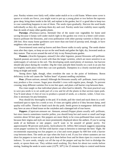year. Parsley winters over fairly well, either under mulch or in a cold frame. Where snow cover is sparse or winds are fierce, you might want to pot up a young plant or two before the taproots grow deep, bring them inside in the fall, and replant in the garden, but it's a good idea to keep two in case something happens to one of them. The seeds ripen gradually. Harvest the seed heads individually as they dry, and keep them dry and cool. Parsley seeds lose viability more rapidly than do seeds of many other garden plants.

**Parsnips**. *(Pastinaca sativa, biennial)* One of the easier root vegetables for home seed saving because it keeps well under mulch right in the garden row even in a bitter cold winter. Insects pollinate the blossoms, and cross-pollination with other parsnip varieties is likely up to 200 feet. How many home gardeners save more than one kind of parsnip seed, though, or have neighbors who save another kind?

Overwintered roots send up leaves and then flower stalks in early spring. The seeds shatter soon after they ripen, so keep an eye on the seed heads and gather the light, dry, browned seeds as they mature. That occurs around the end of July in my Pennsylvania garden.

**Peanuts***. (Arachis hypogaea, annual)* Like other legumes, peanut blossoms self-pollinate. Spanish peanuts are easier to work with than the larger varieties, which are more sensitive to an undersupply of calcium in the soil. The developing seeds need plenty of moisture, but harvest should take place during dry weather. Dig the vines and pile them loosely on a rack in an airy but not brightly sunlit place where they can cure gradually. Dampness in a closely stacked pile may bring on bright and mold.

Strong direct light, though, often overdries the nuts to the point of brittleness. Boron deficiency in the soil causes the "hollow heart" of peanut seedling cotyledons.

**Peas**. *(Pisum sativum, annual)* Although the blossoms usually self- pollinate, insect activity may produce a few crosses. Sugar peas shouldn't cross with regular peas, though. To prevent crossing, keep different varieties five to ten feet apart, and plant a tall barrier crop between them.

Pea vines tangle so that individual plants are often hard to identify. The most practical way to save pea seeds is to set aside part of a row and let all the plants in that section ripen pods. You'll need about 15 feet of row to produce a pound of seeds, or a shorter, wider, 5-foot row. Zinc is necessary for pea formation.

Peas should dry thoroughly in the pod. If in doubt, pull the vined and stack them in a wellventilated spot to ripen for a week or two. If vines are tightly piled or if they become damp, seed quality will suffer. Thresh or hand crack the dry pods. Seeds grown in manganese- deficient soil may have an area of dead tissue on the cotyledon and a damaged tuft of true leaves.

**Peppers**. *(Capsicum annuum var. Annuum, annual)* Pepper plants usually self- pollinate, but since insects sometimes transfer pollen, you should keep hot and sweet or small and large varieties about 50 feet apart. Hot peppers are more likely to be cross-pollinated than sweet ones because their stigma and style are more prominently displayed above the anthers. If you're saving seeds of an heirloom or rate pepper, you'll want to be assured of greater purity. For approximately 98 percent seed purity, horticulturist Dr. Jeffrey McCormack suggests separating sweet pepper varieties by 150 feet with barrier crops in between to interrupt the bees' flight. He recommends separating two hot peppers or a hot and sweet pepper by 600 feet with a barrier crop between them. The seeds are ripe when the fruit is red. If you live where summers are too short for peppers to turn red, you can pick them before frost and let them ripen in a warm room indoors. To save seeds, simply cut off the top of the pepper and tap the fruit to dislodge the seeds, or spoon them out. They seldom need washing. Dry them for about two weeks before storing. Soaking the seeds in warm water ( $122^{\circ}$ F,  $50^{\circ}$ C) for 25 minutes helps to control seed-borne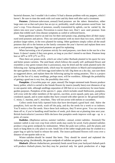bacterial diseases, but I wouldn't do it unless I'd had a disease problem with my peppers, which I haven't. Be sure to rinse the seeds with cool water and dry them well after such a treatment.

**Potatoes**. (*Solanum tuberosum, annual)* Seed potatoes are the tubers themselves, either large ones cut so that each piece has an eye or, preferably, small whole potatoes saved from last year's crop. Virus diseases of potatoes, usually transmitted by aphids, can be carried by the tubers into next year's plants. Prevention is easier than cure. Don't save seed potatoes from plants that exhibit such virus disease symptoms as curled or yellowed leaves.

Some gardeners reserve an end row for their seed potato crop, planting there all their manyeyed seed potatoes and pieces. They use seed potatoes with no more than two eyes, which will produce larger tubers, in the rows planted for eating. Other gardeners simply collect all the small potatoes that sift to the bottom as the family consumes the year's harvest and replant them next year as seed potatoes. Egg-sized potatoes are good for replanting.

When harvesting a lot of potatoes strictly for seed purposes, cure them in the sun for a few hours. It doesn't matter if they turn green, as long as you don't intend to eat them. Potatoes keep best at  $34^0$ F or  $35^0$ F (1<sup>0</sup>C or 2<sup>0</sup>C).

Then there are potato seeds, which are what Luther Burbank planted in his quest for new and better potato varieties. The seed head, which follows the usually self- pollinated flower and resembles a tiny green tomato (but is poisonous), may be dried and the seeds planted early the following year. Spring-planted seeds, which may be started indoors in March and transplanted to the open garden in June, will form egg-sized tubers by fall. Dig them on a dry day, sun-cure them as suggested above, and replant them the following spring for eating potatoes. This is a project just for the fun of it; many seedlings, perhaps most, will be worthless. Although the probability of getting a good one is very low, the possibility does exist.

**Pumpkins**. (*Cucurbita pepo var. pepo,* annual) The longer-stemmed male flowers produce heavy pollen, which is carried to the female flowers by insects (usually bees) over distances of up to one-quarter mile, although seedlings separation of 200 feet or so is satisfactory for most homegarden purposes. Pumpkins of the species C. pepo, which includes small Halloween, pumpkins, will cross with the other members of the species, zucchini, acorn squash, patty pan, and yellow crookneck squash, and in some studies they have crossed with other species in the ground family: *C. mixta, C. maxima, and C. moschata*.. They will not across with melons or cucumbers.

Collect seeds from fully ripened fruits that have developed a good hard rind. Halve the pumpkins, fork out the seeds, wash off the pulp, and dry the seeds for a week or so indoors. You'll notice a few flat seeds. Since these lack embryos, they'll never grow. You can winnow them off or, if you're handling small batches of seeds, pick them out at planting time next year. British horticulturist Lawrence Hills declares that pumpkin seeds improve with age - up to a point, of course.

**Radishes**. (*Raphanus sativus, summer radishes* - annual, winter radishes - biennial) The summer radish is one root crop from which seeds may easily be saved. Early-planted radishes produce crisp green seedpods by midsummer. When the pods turn yellow, pull the plants and stack or hang them in a dry place to cure. Small lots of the rather tough pods may be crushed in a paper bag or split by hand to release the seeds. The insect-pollinated flowers will cross over a distance of one-quarter mile or so.

Winter radishes should be treated like beets. They should be stored and replanted the following spring. (Incidentally, the green seedpods of radishes are good to eat).

**Rhubarb**. (*Rheum rhabarbarum*, perennial) Seeds saved from your backyard rhubarb patch will produce rhubarb plants, but they may be practical only for quick production of a large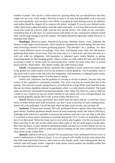number of plants. This can be a valid reason for growing them, but you should know that they might turn out to be early seeders. Division of roots is an easy and dependable way to increase your stock gradually, and one that is less likely to perpetuate early-bolting strains. In addition, seed stalks should be clipped off to conserve the plants' strength. If you do save rhubarb seeds, collect them from a plant that bolt to seed late rather than early, or you may find yourself raising a strain that sends up a flower stalk with the first spring shoots. The seeds are dry and flaky, resembling that of wild dock. In a good season with plenty of rain, seed-grown rhubarb started early will be large enough to pick by summer. The plants should be rigorously culled, however, to eliminate early bolters.

**Rutabagas***. (Brassica napus, Napobrassica group*, biennial) Insects cross- pollinate the flowers of this large-rooted biennial, which should be replanted the second spring 200 feet from other flowering varieties for home gardening purpose. This shouldn't be a problem, for there aren't many different strains of rutabaga. Save firm, well-shaped roots from the fall harvest, gathering them before severe frost. Trim the leafy tops to a 1-inch stub, and store the roots in a cold root cellar (or refrigerator, cold basement, or unheated spare room). Replant in spring, reselecting plants for their keeping quality. Where winters are mild, mulch the roots and thin them in spring to stand 12 inches apart for seed production. Gather the pods when they've turned brown and dry. Watch them - they shatter readily, like other brassica seeds.

**Salsify**. (*Tragopogon porrifolius,* biennial) This vegetable is easily stored over winter right in the garden row under mulch, even by the northern is easily gardener. You'll probably want to dig some roots to store in the root cellar (or refrigerator, cold basement, or unheated spare room), too, for insurance. Replant them 12 inches apart in spring.

Salsify self- pollinates, but the problem of crossing is strictly academic, because only one variety of the vegetable is commonly available. The seed crop may be treated like that of the parsnip. The attractive purple spring flowers are followed by a large fluffy seed head that looks like an over blown dandelion (similar to goatsbeard, which is a wild relative of salsify). The heads ripen successively and should be picked individually a they ripen. Dry them on a rack or shelf for a week or two. Experts are not yet certain whether or not salsify will cross with goatsbeard, but you should probably assume that it will, at least within 200 feet or so.

**Sorrel**. (*Rumex acetosa*, perennial) Save seeds from the plants that go to seed late. Since flavor is better before seed stalk formation, you don't want to develop an early-seeding strain. Sorrel will cross-pollinated. Cut off the stalk when the flaky seeds are dry, and rub them off.

**Soybeans**. (*Glycine max*, annual) The self- pollinated flowers appear when days begin to grow shorter. Northern gardeners should choose an early-maturing variety like Altona (100 days). Although some selection is possible, in practice the soybean seed and I save are what is left after I've picked as many green soybeans as possible during the 10 to 14 days in September when they're at their peak. When the beans start to turn yellow and toughen, I let the rest hang on the plant until they're dry and cut the whole plant when some of the dry pods begin to break open. Mice like the beans, so they should be threshed promptly and dries on a screen indoors for two to three weeks. I thresh all I need to seeds and soup by treading on the vines sandwiched between clean sheets on the cement floor.

**Spinach**. (*Spinacia oleracea,* annual) The inconspicuous wind- pollinated flowers occur in varied combinations on different plants. A row of spinach will usually include some plants that bear both male and female flowers; others that are only female; small, early-bolting plants that are entirely male and larger, leafier, vegetative male plants, which produce the dustlike pollen that travels in the wind for as far as a mile.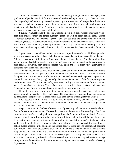Spinach may be selected for leafiness and late bolting, though, without identifying each graduation of gender. Just look for the undersized, early-seeding plants and grub them out. Most plantings of spinach tend to go to seed, spurred by warm weather and longer days, before the gardener has a chance to get his or her share, but at least selection should help to eliminate any genetically linked early bolting. Pick the seeds in the summer after they've ripened on the plants and store in sealed containers in a cool dry place.

**Squash.** (Annual) Since the species Cucurbita pepo includes a variety of squash types both hard-shelled winter and tender summer squash, as well as acorn squash, small gourds, Halloween pumpkins, and spaghetti squash - you can see that the possibilities for odd and interesting crosses are considerable. Insect often transfer the pollen between varieties, so different kinds of squash from which you want pure seeds should be grown no less than one-quarter mile apart. Bees usually carry squash pollen for only 180 to 200 feet, but they can travel as far as one mile.

Squash won't cross with cucumbers or melons, but pollination of a zucchini by a gourd or an acorn squash can produce a hard-shelled summer squash that isn't too acceptable on the table. All such crosses are edible, though. Some are palatable. Those that aren't make good feed for stock; the animals relish the seeds. If you're saving seeds of a kind of squash no longer offered by seed catalogs, however, such random crosses will spoil the seed strain that generations of gardeners have taken pains to keep pure.

Although a few botanists who have studied squash pollination think that occasional crossing may occur between acorn squash, Cucurbita maxima, and butternut squash, *C. moschata*, others disagree. In practice, even the careful members of the Seed Savers Exchange (see chapter 37 for more information about this group) routinely plant one variety of each of the four squash species in the same season. Thus you can safely save seeds during the same summer from a Hubbard squash *(C. maxima)*, a butternut *(C. moschata)*, a green striped Cushaw *(C.mixta)*, and a zucchini *(C. pepo)*, but not from an acorn and spaghetti squash, both of which are *C.pepo.*

If you do want to save from more than one member of a squash species, or if pollen from squash grown by a neighbor is likely to be carried to your squash, you can pollinate the blossoms by hand. Here's the procedure, as described in 1985 Seed Savers Exchange Harvest Edition:

First, observe the flowers and learn to identify the female flower, which has a tiny squashshaped swelling at its base. The vine's earlier blossoms will be males, which have straight stems and lack the rudimentary fruit.

Inspect the plants in the late afternoon or early evening and find an unopened male and female flower on the same vine. (Flowers that have already opened will droop slight. Don't use these because they've probably already been pollinated). Tape both flowers closed. The next morning, after the dew dries, open the female flower. It is all right to tear off the tips of the petals down to the lower edge of the tape, but be careful not to disturb the flower's attachment to the stalk. Pick the male flower, remove its petals, and holding it by the stem, rub the male flower' pollen-dusted anthers on the stigma of the female flower. Some experts recommend applying pollen from several male blossoms to each female flower. Next, tape the female flower closed to keep out bees that may especially carrying pollen from other flowers. You can bag the flowers instead of taping fruit in the fall. Record your crosses in your garden log, too. To be sure of getting a sufficient amount of good seeds, pollinate several blossoms for each squash variety, always using male and female flowers from the same vine. Squash doesn't seem to suffer inbreeding depression as corn does.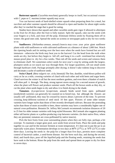**Butternut squash** (*Cucurbita moschata*) generally keeps to itself, but occasional crosses with *C. pepo* or *C. maxima* (winter squash) may occur.

You can harvest seeds of hard-shelled winter squash when preparing them for a meal, but zucchini and other summer squash should be allowed to ripen and harden for about eight weeks after they've reached the stage that is good for eating.

Studies have shown that squash and other cucurbits seeds gain vigor if allowed to afterripen in the fruit for 20 days after the fruit is fully mature. Split the squash, rake out the seeds with your fingers or a fork, and rinse off the pulp. Eliminate lifeless seeds by floating them off in winter; the good ones sink. Spread the seeds on screens or newspaper pads to dry for two weeks or so.

**Sunflowers**. (*Helianthus annuus*, annual) Insects may cross your prize giant sunflower plants with wild sunflowers or with cultivated sunflowers at a distance of about 1,000 feet. Watch the ripening heads and tie netting over the best ones when the seeds have formed but are still immature - otherwise the birds may beat you to the harvest! Cut the head from the stalk when seeds are dry, but before they begin to fall off, and hang it in a well- ventilated but relatively mouse-proof place to dry for a few weeks. Then rub off the seeds and screen and winnow them to eliminate chaff. We sometimes select seeds for next year's crop by setting aside the largest, plumpest seeds as we snack our way through them. For larger quantities, sift out small seeds through hardware cloth. Package promptly after drying; it doesn't take rodents long to discover and decimate a cache of sunflower seeds.

**Swiss Chard**. (*Beta vulgaris var. cicla,* biennial) The fine, dustlike, wind-blown pollen will carry as far as a mile, crossing varieties of chard with each other and with beets and sugar beets. Chard survives the winter in all but the most northern gardens, and even there a blanket of mulch will often pull it through. The deep, strong taproot stores energy for a second season of growth, when the plant will flower and produce summer seeds. Pluck off the brown seeds as they dry, or cut the plant when seeds begin to dry and allow it to finish drying in the shade.

**Tomatoes**. (*Lycopersicon lycopersium,* annual) Seeds saved from open- pollinated (nonhybrid) varieties can generally be counted on to breed true, but although the flowers are usually self- pollinated, they may be crossed by insects about 2 percent of the time. To prevent crossing, keep different varieties of seed stock 10 feet apart. Flowers of some older tomato varieties have longer styles than those of feet recently developed cultivars. Because the protruding styles than those of more accessible to bees, these varieties may have a considerably higher rate of natural cross-pollination. Botanist Dr. Jeffrey McCormark recommends isolation distances of 20 to 25 feet for older tomato varieties with long-styled blossoms. McCormark also suggests planting either tall barrier plants or a pollen-producing crop between varieties. (In their native Peru, where they are perennial, tomatoes are cross-pollinated by native insects).

Pick the best fruits from your outstanding plants when they are fully ripe, perhaps a bit overripe. To maintain a larger gene pool, save seeds from several fruits. Place the seeds and pulp together in a jar and let the mixture ferment at room temperature. It's best not to put the jar in an especially warm place. Fermentation develops in two days at  $80^{\circ}F(27^{\circ}C)$ ; at  $70^{\circ}F(21^{\circ}C)$  it take three days. Leaving the seeds in the pulp for a longer than five days, permits more complete control of bacterial canker, a seed-borne disease. Stir the brew each day, and during the second, third, and fourth days, pour off the liquified pulp and the floating seeds, retaining the seeds that have sunk to the bottom. Rinse the pulp from the seeds and spread them on paper to dry for three to seven days.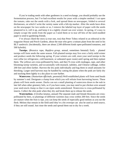If you're trading seeds with other gardeners in a seed exchange, you should probably use the fermentation process, but I've had excellent results for years with a simpler method. I cut open the tomato, rake out the seeds with a fork, and spread them on newspaper, folded to several thicknesses, on which I write the variety name with a felt-tip marker. After the seeds have dries on the newspaper for two weeks or so, I remove the labeled top layer of paper with the seeds plastered to it, roll it up, and keep it in a tightly closed can over winter. In spring, it's easy to simply scrape the seeds from the paper as I need them or to tear off bits of the seed-studded paper to send to gardening friends.

I've always liked the story (a true one, too) that Peter Tobey related in an editorial in the magazine House and Porch Gardens, about the man who grew a tomato plant from the seed in his BLT sandwich. (Incidentally, there are about 2,500 different kinds open-pollinated tomatoes, and 500 hybrids).

**Turnips.** (*Brassica rapa, Rapifera group*, annual, sometimes biennial) Early - planted turnips will form seeds the same season. Fall-planted turnips may live over a fairly mild winter and produce seeds the following spring. If your winters are cold, store your seed turnips in the root cellar (or refrigerator, cold basement, or unheated spare room) until spring and then replant them. The yellows are cross-pollinated by bees, and they'll cross with rutabagas, rape, and other blooming turnip varieties, and occasionally with mustard, radishes, and Chinese cabbage, within 200 feet and often farther. Harvest the dry pods individually and bag them in small amounts for threshing. Larger seed harvests may be handled by cutting the plants when the pods are fairly dry and stacking them lightly in a dry place to cure further.

**Watercress**. (*Nasturtium officinale*, perennial) Well-established plants will form seed heads by summer's end. Designate a clump from which you will refrain from harvesting leaves. These plants will form seeds sooner. Ducks can eat a small planting of watercress down to the nub in late fall when other greenery fails, so if you have some, you may need to put chicken wire around your seed-stock clump so that it can ripen seeds unmolested. Watercress is cross-pollinated by insects. Collect the slim pods when they dry and break them up to release the seeds.

**Watermelons**. (*Citrullus lanatus*, annual) The separate male and female blossoms are crosspollinated by bees, so plantings of different varieties may cross within 200 feet. Since the seeds are mature when the fruit is ripe, you can keep the seeds of especially good melons as you eat the flesh. Melons that remain in the field until they're a bit overripe can also be used as seed source, if they are still sound. Just rinse the seeds and spread them out to dry for a week.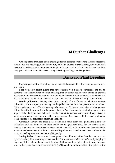### **34 Further Challenges**

Growing plants from seed offers challenges for the gardener even beyond those of successful germination and seedling growth. If you truly enjoy the process of seed starting, you might want to consider making your own crosses of the plants in your garden. If you have the room and the time, you could start a small business raising and selling seedlings to other gardeners.

### **Backyard Plant Breeding**

Suppose you want to try making some controlled crosses of seed-bearing plants. How do you begin?

First, you select parent plants that have qualities you'd like to perpetuate and try to combine (see chapter 29 for selection criteria); then you must isolate your plants to prevent accidental wind or insect pollination from unknown sources. A well-anchored cloth cover will keep out wind-borne pollen. A screen-wire cage or cheesecloth drape effectively deters insects.

**Hand- pollination**. Having thus taken control of the flower to eliminate random pollination, it is now up to you to carry out the pollen transfer from one parent plant to another. If it's possible to pinch off the blossom petals, do so; you'll have a better view of what you are doing. Transfer the pollen from the parent plant you've chosen as the fertilizing agent to the stigma of the plant you want to bear the seeds. To do this, you can use a twist of paper tissue, a small paintbrush, a fingertip, or a rubber pencil eraser. (See chapter 33 for hand- pollinating techniques for corn, cucumbers, squash, and melons).

Composite flowers and those peas, beans, and some other self- pollinating plants are difficult to pollinate by hand, so these would not be good candidates for the amateur plant breeder. If you want to cross-breed tomatoes, which have self- pollinating flowers from which the anthers must be removed in order to prevent self- pollination, consult one of the excellent books on plant breeding recommended in the bibliography.

**Saving Pollen**. If one of your chosen parent plants blooms before the other one, you can try to save the pollen, according to Ken and Pat Kraft, authors of Garden to Order, by tapping it into a small dry vial and then drying it for about 24 hours under a light bulb or in any other spot where a fairly constant temperature of  $90^0F (32^0C)$  can be maintained. Store the pollen in the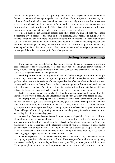freezer. (Pollen grains from corn, and possibly also from other vegetables, often burst when frozen. You could try keeping corn pollen in a humid part of the refrigerator). Species vary, and pollen is often short-lived at best. Some kinds are potent for only a few hours, but others have lasted for several weeks with this treatment. Saving pollen is a highly experimental venture even for professional horticulturists, so don't be disappointed if it doesn't always work for you. Record what you did so that you can learn from your successes and failures.

This is a quick look at a complex subject, but perhaps these few hints will help you to make a beginning if you choose to try some deliberate crossing. Don't hesitate to pull apart a few flowers so that you can learn more about their structure. If you become at all serious about this, you will of course want to do a lot of more reading about plant genetics, flowering mechanisms, isolation and breeding techniques, and so forth. R. W. Allard's book Principles of Plant Breeding are two good books on the subject. If you label your experiments and record your procedures and results, you'll be able to learn and profit from what you've done.

### **Selling Your Seedlings**

More than one experienced gardener has found it possible to pay for the season's gardening costs - fertilizer, rock powders, mulch, seeds, pots, a new hoe- by selling well-grown seedlings. A really thriving seedling operation might in a few years even pay for a greenhouse. The trick is that you'd need the greenhouse to make it possible!)

**Deciding What to Sell**. Plant your stock around the basic vegetables that many people want to buy: tomatoes, lettuce, cabbage, and peppers, which are staples in most household gardens. Also grow special varieties of those vegetables that often can't be found outside a seed catalog: yellow tomatoes, Jersey Queen cabbage, extra-hot peppers, Buttercrunch and romaine lettuce, burpless cucumbers. Then, to keep things interesting, offer a few plants that are different but easy to grow: vegetables such as leeks, potted chives, cherry peppers, and collards.

Listen to your customers, watch what they buy, take special orders, and you may find that you're able to develop a specialty and a loyal following of busy gardeners who depend on you.

**Managing Your Growing Space**. You'd probably need at least a three-tiered, double-bank, 48 inch fluorescent light setup or small greenhouse, good sun porch, or sun pit to raise enough plants for yourself and your customers. A few cold frames, in which you can harden off earlygrown plants, can double your seedling-producing capacity. I've been able to grow repeat orders of red cabbage and broccoli by moving them outdoors under glass quite early to make room for succeeding flats of tomatoes and eggplant.

Advertising. Once you become known for quality plants of special varieties, good old word of mouth may bring you as much business as you can handle. If not, or if you're just beginning your venture, a little publicity can help a lot. Advertising can be as simple as a sign on your mailbox or front door, a sentence in the classified section of your local paper, or a notice posted on the supermarket bulletin board. Craft fairs may offer you a chance to set up a table of your wares. A newspaper feature story on your operation would provide free publicity if you have an interesting angle or specialty that would catch the reader's eye.

**Cutting Expenses**. You can pare expenses by using nonhybrid seeds, which generally cost less; by buying seeds in bulk, once your volume of business justifies such a step; or by using home-saved seeds if you are sure they will run true to type. Mix your own potting soil in volume. Use recycled plant containers a much as possible, as long as they are fairly uniform, neat, and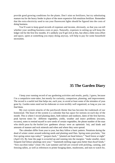provide good growing conditions for the plants. Don't stint on fertilizers, but try substituting manure tea for the heavy feeder in place of the more expensive fish emulsion fertilizer. Remember that the extra electricity used to run your fluorescent lights should be figured into the costs of doing business.

You'll want to keep good records of expenses and income, obviously, so that you can tell whether your seedling business costs or pays. Naturally, expenses in setting up will keep the ledger red for the first few months. It's unlikely you'll get rich at this, but often a little extra effort and space, spent at something you enjoy doing anyway, will help to pay for some household necessities.

# **35 The Garden Diary**

I keep your running record of our gardening activities and results, partly, I guess, because I'm a compulsive note-taker, but mostly for curiosity, comparison, planning, and improvement. The record is a useful tool that helps me, each year, to avoid at least some of the mistakes of yeas gone by. Garden notes need not be elaborate or even terribly well organized, as long as you can find them.

My own system smacks of the patchwork theme that has become the trademark of our homestead. The heart of the system is a calendar that has space for notions on each day of the month. This is where I record planting dates, both indoors and outdoors, dates of the first harvest, peak harvest times for different vegetables, yields, weather and insect problems (excuses, excuses), notes to remind myself to save seeds of certain vegetables, the phone number of the man who shells peas by the bushel (we gardeners always were an optimistic lot), and kinds and amounts of manure and rock minerals and when and where they were spread.

The calendars differ from year to year, but they follow a basic pattern. Notations during the dead of winter center around ordering seeds and planting seed flats. Spring notes proclaim, "Ate first spring onion tops today!" "peepers back," "planted out head lettuce," "hard freeze at night" (April 22). By June the page is scrawled up and running into the margins: "make smaller, more frequent leaf lettuce plantings next year," "mammoth melting sugar peas better than dwarf kinds," "first zucchini today" (June 19). Late summer and fall are crowed with pickling, canning, and freezing tallies, as well as references to prime foraging dates, mushrooms, and nuts to watch for,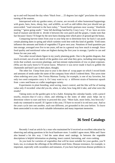up to and well beyond the day when "black frost ... 25 degrees last night" proclaims the certain turning of the seasons.

Interspersed with my garden notes, of course, are records of other homestead happenings with goats, bees, hens, sheep, hay, and wildlife, as well as odd tidbits that just should not go unrecorded: "toad returned to the barn today," "found bottle gentians near swamp," bluebirds nesting," "geese going south," "nine fall ducklings hatched by Crazy Lucy." If we have an extra load of manure and decide to divide it between the corn patch and the grapes, I make note that fact because I know I'll forget by the next barn-cleaning time which piece of ground got the bonus.

Comparing harvest times from year to year help me to determine how far back I can push certain planting dates in spring and which varieties work best with this kind of gamble. Yield notes influence the amounts and kinds of vegetables I'll grow next year. Notations of food quantities put into storage, averaged over five to ten years, tell me in a general way how much is enough. Since food quality and nutritional value are highest during the first year in storage, I prefer to can and freeze for one year only.

Two other record sheets figure in my yearly planning guide. One is the garden diagram, that much-revised, out-of-scale sketch of the garden rows and what they grew, including intercropping tricks that worked, succession plantings, and last-minute replacements of row or plant wipeouts. (Who are the early beets?) I'll never know. Whoever it was never made it back to gobble the chamomile and basil I put in their place, though).

The other list I keep from year to year is the sheet of scrap paper on which I record kinds and amounts of seeds under the name of the company from which I ordered them. This saves time when ordering next year. Des Vertus Marteau Turnip, for example, is one of my favorites, but only two seed companies carry it. Or I may want to try a different strain of butternut squash from a new seed house or a taller snapdragon variety.

Experiments in plant breeding, seed saving, insect control, and the like will be of lasting value only if recorded: what did you do, when, to what, how long did it take, and what were the results?

Taking notes on the garden gets to be a habit. Keeping the calendar handy, with a pencil nearby, ensures that it's not a chore, and referring to the notes of other years helps me to determine where to start and how to proceed this year. "More kale, more leeks, less broccoli," reads my command to myself. If I ignore it this year, I'll have to record it in red next year. And so the years cycle into one another, each one different, yet grounded in the year before. To leave them unrecorded is to miss much valuable information and many important memories.

# **36 Seed Catalogs**

Recently I read an article by a man who maintained he'd received an excellent education by observing and asking questions in his local hardware store. I couldn't agree more; Mike and I have also learned a lot this way. I feel the same about seed catalogs. In between the vegetable descriptions is helpful information on planting, insect control, harvesting, and even cooking.

As you look for varieties of vegetables that will be most suitable for your garden, you'll learn, too, to evaluate the offerings of the different seed firms. Disease resistance, for example, is important, especially with cucumbers and tomatoes, if you have had previous disease problems in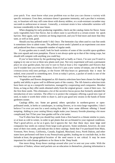your patch. You must know what your problem was so that you can choose a variety with specific resistance. Even then, resistance doesn't guarantee immunity, and a pea that is resistant, say, to fusarium wilt may still come down with downy mildew, or a scab-resistant cucumber may succumb to anthracnose or mosaic. Generally, a resistant strain is less vulnerable varieties will increase considerably in the near future.

When shopping for early-producing vegetables, check out the catalog claims for flavor. Some early vegetables have fine flavor, but in others taste is sacrificed to a certain extent for quick harvest. Here again, early varieties are being improved, and you'll find more and more that they taste, as well as look, good.

Should you buy pelleted seeds? I did. Once. The bentonite clay often used to coat fine seeds is sometimes slow to admit water. The pelleted carrot seeds I planted as an experiment cost more and produced less than a comparable number of regular seeds.

If your garden area is small, look for bush varieties of some of the cucurbit space-grabbers like corn squash and even pumpkins. Flavor is not always quite up to that of the vining crops, but should still compete with anything you could buy.

If you've been bitten by the gardening bug half as badly as I have, I'm sure you'll need to urging to try one or two or three new plants each year. Not very experiment will earn a permanent place on your garden plant, but you're sure to find at least a few vegetables and flowers that you'll wonder how you ever did without. Even if it's just a new variety of tomato, one of the high crimson (extra red) ones perhaps, or the Sweet 100 that bears so generously that it must be staked, treat yourself to something new. Even at today's prices, a packet of seeds is one of the very best buys you can make.

 Vegetables and flowers designated as All-America selections have been chosen for their high quality and ability to grow well in different parts of the country. The All-America selection trials have been set up as a nonprofit institution, managed by cooperating seed companies. Member firms, as long as they offer seeds obtained solely from the original grower - none of their own - for the first three seeds. This eliminates a lot of the secretive hocus-pocus that formerly attended the introduction of new varieties. The effect is to protect the company offering a good new type of seed, to make it worth their while to share it, and to put good new strains in the hands of home gardeners sooner.

Catalogs differ, too. Some are general, others specialize in northern-grown or openpollinated seeds, in herbs or cantaloupes, in cutting flowers, or in extra-large vegetables. I don't believe I've ever yet sent for a seed catalog that didn't have some different offering I found tempting. Adding to your catalog library might make your January fireside planning a bit more complicated, but I'll bet your June garden will be a lot tastier.

You'll often hear that you should buy seeds from a firm based in a climate similar to yours, or at least as cold in winter, in order to get plants that are acclimated to your regional conditions. That's good advice, as far as it goes, but it ignores the fact that these days most large seed companies buy seeds on contract from large-scale growers. Some seedsmen, however, do raise most of their own seeds, and indicate this in their catalogs. Seeds that I've purchased from Main, Vermont, New Jersey, California,, Canada, England, Maryland, Iowa, North Dakota, and other states have performed well here in my Pennsylvania garden, leading me to conclude that, in this latitude at least, the geographical location of the seed source is not critical. It may be more important for cold-climate gardeners or for those in the Deep South.

One more thing. Keep those catalogs around after you've sent out your order. With the exception of Stokes, whose seed packets are an education in themselves, planting information is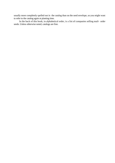usually more completely spelled out in the catalog than on the seed envelope, so you might want to refer to the catalog again at planting time.

In the back of this book, in alphabetical order, is a list of companies selling mail- order seeds. Unless otherwise noted, catalogs are free.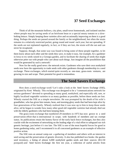### **37 Seed Exchanges**

Think of all the mountain hollows, city plots, small-town homesteads, and isolated ranches where people may be saving seeds of an heirloom bean or a special meaty tomato or a slowbolting lettuce. Simply keeping these varieties alive and occasionally improving on them is a good thing. Perhaps the seeds are passed around the family or the neighborhood, but often the strain remains in a relatively restricted pocket, going round and round each year, but not spreading. If the seeds are not replanted regularly, in fact, or if they are lost, the strain will die out and can never be recaptured.

Suppose, though, that some way was found to bring some of these people together, to let them know about each other and the seeds they save, to make it easy, foe example, for a gardener in Iowa to try seeds raised in a Georgia garden, and to facilitate the sharing of seeds that might otherwise peter out with people who care about such things. Just imagine all the possibilities that would be generated by such a network!

Now for the really good news: the network exists. Gardeners who save their own nonhybrid seeds now have the opportunity to trade seeds with other gardeners through membership in a seed exchange. These exchanges, which started quite recently as one-man, grass-roots ventures, are growing in size and scope. Their potential for good is tremendous.

### **The Seed Savers Exchange**

How does a seed exchange work? Let's take a look at the Seed Savers Exchange (SSE), originated by Kent Whealy. This exchange was designed to be a "communications network for serious gardeners" devoted to spreading as many good, nonhybrid, and especially old, rare, or highly localized vegetable varieties to as many gardens as possible, before these seeds are lost. Whealy started the SSE as a simple newsletter. He was prompted by the death of his wife's grandfather, who has given him tomato, bean, and morning-glory seeds that had been kept alive by four generations of his family. Whealy realized that it was now up to him to keep those seeds alive, nd he began to wonder how many other good old vegetable varieties had already died out with the elderly gardeners who had been keeping them.

The grass-roots exchange that numbered 29 members in 1975 has now grown to a seed preservation effort that is international in scope, with hundreds of members and tax exempt status. Its publications retain the homey flavor of the early back-fence exchanges, but they also crackle with the excitement of networking on the leading edge of a vital effort to safeguard our rich genetic heritage, just before it's too late. The SSE is one of the most hopeful forces for good in home gardening today, and I recommend it to all concerned gardeners as an example of effective positive action.

The SSE runs an annual camp-out a gathering of members and others with an interest in seed saving and the preservation of genetic diversity. It also has published two books: the garden seed inventory, a listing of almost 6,000 nonhybrid garden seeds and their sources (\$12.50 postpaid) and Seed Savers Exchange: the first ten year, a collection of useful articles from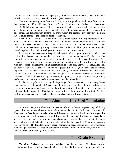previous issues of SSE handbooks (\$15 postpaid). Order these books by writing to or calling Kent Whealy at R.R.#3, Box 239, Decorah, IA 52101 (319) 382-3949.

The most heartening news from the SSE is its recent purchase, with help from various foundations, of the 57-acre Heritage Farm near Decorah, Iowa, where the Exchange's collections of nearly 5,000 heirloom and endangered vegetable varieties will be grown regularly to renew of the seeds. Large orchards of antique apples and collections of berries and perennial vegetables will be established, and demonstration gardens will show visitors the tremendous variety that still exists in vegetables, thanks to the efforts of home seed-savers.

For \$12 a year, the SSE will send you their Winter Yearbook, listing members' names, addresses, and the vegetable seeds offered and wanted by each member, and a Fall Edition with reports from seed conferences and articles on seed saving and on expert seed-savers. These publications can be ordered by writing to Kent Whealy at the SSE address given above. A member may change his or her wish list each year to correspond with current needs.

Rules are few but necessary to keep all dealings fair. When requesting seeds, members must enclose first-class postage. Nonmembers may order seeds from a member for \$1. (Even if you've bought the yearbook, you're not considered a member unless you offer seeds for trade). When ordering seeds from member, postage on packages must be paid back to the sender by the recipient. To make possible the widest dissemination of seeds, only a few seeds, enough for a hill or a few feet of row, are sent to each person requesting them. Vegetable seeds are of primary importance; no listings of flowers only will be accepted, and members are asked to limit flower listings to minimum. "Please don't use the exchange as just a source of free seeds," Kent adds, "because it could easily be ruined by more taking than giving. This should be an exchange among seed-savers. Let's save extra seeds from our best ... and then share them".

In the exchange's recent catalog, listings range from high-protein corn, mung beans, Crenshaw melon, Vietnam basil, Sweet Spanish onions, and Swedish pole beans to hop vines, broom corn, sea onions, and sugar cane seeds, with many strains of tomatoes, sweet corn, squash, lettuce, and other vegetables. Membership forms for the SSE are available from Kent Whealy at the SSE address given above. Enclose a loose first-class stamp with your request.

### **The Abundant Life Seed Foundation**

Another exchange, the Abundant Life Seed Foundation, is devoted to preserving and sharing open- pollinated, untreated seeds, especially those of the Pacific North-west. The nonprofit Abundant Life Seed Foundation also offer workshops on raising seeds; it sells seeds of vegetables, herbs, ornamentals, wildflowers, trees, and shrubs, and the exchange distributes surplus and date seeds to refugees, hunger relief programs, and charitable groups. Members receive both the annual seed catalog and book list and periodic newsletters. Membership costs \$5 to \$15 a year, according to ability to pay. The foundation may accept homegrown seeds instead of cash payments for memberships. For more information, contact the Abundant Life Seed Foundation, P.O. Box 772, Port Townsend, WA 98368 (206)823-5376.

### **The Grain Exchange**

The Grain Exchange was recently established by the Abundant Life Foundation to encourage small-scale growing of cereal grains - oats, wheat, barley, emmer, einkorn, and others, as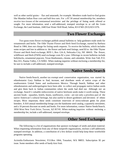well as other useful grains - flax and amaranth, for example. Members trade hard-to-find grains like Mandan Indian flour corn and hull-less oats. For a \$7.50 annual membership fee, members receive two tissues of the semiannual newsletter and the privilege of listing seeds offered or sought. For more information, send a self-addressed, stamped envelope to or call the Grain Exchange, the Land Institute, 2440 East Water Well Road, Salina, KS 67401 (913) 823-5376.

### **Two Flower Exchanges**

Two grass-roots flower exchanges publish annual bulletins to help gardeners trade seeds for ornamentals and herbs. The Olde Thyme Flower and Herb Seed Exchange, started by Barbara Bond in 1984, does not charge for listing seeds requests. To receive the bulletin, which includes some recipes and lore in addition to the flower and herb seed listings, send \$3 to the Olde Thyme Flower and Herb Seed exchange, RFD 1, Box 124-A, Nebraska City, NE 68410. The flower, wildflower and Herb (FWH) seed exchange costs \$2 a year. Offerings in recent bulletins include hollyhocks, ornamental popcorn, Texas bluebonnets, cleome, and calendula. Write Ann Taft, P.O. Box 651, Pauma Valley, CA 92061. When making inquiries without enclosing a membership fee, be sure to include a self-addressed, stamped envelope.

### **Native Seeds/Search**

Native Seeds/Search, another tax exempt seed conservation organization, was started by ethnobotanist Gary Nabhan to find, increase, and distribute seeds of native crops of the southwestern United States and northwestern Mexico. Through Search, Nabhan and other ethnobotanists and anthropologists have been able to collect and propagate native Indian seeds and give them back to Indian communities where the seeds had died out. Although not an exchange, Search's valuable rediscoveries of native heirloom seeds make it worth noting. These ancient foods - squashes, lentils, beans, sunflowers, corns - are not only a priceless part of the native American's cultural heritage, but also useful to desert gardeners and devotees of ethnic recipes. Most important, these seeds constitute reservoirs of stress-tolerant genes for plant breeders. A \$10 annual membership brings you the handsome seed catalog, a quarterly newsletter, and a 10 percent discount on seeds and books. For more information, contact Native Seeds/Search, 3950 West New York Drive, Tucson, AZ 85745. When making inquiries without enclosing a membership fee, include a self-addressed, stamped envelope.

### **Other Seed Exchanges**

The following is a list of organizations that sponsor exchanges of seeds and plant material. When requesting information from any of these nonprofit organizations, enclose a self-addressed, stamped envelope. In addition, a contribution of a few dollars would help keep these worthwhile programs operating.

Actinidia Enthusiasts Newsletter, P.O.Box 1064, Tonasket, WA 98855. Subscription \$5 per issue. Some members offer seeds of hardy kiwi fruit.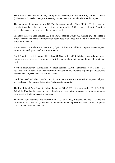The American Rock Garden Society, Buffy Parker, Secretary, 15 Fairmead Rd., Darien, CT 06820 (203) 655-2750. Seed exchange is open only to members, with memberships fee \$15 a year.

The center for plant conservation, 125 The Arborway, Jamaica Plain, MA 02130. A network of organizations that collect seeds and cuttings of some of the 3,000 endangered North American native plant species to be preserved in botanical gardens.

Friends of the Trees Seed Service, P.O.Box 1064, Tonasket, WA 98855. Catalog \$4. The catalog is a rich source of tree seeds and information about trees of all kinds. It's a one-man effort and worth much more than \$4.

Kusa Research Foundation, P.O.Box 761, Ojai, CA 93023. Established to preserve endangered varieties of cereal grass. Send \$1 for information.

North American Fruit Explorers, Rt. 1, Box 94, Chapin, IL 62628. Publishes quarterly magazine, Pomona, and serves as a clearinghouse for information about heirloom and unusual varieties of fruit.

Northern Nut Grower's Association, Kenneth Bauman, 9870 S. Palmer Rd., New Carlisle, OH 45344 (513) 878-2610. Publishes informative newsletter and sponsors regional get-togethers to share knowledge, seed nuts, and grafting scions.

North Star Seed and Plant Search, Box 1655A, RFD, Burnham, ME 04922. Computerized plant and seed search for reasonable fee. Over 30,000 varieties on file.

The Rare Pit and Plant Council, Debbie Peterson, 251 W. 11Th St., New York, NY 10014 (212) 475-2046. Membership \$7.50 a year. Offers helpful information to gardeners on growing plants from seeds of fruits purchased in markets.

The Rural Advancement Fund International, P.O. Box 1029, Pittsboro, NC 27312. Offers the Community Seed Bank Kit, developed to aid communities in preserving local varieties of plants. It is available for \$4.50 postpaid.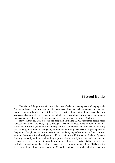### **38 Seed Banks**

There is a still larger dimension to this business of selecting, saving, and exchanging seeds. Although this concern may seem remote from our neatly bounded backyard gardens, it is a matter that may profoundly affect out children. The prosperity of our future food crops, the corn, soybeans, wheat, millet, barley, rice, beets, and other seed-sown foods on which our agriculture is founded, may well depend on the maintenance of primitive strains of these vegetables.

How can this be? Consider what has happened during the 10,000 years since people began domesticating plants. We have, largely through selection, produced races of food plants that germinate uniformly, yield better than their primitive counterparts, and often taste better. Only very recently, within the last 200 years, has deliberate crossing been used to improve plants. In the process, though, we have made these plants completely dependent on us for their continued survival. Few domesticated food plants could survive in the wild. Moreover, the lack of genetic diversity caused by deliberate inbreeding to produce high-yield hybrids has made some of our primary food crops vulnerable to crop failure, because disease, if it strikes, is likely to affect all the highly inbred plants that lack resistance. The Irish potato famine of the 1830s and the destruction of one-fifth of the corn crop in 1970 by the southern corn blight (which affected only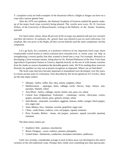T- cytoplasm corn) are both examples of the disastrous effects a blight or fungus can have on a crop with a narrow genetic base.

After the 1970 corn epidemic, the National Academy of Sciences studied the genetic makeup of the major food crops currently being planted. The results were scary. Dr. H. Garrison Wilkes, of the University of Massachusetts, writing in the Bulletin of the Atomic Scientists, reported:

*For hard winter wheat, about 40 percent of the acreage was planted with just two varieties and their derivatives. In soybeans, the genetic base was limited to just six seed collections. For sorghum, like corn prior to the blight, all then current hybrids used the same cytoplasmic sterility component.*

Let's go back, for a moment, to a primitive relatives of our important food crops, those irreplaceable varied strains to which scientists have returned even in recent years for help in strengthening a certain quality that they wanted to breed into a crop. For example. Research in developing a frost-resistant tomato, being done by Dr. Richard Robinson of the New York State Agriculture Experiment Station in Geneva, depends heavily on the use of wild tomato varieties from the Andes as sources foundation the desirable genetic traits. We'll be needing these reservoir diversity for qualities we may not at present recognizes as important. Where can we find them?

The food crops that have become important to humankind were developed, over the years, in certain ancient seats of civilization. First described by the Soviet geneticist N.I.Vavilov, these are the nine major centers:

- Ethiopia barley, coffee, flax, okra, onions, sorghum, wheat
- Mediterranean asparagus, beets, cabbage, carob, chicory, hops, lettuce, oats, parsnips, rhubarb, wheat
- Asia Minor barley, cabbage, carrots, lentils, oats, peas, rye, wheat
- Central Asia (Afghanistan, Turkestan) cantaloupe, carrots, chick-peas, cotton, grapes, mustard, onions, peas, spinach, turnips, wheat
- Indo-Burma amaranth, cucumbers, eggplant, lemons, millet, oranges, black pepper, rice, sugar cane
- Siam, Malaya, Java bananas, coconut, grapefruit, sugar cane
- China azuki beans, cashews, corn, red pepper, squash, tomatoes
- Peru, Ecuador, Bolivia beans, red pepper, potatoes, squash (cucurbit maxima), tomatoes

The three minor centers are:

- Southern Chile potatoes, strawberries
- Brazil, Paraguay cacao, cashews, peanuts, pineapples
- United States blueberries, cranberries, Jerusalem artichokes, sunflowers

Until very recently, considerable acreage in each of these areas was developed to the native varieties of the old traditional crops. Perhaps their yields were something less than spectacular,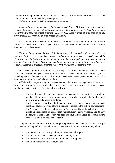but there was enough variation in the individual plants grown from seed to ensure that, even under poor conditions, at least something would grow.

Today, though, as Dr. Wilkes describes the situation:

*Mexican farmers arrangements planting corn seeds from a Midwestern seed firm; Tibetan farmers plant barley from a Scandinavian plant-breeding station; and Turkish farmers plant wheat from the Mexican wheat program. Each of these classic areas of crop-specific genetic diversity is rapidly becoming an area of seed uniformity.*

It's a small world. Too small to allow the loss of native strains to continue. In "the World's Crop Plant Germplasm - an endangered Resource," published in the Bulletin of the Atomic Scientists, Dr. Wilkes writes:

*The only place genes can be stores is in living systems. And extinction of a native variety can take in a single year if the seeds are cooked and eaten instead of saved as seed stock. Quite literally, the genetic heritage of a millenium in a particular valley an disappear in a single bowl of porridge. The extinction of these local land forms and primitive races by the introduction of improved varieties is analogous to taking stones from foundation to repair the roof.*

What are we going to do about it? "Positive steps," Dr. Wilkes maintains," must be taken to bank and preserve this genetic wealth for the future .. when something is burning, you do something about it first and then you talk about it. The current state of genetic erosion is such that we'd better act on it now and talk about it later."

Official efforts at preserving our national and worldwide seed heritage have taken several forms, each of them merely a modest beginning at staving off the disastrous, fast-paced loss of irreplaceable native varieties. These include the following:

- The establishment by individual nations of centers for the protected growth of irreplaceable plant races is a valuable concept on which work has begun, but much more work urgently needs to be done.
- The International Board for Plant Genetic Resources, established in 1974, helps to coordinate plant-conserving efforts in various countries and to initiate new programs.
- The National Seed Storage Laboratory in Fort Collins, Colorado, is building up and maintaining collections of seeds from "unimproved" native varieties. Sad to say, though, the National Laboratory has been underfunded for years, and some experts consider its whole collection endangered.

Samples of native varieties of different crops are preserved in or near their centers of origin by 14 international agricultural research centers. These research centers include, among others:

- The Centers for Tropical Agriculture, in Columbia and Nigeria
- The West African Rice Development Association, in Liberia
- The International Rice Research Institute, in the Philippines
- The International Potato Center, in Peru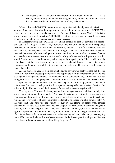• The International Maize and Wheat Improvement Center, known as CIMMYT, a private, internationally funded nonprofit organization, with headquarters in Mexico, that conducts worldwide research on maize, wheat, and triticale

When I observed CIMMYT in operation during a visit to its headquarters in Mexico last summer, I was awed, both by the magnitude of the problem and by the scope of CIMMYT's efforts to rescue and preserve endangered seeds. There at EL Batan, north of Mexico City, is the world's largest corn-seed collection: 12,000 different strains of corn from all over the worth are being kept alive in long-term storage as a germplasm reserve.

In the recently reorganized CIMMYT seed bank, samples of corn are stored in two rooms one kept at  $32^{\circ}F(0^{\circ}C)$  for 20-year term, after which time part of the collection will be replanted for renewal, and another stored in a new, colder room, kept at  $1.4^{\circ}F$  (-17<sup>0</sup>C), meant to maintain seed viability for 100 years, with periodic replanting of small seed samples every 20 years to replenish the active collection. Each year, CIMMYT sends out about 1 million corn seeds from its active collection to researchers around the world. Many of these seeds will produce corn that wouldn't win any prizes at the country fair - irregularly shaped, poorly filled, small, or oddly colored ears - but they are a treasure trove of genes for drought and disease resistance, high protein content, or perhaps for their ability to sprout in dry or cold soil. These genes could never be replaced once lost.

All this may seem very far from the mulched paths of your own backyard plot, but it seems to me a matter of the greatest practical value to appreciate the vital importance of saving and passing on our rich genetic heritage . " our whole nation is vulnerable," says Dr. Wilkes. "We risk losing both food crops and germplasm. The brunt of the resulting increase in food prices will fall on people like the young families who are budgeting to make house payments. Their small children are the most critical point for food quality. Young kids need nutrient density. Our vulnerability in this area is a real, basic problem for the nation to come to grips with."

You buy seeds. You vote. Perhaps you contribute to organizations established to help third world countries improve their agriculture. You have the privilege of writing to your senators and congressmen about matters of importance, and as a gardener, you have a chance to seek out, replant, and save varieties of open- pollinated seeds that re no longer available commercially. At the very least, you have the opportunity to support the efforts of others who, through organizations like the Seed Saver Exchange (see chapter 37), are working to conserve the genetic diversity of the plants we grow in our backyards. In each of these ways, the gardener can make a significant personal contribution to what is, in my opinion, a matter of the greatest concern to all of us. As Professor Edward O. Wilson of Harvard University had said, "The one process ongoing in the 1980s that will take millions of years to correct is the loss of genetic and species diversity ... this is the folly our descendants are least likely forgive us."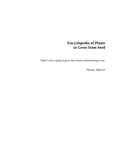# **Encyclopedia of Plants to Grow from Seed**

There's not a sprig of grass that shoots uninteresting to me.

*Thomas Jefferson*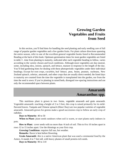# **Growing Garden Vegetables and Fruits from Seed**

In this section, you'll find hints for handling the seed planting and early seedling care of full range of popular garden vegetables and a few garden fruits. For plant culture directions spanning the entire season, refer to one of the excellent general vegetable books listed in Recommended Reading at the back of this book. Optimum germination times for most garden vegetables are listed in table 3 . time from planting to maturity, indicated after each vegetable heading to follow, varies according to the variety chosen and local conditions. Although most vegetables are day-neutral, some, including okra, onions, spinach, and lettuce, manure in response to the length of the day. You'll find gardening hints for dealing with these photoperiodic vegetables under their individual headings. Except for root crops, cucurbits, leaf lettuce, peas, beans, peanuts, soybeans, New Zealand spinach, celeriac, amaranth, and other crops that are usually direct-seeded, the listed days to maturity are counted from the time the vegetable is transplanted into the garden, nor from the time the seed is sown. If you're planting in raised beds, disregard row-spacing instructions and use only the recommended space between plants.

## **Amaranth Amaranthus spp.**

This nutritious plant is grown in two forms, vegetable amaranth and grain amaranth. Vegetable amaranth: reaching a height of 2 to 3 feet, this crop is raised primarily for its mildflavored leaves. Tampala and Chinese spinach (Hinn Choy) are two popular varieties of vegetable amaranth. Amaranth grown for greens make a good succession crop to follow an early crop of radishes.

### **Days to Maturity**: 40 to 50

**When to Plant**: plant seeds outdoors when soil is warm, or start plants early indoors in pots.

**How to Plant**: cover seeds with no more than /4 inch of soil. Thin to 8 to 10 inches apart in rows 12 to 15 inches apart. Use the thinnings as your first crop.

**Growing Conditions**: requires full sun, hot weather.

**Remarks**: flavor is best before flowering.

**Grain Amaranth**: this is a native American plant that was used a ceremonial food by the Aztecs. It stands 4 to 7 feet tall, with heavy plumes of small protein-rich seeds.

**Days to Maturity**: 90 to 110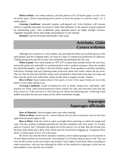**When to Plant**: sow seeds outdoors, and thin plants to 8 to 10 inches apart, in rows 18 to 36 inches apart. (Some amaranth-growers prefer to leave the plants in a thicker stand, 1 to 2 inches apart.)

**Growing Conditions**: amaranth requires well-drained soil. Extra fertilizer will increase yields of vegetable amaranth, but seems to make little difference in the amount of grain produced by seed-bearing types. Once established, grain amaranth plants are highly drought resistant. Vegetable amaranth will be more tender and productive if well watered.

**Remarks**: harvest the heads individually a they ripen.

# **Artichoke, Globe Cynara scolymus**

Although very sensitive to cold weather, this perennial has been successfully grown in the mid-Atlantic and New England states, far from its center of commercial production in California. Chilling during early growth in some cases stimulates bud formation the first year.

**When to plant**: Sow seeds indoors at  $70^{\circ}F(21^{\circ}C)$  about three months before the last frost, and set the plants out, preferably in a protected place with a southern exposure, when the weather has settled thoroughly - late May in the mid-Atlantic region. Some gardeners rush their artichokes with heavy feedings and early planting under protection about four weeks before the last frost. They do this because the artichoke seems to be stimulated to form buds when days are long, and they want the plant to be sufficiently robust by that time to support sizable "chokes".

**How to Plant**: Space plants about 2 feet apart, in rows 3 feet apart. Keep soil out of the plant's crown when setting it out.

**Growing Conditions**: Globe artichokes do well in fertile, humus-rich, well-limed, welldrained soil. Plant need careful protection where winters are cold, and even then some may die from crown rot. If the root lives, it will send up new shoots the following year. Achieving a bud (edible artichoke) the first year makes all the effort worthwhile, though.

# **Asparagus Asparagus officinalis**

**Days to Maturity**: Harvest begins three years after planting.

**When to Plant**: Seeds may be started indoors but are most commonly sown in the time apple blossom petals begin to fall.

**How to Plant**: Soak the seeds in water overnight before planting, to soften the tough seed coats. The tiny, feathery seedlings look delicate, but they transplant well. Sow seeds 1 to 2 inches apart in a nursery bed. Transplant the plants out of the nursery row no later than the second year because older plants grow deep roots which must be sacrificed in digging up. Transplant them about 15 inches apart, in row 3 to 4 feet apart.

We know now that the heroic measures formerly used to plant asparagus on soil mounds in 18-inch-deep trenches are not necessary. Root planted 2 to 8 inches deep do just as well. You can even set the crowns on the soil surface and mound 3-inch ridges of soil above them, according to some researchers, who say that although the effect of this method on asparagus yields has not been studied, crown survival was excellent.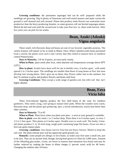**Growing conditions**: the permanent asparagus bed can be well- prepared while the seedlings are growing. Dig in plenty of limestone and well-rotted manure and make certain the ground is well drained and well aerated. Plants that produce male flowers are somewhat more productive than the berry-producing females, so some growers cull out berried asparagus plants. Mulch the bed and wait until the second year to take your first two- to- three week harvest. After five years you can pick for ten weeks.

# **Bean, Azuki (Adzuki) Vigna angularis**

These small, rich-flavored, deep red beans are one of our favorite vegetable proteins. The variety Express will mature as far as north as Maine. Once, When I planted azuki beans purchased from a stored, the plants were such a late variety that they failed to manure here in southern central Pennsylvania.

**Days to Maturity:** 118 for Express, an extra-early variety.

**When to Plant**: plant seeds after frost, when daytime soil temperatures average above  $60^{\circ}F$  $(16^0C)$ .

**How to plant:** Azukis have done well for me in double rows, 4 inches apart, with seeds spaced 2 to 3 inches apart. The seedlings are smaller than those of snap beans at first, but soon develop into strong plants. Don't give up on them; they flower rather late in the summer, but they'll continue to grow and produce flowers and beans until frost.

**Growing Conditions**: They accept a wide range of garden soil, but refer soil that isn't highly alkaline.

# **Bean, Fava Vicia faba**

These frost-tolerant legumes produce the first shell beans of the soon for northern gardeners. They need a long, cool spring to mature their pods. When the weather turns warm, blossoms drop, and the plants quit producing. Ipro, a recent introduction, resists heat better than other varieties.

### **Days to Maturity**: 75 to 85

**When to Plant**: Plant favas when you plant your peas - a soon as your ground is workable.

**How to plant**: sow the seeds 1 to 2 inches deep. Plant them 4 to 6 inches apart, in rows 1 1/2 to 3 feet apart. Thin plants to 6 inches apart. Double rows to work well. The bushy 3-foottall plants produce 5- to 10-inch-long, tough pods containing large flat beans. Favas are also a first-rate green mature plant.

**Growing conditions**: fava beans survive frost but not heavy freezes. Mulch to keep the soil cool. The plant tolerate poor soil but appreciate good ground, too.

**Remarks**: some people are allergic to fava beans, so make your first taste a small one, just to be sure. They are an ancient food, though, having bean grown in Chine for 5,000 years. Amount of the offending glycosides, vicine, are lower in manure than immature fava beans and may be further reduced by soaking the beans in dilute vinegar (1 percent acetic acid) for 48 hours. Changing the solution after 24 hours.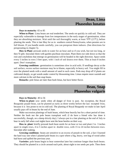### **Days to maturity**: 65 to 85

**When to Plant**: Lima beans are real tenderfeet. The seeds rot quickly in cold soil. They are especially vulnerable to damage from low temperatures in the early stages of germination, when they are absorbing moisture. Wait until the soil thoroughly warm, at least  $70^0F(21^0C)$ , before planting the seeds. This is late May for us in southern central Pennsylvania, when peonies are in full bloom. If you handle seeds carefully, you can presprout them indoors. (See directions for presprouting in chapter 5).

**How to Plant**: presoak seeds in water for an hour and so if you wish, but not too long, or they'll split. Inoculate them with garden pea/bean inoculant. Plant them eye side down so that the root and cotyledons that emerge on germination will be headed in the right direction. Space seeds every 5 inches in rows 3 feet apart, with 1 inch of soil drawn over them. Thin at least 8 inches apart. Don't transplant.

**Growing conditions**: germination is sometimes slow in acid soils. If seedlings decay at the soil surface, excess surface moisture may be to blame, especially in heavy soil. You might fill in over the planted seeds with a small amount of sand in such cases. Pods may drop off if plants are cultivated deeply, so get weeds under control by blossoming time. Limas require more warmth and more calcium in the soil than snap beans.

**Remarks**: pole limas are later than bush limas, but have better flavor.

# **Bean, Snap Phaseolus vulgaris**

#### **Days to Maturity**: 40 to 56

**When to plant**: sow seeds when all danger of frost is past. An exception, the Royal Burgundy purple bean, can be planted as early as three weeks before the last excepted frost, because it is less prone to rot in cold soil. The planting of Royal Burgundy we make in late April usually pays off in beans by the end of June.

Make succession plantings of bush beans, which bear heavily but for a short period of time. Neither the bush nor the pole beans transplant well. (I do have a friend who has done it successfully, though, on a damp drizzly day). I always put in a late planting at the end of July to bear in early fall when cool nights have sent the bean beetles on their way.

**How to plant**: briefly presoak bush bean seeds for an hour or two and plant 2 to 3 inches apart in single rows, 4 to 5 inches apart in double rows, with 15 to 24 inches between rows. Inoculate after soaking.

**Growing conditions**: beans are sensitive to an excess of potash in the soil, a fact I learned the hard way one when I planted pole beans in a spot where a big, heavy, wet bag of wood ashes had burst and spilled the previous year.

**Varieties**: pole beans begin to bear somewhat later but continue longer than bush beans. They should be planted in a circle around each pole, about eight to ten seeds per pole. Then them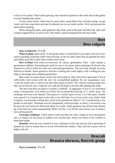to four or five plants. These taller-growing vines should be planted on the north side of the garden to avoid shading other plants.

Scarlet runner beans, which may be eaten when young before they develop strings, accept cooler soil than snap beans and may be planted one to two weeks earlier. Nick and presoak the seeds before planting.

When setting the poles, some gardeners dig a hole, push in the pole, and fill in the hole with compost topped off by an inch of soil. This makes a good starting bed for the bean seeds.

## **Beet Beta vulgaris**

### **Days to Maturity**: 55 to 80

**When to plant**: plant seeds in the garden about a month before you expect your last frost. Earlier plantings sometime suffer from freezing. In the far north, beets that are planted too early and chilled may bolt to seed when weather turns warm.

How to Plant: beet seeds are notorious for spotty germination. Their coats contain a germination inhibitor. Presoaking the seeds for one to two hours before planting will dissolve the chemical as well as soften the seed coats and speed germination. The wet seeds, though, are more difficult to handle. Some gardeners find that crushing beet seeds lightly with a rolling pin also helps to encourage more complete germination.

Beet seeds, for some reason, need to be well tucked in. They often fail to germinate if not in sufficiently close contact with the soil. An accomplished gardener for our acquaintance says "cover the seeds with 1/2 inch of soil and then stamp on them!" He's used to working sandy soil. Here on our heavier clay, I tamp the row with the flat blade of the hoe after planting the seeds.

The beet seed that you plant is actually a seedball, an aggregate of two to six individual seeds. Consequently, even when you follow the recommended spacing of 2 inches apart, the seedlings will need to be thinned. Thin plants to 3 inches apart in rows 1 to 2 feet apart. Double rows spaced 3 to 4 inches apart work well, as do solid beds. For an extra early crop, Stokes Seed Company recommends starting beet seeds in the greenhouse March 1 for transplanting to the garden in mid-April. Thinnings may be transplanted, which provides, in effect, a succession crop because the root insult sets them back about two weeks. Some gardeners nip off the long, thready tip of the beet root when transplanting. When I do this, I cur off the outer leaves, too, to balance root and top growth.

**Growing Conditions**: I often need to cover my beet row with a length of wire fencing bent into a U shape over the plants so rabbits won't eat the tops. Water your beets in dry weather to keep them tender.

**Remarks**: beets are very sensitive to toxic substances in the soil and may fail to germinate if planted too close to walnut trees or in soil with herbicide residues. They may fail to grow well in highly acid soil.

# **Broccoli Brassica oleracea, Botrytis group**

**Days to maturity**: 55 to 98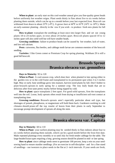When to plant: an early start on this cool-weather annual give you fine-quality green heads before uniformly hot weather reigns. Plant seeds thinly in flats about five to six weeks before planting them outside, which can be up to a month before your last expected frost. Broccoli can withstand frost down to about  $25^0F$  (-4<sup>0</sup>C). It grows best at  $60^0F$  to  $65^0F$  (16<sup>0</sup>C to 18<sup>0</sup>C). Make an early-summer planting - directly in the row if you wish - to produce fresh new plants for fall eating.

**How to plant**: transplant the seedlings at least once into larger flats and set out young plants 18 to 24 inches apart, in rows about 24 inches apart. Broccoli plants spaced 10 to 12 inches apart will also yield well but will have smaller heads.

**Growing conditions**: failure to produce heads can be caused by hot weather, lack of water, and low soil calcium.

**Pests**: cutworms, flea beetles, and cabbage moth larvae are common enemies of the broccoli seedling.

**Varieties**: I like Green comet or Premium Crop for spring planting. Waltham 29 is still a good fall broccoli.

## **Brussels Sprout Brassica oleracea var. gemmifera**

### **Days to Maturity**: 92 to 120

**When to Plant**: A cool-season crop, which does best when planted in late spring either in the garden row or in the cold frame and transplanted to its permanent spot when 3 to 5 inches high. May or early June seedlings grow into manure, harvest-sized plants by fall. Don't bother to plant brussels sprouts in early spring for a summer crop. The tiny leafy heads that are so delicious after frost taste pretty murky before being nipped by cold.

**How to plant**: space transplants 2 feet apart. For good solid sprouts, firm the transplants well into the soil. Loose, leafy sprouts often result from drying or insufficient soil-root contact at transplanting time.

**Growing conditions**: Brussels sprouts aren't especially particular about soil type, but shortages of potash, phosphorus, or magnesium will hold them back. Gardeners working in cold climates should prune off the top rosette of leaves from their plants in early September to encourage prompt development of sprouts all along the stem.

# **Cabbage Brassica oleracea var. Capitata**

#### **Day to Maturity**: 60 to 110

When to Plant: your earliest planting may be seeded thinly in flats indoors about four to six weeks before planting them outside, which can be a good month before the frost-free date. Make repeated plantings every monthly or so until July for fresh tender cabbage for the table. The large-headed kraut types requiring a long growing season should be planted in mid- or late spring.

**How to plant**: since cabbage seeds seem to germinate 100 percent, keep a rein on your seedsowing hand to ensure sturdier seedlings. (For an exercise in self-discipline - and for a fine stand of seedlings - use tweezers to place seeds in the flat at 2- inch intervals. If your seeds are fresh,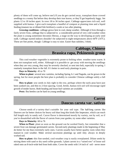plenty of them will come up, believe me!) If you do get carried away, transplant those crowed seedlings to a roomy flat before they develop their true leaves, or they'll get hopelessly leggy. Set plants 12 to 18 inches apart. In rows 18 to 36 inches apart. Cabbage appreciates rich soil, well supplied with humus. I give each transplant a handful of compost at planting time and a liquid feeding (manure tea or diluted fish fertilizer) a week or two after planting.

**Growing conditions**: cabbage grows best in cool, damp weather. Although it lives through a fairly severe frost, cabbage that is subjected to a considerable period of very cold weather when the plant is young sometimes becomes fibrous, a stage on the way to developing an early seed stalk. Cabbage started indoors shouldn't be subjected to night temperatures above  $60^0F (16^0C)$ . These are fine points, though. Cabbage is easy to raise. Easier than radishes, I think.

# **Cabbage, Chinese Brassica rapa, Pekinensis group**

This cool-weather vegetable is extremely prone to bolting when weather turns warm. It does not transplant well, either. Although it is possible to get away with moving the seedlings when they are very young, they may be severely checked, or sent into bolt, especially in spring. I routinely transplant them in the fall. It's better to seed early plantings in pots.

### **Days to Maturity**: 45 to 70

**When to plant**: several new varieties, including Spring A-1 and Nagoda, can be grown in the spring, but for most people the best plan is probably to consider Chinese cabbage solely a fall crop.

**How to plant**: sow seeds in July right in the row, perhaps where the early peas have just been yanked out, and thin to 2-foot spacing. Good, fertile, humus-rich soil will encourage rapid growth of tender leaves. Both heading and loose-leaf varieties are available.

**Pests**: flea beetles can be hard on young seedlings.

### **Carrot Daucus carota var. sativus**

Choose seeds of a variety that's suitable for your soil type. The half-long carrots like Danvers are far better choices for heavy soil than long thin kinds like Imperator, which can reach full length only in sandy soil. Carrot flavor is determined mostly by variety, not by soil, so if you're dissatisfied with the flavor of carrots from your garden, try some other varieties.

#### **Days to Maturity**: 60 to 76

When to Plant: plant as soon as the ground can be worked finely, but remember that a severe frost can damage germinated carrots. Second-early plantings made in the beginning of May do better for me than extremely early ones. Carrots usually have better-quality roots when they manure in cool weather. Make several succession plantings up until July; always in deeply worked soil.

**How to plant:** this fine-seeded, cool-weather crop is easily overplanted. Dilute seeds by mixing them with sand or dry used coffee grounds. I plant carrots in a "raised row" of loose soil raked onto an 8-inch-wide bed from both sides. Cover the seeds with 1/4 inch of soil - never more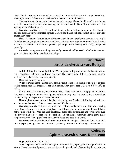than 1/2 inch. Germination is very slow, a month is not unusual for early plantings in cold soil. You might want to dribble a few radish seeds in the furrow to mark the row.

The best time to thin carrots is when the soil is damp. Plants should stand 2 to 4 inches apart, depending on size; the closer spacing is ideal for the smaller Baby Finger carrots, the wide spacing for the Oxheart types**.**

**Growing conditions**: keep the soil moist and well supplied with organic matter. Crusted soil can suppress tiny germinated sprouts. Carrots don't need rich soil, in fact, excess nitrogen causes hairy roots.

**Pests:** if the tunnel-boring larvae of the carrot rust fly are a problem in your area, you might find that carrots you plant after June 1 and harvest before mid-September escape both the first and second hatches of larvae. British gardeners plant sage or scorzonera (black salsify) to repel the carrot fly.

**Remarks**: young carrot seedlings are easily overwhelmed by weeds, which often seem to get a head start, especially in wide-row plantings.

### **Cauliflower Brassica oleracea var. Botrytis**

A little finicky, but not really difficult. The important thing to remember is that any insult real or imagined - will send cauliflower into a put. The result is a thumbsized buttonhead, or none at all. Just keep the seedlings growing steadily.

#### **Days to Maturity**: 50 to 85

**When to Plant**: Plant on setting out spring-started cauliflower seedlings about two to three weeks before your last frost date, not a bit earlier. They grow best at  $57^{\circ}$ F to  $68^{\circ}$ F (14<sup>o</sup>C to  $20^0$ C).

Plants for the fall crop may be started in May. Either way, avoid having plants manure in hot , head-stunting summer weather. I plant cauliflower only for a fall crop, setting out seedlings in June or July for September to November heads.

**How to plant**: transplant when the plants are young, 6 or 7 inches tall, firming soil well over seedling roots. Set plants 18 inches apart, in rows 24 inches apart.

**Growing conditions**: If possible, water the seedlings daily for several days after moving them. Shade them well, also. For good heads, cauliflower should grow rapidly. Rich soil that is not too acid will help. When the head develops, I break off a bottom leaf and lay it on the curd (the developing head) to keep out the light. In self-blanching cauliflower, leaves grow either wrapperlike or in "stove-pipe" form to shade the heads and keep them white.

**Remarks**: southern gardeners whose winters are mild enough to plant cauliflower in the fall for early spring eating should aim for 10-inch plants by frost. Wait until spring to fertilize them.

# **Celeriac Apium graveolens var. Repaceum**

#### **Days to Maturity**: 110 to 120

When to plant: seeds can planted right in the row in early spring, but since germination is slow and weeds are fast, I prefer to raise celeriac seedlings indoors in flats, setting them out two or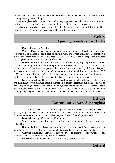three weeks before our last expected frost, about when the apple blossoms begin to fall. Earlier planting out may cause bolting.

**How to plant**: celeriac transplants well, a long as you remove only one plant at a time from the flat and protect the roots from drying out. Set the seedlings 6 to 8 inches apart**.**

**Growing conditions**: these cool-weather biennials do well in heavy well-limed soil. Keep them moist until they catch on, as evidenced by new leaf growth.

### **Celery Apium graveolens var. Dulce**

### **Days to Maturity**: 98 to 130

**When to Plant**: Celery may be planted indoors in February or March and set out about two weeks after the last expected frost, or sown in April or May for a fall crop. Germination is fairly slow - about three weeks. Celery does best in cool weather, so the fall crop is often the best. Celery germinates best at  $60^{\circ}$ F to  $70^{\circ}$ F (16<sup>o</sup>C to 21<sup>o</sup>C).

**How to plant**: If temperature at planting time is unfavorably high, exposure to light will help to stimulate germination. Alternating temperatures (warmer by day, cooler at night) also helps. At the preferred lower temperature, light doesn't seem to make any difference, keep the soil evenly moist during germination. When hardening off, avoid chilling the plant below  $50^0F$  $(10<sup>0</sup>C)$ , or it may bolt to seed. Celery has a skimpy root system and transplants well as long as the jobs is done early, the seedlings are 3 to 5 inches high, before a taproot forms.

**Growth conditions**: Because celery's ancestors were marsh dwellers, it needs a steady and plentiful supply of moisture, more than most other garden vegetables, but drainage should be good. Try sinking bottomless cans between plants, which should be planted 8 to 10 inches apart, and filling the cans with water from the hose. Celery is a heavy feeder, too, so put compost in the planting hole and give plants extra feedings of manure tea or fish emulsion about twice a month.

### **Celtuce Lactuca sativa var. Asparaginia**

Generally described as a two-purpose vegetable, celtuce produces lettuce like leaves and a crisp, juicy stalk. The ;eaves soon grow bitter, but the stalk is delicious if harvested when its diameter measures about 1 inch. Later, when the plant flowers, the stalk grows tough.

**Days to Maturity**: 45 for leaves, 90 for stalks

**When to plant**: plant celtuce in early spring for a summer crop, or in early summer for fall picking.

**How to plant**: the seeds are fine and should be sown thinly and lightly covered with fine soil. Eat the greens as you thin them, leaving plants spread 12 to 18 inches apart for stalks.

**Growing conditions**: Celtuce is easy to grow. It accepts a wide variety of soil conditions and is seldom troubled by insects or diseases.

**Remarks**: be sure to peel the stalk before eating; the rind is bitter.

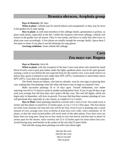### **Brassica oleracea, Acephala group**

**Days to Maturity**: 80 days

**When to plant**: collards may be started indoors and transplanted, or they may be sown in the garden row in early spring.

**How to plant**: as with most members of the cabbage family, germination is profuse, so plant seeds thinly, especially in the flat. Unlike the situation with most cabbage, collards will remain in the garden row all season. They're very hardy, and flavor is really best after frost, so plant your rows accordingly. A few plants are usually enough the average family. Space them 2 feet apart or closer if you plan to use the thinnings for soup greens.

**Growing conditions**: treats collards like cabbage.

## **Corn Zea mays var. Rugosa**

#### **Days to Maturity**: 64 to 94

**When to plant:** with the exception of the man I once read about who started his small block of early corn in peat pots indoor under the lights, gardener plant corn in the open ground, starting a week or two before the last expected frost for the earliest corn. Corn seeds tend to rot before they sprout if planted in soil colder than  $50^{\circ}F (10^{\circ}C)$ . Germination is much better above  $60^{\circ}$ F (16<sup>o</sup>C). Corn does not transplant well.

The North American Indians, who had no calendar, went by tree signs in planting their corn, making their first plantings when the white oak leaves were as large as a squirrel's foot.

Make successive plantings 10 to 14 days apart. Toward midsummer, sow earlier maturing corn (65 to 75 days) to sneak in another picking before frost. If you've got 90 days to go until your average first fall frost date, don't plant a 90-day corn. The cool fall nights, which can begin early in September, will slow its growth. You may find that these summer plantings of corn will germinate best, especially in a dry season, at a depth of 2 to 3 inches.

**How to Plant**: Early plantings should be covered with 1 inch of soil. Sow seeds every 4 inches and thin plants to stand 8 to 12 inches apart, in row 2 1/2 to 3 feet apart. The first shoots are fairly frost-resistant, but foot-tall corn will be by frost. Even if you're planting only a small amount of corn, arrange your rows in blocks at least four rows wide, with a minimum of 16 plants, so that the wind-carried pollen will reach more of the other plants. Four short rows are better than two long ones. Drop two to four seeds in very foot furrow and thin later to about 10 inches apart for the shorter, early varieties and 12 to 15 inches apart for more robust late corn. Avoid leaving stray seed kernels on the surface of the soil; they'll attract birds.

That old folk saying about planting corn tells it just about right:

*One for the rock One for the crow One to rot and One to grow*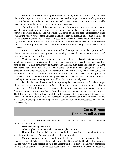**Growing conditions**: Although corn thrives in many different kinds of soil, it needs plenty of nitrogen and moisture to support its rapid, exuberant growth. Hoe carefully after the corn is 1 foot tall to avoid damage to its many shallow roots. Weed control for corn is probably most critical during the first three weeks after the shoots emerge.

The following tips will help you get the most from your planting of extra-sweet corn: save the extra-sweet corn for your mid-season plantings , and make early plantings with varieties known to do well in cold soil. (Consult catalog.) Check the catalog and seed packet carefully to see whether the variety you're planting needs isolation to prevent crossing. If so, plan plantings so that no other corn within 500 feet or so is in tassel at the same time. There should be at least a 14 day difference in maturity dates. For extra protection, plant the earlier corn downwind from the later crop. Barrier plants, like two to five rows of sunflowers, or hedges can reduce isolation distances.

**Pests:** corn seeds sown after mid-June should escape corn borer damage. For earlier plantings where corn borers are a problem, try soaking the seeds for two hours in a strong "tea" make from butterfly weed or English ivy.

**Varieties**: Regular sweet corn, because its shrunken seed kernel contains less stored starch, has lower seedling vigor and disease resistance and a greater need for rich soil than dent, flint, or popcorn. This sensitivity was magnified in the early high-sugar varieties, in which the seed kernels have ventilation less starch. These corns with the Shrunken-2 gene, like Extra Early Sweet and Illini Chief, should be planted less than 1 inch deep in warm, well-drained soil so the seedling leaf can emerge into the sunlight early, before it uses up the scant food supply in its shriveled seeds. Corn with the Shrunken-2 gene must also be isolated from other corn varieties at tasseling time to prevent crossing, which would result in inferior, starchy ears.

Breeders have continued to work on improving the weaknesses in the Shrunken-2 types of corn and on developing new types. One of the most promising of these is the Everlasting Heritage series (identified as E. H. in seed catalogs), which contains genes derived from an American Indian roasting corn. Kandy Korn, despite its coy name, is an excellent E.H. variety. The E.H.corns have solved at least two of the problems associated with growing high-sugar corn: the seeds have more vigor, and it's not necessary to isolate these varieties from other tasseling sweet corns. Kernels pollinated by regular sweet corn will have normal sweetness, but they will not be starchy.

# **Corn, Broom Panicum miliaceum**

True, you can't eat it, but broom corn is a crop that is lots of fun to grow, and directions for raising it are hard to find.

**Days to Maturity**: About 120

**When to plant**: Plant the small round seeds right after frost.

**How to plant**: Sow seeds in the garden, and thin the seedlings to stand about 6 inches apart in rows 3 feet apart. The plant resembles a slender cornstalk.

**Making Brooms**: Brooms are made from the stiff seeds-bearing straws after the seeds have been removed. When the seeds are well-formed, bend the top 20 to 24 inches of each stalk so that the straws will hang straight down. If left upright until seeds turn red, the straws sometimes dry in a curved position. Cut off the seed heads at the joint where the stalk was bent, about two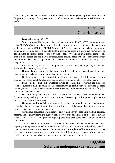weeks after you snapped them over. Broom makers, from whom you can probably obtain seeds for your first planting, often appear at local craft shows. A few seed companies sell broom corn seeds.

# **Cucumber Cucurbit sativus**

### **Days to Maturity**: 48 to 80

**When to plant**: Cucumber seeds germinate best around  $90^{\circ}F(32^{\circ}C)$ . At temperatures below 60<sup>0</sup>F (16<sup>0</sup>C) they're likely to rot before they sprout, yet once germinated, they can grow well at an average of  $65^{\circ}F$  to  $75^{\circ}F$  (108<sup>o</sup>C to 24<sup>o</sup>C). You can make an early chance planting of cukes by presprouting the seeds and planting the germinated seeds in a hill where you've buried a good handful of finished compost under an inch of soil. (Avoid adding unfinished compost as I once did. The carbon dioxide it gives off discourages cucurbit seeds, which need abundant oxygen for sprouting.) Start this early planting about the time the tall late irises bloom - mid-May here in my garden.

I make a second, main-crop planting in late May and a third planting in July to take over when wilt decimates my early vines**.**

**How to plant**: to start the seeds indoors in soil, use individual pots and plant them about three to four weeks before transplanting them to the garden.

Outdoors, plant eight to ten seeds in a hill, with hills spaced 4 or 5 feet apart. For row planting, sow seeds about 8 inches apart and thin later so plants stand at least a foot apart.

Presprouted seeds should be watered in well at planting time. (Always use lukewarm water for cucumber plants.) Some gardeners report improved germination when sowing the seeds thin edge down. Be sure to cover plants if frost threatens. Night temperatures below  $40^0F (4^0C)$ will retard cucumber plants.

Don't thin the plants too soon. Wait to see how much damage the cucumber beetle will do to the young seedlings. It's better to pinch or cut the seedlings. Pulling them might tear the roots of the ones you want to keep**.**

**Growing conditions**: Whatever your garden plan, try to provide good air circulation for cucumber plants, and keep at least a few hills within reach of the garden hose to you can water them if a week passes without a good rain.

Gynoecious cucumbers, which produce only female flowers, need extra feeding, generous spacing, and regular watering to support their heavier fruit set. Packets of these seeds usually include some seeds that will produce regular plants that bear some male flowers to ensure pollination.

Choose seeds that are resistant, or at least tolerant, to whatever cucumber plagues prevail in your gardening area. I've had excellent results with County fair 83, a hybrid pickling cuke that is not attractive to cucumber beetles. Cucumbers don't transplant well. It is possible, as I've mentioned, to presprout the seeds, but once set in soil is thoroughly warm. Many gardeners fertilize cucumber plants when the vines start to run and again when fruits set.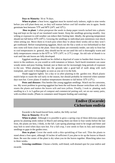**Days to Maturity**: 56 to 76 days.

When to plant: a heat lover, eggplant must be started early indoors, eight to nine weeks before you will plant them out, so they will mature before cool fall weather sets in again. Seeds germinate best between  $75^{\circ}$ F and  $90^{\circ}$ F (24<sup>o</sup>C and 32<sup>o</sup>C).

 **How to plant**: I often presprout the seeds in damp paper towels tucked into a plastic bag and kept on the top of our insulated water heater. Keep the seedlings growing steadily. Any wilting or exposure to cold weather can reduce their fruiting later. Ideally, the growing temperature should not fall below  $65^{\circ}F(18^{\circ}C)$ . Growing the seedlings in individual pots minimizes root shock when setting out. Move them to 4-inch pots when they're about three weeks old so they won't get rootbound. Before transplanting eggplant, block out the flat a week or two beforehand so that new roots will form close to the plant. Since the plants are extremely tender, not only to frost but to cool temperatures in general, they should not be set out until the soil is thoroughly warm and daily temperatures remain in the  $65^{\circ}F$  to  $70^{\circ}F$  (18<sup>o</sup>C to 21<sup>o</sup>C) range. An old rule of thumb is to wait until the oak leaves are fully developed.

Eggplant seedlings should not be chilled or deprived of water to harden their tissues for a move to the outdoors, as you would so with tomatoes or lettuce. Such harsh treatment can cause woody stems and poor fruiting. Instead, just se them out for increasingly long periods of exposure to the sun. When planting them into the ground, take a good ball of earth along with each transplant, and water it thoroughly as soon as you set it in the hole.

Shade eggplant lightly for a day or so after planting in the garden row. Black plastic mulch helps to warm the soil early in the season, but should probably be removed when summer days turn hot. Cover plants if outdoor temperatures threaten to fall below  $55^{0}F(13^{0}C)$ .

**Pests and diseases**: Flea beetles like young eggplant seedlings. Watch out for cutworms, too. My worst problem in growing eggplant has been the soil-borne disease verticilium wilt, which stunts the plants and makes the leaves wilt and turn yellow. Finally, I took to planting each seedling in a 3- to 5-gallon pot of compost and commercial potting soil, set on our sunny patio, with excellent results. (Plants in containers need frequent feeding and watering).

# **Endive (Escarole) Cichorium endivia**

Escarole is the board-leaved form; endive, the frilly cut leaf. **Days to Maturity**: 85 to 98

**When to plant**: Although it is possible to grow a spring crop of these delicious pungent greens by planting seeds indoor in March and setting them out three to four weeks before the last frost, the plants are best, I think, in the fall. Late-spring plantings tend to be tough and bitter and may bolt to seed when days turn hot. For a fall crop, I sow seeds in flats in July and transplant seedlings to gaps in the garden rows.

**How to plant**: Cover the seeds with a thin sprinkling of fine soil. Thin the plants to stand about a foot apart, although 10 inches id sufficient if you plan to tie up the leaves to blanch them. Be sure the center of the plant is dry when you tie the leaves together. Blanching takes two to three weeks**.**

**Growing conditions**: Choose a fertile, well-limed, well-drained spot for your endive and escarole.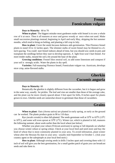### **Days to Maturity**: 60 to 70

**When to plant**: The biggest mistake most gardeners make with fennel is to sow a whole row of it at once. Then it all matures at once and grows woody at once when not used. Make small succession plantings instead, beginning in April and early May, skipping the hot summer months, which tend to bring on bolting, and planting a fall crop in July.

**How to plant**: Cover the seeds because darkness aids germination. Thin Florence fennel plants to stand 10 to 12 inches apart. The slimmer stalks of sweet fennel may be thinned to a 6 inch spacing. You could start fennel indoors ahead of time, but you should sow seeds in pots and transplant the seedlings before they start to develop taproots. A light frost won't hurt fennel. For more tender stalks, mound the soil a bit around the base of the plant.

**Growing conditions**: Fennel likes neutral soil, so add some limestone and compost if your soil is strongly acidic. Water the plants in dry spell.

**Varieties**: Fall-manuring Florence fennel, Foeniculum vulgare var. Azoricum, develops nicer crisp, anise-flavored stalks.

# **Gherkin Cucumis anguria**

### **Days to Maturity**: 60

Botanically the gherkin is slightly different from the cucumber, but it is begun and grow in the same way, usually for pickles. The leaf and vine are smaller than those of the average cuke, and the plant can be more closely spaced about 3 feet apart for hills, 8 inches apart for plants grown in rows. Gherkin seeds are somewhat slower to germinate than those of cucumbers.

# **Grains**

**When to plant**: Oats (*Avena sativa)* are planted in early spring, as early as the ground can be worked. The plants produce grain in 90 to 110 days.

Rye *(secale cereale)* is often fall-planted. The seeds germinate well at  $55^{\circ}$ F to  $65^{\circ}$ F  $(13^{\circ}$ C to 18<sup>0</sup>C), and some will even sprout at  $33^{0}F(1^{0}C)$ . Winter rye, which is planted in fall, manures the following summer, about week earlier than the local wheat (see below)

Whether you plant your wheat *(Triticum aestivum)* in spring or fall depends on whether you choose winter wheat or spring wheat. Check at your local feed and seed store and buy the kind of wheat that is most commonly planted in your area. To avoid infestation, plant winter wheat after the Hessian fly date in your area - usually mid-September to October 1. (Ask your country agent or the salespeople at your local feed store.)

**How to plant**: Although sowing seeds in drills 3 inches apart and covering them with 1/2 inch of soil will give you the best germination, for a small garden patch of grain you can broadcast seeds and rake them in.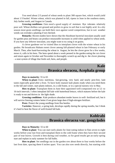You need about 2/3 pound of wheat seeds to plant 300 square feet, which would yield about 1/3 bushel. Winter wheat, which was planted in fall, ripens in June in the southern states, July farther north, and August in Canada.

**Growing conditions**: Oats need a good supply of moisture. Rye tolerates relatively poor soil. Wheat dislikes wet ground and prefers to grow in soil that is not highly acid. In a dry season most grain seedlings can hold their own against weed competition, but in wet weather weeds can overtake a planting if not checked.

**Remarks**: Recent studies have shown that the rhizobium bacterial inoculant usually used for garden peas and beans can produce measurable increases in yield when applied to wheat seeds. If you have any leftover inoculant, you might want to try using it on grains.

A clever gardener we've visited likes to interplant clover with the winter wheat in his garden. He broadcasts Hubam sweet clover among fall-planted wheat in late February or early March. Then, after hand-harvesting the wheat in August, he lets the clover grow for a few weeks, mows it, calls in his hens. The hens spend about a week penned in the garden eating the cut clover and return again in October and November to thoroughly scratch up and dig in the clover planting - a neat system of tillage that feeds soil, hens, and people.

## **Kale Brassica oleracea, Acephala group**

#### **Days to maturity**: 55 to 65

**When to plant**: Extra nutritious, fast-growing, very hard, and nearly pest-free, kale tastes especially good after a frost. To have leafy manure kale plants ready when you need them in the fall and winter, start plants indoors, in a cold frame, or in a special nursery row in May.

**How to plant**: Transplant them in June their appointed well-composted row at 12- to 16-inch intervals. I often interplant fall kale with butterhead lettuce, which matures before the kale is ready to eat and thrives in the light shade.

**Growing conditions**: Kale produces abundant tender leaves in well- fertilized soil, but it will survive freezing winters better if not given large does if high-nitrogen fertilizer.

**Pests**: Protect the young seedlings from flea beetles.

**Varieties**: Hanover, a spring kale, develops rapidly during the spring months, but I think it's hard to beat the flavor of well-frosted fall kale.

## **Kohlrabi Brassica oleracea var. gongylodes**

### **Days to Maturity**: 55 to 60

**When to plant**: You can start early plants for June eating indoor in flats seven to eight weeks before your last frost and transplant them to the cold frame when they have their second pair of true leaves. Growth is best during cool weather, so for good results get an early-spring start and replant in early summer for fall bulbs.

**How to plant**: Set seedlings out in the garden row about three to four weeks before the last frost date, spacing them 6 inches apart. You can also sow seeds directly, but starting with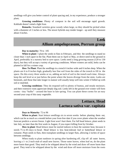seedlings will give you better control of plant spacing and, in my experience, produce a stronger plant**.**

**Growing conditions**: Plenty of compost in the soil will encourage rapid growth. Kohlrabi doesn't mind a light frost.

**Remarks**: Standard varieties grow woody when large, so they should be picked when with a diameter of 2 inches or less. The newer hybrids stay tender longer - up until they measure about 4 inches.

### **Leek Allium ampeloprasum, Porrum group**

### **Day to maturity:** 70 to 105

**When to plant**: I plant the seeds in flats in February, and thin the seedlings to stand no closer than 1 inch apart in the flat. Plant them out in April or May, or direct-seed in the ground in April, preferably in a nursery bed to save space. Leeks need a long growing season (120 to 130 days), but they will accept a variety of growing conditions. Where winters are mild, leeks can be planted in fall for a winter crop.

**How To Plant**: Plant the seedlings in a trench 6 inches wide and 6 inches deep. When the plants are 6 to 8 inches high, gradually hoe fine soil from the sides of the trench to fill in the space. Do this every three weeks or so, adding an inch of soil to the trench each time. Always keep the soil level at or just below the point where the leaves diverge from the stem. Leeks are biennials, and those that take longer to mature will usually keep well into winter if hilled up with soil or mulched.

**Growing conditions**: They do respond well to plenty of humus, and steady moisture, and their extensive roots appreciate deeply dug soil. Leeks left in the ground over winter will form corms - tiny "bulbs" - around the base in late spring. You can plant these corms for an easy second-year crop of this tasty vegetable.

# **Lettuce, Head Lactuca sativa var. capitata**

#### **Days to Maturity**: 72 to 96

**When to plant**: Start lettuce seedlings six to seven weeks before planting them out, which can be as much as a month before your frost-free date if you cover plants when the weather forecast predicts a severe freeze. Light frost won't hurt them. For fall head lettuce, plant seeds in late July, no later than the first week in August, if you expect killing frost by October.

**How to plant**: Head lettuce must be started indoors to beat the summer heat, because it needs 75 to 85 days to head. Head lettuce is less heat-tolerant leaf or butterhead lettuce or romaine. Plant seeds in flats, then transplant seedlings to larger flats, allowing 2 inches of space between seedlings.

When ready to plant outdoors in spring after hardening off, clip off all outer leaves, leaving a 1- to 2-inch stub of small new leaves. Those outer leaves, when leaf on, do the plant more harm than good. They tend to be whipped about by the wind and draw off more harm than good. They tend to be whipped about by the wind and draw off more moisture from the roots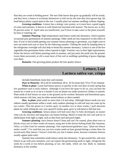than they are worth in feeding power. The new little leaves that grow up gradually will be sturdy, and they have a chance to acclimate themselves to full sun by the time they have grown big. Set head lettuce plants a good apart in the row. I usually plant out summer seedlings without clipping.

**Growing conditions**: Lettuce has a skimpy root system, so it most have a good supply of water and nutrients. It thrives in well-limed soil enriched with manure. The leaves are, in fact, 95 percent water. If April rains are insufficient, you'll have to take water to the plant yourself, by hose or watering can.

**Summer Planting**: High temperatures send lettuce seeds into dormancy, which explains occasional poor germination of summer plantings. Older seeds are less responsive to this effect of heat. If you've had trouble getting your summer lettuce plantings to germinate, you might want to save out seeds each year to store for the following summer. Chilling the seeds by keeping them in the refrigerator overnight will also help to break this summer dormancy. Lettuce is one of the few vegetables that germinates better when exposed to light. Varieties vary in their light requirements. Water the furrow well before planting seeds in summer, and just press the seeds into the ground. Leave them uncovered, or sift a scant layer of fine soil or seedlings sprinkling of grass clippings over them.

**Remarks**: Fast-growing plants produce the best quality lettuce.

### **Lettuce, Leaf Lactuca sativa var. crispa**

Includes butterhead, loose-leaf, and romaine.

**Days to Maturity**: 58 to 64 for butterhead, 40 to 45 for loose-leaf, 70 to 75 for romaine

**When to plant**: Loose-leaf lettuce grows so quickly in the cool days of early spring that few gardeners start it early indoors. Although if you have the space to do so, you can beat the season by a week or so or up to a month if you set plants out under protective clothes or tunnels. Plant seeds of leaf lettuce as soon as the ground can be worked. Romaine and butterhead types, which manure a bit later, may be either started indoors or direct-seeded.

**How to plant**: plant seeds no more than 1/4 inch deep. Although lettuce seeds you sow indoors usually germinate within a week, early outdoor plantings in cold soil may not come up for two weeks. Thin the plants to 3 inches apart. In another two to three weeks, I pull alternate plants for salad, letting the rest, now spaced 6 inches apart, grow to soft-head or full-leaf size.

**Growing conditions**: lettuce plants will bolt once they're fully developed, no matter what you do, but heat and long days can hasten bolting. Mulch to keep the soil cool and try to shield plants from light at night, such as that from yard and porch lights.

**Summer planting**: since lettuce doesn't keep and can't be canned, plant short rows or blocks every two or three weeks all season, using one of the slower-bolting kinds like Anuenue, Orfeo, or Little Gem for summer plantings. One experienced gardeners says, "plant ten lettuce seeds a week". I've read that you can ever scatter seeds on bare ground during a winter thaw for record-early May lettuce. I haven't tried this yet, but it makes sense, because volunteer lettuces usually appear quite early.

Summer heat sometimes sends lettuce seeds into dormancy. To get around this, and raise lettuce to go with your tomatoes, you can expose the germinating seeds to light, refrigerate the seeds for a week or two before planting, or use old seeds, which are less likely to maintain dormancy in hot weather.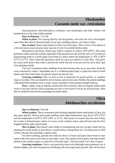# **Muskmelon Cucumis melo var. reticulatus**

Some gardeners raise honeydews, crenshaws, true cantaloupes, and other melons, but muskmelons are the most widely planted.

### **Days to Maturity**: 75 to 90

When to plant: For sowing directly into the garden, wait until the soil is thoroughly warm (late May here in Pennsylvania). If you start seedlings indoors, sow them in May.

**How to plant**: Direct-seed melons in hills 4 to 6 feet apart. Thin to four or five plants to a hill, but not too soon, because some may die of wilt if cucumber beetles strike.

Muskmelons need heat. Plants may suffer a setback at t below  $50^{0}F(10^{0}C)$ . The seeds germinate rather unevenly outside, especially if the ground turns the least bit cool, so I've taken to presprouting seeds in a moist paper towel kept in a place where the temperature is  $70^0$ F to  $80^0$ F ( $21^0C$  to  $27^0C$ ). Then I plant the germinate seeds in a peat pot indoors in early May. This gives me many more plants than when I planted the seeds directly in the pot and far more than I got from planting outside.

You can't transplant melon seedlings from flats because they are so succulent. Keep the roots contained by either a degradable pot or a cardboard plant band, or plant the seeds in small plastic pots from which they can gently turned out into the soil.

**Growing conditions**: Site, as well as soil, is important for good melons. A southern slope is excellent. The soil should be rich in humus and not root acid. Fertilize the potted seedlings with diluted fish emulsion twice a week, using a one-half or three-quarter strength solution.

**Pests**: I plant a ring of radishes around each hill of melons, often sowing the radish seeds seven to ten days before melon planting-out time so the leaves will be up and growing when they're needed to fend off the marauding cucumber beetle.

## **Okra Abelmoschus esculentus**

### **Days to Maturity**: 50 to 60

**When to plant**: These ornamental pod-forming vegetable plants need plenty of heat, but they grow quickly. Wait to plant seeds outdoors until night temperatures stay above  $55^{0}F(13^{0}C)$ and soil temperature is  $65^{0}F$  to  $70^{0}F$  (18<sup>0</sup>C to 21<sup>0</sup>C). This means no sooner than the end of May for us here in Pennsylvania; earlier, of course, in the southern states; and well into June for New England and the north central states.

**How to plant**: Okra doesn't take kindly to transplanting, but you can get a head start by planting the seeds inside in pots about a month before setting them out. Use deep pots or milk cartons, because okra develops a taproot early.

For direct seeding, presoak the seeds for about 12 hours and plant about three or four seeds to the foot and no more than an inch deep. Later, thin manure dwarf plants, the kind usually planed in the northern states, to stand 18 to 24 inches apart. Tall okra needs 3 to 4 feet of space.

**Growing conditions**: Okra is not particular about soil (although some gardeners say it dislikes highly acid soil), but generous fertilizing will encourage quick growth that will increase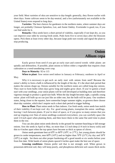your field. Most varieties of okra are sensitive to day-length: generally, they flower earlier with short days. Some cultivars seem to be day-neutral, and a few (unfortunately not available in the United States) even respond to long days.

**Varieties**: The best choices for gardeners in the northern states, where summer days are longer, are probably Clemson Spineless, Lee, and Annie Oakley. Evertender is good, too, if you can find seeds for it.

**Remarks**: Okra seeds have a short period of viability, especially if not kept dry, so you can improve your odds by sowing fresh seeds. Pods form five to seven days after the blossom opens. Pick them at least every other day, because large pods turn woody and signal the plant to stop producing.

# **Onion Allium cepa**

Easily grown from seed if you get an early start and control weeds while plants are spindly and defenseless. If possible, plant onions to follow either a vegetable that requires clean cultivation or a weed-smothering cover crop.

### **Days to Maturity**: 92 to 115

**When to plant**: Sow onion seed indoor in January or February; outdoors in April or May.

Why it is necessary to get such an early start with onions from seed? Because the onion's ability to form a bulb is influenced by the length of the day. It's the short dark period that makes the onions shape up. Onions suitable for the northern states are called long-day onions. They start to form bulbs when days grow long and nights grow short. If you've gotten a head start with your seedlings, your onion plants will be well developed at building time and therefore vigorous enough to produce a good-size bulb. When the day length becomes right, a spindly young onion plant will bulb up on cue just like an older one, but the bulb will be puny. Our southern states, being closer to the equator, have somewhat longer summer nights, so growers there choose short-day varieties, which don't require such a short dark period to trigger bulbing.

**How to Plant**: Plant onion seeds in flats indoors. Use fresh seeds, onion seeds lose mulch of their viability if not kept cool dry. For good strong plants, transplant the onion seedlings, leaving 1 inch between plants. If you're short of space, or if you grow so many onions that you end up tripping over flats of onion seedlings scattered everywhere, you can carefully space the seed 1/4 inch apart when planting them, and then leave them in the same flat until time to plant them in the row.

You can also plant onion seeds directly in the ground for summer-bunching or fall-storage onions. Sow the seeds in April or May, no more than 1/2 inch deep (1/4 inch in heavy soils) and thin to 4 inches apart when the top spears have become as thick as spears of chives.

Onion seeds germinate best at  $65^{\circ}$ F to  $80^{\circ}$ F (18<sup>o</sup>C to 27<sup>o</sup>C), but young plants should be grown in cooler temperatures, near  $60^0F (16^0C)$  and no higher than  $70^0F (21^0C)$  by day and  $50^0F$  $(10<sup>0</sup>C)$  at night. Set them out after proper hardening-off a good month or six weeks before your frost-free date. Wide bands of onion plants spaced 4 inches apart make the best use of space.

**Growing conditions**: Onions prefer soil that is not strongly acid. When grown in potassium-deficient soil, they will keep poorly, and phosphorus-deficient soil causes thick necks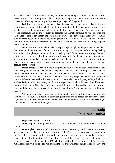and delayed maturity. For sweeter onions, avoid fertilizing with gypsum, which contains sulfur. Weeds are you worst enemy when plants are young. They sometimes shoulder ahead of seeds planted in mid-spring before the grasslike seedlings can get off the ground.

**Bulbing**. As summer progresses, days become longer and warmer. Both of these conditions encourage bulbing, which is really the formation of additional storage tissue. If the weather is too cold, onions won't bulb up no matter how long the days are. The size of the onion is also important. As it grows larger, it becomes increasingly sensitive to the bulb-inducing influences of longer day length and warmer temperature. The day length necessary to initiate bulbing varies according to the variety but in generally 12 to 16 hours. A day length considerably longer than the minimum necessary to start bulb formation will exert a very strong impetus toward bulbing.

Within the plant's normal critical day-length range, though, bulbing is more susceptible to the influence of environmental factors. For example, high soil nitrogen tends to delay bulbing within the critical photoperiod but not in an extra-long day. Warmth alone won't trigger bulbing, but it is necessary for the development of a good-sized bulb. Day length remains constant from year to year but soil and air temperatures change considerably, so even if you duplicate varieties planted and the treatment given your onion plants, crop quality may vary from year to year because of the weather.

**Onion sets**: perhaps you'd like to try growing your own onion sets, those miniature dry bulbs that grow into eating-sized onions when planted in their second spring, just set aside a bed a few feet square, or a wide row, and in early spring, scatter about an ounce of seeds in a row 2 inches wide and 25 feet long. Don't thin the onions. Crowding keeps them small. Pull the plants late in July before they reach a diameter of 3/4 inch. The smaller sets will give you larger bulbs and are less likely to bolt to seed next year. Any sets larger than 1 inch in diameter should be tossed into the pickle crock. Cure the sets in the sun until the tops are thoroughly dry - a week or ten days - and then remove the tops at the neck of the small bulb. Store in a dry, airy, cool but not freezing place.

When planting sets in the spring, push them into the soft earth just far enough to hold them in place, if your soil is heavy. In sandy soil plant them a trifle deeper, but don't cover them. If you have a cat likes to scratch in the garden, as we do, you might have to do some resetting of bulbs for a week or two until roots grow.

# **Parsnip Pastinaca sativa**

### **Days to Maturity**: 100 to 120

**When to plant**: Plant parsnips in April or May at the latest, but not before the daffodils bloom.

**How to plant**: Seeds should be sown outside in the open ground. Be sure to use fresh seeds, and sow even those thickly (at least one every inch) because parsnip seeds are notoriously low in vitality. I've gotten a decent stand from year-old seeds sown in a practically continuous band, but I wouldn't count on it. The seedlings are weak-kneed and easily overwhelmed by a heavy soil cover, so pull no more than 1/2 inch of fine light soil over the furrow. A light sowing of radish seeds that will emerge early and break the soil crust will make things easier for the young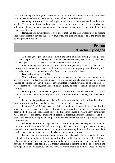parsnip plants to push through. If a week passes without rain before the seeds have germinated, sprinkle the row with water. Germination is slow; allow at least three weeks.

**Growing conditions**: Thin seedlings to stand 3 to 4 inches apart, and keep them well weeded. The plants will form straighter roots if well watered when young. Deeply worked soil will support longer, better-shaped parsnips. They do not transplant well. Once established, the plants need little care.

**Remarks**: The sweet-flavored, frost-proof make up for their wobbly start by feeding your family faithfully through the coldest days of fall and even winter, as long as the ground can be dug. (Flavor is best after frost.)

# **Peanut Arachis hypogaea**

Although you'd probably have to live in the South to make a living growing peanuts, gardeners can grow these attractive plants as far as the upper Midwest, New England, and even in Canada. If your garden produces decent melons, you can raise peanuts.

Like other legumes, peanuts harbor nodules of nitrogen-fixing bacteria on their roots. If you want to inoculate your peanuts with these bacteria as you do your peas and beans, you'll need to buy a special peanut inoculant. (See Sources at the back of this book).

### **Days to Maturity**: 110 to 120

When to Plant: If you're just growing a few peanuts, you can start seeds in pots four to six weeks before your last frost date. Usually it's safe to plant peanuts when the maple leaves are the size of squirrel ears. Southern gardeners can afford to wait two weeks or so after their last frost to let the soil warm up, since their will still be plenty od time for the nuts to manure before fall frost.

**How to plant**: shelled peanuts germinate more readily than those still encased in the shell. Take care to leave the papery skin intact and to keep the nut whole, split nuts won't sprout.

Peanuts make good container plants. They do not transplant well, so should be slipped from the pot without disturbing the roots when placing them in the garden.

Plant seeds 1 to 1 1/2 inch deep, very 3 inches, preferably in a 4-inch high ridge of soil in a wide raised row or raised bed. Thin seedlings to 12 inches apart in the row. Seeds of extra-large peanuts like Park's Whopper should be sprouted indoors because they have a low germination rate if soil is cool and damp. Some northern gardeners presprout all their peanut seeds, and most choose the earlier-maturing Spanish types, although Tennessee Red has also produced well in northern states.

**Growing conditions**: Ideal peanut soil is a loose, sandy loam, well supplied with humus. It's better to add manure the fall before planting, rather than in the spring, so the decomposing material won't cause the seeds to rot. You might try prewarming the soil with a mulch of black plastic - just be sure to remove the plastic when the plants start to flower.

Peanuts have their own way of doing things. About six weeks after germination, the nowbushy cloverlike plant begins to produce yellow flowers. The fertilized ovary of each flower enlarges and extends into a peduncle that promptly carries its new plant embryo below the soil surface - a process called pegging. It is there, underground, that the tip of the shoot swells and develops into a pod of peanuts. Now you know why there should be plenty of loose soil and no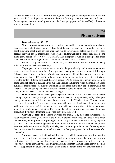barriers between the plant and the soil flowering time. Better yet, mound up each side of the row as you would do with potatoes when the plant is a foot high. Peanuts need extra calcium at flowering time, so some careful growers spread a dusting of gypsum (calcium sulfate) or limestone around the plant then.

# **Pea Pisum sativum**

### **Days to Maturity**: 55 to 75

**When to plant**: you can sow early, mid-season, and late varieties on the same day, or make successive plantings of pea seeds throughout the cool weeks of early spring, but there's no point in sowing most kinds of peas later than two to three weeks before the frost-free date, because the yield of peas maturing in warm weather seldom justifies the space they take. Young plants grow best at 59<sup>0</sup>F to 68<sup>0</sup>F (15<sup>0</sup>C to 20<sup>0</sup>C). An exception is Wando, a good pea for those who must wait in the spring until their community gardens have been plowed.

For fall peas, plant seeds in late July or early August. Mature pea plants are more easily killed by frost than the hardier seedlings.

To put peas on table, you must get them in the ground early, and to do that, you often need to prepare the row in the fall. Some gardeners even plant pea seeds in late fall during a February thaw. However, although it's safe to plant peas in cold soil, because they can sprout at temperatures as low as  $40^{\circ}F (4^{\circ}C)$  - although it may take them a month to do so - it's not wise to work the garden while the earth is still heavily sodden. We get around this, here in our garden, by doing a late-fall plowing, burying all the mulch and leaves and leaving rough mounds. Frost action pulverizes that exposed soil over the winter, and I find that I can usually get out there with a hoe in early March and pull open a furrow of fairly loose soil, going along the top of a ridge left by the plow, not in the deeper, colder valley between ridges.

**How to Plant**: Shake some garden legume inoculant on the moistened seeds before planting. Legume plants growing in zinc-deficient soil have less nitrogen-fixing ability. Plant peas thickly, about one every rich, and cover the seeds with 1 to 1 1/2 inches of soil. Double rows of peas, spaced about 4 to 6 inches apart, make more efficient use of soil space than single rows. Wide rows of peas, up to 3 feet or so, are even more efficient. At one time, I thinned my peas to stand 2 to 4 inches apart, but since I've found that slight crowding doesn't seem to reduce production, I've stooped thinning them. Peas don't transplant well.

**Growing Conditions**: Pea roots are weak and small, easily dislodged in weeding, so I usually let some weeds grow, closet to the plants, to prevent root damage and also to help shade the pea roots, which prefer cool growing weather. They also need plenty of oxygen, so plants grown in compacted or waterlogged soil will not produce as well as those in well-aerated ground. Peas also prefer soil that is not highly acid. They are fairly drought tolerant until flowering, when their moisture needs increase to an inch a week. The first peas appear about three weeks after blossoming.

**Staking**: Except for leafless kinds like Novella, which is pretty much self-supporting when grown in a triple row, your peas will need some support, even the low-growing ones. Cuttings of brush that have lots of twigs are excellent for all kinds of peas and the best choice for wide rows. For tall-growing vines like Sugar Snap and Mammoth Melting Sugar, grown in single rows, I supplement the brush with binder's twine stung the length of the row between three steel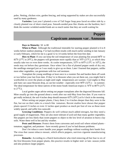poles. Netting, chicken wire, garden fencing, and string supported by stakes are also successfully used by many gardeners.

**Varieties:** Last year I planted a row of Tall Sugar Snap peas faced on either side by a closely planted row of short-vined peas. Smooth-seeded peas like Alaska are the hardiest, but I think the sweeter wrinkled-seeded kinds are so much tastier that they are worth waiting for.

### **Pepper Capsicum annuum var. Annuum**

**Days to Maturity**: 50 to 80

**When to Plant**: Although the traditional timetable for starting pepper planted is 6 to 8 weeks before outdoor planting. I've had excellent results with much earlier seeding in late January or early February, which for me is a good 12 to 14 weeks before the frost-free date.

**How to Plant:** If you can keep the soil temperature of your planting flat around  $80^{\circ}$ F to  $85^{\circ}F(27^{\circ}C)$  to  $29^{\circ}C$ ), the peppers will germinate more rapidly than at  $70^{\circ}F(21^{\circ}C)$ , at which they usually take two or even three weeks. At cooler temperatures,  $55^{0}F$  to  $60^{0}F$  (13<sup>0</sup>C to 16<sup>0</sup>C), the seeds may rot before they germinate. Once when I let a flat of planted pepper seeds of dry out, the seedlings emerged just as I was ready to give up on them. Later I learned that peppers, unlike most other vegetables, can germinate with low soil moisture.

Transplant the young seedlings at least once to a roomier flat and harden them off week or two before your last frost date. If they're in blossom when you set them out, you might find it worthwhile to cover the plants at night until night temperatures are warmer. Cool nights in May and June can cause blossom drop, as can hot weather - especially over  $90^0F (32^0C)$  - in summer. The ideal temperature for these natives of the moist South American tropics is  $70^0$ F to  $80^0$ F ( $21^0$ C) to  $27^0$ C).

Local garden sages advise setting out pepper transplants after the dogwood blossoms fall. Mine usually go into the ground about a week after our mid-May frost-free date. If you want to get really technical, the soil 4 inches deep should measure  $65^{\circ}F(18^{\circ}C)$  at 8 o'clock in the morning.

When setting out pepper plants, I bury them 2 to 4 inches deeper than they were in the flat, but not on their sides in a trench like tomatoes. Recent studies have shown that pepper plants spaced 15 inches or even 12 inches apart produce as much per foot of row as those more widely spaced, and suffer less sunscald.

**Growing Conditions**: Peppers do well without much added nitrogen, but they need a good supply of magnesium. They are also more tolerant of acid soil than many garden vegetables. Hot peppers are less likely than sweet peppers to object to the low level of aeration in heavy clay soils. Water them well in hot and dry weather.

**Pests and Diseases**: Protect them from cutworms and avoid soil where related plants tomatoes, eggplant, and potatoes - have recently grown if you've had disease problems.

Don't let tobacco users handle your pepper seedlings without washing their hands first. The virus that causes tobacco mosaic, which affects peppers, survives cigarette manufacturing processes.

**Remarks**: According to a Dutch horticulturist who tried removing all but four to six of the first blossoms from pepper plants, this practice results in higher mid- or late- season yields and also produces larger peppers.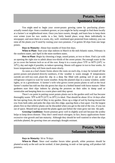# **Potato, Sweet Ipomoea batatas**

You might need to begin your sweet-potato growing career by purchasing plantsactually rooted slips- from a southern grower, or you might be lucky enough to find them locally at a farmer's or neighborhood store. Once you have sweets, though, and learn how to keep them over winter (cure for two weeks in a hot, fairly humid place; wrap them individually in newspaper; and store them in a warm, dry, well- ventilated spot protected from rodents), you can raise all the plants you'll need by rooting your own potatoes. I've gotten 50 slips from one large potato.

**Days to Maturity**: About four months of frost-free days.

**When to Plant**: Start your slips indoors in March in the mid-Atlantic states, February in the southern states, and April in the more northern states.

**How to Plant**: Begin by choosing a large, sound potato, or two or three. Find a jar with an opening the right size to admit about two-thirds of the sweet potato. Put enough water in the jar to cover the bottom inch or so of the root. Keep it in a warm place  $75^0$ F to  $90^0$ F (24<sup>0</sup>C to  $32^{\circ}$ C), day and night if possible, to induce sprouting. Shoots will appear in two to four weeks. At lower temperatures they will form much more slowly.

As soon as a leaf cluster forms above the roots on each slip, it may be twisted off the parent potato and planted directly outdoors, if the weather is warm enough. If temperatures outside are still too cool, plant the slip in a deep flat filled with potting soil (I use an old refrigerator crisper) to wait for warm weather. Keep the planted slips in a sunny window, under lights, or in a greenhouse. A farmer's wife who grows sweet potato plants to sell at the local farmer's market has told me that she grows her slips in a hotbed heated with horse manure. Other gardeners start their slips indoors by placing the potatoes on their sides in damp sand or vermiculite and keeping them in a warm place until they sprout.

There's no point in putting sweet potato plants out in the garden until soil has become thoroughly warm:  $70^0$ F to  $85^0$ F ( $21^0$ C to  $29^0$ C) is ideal. That should be about 10 to 14 days after the last spring frost, the end of May in my garden. Draw up a ridge of soil by hoeing inward the row from both sides and poke the slips into this ridge, spacing them a foot apart. Use the largest plants first so that inferior plants can be discarded when you get to the end of the row, if you run out of space. Mound soil up around the plants again just before the vines grow out into the path.

**Growing Conditions**: Sweet potatoes grow well in slightly acid soil because the acidity helps to keep down disease. They don't need much nitrogen; in fact, heavy applications foster excessive vine growth and late maturity. Although they should be well watered in when the slips artichoke planted, the growing vines are amazingly drought resistant.

# **Potato, White Solanum tuberosum**

### **Days to Maturity**: 56 to 70 days

**When to Plant**: Since cool weather favors tuber growth, white potatoes should be planted as early as the soil can be worked. A later planting, in mid- or late spring, will produce fall potatoes.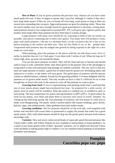**How to Plant**: If you've grown potatoes the previous year, chances are you have some small spuds left over. If they've begun to sprout, that's just fine, although it's better if they don't have long white spouts. If they do, you can break off extra long, weak sprout as long as there are several eyes remanding that can grow. Egg-sized potatoes are good for planting whole. Those that are much smaller may not have enough stored for good nourishment to develop a strong plant. Seed potatoes stored at low temperatures (around  $40^0$ F,  $4^0$ C) will grow into vigorous plants that produce more large tubers than potatoes hat have been kept in warmer storage.

Large potatoes with many eyes should be cut, exposing as little of the cut surface as possible, into pieces containing one to three eyes apiece. Too many eyes will produce a leafy plant with small potatoes. ( the eye is a dormant bud). Let the cut pieces dry for a day or two before planting so the surface can heal over. They are less likely to rot in the ground then. Unsprouted seed potatoes may be nudged into growth by being exposed to the light for a few weeks in a cool room.

When planting, place the potatoes or the pieces with the cut side down every 10 to 12 inches in trenches that are 2 to 3 feet apart. Cover them with 3 inches of soil. When the tops are 9 inches high, draw up loose soil around the plants.

You can also grow potatoes in mulch. They will be clean and easy to harvest and should yield at least as well, sometimes better, than those grown in the ground. One of the advantages to using mulch is that scab and potato bug damage are seldom a problem. The one catch is that you must use large amounts of mulch; a good foot of mulch must be spread over developing tubers and replaced as it settles, or the tubers will turn green. The green parts of potatoes and the sprouts contain an alkaloid poison, solanine. Except for the greening problem, I've been delighted with the potatoes we've grown under mulch. The only trouble we have is that it's difficult for us to find enough hay or leaves that early in the season to cover all the potatoes we want to grow.

**Growing from Seed:** If you're experimenting with planting seeds from a seed ball that one of your potato plants might have produced last year , be prepared for a wide variety of plants, most of which will be worthless. Plant the seeds in a marked row or seedbed in early or mid-spring. The best temperature for potato seed germination is  $68^{\circ}F(20^{\circ}C)$ . If good tubers do form on nay plants, save them and plant them to increase your stock of starter potatoes for cutting up the following spring. My trial plantings of Explorer, the first potato to come true to seeds, were disappointing. The plants, which I started indoors like tomato seedlings, grew slowly, had low vigor, and yielded poorly. Other gardeners have had similar results.

**Growing conditions**: Soil for potatoes should be on the acid side, well-supplied with humus and enriched with wood ashes or greensand to supply the potash that make for a good mealy potato. Only well-rotted manure should be dug into the potato patch, because fresh manure encourages scab.

**Varieties**: New and newly rediscovered kinds of especially good-flavored potatoes like Yukon Gold, Caribe, and Yellow Finnish are now available as seed potatoes to home gardeners. As a result of our home garden trials of these "gourmet" potatoes, we've added rich-flavored Yukon Gold and Butte (a baking potato high in vitamin C) to our standard annual planting of all-purpose Kennebec seed potatoes.

# **Pumpkin Cucurbita pepo var. pepo**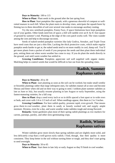#### **Days to Maturity**: 100 to 115

**When to Plant**: Plant seeds in the ground after the last spring frost.

**How to Plant**: Start pumpkins like squash, with a generous shoveful of compost or wellrotted manure in each hill. When the plant starts to develop vines, anticipate the squash borer by firming two to three shovelfuls of soil over several vine nodes to encourage auxiliary rooting.

Try the new semibush pumpkin, Funny Face, if space limitations have kept pumpkins out of your garden. Other kinds need lots of space; a hill will ramble over an 8- by 8- foot square of ground by summer's end. Planting at the edge of the corn patch works well. The vines wander among the corn and help to discourage raccoons.

Seeds of naked-seeded pumpkin varieties like lady Godiva, Streaker, and Triple Treat have seed coats that are just a thin film. Lacking the thick protective coats, which make regular pumpkin seeds harder to get at, the naked seeds tend to rot more readily in cool, damp soil. You'll get more plants from a packet of seeds if you presprout the seeds and then plant them individual pots, setting them out when warm weather has come to stay. If you do plant the seeds directly in the ground, wait until warm weather has settled in.

**Growing Conditions:** Pumpkins appreciate soil well supplied with organic matter. Mulching helps to control weeds that would be difficult to hoe out from the spreading vines.

### **Radish, Summer Raphanus sativus**

#### **Days to Maturity**: 20 to 30

**When to Plant**: start planting as soon as the soil can be worked, but make small weekly or biweekly plantings rather than large infrequent ones, for radishes mature all at once and become fibrous and bitter when old and on their way to going to seed. I seldom plant summer radishes as late as June or July, but usually resume planting in late August or early September, using the fastest-manuring varieties, for a fall crop.

**How to Plant**: drop a seed every inch or so in drills spaced a foot apart or in wide rows or beds, and cover with 1/4 to 1/2 inch of soil. When seedlings appear, thin them to 2 to 3 inches.

**Growing Conditions**: For best radish quality, promote rapid, even growth. That means grow them in cool weather, plant them in sandy or loosely worked soil, and supply ample moisture. Dryness, even for a day, and warm weather make radishes tough and strong flavored.

**Remarks**: Some gardeners plan most of their spring radish plantings as row markers for carrots, parsnips, parsley, and other slow-germinating crops.

# **Radish, Winter Raphanus sativus**

Winter radishes grow more slowly than spring radishes and are slightly more solid, and less delicately crisp than a well-grown early radish. I find, though, that their quality is more consistent. They keep better in the soil without turning bitter or tough, and they don't start going to seed overnight.

#### **Days to Maturity**: 50 to 65

**When to Plant**: Start them in late July or early August so they'll finish in cool weather.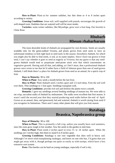**How to Plant**: Plant as for summer radishes, but thin them to 4 to 8 inches apart according to variety.

**Growing Conditions**: loose soil, well supplied with potash, encourages the growth of well-shaped roots. Radishes that are watered well will be more tender.

**Varieties**: some winter radishes, like Miyashige, grow over a foot long. Our favorite is Chine Rose.

### **Rhubarb Rheum rhabarbarum**

The most desirable kinds of rhubarb are propagated by root division. Seeds are usually available only for the green-stalked Victoria, and plants grown from seed seem to have an unfortunate tendency to bolt right back to seed early in the season. Strawberry rhubarb, for which you might also be able to find seeds, is red, as its name implies. Since I have not grown it from seed, I can't say whether it goes to seed as eagerly as Victoria, but my guess is that any seedgrown rhubarb would tend to perpetuate seed-prone stock over that which concentrates on vegetative growth. Having said all that, and adding, as I feel I must, that a professional rhubarb grower once wrote to me that he'd rather have a field of Johnson grass than one of seed-grown rhubarb, I still think there's a place for rhubarb grown from seed as an annual, for a quick crop of fruit.

**Days to Maturity**: 90 to 100

**When to Plant**: Sow seeds a month before the last frost.

**How to Plant**: Plant rhubarb seed 2 inches apart and 1/2 inch deep. Firm the soil well over them. Thin seedlings to 1 foot apart. Seedlings transplant well**.**

**Growing Conditions**: provide rich soil and fertilize the plants twice a month.

**Remarks**: I gave my seedlings several feeding seedlings of manure tea. We were able to eat crisp, succulent stalks of rhubarb by midsummer. The stalks were excellent that first season. It wasn't until the second year that they started producing seed stalks before the end of April. Grown as an annual, then, and generously fed and watered, rhubarb is worth raising from seed if you recognize its limitations. There aren't many other plants that will give you fruit season.

### **Rutabaga Brassica, Napobrassica group**

#### **Days of Maturity**: 90 to 100

**When to Plant:** This is primarily a fall crop, unless you usually have cool summers, since the roots grow tough in hot weather. Sow the seeds in the garden in mid-June.

**How to Plant**: Plant seeds 2 inches apart in rows 15 to 24 inches apart. When the seedlings are 3 inches high, thin them to stand 6 to 8 inches apart.

**Growing Conditions**: Rutabaga is one root vegetable that does well in heavy soil. Although I've never tried transplanting rutabagas, and know no one who has, I'd guess that you might get away with it, though perhaps not quite so easily as with turnips, which have a less extensive root system.

**Pests**: Flea beetles can be hard on young rutabagas, especially if soil is dry.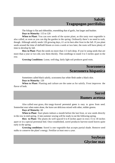The foliage is flat and ribbonlike, resembling that of garlic, but larger and bushier. **Days to Maturity**: 115 to 120

**When to Plant**: You can sow seeds of the oyster plant, as this tasty root vegetable is also called, as soon as you can dig the garden in the spring. Ordinarily there's no need to rush, though. Although salsify needs 120 growing days, it's at its best after frost in the fall. If you plant seeds around the time of daffodil bloom or even a week or two later, the roots will have plenty of time to develop by fall.

**How to Plant**: Plant the seeds no more than 1/2 inch deep. If you're using seeds that are more than a year or two old, sow them thickly. Thin seedlings to stand 3 to 5 inches apart in the row.

**Growing Conditions**: Loose, well-dug, fairly light soil produces good roots.

### **Scorzonera Scorzonera hispanica**

Sometimes called black salsify, scorzonera has white flesh under a black skin. **Days to Maturity**: 120

**When to Plant**: Planting and culture are the same as for salsify. Frost improves the flavor of both.

# **Sorrel Rumex acetosa**

Also called sour grass, this tangy-leaved perennial green is easy to grow from seed. Somewhat sour when eaten alone, the leave are delicious mixed with other, milder greens.

### **Days of Maturity**: 60

**When to Plant**: Start plants indoors a month before the last frost, or sow seeds directly in the row in mid-spring. A late-summer sowing will be ready to eat the following spring.

**How to Plant**: The plants do well spaced 6 to 8 inches apart in rows 15 to 18 inches apart or in a special perennial bed. Once established, sorrel produces harvest-sized leaves quite early in the spring.

**Growing conditions**: Sorrel is one vegetable that accepts partial shade. Remove seed stalks to conserve the plant's energy. Fertilize at least once a year.

> **Soybean Glycine max**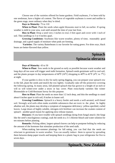Choose one of the varieties offered for home gardens. Field soybeans, I've been told by one seedsman, have a higher oil content. The flavor of vegetable soybeans is sweet and nutlike in the green stage, more ordinary when they're dried.

### **Days to Maturity**: 75 to 110

**When to Plant**: Plant the seeds when apple blossoms start to fall, no earlier. If spring weather is mild in your area, wait until around the time of your last frost.

**How to Plant**: Drop a seed very 2 inches in rows 3 feet apart and cover with 1 inch of soil. Thin seedlings to 3 or 4 inches apart.

**Growing Conditions**: Soybeans like warm weather, plenty of time, reasonably good drainage, and a good supply of moisture when pods are forming.

**Varieties**: The variety Butterbeans is our favorite for eating green. For dries soys, black beans are better-flavored than yellow.

# **Spinach Spinacia oleracea**

### **Days of Maturity**: 43 to 50

**When to Plant**: Sow seeds in the ground as early as possible because warm weather and long days all too soon will trigger seed stalk formation. Spinach seeds germinate well in cool soil, and the plants prosper in day temperatures of  $60^{\circ}F (16^{\circ}C)$  dropping to  $40^{\circ}F$  to  $45^{\circ}F (4^{\circ}C)$  to  $7^{\circ}C$ ) at night.

If your garden is slow to dry for early-spring digging, you can prepare your spinach row in the fall, plant the seeds and mulch the row lightly. Gradually rake off the protective covering the following spring. In many areas, fall-planted spinach that has grown to a height of an inch or will so will winter-over under a straw or hay cover. Plant extra-hardy varieties like winter Bloomsdale or Cold-Resistant Savoy for this purpose.

**How to Plant**: Plant the seeds no more than 1/2 inch deep, and thin the seedlings to stand about 6 inches apart in rich soil, 8 inches in leaner soil.

**Growing Conditions**: Spinach is a heavy feeder and needs a well-aerated, well-limed soil. Strongly acid soils often make available substances that are toxic to the plant. In highly alkaline soil, the plants may develop a symptom of manganese deficiency: yellow-speckled, curled leaves. Large doses of highly soluble, nitrogen-rich fertilizer can increase the oxalate content of spinach - another good reason for applying slow-release manure.

**Diseases:** If you have trouble with spinach seedlings dying from fungal attack (the fungi like the seed's mucilaginous coating), soak the seeds in a 3:1 chlorine bleach and water solution for ten minutes before planting.

**Remarks**: Picking oldest, largest spinach leaves can help to postpone bolting by reducing the amount of the hormone that stimulate production of the seed stalk.

When making late-summer plantings for fall eating, you can find that the seeds are reluctant to germinate in warm weather. You can usually induce them to sprout by spreading them between damp paper towels and keeping them in a plastic bag in your refrigerator for five to seven days.

### **Spinach, New Zealand**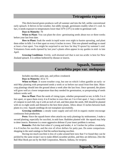### **Tetragonia expansa**

This thick-leaved green produces well all summer and into the fall, unlike conventional early spinach. It thrives in hot weather, but oddly enough, germinates readily when it's cool. In fact, it needs exposure to temperatures lower than  $55^{0}F(13^{0}C)$  in order to germinate well.

### **Days to Maturity**: 70

**When to Plant**: You can plant the slow- germinating seeds about two or three weeks before your last frost date.

**How to Plant:** Soak the seeds in tepid water over night to hasten sprouting, and plant them either in hills 3 to 4 feet apart or every 6 inches in rows. Thin row-planted seedlings to stand at least a foot apart. You might be surprised to see how far they'll sprawl by summer's end. Volunteers from seeds ripened by last year's plants often appear in my garden in mid- to late April.

**Growing Conditions**: Fertile, well-drained soil that is not too acidic is best for New Zealand spinach. It is seldom bothered by disease or insects.

### **Squash, Summer Cucurbita pepo var. melopepo**

Includes zucchini, patty pan, and yellow crookneck **Days to Maturity**: 43 to 75

**When to Plant**: A warm-weather crop, but one on which I often gamble an early- or mid-May planting with presprouted seeds a week or so before our usual frost-free date. Maincrop plantings should into the ground about a week after the last frost. Once sprouted, the plants will grow well at a lower temperature than they needed for germination, so presprouting of seeds indoors works well.

**How to Plant**: Plant the seeds of vining types, whether presprouted or not, in hills 3 to 4 feet apart, or space them every 4 to 8 inches in rows that are 3 to 4 feet apart. I bury a shoveful of compost in each hill, top it with an inch of soil, and then plant the seeds. Hill should be planted with six to eight seeds and thinned to the best three plants. Allow about 15 inches between bush plants in a row. Squash seedlings do not transplant successfully.

**Growing conditions**: a steady water supply and soil rich in organic matter encourage continuous fruit production.

**Pests:** Since the squash borer often attacks my early plantings by midsummer, I make a second planting, especially for zucchini, in mid-June. Radishes planted with the squash may help to deter insects. Rotenone is a more aggressive defense if your insect problem is serious.

**Remarks**: Pick the fruit when it's young and tender, 4 to 5 inches for yellow crookneck, 4 to 8 inches for zucchini, and the size of silver dollars for patty pan. Do some comparisonshopping in the seed catalogs to find the earliest-bearing zucchini.

Having too much zucchini is less of a joke around here now that I've found they can be pickled by the same recipe I use to make dilled cucumber pickles, and they are delicious. (See the Ball Blue Book put out by the Ball Corporation, Muncie, Indiana, for recipes).

### **Squash, Winter**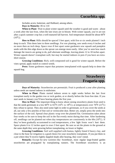### **Cucurbita spp.**

Includes acorn, butternut, and Hubbard, among others.

**Days to Maturity**: 85 to 110

**When to Plant**: Wait to plant winter squash until the weather is good and warm - about a week after the last frost, when the late irises are in bloom. With winter squash, you're are not after a quick summer crop but a well-matured fall harvest. Soil temperature should be about  $60^{\circ}$ F  $(16^0C)$ .

**How to Plant**: Hills should be spaced 5 feet apart, with five or six seeds planted 1 inch deep in each. Thin them later to three seedlings. For row planting, sow seeds every 6 inches and no more then an inch deep. Space rows 8 feet apart some gardeners sow squash and pumpkin seeds with the thin edge down so the sprout can emerge more easily. After you've seen how much damage the insects are going to do, pull alternate seedlings, leaving plants 12 to 18 inches apart. Winter squash doesn't transplant well, but may be started indoors in pots if you have an extrashort season.

**Growing Conditions**: Rich, well-composted soil is good for winter squash. Before the vines spread, apply mulch to control weeds.

**Pests:** Some gardeners report that potatoes interplanted with squash help to deter the squash bug.

# **Strawberry Fragaria spp.**

**Days of Maturity**: Strawberries are perennials. Fruit is produced a year after planting unless seeds are started indoors in midwinter.

**When to Plant**: Plants started indoors seven to eight weeks before the last frost transplant easily to the garden row or rock garden, at or shortly before the frost-free date. If you start seeds in January you'll have bearing plants the first year.

**How to Plant**: The important thing to know about raising strawberry plants from seed is that the seeds germinate at a low  $60^0F$  to  $65^0F$  (16<sup>0</sup>C to 18<sup>0</sup>C); at temperatures over  $70^0F$  (21<sup>0</sup>C) they refuse to sprout. They also need some light in order to germinate, so if you cover the seeds at all, use only a few pinches of fine soil or vermiculite dust. Better yet, simply press the seeds into the surface of the soil. Spread clear plastic wrap over the planted flat. Germination takes about four weeks so be sure to keep the soil in the flat evenly moist during that time. After hardening off, seedlings can be planted out when day temperatures are consistently in the 60s (16<sup>0</sup>C). If they've been gradually accustomed to cool temperatures, a few light frosts won't hurt them. Space plants 6 to 12 inches apart in rows 3 feet apart. Be sure so set the plants in the ground at the same depth they were growing before transplanting, no lower or higher.

**Growing Conditions**: Soil well supplied with humus, lightly limed if heavy clay, and close to the hose for irrigation is a good choice for your strawberry transplants. If you put them in a pot where they'll receive lightly dappled shade after bearing, they won't mind.

**Remarks**: Except for new varieties like Sweetheart, most regular large-fruited garden strawberries are propagated by transplanting runners. The Sweetheart strawberry is an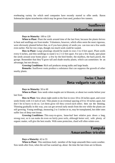everbearing variety for which seed companies have recently started to offer seeds. Baron Solemacher alpine strawberries which may be grown from seed, produce few runners.

### **Sunflower Helianthus annuus**

### **Days to Maturity**: 100 to 120

**When to Plant**: Plant the seeds around time of the last frost, because the plants thrives in heat and seedlings are frost-tender. Volunteers, however, which often seem the most vigorous, were obviously planted before that, so if you have plenty of seeds you can toss out a few seeds even earlier. Not for row crops, though; too much work could be wasted.

**How to Plant**: Large plantings should be made in rows 3 to 4 feet apart. Plant seeds every 6 inches, and thin seedlings to stand 2 to 2 1/2 feet apart. For just a few heads, spot-plant the seeds around your home place - a few by the bird feeder, the mailbox, the back porch, the garage. Remember that they'll grow tall and shade nearby plants, which can sometimes be an advantage, but not always**.**

**Growing Conditions**: Rich soil produces strong stalks and large heads.

**Remarks**: Sunflower roots produce a substance that can suppress the growth of other nearby plants.

### **Swiss Chard Beta vulgaris var. cicla**

#### **Days to Maturity**: 50 to 60

**When to Plant**: Sow seeds when maples are in blossom, or about two weeks before your last frost.

**How to Plant**: Sow about eight seeds to the foot in rows 18 to 24 inches apart, and cover seeds firmly with 1/2 inch of soil. Thin plants to an eventual spacing of 8 to 10 inches apart, but don't be in hurry to do so. Let them grow till they crowd each other; then eat the thinning. Thinning gradually in this way, you can get several early meals from the row while the plants are still growing. Young seedlings, measuring 2 to 3 inches or so, may be transplanted, but older ones suffer loss of deep root tissue.

**Growing Conditions**: This easy-to-grow, loose-leaf beet relative puts down a long, strong root, so it can make do even on fairly poor soils, although better soil, with plenty of organic matter, will give the best results. With some protection, chard will often winter-over.

# **Tampala Amaranthus tricolor**

#### **Days o Maturity**: 42 to 55

**When to Plant**: This nutritious leafy member of the large amaranth likes warm weather. Sow seeds after frost, when the soil has warmed up, about the time the late irises are in bloom.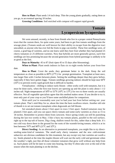**How to Plant**: Plant seeds 1/4 inch deep. Thin the young plants gradually, eating them as you go, to an eventual spacing 18 inches.

**Growing Conditions**: Soil enriched with compost will support rapid growth.

### **Tomato Lycopersicon lycopersium**

We were amused, recently, to hear from friends who live in a proper central Pennsylvania town that the custom there, for quite some years, had been to get free tomato seedlings from the sewage plant. (Tomato seeds are well known for their ability to escape from the digestive tract unscathed, as anyone who has ever fed the fruits to pigs can testify(. These free seedlings were, of course, a grad bag of varieties, and no one knew until they bore fruit whether they had planted 25 cherry tomatoes or 25 different varieties. Now that hybrids are more generally grown, such free seedlings are less promising because the second generation from hybrid parentage is unlikely to be as good as the first.

**Days to Maturity**: 45 to 87 (fruit ripen 45 to 55 days after blossoming).

**When to Plant**: Plant seeds indoors in flats six to eight weeks before your frost-free date.

**How to Plant**: Cover the seeds, they germinate better in the dark. Keep the soil temperature as close as possible to  $80^0F (27^0C)$  for prompt germination. Transplant at least once, into larger flats with 2 inches between plants. Setting the seedlings deeper than they grew before, especially if they have gotten leggy. Tomato seedlings growing indoors should be kept near  $60^{\circ}F$  $(16<sup>0</sup>C)$  to prevent overly rapid growth that is difficult to harden.

Vernalization - chilling to induce early bloom - often works well with tomatoes, but it is must be done early, when the first true leaves are opening up and the plant is only about 1 1/2 inches tall. Night temperatures of  $50^{0}F$  to  $55^{0}F$  (10<sup>0</sup>C to 13<sup>0</sup>C) for two to three weeks are usually effective. Not all vegetable specialists agree that this method makes sense. If you decide to try it, treat only part of your crop so you'll have some unchilled plants for comparison.

Wait until you're reasonably sure you've had your last frost before setting out your tomato plant. That's mid-May for us, about the time the barn swallows return. Another old rule of thumb is to set out tomato transplants when dogwoods are full bloom.

Set unstaked plants about 3 feet apart in rows 3 feet apart. Staked tomatoes may be planted 2 feet apart, and you can space cherry tomato and some early varieties as close as 15 to 18 inches. Remember to protect them from cutworm. Since spring winds can still be punishing during the last two weeks in May. I like o bury my tomato plants, parallel to the soil surface, right up to the top tuft of leaves. Dig a long, shallow trench for this, rather than a deep hole. It's too cold way down there in the ground for the roots of the warmth-loving tomato, which is at its best between  $70^0$ F and  $90^0$ F (21<sup>o</sup>C and 32<sup>o</sup>C).

**Direct Seeding:** As an alternative to prestarted transplants, you might like to try directseeding some kind of tomatoes. The small early cherry tomatoes and the new cold-resistant subarctics are obvious candidates for this treatment, but any except very late varieties are worth a try. Seeds planted at the time the maples bloom will wait out the early cold and germinate when the weather's right, just like all those volunteer tomatoes that grow well without any help from us. Such plants will be bit later to come into bearing, but they'll often take over at the end of the season when the main planting is on the decline**.**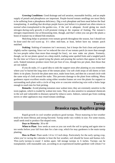**Growing Conditions**: Good drainage and soil aeration, reasonable fertility, and an ample supply of potash and phosphorus are important. Purple-leaved tomato seedlings are most likely to be suffering from a phosphorus deficiency. Dig a rock phosphate and born meal before the final transplanting. A seedling that develops purple leaves just before it is planted out often returns to normal when transplanted to the garden row, if the soil is adequate. Avoid giving too much nitrogen during early growth; it will promote vining at the expense of fruiting. The tomato's nitrogen requirements rise at blossoming time, though, and that's when you can give the plants a boost of manure tea or diluted fish emulsion.

Mulching helps to promote even tomato growth throughout the season, but I should not be done until the soil warm up. It's often mid-June, at least, before have my tomato patch mulched.

**Staking**: Staking of tomatoes isn't necessary, but it keeps the fruit clean and promote slightly earlier ripening. Since we've reduced the size of our tomato patch (to more than enough for two people rather than more than enough for four), we now stake our plants. Formerly, though, we let our plants sprawl on a deep mulch, trading some spoiled fruits and a tangled patch for the time we'd have to spend tying the plants and pruning the suckers that appear in the leaf axils. Staked tomatoes produce more fruit per foot of row, though less per plant, then those that are not staked.

If you do stake, it's a good idea to sink the support soon after planting so you remember where you've buried the long stem of the tomato plant. Use soft cloth strips of old sheets or knit fabric to tie plants. Encircle the plant stem once, make loose knot, and then tie a second circle with the same strip of cloth around the stake. This prevents damage to the plant from rubbing. Many gardeners report excellent results using either wooden frames set over the plants for support or surrounding each plant with a circle of hog wire or concrete reinforcing wire with a holes large enough to reach into for fruit picking.

**Remarks**: Avoid planting tomatoes near walnut trees; they are extremely sensitive to the toxin juglone, which is exuded by walnut tree roots. They are also sensitive to unnatural chemicals in the soil and vulnerable to diseases spread by tobacco users. Indoors, natural gas from cooking stoves or other appliances may retard tomato seedlings.

### **Turnip Brassica rapa, Rapifera group**

Rapid growth in cool weather produces good turnips. Those maturing in hot weather tend to be more fibrous and strong flavored. Turnip seeds vary widely in size. For some reason, small seeds tend to produce flat-shaped roots.

### **Days to Maturity**: 30 to 60

**When to Plant**: Sow seeds as soon as you can work the soil in spring and again nine to ten weeks before your fall frost date for a late crop, which for may gardeners is the main turnip planting.

**How to Plant**: Plant seeds 1/4 to 1/2 inch deep. Particularly for the early spring crop, when you've racing the calendar to beat the hot weather, soil should be loose and humus rich. Thin early turnips to stand 3 inches apart, fall storage turnips to 6 inches. Turnips can be transplanted, with reasonable care, according to an experienced market gardener with whom I've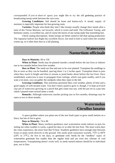corresponded. If you're short of space, you might like to try the old gardening practice of broadcasting turnip seeds between the corn rows.

**Growing Conditions**: Soil should be loose and humus-rich. A steady supply of moisture is especially important for fast-growing roots.

**Varieties**: People who think they don't like turnips usually change their minds after a taste of des Vertus Marteau, our favorite, which is sweet and mild. The Gilfeatner Turnip, and heirloom variety, is excellent too, and of course the leaves of any turnip make fine nourishing fare.

Check catalog descriptions. Some turnips are better suited to fall than spring production. The Japanese hybrid Just Right has excellent flavor, but tend to bolt to seed when the weather warms up, so it often fares best as a fall planting.

### **Watercress Nasturtium officinale**

#### **Days to Maturity**: 60 to 150

**When to Plant**: Seeds may be planted outside a month before the last frost or indoors one to two months before frost-free weather.

**How to Plant**: The seeds are fine and sure to be over planted. Transplant the seedlings to flat as soon as they can be handled, spacing them 1 to 2 inches apart. Transplant them to pots when they reach in height and then to stream or pond banks about before the last frost. Once established, watercress is easy to propagate from cuttings, which root quite readily, and if you want a lot more, you can gather the seedpods when they ripen in the fall.

**Growing Conditions**: This nutritious perennial likes cool weather, plenty of lime and a good supply of well-aerated water. You don't need a pond to grow it, though. I've kept an 8-inch clay pot of watercress growing on a porch that gets some east sun, with the pot set in a pan into which I poured water several times a week.

**Remarks**: Although watercress reaches picking size in five months, thinnings may be eaten at two or three months.

### **Watermelon Citrullus lanatus**

A space-grabber unless you plant one of the new bush types or grow small melons on a fence, but lots of fun to grow.

#### **Days to Maturity**: 74 to 90

**When to Plant**: Many northern gardeners start watermelon seeds indoors in pots for setting out when weather is warm, a good ten days or so after the last frost. The more warm days the vines experience, the more fruit they'll bear. Southern gardeners have enough time between frosts to plant seeds directly in the ground. The seeds need consistent warmth,  $75^{\circ}$ F to  $80^{\circ}$ F  $(24^0C)$  to  $27^0C$ ), for five to ten days, to germinate well. Seeds for the "seedless" types of watermelon germinate less readily than the regular kind and are even less tolerant of cool temperatures. Transplanting doesn't work well, so seeds started indoors should be in individual pots, not in flats.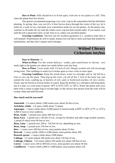**How to Plant**: Hills should be 6 to 8 feet apart, with one or two plants to a hill. Thin when the plants have five leaves.

One grower recommends preparing a rye cover crop in the watermelon bed the fall before planting. In spring, then, you can till a 3-foot furrow down through the center of the rye, let it settle for a week or two, and plant your watermelon seeds (or set out plants). As the plants vine, continue to till under the rye until the whole cover crop has been turned under. If you mulch, wait until the soil is good and warm, in late June or so, unless you use black plastic.

**Growing Conditions**: The best site for northern gardeners is a southern slope that is well drained. Watermelons do well in sandy, humus-rich soil that is more acid than that needed by muskmelons, and they don't require much nitrogen.

### **Witloof Chicory Cichorium intybus**

### **Days to Maturity**: 21

**When to Plant**: For this winter delicacy - tender, pale salad hearts or chicons - sow seeds right in the garden row about two weeks before your last frost.

**How to Plant**: Cover seeds with 1/4 inch of soil. Deeply worked soil will encourage strong roots. Thin seedlings to stand 4 to 6 inches apart in rows a foot or more apart.

**Growing Conditions**: Keep the weeds down, water in a drought, and in the fall let a frost or two nip the plant. Then dig up the roots, cut off all but 1 inch of the leafy top, and replant the roots, sanding up, in buckets of soil, sand, or hardwood sawdust. (A new variety, Zoom, may be forced in several inches of water). Keep the buckets in a cold place and bring them, one at a time, to a cool room to sprout  $50^0$ F to  $65^0$ F (10<sup>0</sup>C to 18<sup>0</sup>C). Water the plants and cover them with a carton or paper bag to exclude light, so the chicory that sprouts from the roots will be creamy white and mild flavored.

#### **How much seed do you need?**

**Amaranth** - 1/2 ounce (about 1,000 seeds) sows about 50 feet of row**. Artichoke, Globe** - 1/4 ounce yields about 75 plants. **Asparagus** - 1 ounce yields about 10,000 plants if started inside at 80<sup>0</sup>F to 90<sup>0</sup>F (27<sup>0</sup>C to 32<sup>0</sup>C); 1,000 if sown in rows outdoors. **Bean, Azuki** - 1 pound sows about 500 feet of row. **Bean, Fava** - 1 pound sows 130 feet of row, except for Windsor and other large-seeded varieties, 1 pound of which sows 90 feet of row. **Bean, Lima** - 1 pound sows 100 to 150 feet of row, depending on size. **Bean, Snap** - 1 pound sows 150 feet of row. **Beet** - 1 ounce sows 100 feet of row, most packets about 25 feet. **Broccoli** - 1 ounce yields 3,000 to 4,000 plants, most packets about 200. **Brussels sprout** - 1 ounce yields about 3,000 plants. **Cabbage** - 1/2 ounce (about 240 seeds) sow about 120 feet of row. **Cabbage, Chinese** - 1/25 ounce (about 330 seeds) sow about 100 feet of row. **Carrot** - 1 ounce sows 250 to 300 feet of row, most packets sow about 30 feet. **Cauliflower** - 1 ounce yields 2,000 to 3,000 plants; most packets about 150.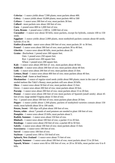**Celeriac** - 1 ounce yields about 7,500 plants; most packets about 400.

**Celery** - 1 ounce yields about 10,000 plants; most packets 400 to 500

**Celtuce** - 1 ounce sows 300 feet of row; most packets 30 feet.

**Collard** - most packets sow about 100 feet of row.

**Corn** - 1 pound sows 800 to 1,000 feet of row.

**Corn, Broom** - 1 pound sows 1,500 to 2,000 feet of row.

**Cucumber** - 1 ounce sow about 50 hills; most packets, except for hybrids, contain 100 to 150 seeds.

**Eggplant** - 1 ounce yields about 2,000 plants, most nonhybrid packets contain about 60 seeds; hybrids 25 to 30.

**Endive (Escarole)** - ounce sows about 200 feet of row; most packets 20 to 30 feet.

**Fennel** - 1 ounce sows about 300 feet of row; most packets 30 to 40 feet.

**Gherkin** - 1 ounce sows about 80 hills, most packets about 20.

**Grains** - Buckwheat: 1 pound sows 300 square feet.

Oats: 1 pound sows 250 square feet.

Rye: 1 pound sows 200 square feet.

Wheat: 1 pound sows 200 square feet.

**Kale** - 1 ounce sows about 200 feet of row, most packets about 40 feet.

**Kohlrabi** - 1 ounce sows about 200 feet of row; most packets about 40 feet.

**Leek** - 1 ounce sows about 200 feet of row; most packets about 25 feet.

Lettuce, Head - 1 ounce sows about 400 feet of row; most packets about 40 feet.

**Lettuce, Leaf** - Same as head lettuce.

**Muskmelon** - 1 ounce of regular-sized seeds yields about 900 plants; more in the case of smallseeded melons like Takii's Honey; most packets will sow about 20 hills.

**Okra** - 1 ounce sows about 50 feet of row; most packets about 15 feet.

Onion - 1 ounce sows about 200 feet of row; most packets about 20 feet.

**Parsnip** - 1 ounce sows about 200 feet of row; most packets about 15 to 20 feet.

**Peanut** - 1 ounce sows about 200 feet of row most packets of Spanish (small seeds) about 45 feet of row; large seeded Virginia about 15 feet of row.

Pea - 1 pound sows about 100 feet of row; most packets plant about 20 feet.

**Pepper** - 1 ounce yields about 1,500 plants; packets of nonhybrid varieties contain about 150 seeds; most hybrids about 50 to 100 seeds.

**Potato, Sweet** - 100 slips will plant about 100 feet of row.

**Potato, white** - about 7 pounds of seed potatoes are needed to plant 100 feet of row.

**Pumpkin** - 1 ounce sows about 25 hills; most packets about 5.

**Radish, Summer** - 1 ounce sows about 150 feet of row.

**Rhubarb** - 1 ounce sows about 100 feet of row; a packet 15 to 20 feet.

**Rutabaga** - 1 ounce sows about 250 feet of row; a packet 40 to 50 feet.

**Salsify** - 1 ounce sows about 100 feet of row; most packets about 15 feet.

**Scorzonera** - 1 ounce sows 100 feet of row.

**Sorrel** - 1 ounce sows 100 feet of row.

**Soybean** - 1 pound sows 100 to 150 feed of row.

**Spinach, New Zealand** - 1 ounce sows about 75 feet of row.

**Squash, Summer** - 1 ounce sows about 100 feet of row; most packets about 15 to 20 feet.

**Squash, Winter** - 1 ounce sows 60 to 100 feet of row, or 20 to 30 hills, most packet sow 6 to 8 hills.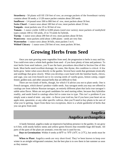**Strawberry** - 50 plants will fill 150 feet of row; an average packets of the Sweetheart variety contains about 50 seeds; a 1/128 ounce packet contains about 200 seeds.

**Sunflower** - 1/4 pound sows 500 to 800 feet of row, most packets about 50 feet.

**Swiss Chard** - 1 ounce sows about 100 feet of row; most packets about 25 feet.

**Tampala** - moat packets sow 25 to 30 feet of row.

**Tomato** - 1 ounce yields 3,000 to 6,000 plants (seed size varies); most packets of nonhybrid types contain 100 to 150 seeds, 25 to 74 seeds for hybrids.

**Turnip** - 1 ounce sows about 200 feet of row; most packets about 50 feet.

**Watercress** - most packets yield about 1,000 plants - seeds are very fine.

**Watermelon** - 1 ounce sows about 30 hills, most packets 5 to 6.

**Witloof Chicory** - 1 ounce sows 250 feet of row; most packets 30 feet.

# **Growing Herbs from Seed**

Once you start growing some vegetables from seed, the progression to herbs is easy and fun. You could even raise a whole herb garden from seed - if you have plenty of time and patience. To start herbs from seed indoors, you'll use the basic procedures described in Section One of this book. Most herbs need excellent drainage; for some, like thyme, this condition is critical. A few herbs grow better when sown directly in the garden. Several have seeds that germinate erratically and seedlings that grow slowly. When you develop a sure hand with the familiar basils, chives, and sage, you can even branch out to try sowing seeds of vanilla grass, lemon catnip, copper fennel, golden-seal, and other unusual herbs that are difficult to find.

There are two kinds of herbs, though, for which I'd advise you not to plant seeds. One is French tarragon, which doesn't produce viable seeds. Any tarragon seeds you may see offered in catalogs are from inferior Russian tarragon, an entirely different plant that lacks true tarragon's subtle anise flavor. Mints are not good candidates for seed starting either, because they hybridize readily, and seeds listed in catalogs often fail to come true to type. This isn't a problem if you simply want a stand of mint - any mint - to flavor your iced tea, but if you have your heart set on apple mint, spearmint, or any other specific cultivar, then you'll need to buy plants to be sure of what you're getting. Apart from these two exceptions, there is a whole gardenful of herbs that you can grow from seed.

### **Angelica Angelica archangelica**

A hardy biennial, angelica make an impressive backdrop presence in the garden. It can grow to 6 feet, with sturdy hollow stems and yellow-green flowers that resemble huge dill heads. All parts of the parts of the plant are aromatic; even the root is used for tea.

**Days to Germination**: Within 4 weeks at  $60^{\circ}F$  to  $70^{\circ}F$  (16<sup>o</sup>C to 21<sup>o</sup>C), but seeds must be fresh.

**When to Plant**: Angelica seeds are very short-lived. They've been known to keep over winter in an airtight refrigerated container, but the best plan is to sow them in late summer as soon as they mature.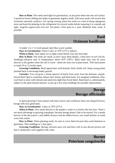**How to Plant**: The seeds need light for germination, so just press them into the soil surface. A period of moist chilling also helps to germinate angelica seeds. Fall-sown seeds will receive this treatment naturally outdoors. For spring sowing, plant the seeds on a bed of damp sphagnum moss and keep the planting in the refrigerator for several weeks before exposing it to warmth and light. Angelica appreciates rich soil. Set plants 3 feet apart in a spot sheltered from wind, if possible.

### **Basil Ocimum basilicum**

A tender 1 to 1 1/2-inch annual, basil likes warm weather.

**Days to Germination:** About 5 days at  $70^{\circ}F(21^{\circ}C)$ , indoors.

**When to Plant**: Start plants six to eight weeks before your last frost date.

**How to Plant**: The seeds are small, so don't bury them deeply; a thin layer of soil will do. Seedlings will grow best in temperatures above  $65^{\circ}F$  (18<sup>0</sup>C). Basil seeds may also be sown directly in the garden when the soil is warm - about the time you'd plant beans. Thin basil plants to stand 10 to 12 inches apart.

**Growing Conditions**: Basil appreciates well-drained, fairly fertile soil. Keep young plants pinched back to encourage bushy growth.

**Varieties**: You can grow a whole tapestry of basils from seed, from the dramatic, purpleleaved Dark Opal to cinnamon, lettuce-leaf, lemon, and bush basils. For marginal conditions, Fine-Leaf basil is more cold tolerant and needs less light than Sweet Basil. Bush basil is, unfortunately, subject to the plant disease botrytis, so pot up a few extra seedlings for possible replacements.

### **Borage Borago officinalis**

A quick-growing 2-foot annual with hairy leaves and cornflower-blue star-shaped flowers, borage self-sows generously.

**Days to Germination**: 5 days at  $70^0F (21^0C)$ 

**When to Plant**: Sow seeds directly in the garden a week or so before the last frost. There's not much advantage in growing transplants, because borage doesn't like to be moved. For a steady harvest of the decorative ( and edible) flowers and the edible leaves, sow small batches of seeds every four weeks.

**How to Plant**: When planting seeds, be sure to cover them because they need darkness to germinate. Thin seedlings to 1 foot apart.

**Growing Conditions**: Borage tolerates poor soil and does well in any decent porous soil that is moderately well supplied with water.

### **Burnet Poterium sanguisorba**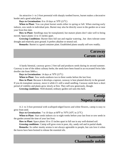An attractive 1- to 2-foot perennial with sharply toothed leaves, burnet makes a decorative border and a good salad plant.

**Days to Germination:** 8 to 10 days at  $70^0F(21^0C)$ 

**When to Plant**: You can plant burnet seeds either in spring or fall. When starting early indoors, sow seeds in individual pots. Burnet may also be directly sown in the garden on or near your frost-free date.

**How to Plant**: Seedlings may be transplanted, but mature plants don't take well to being moved. Space plants 12 to 15 inches apart.

**Growing Conditions**: Burnet likes full sun and regular watering , but does tolerate some drought and relatively poor ground. It prefers alkaline or neutral soil.

**Remarks**: Burnet is a good container plant. Established plants usually self-sow readily.

**Caraway Carum carvi**

A hardy biennial, caraway grows 2 feet tall and produces seeds during its second summer. Caraway is one of the oldest culinary herbs; the seeds have been found in an excavated Swiss lake dweller site from 5000 B.C.

**Days to Germination**: 14 days at  $70^{\circ}F(21^{\circ}C)$ 

**When to Plant**: Sow seeds-outdoors two to three weeks before the last frost.

**How to Plant**: Because it develops a taproot, caraway is best planted directly in the ground. If you do transplant caraway, move it while it's still a small seedling. Caraway seeds have a short period of viability and plants grow slowly at first. They self-sow generously, though.

**Growing conditions**: Well-drained, ordinary garden soil suits this herb.

### **Catnip Nepeta cataria**

A 2- to 3-foot perennial with scalloped-edged leaves and white flowers, catnip is easy to grow from seed.

**Days to Germination**: 7 to 10 days at  $60^{\circ}$ F to 70<sup>o</sup>F (16<sup>o</sup>C to 21<sup>o</sup>C)

**When to Plant**: Start seeds indoors six to eight weeks before your last frost or sow seeds in the garden around the time of your last frost.

**How to Plant**: Space plants 10 to 15 inches apart in full sun in any well-drained soil.

**Growing conditions**: Catnip will grow even in poor, dry, sandy soil and in partial shade.

**Remarks**: Its rather musky aroma is not always agreeable to people, but cats love it when the leaves have been bruised to release the essential oils.

### **Chamomile Chamomile nobile**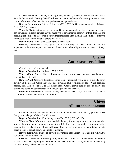Roman chamomile, C. nobile, is a low-growing perennial, and German Martricaria recutita, a 1- to 2- foot annual. The tiny daisylike flowers of German chamomile make good tea. Roman chamomile is most often used for rock gardens and as a ground cover.

**Days to Germination**: 10 to 12 days at  $55^{\circ}F(13^{\circ}C)$  for German chamomile; 10 days at  $70^0$ F (21<sup>0</sup>C) for Roman

**When to Plant**: Outdoors, you can plant German chamomile seeds as soon as the ground can be worked. Indoor plantings may be made two to three months before your frost-free date and seedlings set out two to three weeks before that final frost. Start Roman chamomile seeds tow to four weeks later and set out at or before the last frost.

**How to Plant**: Thin or plant seedlings to 6 inches apart.

**Growing Conditions**: Average garden soil is fine as long as it is well-drained. Chamomile appreciates a decent supply of moisture and doesn't mind a bit of light shade. It self-sows freely, too.

### **Chervil Anthriscus cerefolium**

Chervil is a 1- to 2-foot annual.

**Days to Germination**: 14 days at  $55^{\circ}F(13^{\circ}C)$ 

**When to Plant**: Chervil likes cool weather, so you can sow seeds outdoors in early spring, or plant them in the fall.

**How to Plant**: Chervil's delicate seedlings don't transplant well, so it is usually sown directly in the garden. Cover the planted seeds with a thin sprinkling of soil. When seedlings appear, thin them to stand 9 to 12 inches apart. Chervil grows quickly and its finely cut, parsleylike leaves are at their best before flowering and in cool weather.

**Growing Conditions**: It reseeds readily and appreciates fairly rich, moist soil and a protected location where the sun isn't too hot.

### **Chives Allium shoenoprasum**

Chives are a hardy perennial member of the onion family, with slim, tubular, quill-like leaves that grow to a length of about 8 to 10 inches.

**Days to Germination**: 10 to 14 days at  $60^{\circ}$ F to  $70^{\circ}$ F (16<sup>o</sup>C to 21<sup>o</sup>C)

When to Plant: It's best to start seeds in January for spring planting, but you can also sow seeds in the open ground as soon as the soil is dry enough to work, if you don't mind keeping the thready little seedlings well weeded for the two months or so that it takes them to begin to look as though they'll amount to something.

**How to Plant**: Plant clumps of chives 8 to 10 inches apart in rich soil. They like full sun but don't mind a bit of light shade.

**Growing Conditions**: For best quality, cut leaves near the base to encourage tender new growth, rather than snipping tips. Fertilize plants once or twice a season, divide them when they become crowed, and remove spent blooms.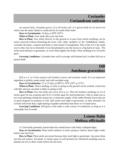An annual herb, coriander grows 12 to 30 inches tall. It is grown both for its leaves (in which case the name cilantro is used) and for its round white seeds.

**Days to Germination**: 10 days at  $60^{\circ}F(16^{\circ}C)$ 

**When to Plant**: Sow seeds after your last frost.

**How to Plant**: Sow either directly in the ground or in pots from which seedlings can be easily removed without disturbing the roots. Like other members of the Umbelliferae family, coriander develops a taproot and bolts to seed sooner if transplanted. This is fine if it's the seeds you're after, but not so desirable if you had planned to use the leaves in a big batch of salsa. The seeds need darkness to germinate, so cover them lightly but firmly. Plant seedlings 8 to 10 inches apart.

**Growing Conditions**: Coriander does well in average well-drained soil, in either full sun or partial shade.

### **Dill Anethum graveolens**

Dill is a 2- to 3-foot annual with feathery leaves and aromatic seeds. It is an important ingredient in pickles, potato salad, and cold cucumber soup.

**Days to Germination**: 21 to 25 days at  $60^{\circ}$ F to 70<sup>°</sup>F (16<sup>°</sup>C to 21<sup>°</sup>C)

**When to Plant**: Direct-seeding, as early in spring as the ground can be worked, works best with dill, and you can plant it either in spring or fall.

**How to Plant:** Sow the seeds one every inch or so. Thin the feathery seedlings to 4 to 6 inches apart for use as greens and 10 to 12 inches apart for seed production. I like to make one or two extra plantings during the season for a continuous supply of the tender thready leaves that are so good snipped on potatoes or fish. Dill seeds need light to germinate, so they shouldn't be covered with more than a light dusting of garden sometimes beat those we've hand-sown.

**Growing Conditions**: Dill grows well under a wide variety of conditions, as long as it is reasonably free of weeds.

### **Lemon Balm Melissa officinalis**

A 2-foot hardy perennial, lemon balm has veined leaves with finely scalloped edges.

**Days to Germination**: Plant seeds outdoors in early spring or indoors about eight weeks before your last frost.

**How to Plant**: Plant seeds uncovered because they need light to germinate. Just press them into the soil surface. Set plants 12 inches apart in well-drained soil. Hardened seedlings may be planted out two to three weeks before the last frost.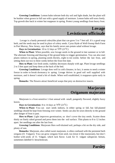**Growing Conditions**: Lemon balm tolerate both dry soil and light shade, but the plant will be bushier when grown in full sun with a good supply of moisture. Lemon balm self-sows freely. Top growth dies back in winter but reappears in spring. Protect young seedlings from heavy frost.

# **Lovage Levisticum officinale**

Lovage is a hardy perennial celerylike plant that can grow 5 to 7 feet tall. It's a good soup herb, and the seeds may be used in place of celery seeds. Cyrus Hyde of Well-Sweep Herb Farm in Port Murray, New Jersey, says that his family never eats potato salad without lovage.

**Days to Germination**: 10 to 12 days at  $70^0F(21^0C)$ 

**When to Plant**: When possible, sow lovage seeds in the ground in late summer or in fall. The alternate freezing and thawing of the ground helps to trigger germination. You can also start plants indoors in spring, planting seeds thickly, eight to ten weeks before the last frost, and setting them out two to three weeks before the frost-free date.

**How to Plant**: Use fresh seeds; viability decreases sharply with age. Plant lovage seedlings 2 to 3 feet apart and keep them at the back of the bed.

**Growing Conditions**: Lovage does well in cold climates; in fact, it seems to need a winter freeze in order to break dormancy in spring. Lovage thrives in good soil well supplied with moisture, and it doesn't mind a bit of shade. When well established, it reappears quite early in spring.

**Remarks**: The flowers attract beneficial wasps that prey on destructive insects.

### **Marjoram Origanum majorana**

Marjoram is a frost-sensitive 1-foot annual with small, pungently flavored, slightly fuzzy leaves.

**Days to Germination:** 8 to 14 days at  $70^0$ F ( $21^0$ C)

**When to Plant**: You can start seeds indoors, in either spring or fall, but fall-planted seedlings should be kept from freezing over winter. Seeds can also be sown directly in the ground after danger of frost is past.

**How to Plant**: Light improves germination, so don't cover the tiny seeds. Scatter them thinly on finely raked ground and press them into the soil surface. Thin plants to 8 to 12 inches apart. Set seedlings out after the last frost.

**Growing Conditions**: Marjoram likes well-drained soil, perhaps a bit on the dry side, and plenty of sun.

**Remarks:** Marjoram, also called sweet marjoram, is often confused with the perennial herb oregano (O. Vulgare). You can grow oregano from seed, too (treat it like marjoram), but don't bother with seeds of O. Vulgare, which lack flavor. Look for O. vulgare subspecies hirtum, sometimes labelled O. heracleoticum.

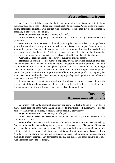An 8-inch biennial that is usually planted as an annual, parsley is one herb that almost everyone, those perky little scalloped-edged seedlings begin to emerge. Parsley seeds, and those of several other related plants as well, contain furanocoumarins - compounds that block germination, especially in the presence of sunlight.

**Days to Germination**: 21 days at around  $70^0F(21^0C)$ 

**When to Plant**: Plant parsley seeds outdoors as early in the spring as you can work the garden soil.

**How to Plant**: Sow two seeds to the inch, planting them 1/4 inch deep. Many gardeners grow a few radish seeds along the row to mark the spot. Weeds often appear first and must be kept under control. Sometimes I beat the weeds by starting parsley seedlings early in the greenhouse and seeding them out in April. Be sure seeds are covered - not deeply but thoroughly because they germinate more completely in the absence of light. Thin plants to 6 inches apart.

**Growing Conditions**: Fertilize once or twice during the growing season.

**Remarks**: To knock a week or more off of parsley's usual three-week sprouting time, soak the parsley seeds in water for 48 hours, changing the water twice, before planting them. This dissolves some of those inhibiting compounds (furanocoumarins). Discard the water, though. Don't do as I used to do (before I knew about the furanocoumarins) and pour it on the planted seeds. I've gotten relatively prompt germination of late-spring sowings after pouring very hot water over the planted seeds. Once planted, though, parsley seeds germinate best when soil temperature is below  $85^{\circ}F(29^{\circ}C)$ .

It was an country custom to hang a parsley seed head on a tree, arbor, or fence adjoining the garden so that the windblown seeds would be scattered in the garden. If you try this bit of lore, don't count on it for your whole crop. Plant some seeds in the ground, too.

### **Rosemary Rosmarinus officinalis**

A shrubby, half-hardy perennial, rosemary can grow to 3 feet high and 3 feet wide as a mature plant. It is one of the more challenging herbs to grow from seed. Rosemary seeds often have low viability and a tendency to mutate, and the seedlings grow slowly.

**Days to Germination**: Up to 21 days at  $70^0F(21^0C)$ 

**When to Plant**: Seeds may be started indoors in late winter or early spring and seedlings set out after the last frost.

**How to Plant**: My friend Bertha Reppert, who owns Rosemary House in Mechanicsburg, Pennsylvania, and has been raising rosemary from seed for years, say: "Be patient. Rosemary seeds can take up to three weeks to germinate. Rosemary really demands sharp drainage, both in order to germinate, and after germination. Soggy soil is sure death to rosemary seeds and seedlings. Avoid peat in your starting mix, and add vermiculite or shape sand, or both, to your seed starting medium to improve drainage. But don't let the soil dry out, either. The safest thing to do is mist it, and also mist the young seedlings".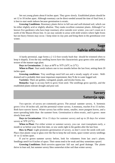Set out young plants about 8 inches apart. They grow slowly. Established plants should be set 12 to 18 inches apart. Although rosemary can be direct-seeded around the time of final frost, it is best to start seeds indoors because germination is erratic.

**Growing Conditions**: Rosemary plants thrive in full sun and well-drained soil, which can be either slightly acid or slightly alkaline. They make excellent container plants. Although I've known five gardeners who have kept rosemary alive outside over winter, you can't count on it north of the Mason-Dixon line. It can stay outside in areas with mild winters where light frosts but not heavy freezes may occur. I keep mine in clay pots and bring them in the greenhouse over winter.

### **Sage Salvia officinalis**

A hardy perennial, sage forms a 2 1/2-foot woody bush that should be trimmed often to keep it shapely. Even the tiny seedling leaves have the characteristic gray-green color and pebbly texture of the manure sage plant.

**Days to Germination**: 21 days at  $60^{\circ}$ F to  $70^{\circ}$ F (16<sup>o</sup>C to 21<sup>o</sup>C)

**When to Plant**: Start seeds indoors one to two months before the last frost, setting them 20 inches apart.

**Growing conditions**: Tiny seedlings need full sun and a steady supply of water. Welldrained soil is probably their most important requirement; they'll die in water logged soil.

**Varieties**: There are golden, variegated, purple, and tricolor forms, too.

**Remarks:** Sage is an easy herb to grow from seed. The seedlings grow quickly, and the established plants tolerate drought and poor soil.

### **Savory Satureja spp.**

Two species of savory are commonly grown. The annual summer savory, S. hortensis grows 14 to 18 inches tall, and the perennial winter savory, S.montana, reaches 8 to 15 inches. Both have narrow leaves. Winter savory has stiffer stems, smaller, more pungent leaves, and a more spreading habit than the summer form. Germination is often erratic, and it grows more slowly from seed.

**Days to Germination**: 10 to 15 days for summer savory and up to 20 days for winter savory at  $70^0$ F (21<sup>0</sup>C).

**When to Plant**: For either winter or summer savory, you can start transplants early, a month or so before your frost-free date, or sow seeds right in the garden after the last frost.

**How to Plant**: Light promotes germination of savory, so don't cover the seeds with soil. Place clear plastic wrap or glass over the flat to keep the soil moist, space winter savory seedlings 10 to 12 inches apart.

If you've grown summer savory before, look for volunteers from last year's plants. Seedlings need 6 to 8 inches of space. Their stems tend to be weak and they sometimes sprawl.

**Growing Conditions**: Both savories appreciate full sun and good drainage. The plants thrive in lean soil, but summer savory likes somewhat richer soil than winter savory.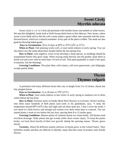Sweet cicely is a 3- to 5-foot tall perennial with fernlike leaves and umbels of white lowers. We met this delightful, hardy herb at Well-Sweep Herb Farm in Port Murray, New Jersey, where owner Cyrus Hyde told us that his wife Louise makes a great coffee cake seasoned with the aniseflavored leaves, which are a natural sweetener. Every part of the plant is edible. The seeds are also good for flavoring baked goods.

**Days to Germination**: 20 to 25 days at  $60^{\circ}$ F to  $70^{\circ}$ F ( $16^{\circ}$ C to  $21^{\circ}$ C)

**When to Plant**: Fall planting works well, or start seeds indoors in early spring. You can also direct-sow the seeds about three months before the last spring frost.

**How to Plant**: Like angelica, sweet cicely develops a deep taproot, so seedlings should be transplanted before they grow large. When sowing seeds directly into the garden, plant them in fertile soil and cover with no more than 1/4 inch of soil. Thin plant gradually to stand 2 feet apart at maturity. Eat the thinnings.

**Growing Conditions**: The plant likes cold winters, self-sows generously, and obligingly accepts partial shade.

### **Thyme Thymus vulgaris**

A perennial with many different forms that vary in height from 2 to 12 inches, thyme has tiny pungent leaves.

**Days to Germination**: 21 to 28 days at  $70^0$ F (21<sup>0</sup>C)

**When to Plant**: Start seeds indoors in late winter or early spring or outdoors two to three weeks before the last frost.

**How to Plant**: Fairman Jayne of Sandy Mush Herb Nursery in Leicester, North Carolina, who often starts hundreds of herb plants each week in his greenhouse, says, "I keep the temperature around  $60^{\circ}F (16^{\circ}C)$  day and night and run them quite dry. I don't cover the seeds. I sow them in a little furrow and enough soil washes over them when they're watered. "Set out started plants a week or two before the last frost, spacing them 8 to 12 inches apart.

**Growing Conditions**: Manure plants of common thyme are winter-hardy. All thymes need excellent drainage. Older plants that get woody suffer more winter injury. To keep the plants bushy, cur back three fourths of their new growth during the growing season. Thyme grows slowly.

**Varieties**: About 60 different named cultivars of thyme grow in the United States. They hybridize readily and thus are difficult to identify; many that bear some of produce only female flowers.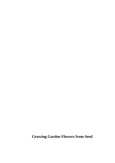**Growing Garden Flowers from Seed**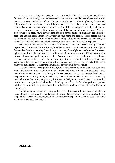Flowers are necessity, not a spirit, not a luxury. If you're living in a place you love, planting flowers will come naturally, as an expression of contentment and - in the case of perennials - of an intent root oneself in that favored spot. In a temporary home, too, though, planting flowers will help you to feel more settled. A few bright annuals can soften harsh coners and camouflage unattractive areas, and even attract new friends. One of the most appreciates hollyhock patches I've ever grown was a screen of the flowers in front of the bare wall of a rented house. When you start flower from seed, you'll have dozens of plants for the price of a single six-celled market pack, and you can spread them lavishly around your home and garden. Home-seeded flowers usually come in a greater variety of colors than seedlings offered by nurseries, and you can grow unusual kinds like ballonflower and schizanthus, which aren't widely available as plants.

Most vegetable seeds germinate well in darkness, but many flower seeds need light in order to germinate. This needn't be direct sunlight; in fact, in most cases, it shouldn't be. Indirect light is fine and less likely to over-dry the soil, or you can keep flats of planted seeds under fluorescent lights. Some flowers have extra-fine, dustlike seeds. Sometimes seeds for different colors of a flower will germinate at different rates. If you've sown a packet of mixed-color seeds, allow at least an extra week for possible stragglers to sprout if you want the widest possible color sampling. Otherwise, except for avoiding high-nitrogen fertilizer, which can retard blooming, follow the same principles in starting flower seeds as you would for vegetables.

You can save seeds from garden flowers, too, as long as they're not hybrids. However, both annual and perennial flowers will bloom for a longer time if you remove spent blossoms as they fade. If you do wish to save seeds from your flowers, set the seed capsules or seed heads dry on the plant. In some cases you might need to bag them so they won't shatter. Flower seeds are easy to save because they are usually on dry form, not in fleshy fruits. You'll have to assume that they've been cross-pollinated with others of their species. The colorful, often perfumed, pollenrich lower is, after all, the plant's invitation to the insect world to assure pollination for a new crop of seeds.

The following directions for starting garden flowers from seed will you specific hints for the needs of some of the most frequently planted flowers. Germination temperatures refer to the temperature of the soil or growing medium. Unless otherwise specified, cover the seed with soil to a depth of three times its diameter.

### **ANNUALS**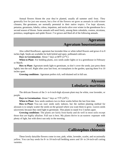Annual flowers bloom the year they're planted, usually all summer until frost. They generally live for just one season, but a few of the flowers we grow as annuals in cold-winter climates, like geraniums, are normally perennial in their native tropics. I've kept alyssum, petunias, geraniums, lobelia, coleus, impatiens, and stocks alive over winter in the greenhouse for a second season of bloom. Some annuals self-seed freely, among them calendula, cosmos, nicotiana, portulaca, snapdragons and spider flower. I've grown and liked all of the following annuals.

### **Ageratum Ageratum houstonianum**

Also called flossflower, ageratum has lavender-blue or white tufted flowers and grows 6 to 8 inches high. Seeds are available for both hybrid and open- pollinated cultivars.

**Days to Germination:** About 7 days at  $80^0F (27^0C)$ 

**When to Plant**: For bedding plants, sow seeds under lights or in a greenhouse in February or March.

**How to Plant**: Ageratum needs light to germinate, so don't cover the seeds; just press them lightly into the soil. Right after your last frost, set transplants in the garden, spacing them 9 to 10 inches apart.

**Growing conditions**: Ageratum prefers rich, well-drained soil in full sun.

### **Alyssum Lobularia maritima**

The delicate flowers of the 3- to 6-inch-high alyssum plant may be white, rose lavender, or purple.

**Days to Germination:** About 7 days at  $75^{\circ}F (24^{\circ}C)$ 

**When to Plant**: Sow seeds outdoors two to three weeks before the last frost date.

**How to Plant**: You can start seeds early indoors, but the earliest planting method for alyssum is to simply scatter the seeds on the ground where you want them to grow. Leaves seeds uncovered, because they need light to germinate. Thin plants to stand 4 to 5 inches apart.

**Growing conditions**: The plants are fairly frost-hardy and do well in most soils except those that are highly alkaline. Full sun is best. My plants thrive in an eastern exposure with plenty of light, but with direct sun only in the morning.

### **Aster Callistephus chinensis**

These lovely daisylike flowers come in rose, pink, white, lavender, scarlet, and occasionally yellow. You can buy seeds for 8- to 10-inch-tall bedding asters and 18- to 24-inch-tall cutting varieties.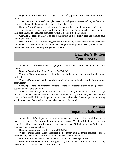**Days to Germination**: 10 to 14 days at  $70^{\circ}F(21^{\circ}C)$ ; germination is sometimes as low 55 percent.

**When to Plant**: For a head start, plant seeds in small pots six weeks before your last frost, or so seeds directly in the ground after danger of frost has passed.

**How to Plant**: Cover seeds lightly with fine earth. Give seedlings plenty of light and protect them from severe cold when hardening off. Space plants 12 to 15 inches apart, and pinch them back in June to encourage bushiness. Asters don't like to be transplanted.

**Growing Conditions**: They'll do better in soil that isn't too highly acid and seem to have in both poor and dry soil.

**Pests and diseases**: Unfortunately, asters are bothered by several plant diseases, including wilt and yellows. Plant them in a different spot each year to escape wilt, destroy affected plants. Leafhoppers and other insects spread yellows disease.

### **Bachelor's Button Centaurea cyanus**

Also called cornflowers, these cottage-garden favorites have lightly shaggy blue, or white blossoms.

**Days to Germination:** About 7 days at  $70^0F (21^0C)$ 

**When to Plant**: Most gardeners plant the seeds in the open ground several weeks before the last frost.

**When to Plant**: Cover lightly with fine soil. Thin plants to 8 inches apart. They bloom in cool weather.

**Growing Conditions**: Bachelor's buttons tolerate cold weather, crowding, and poor soils, but they do not transplant well.

**Varieties**: Both tall (30-inch) and dwarf (12- to 16-inch) varieties are available. A ageflowered perennial bachelor's button is available. Plan this in early spring also, but a week before your last frost, and look for seedlings in a month. The seeds need darkness to germinate, so they should be covered. Germination of perennial centaurea is often erratic.

### **Balsam Impatiens balsamina**

Also called lady's slipper by the grandmothers of my childhood, this is traditional sprite that's easy to handle for both seed-starters and seed-savers. The 1- to 2-inch, rose, or cerise camellialike flowers peek out from under stems and leaves of 18-inch plants. A 12-inch topblooming strain is also available.

**Days to Germination:** 8 to 14 days at  $70^0$ F ( $21^0$ C)

**When to Plant**: Plant balsam seeds right in the garden after all danger of frost has ended, or for an early start, plant seeds in flats six to eight weeks before last frost.

**How to Plant**: Space seeds about 2 inches apart, and thin seedlings to 10 inches.

**Growing Conditions**: Balsam likes good soil, well drained but with a steady supply moisture. It thrives in part shade as well as in sun.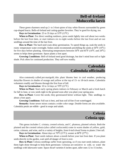These green charmers send up 2- to 3-foot spires of tiny white flowers surrounded by green cup-shaped bracts. Bells-of-Ireland and cutting-garden favorites. They're good for drying, too.

**Days to Germination:** 25 to 35 days at  $55^{\circ}F(13^{\circ}C)$ 

**When to Plant**: For direct seeding outdoors, press seeds lightly into soil about two weeks before the last frost date, or start indoors six to eight weeks before the last frost and set out seedlings around the time of the last frost.

**How to Plant**: The hard seed coats delay germination. To speed things up, soak the seeds in room- temperature water overnight. Stokes seeds recommends prechilling the seeds at  $50^0F (10^0C)$ for five days before planting. Alternating temperatures between  $50^0$ F and  $85^0$ F ( $10^0$ C and  $29^0$ C) seems to helps them germinate. Space plants a foot apart.

**Growing Conditions**: Bell-of-Ireland need good drainage, but don't mind lean soil or light shade. Pick often for continued production. They self-sow readily.

# **Calendula Calendula officinalis**

Also commonly called pot marigold, this plant blooms best in cool weather, producing daisylike flowers in shades of orange and yellow at the top of 15- to 18-inch stems. Calendula volunteers readily and blooms through the first frost of fall.

**Days to Germination**: 10 to 14 days at  $70^0F(21^0C)$ 

**When to Plant**: Start early spring plants indoors in February or March and a fresh batch for fall in June, or sow seeds right in the ground soon after you plant your spring peas.

**How to Plant**: Cover the seeds; they germinated better without light. Thin seedlings to about a foot apart.

**Growing Conditions**: Full sun is best, and lean soil id fine if not waterlogged.

**Remarks**: Some newer mixes contain a wider color range. Double forms are also available. Calendula petals are edible - good in soups and salads.

# **Celosia Celosia spp.**

This genus includes C. cristata, crested celosia, and C. plumosa, plumed celosia. Both the plumed and the crested celosia (also called cockscomb) come in warm shades of yellow, gold, cerise, crimson, and wine, and in a variety of heights, from 6-inch dwarf forms to plants 2 feet tall.

**Days to Germination**: About days at  $70^0F (21^0C)$ ; sooner at  $80^0F (27^0C)$ 

**When to Plant**: Start seeds indoors about a month before your last frost date. If you plant seeds directly in the garden, wait until all danger of frost is over.

**How to Plant**: Celosia seedlings suffer from uprooting, so if you start seeds indoors, plant them light shine through to help them germinate. Celosias are sensitive to cold, so water the seedlings with lukewarm water. Space dwarf varieties 6 inches apart, taller ones 12 to 15 inches.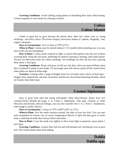**Growing Conditions**: Avoid chilling young plants or disturbing their roots while hoeing. Celosia responds to such insults by refusing to flower.

> **Coleus Coleus blumei**

Coleus is great fun to grow because the plants show their true colors even as young seedlings - and what colors! The leaves display marvelous shades of salmon, burgundy, rose, copper, and green**.**

**Days to Germination**: 10 to 12 days at  $70^0F(21^0C)$ 

**When to Plant**: Coleus may be started indoors 2 1/2 months before planting out, or at any time of the year for houseplants.

**How to Plant**: Coleus seeds respond to light, so press them gently into the soil without covering them. Keep the soil moist, preferably by bottom watering or misting, until seeds sprout. Always use lukewarm water for colues seedlings. Set seedlings out after the last frost, spacing them about 1 foot apart.

**Growing Conditions**: Plants will grow in full sun, but their colors are more brilliant when they're planted in shade or part shade. To encourage more side shoots, pinch off the central shoot when plants are about 8 inches high.

**Varieties:** Catalogs offer a range of heights from 4 to 24 inches and a choice of leaf types fringed, mini, spinach-leaf, oak-leaf, sword-leaf, and the new dwarf base-branching Wizards, which are bushier than older types.

### **Cosmos Cosmos bipinnatus**

**Dahlia**

**Dahlia spp.**

Easy to grow from seed and strong self-seeders, these daisy-flowers plants have two common forms: Besides the rangy 3- to 5-foot C. Bipinnatus, with pink, crimson, or white blossoms and thready, delicate foliage, you can also consider that 1- to 2-foot C. Sulphureus, with orange or yellow flowers.

**Days to Germination**: 15 days at  $75^{\circ}$ F to  $80^{\circ}$ F (24<sup>o</sup>C to 27<sup>o</sup>C)

**When to Plant**: Sow the seeds outdoors around the time of your last frost. You can start early transplants of cosmos, too, of course, beginning in March or April, but they grow so easily from a scattering of seeds that I always direct-seed mine.

**How to Plant**: Cover the seeds very lightly to allow some light to penetrate. space plants 1 foot apart.

**Growing Conditions**: Cosmos likes full sun and well-drained soil, and blooms even in poor soil. Tall cosmos plants often need staking.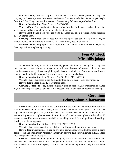Glorious colors, from silky apricot to shell pink to clear lemon yellow to deep rich burgundy, make seed-grown dahlia one of mind annual favorites. Available varieties range in height from 1 to 3 feet. They bloom with abandon in the cool early fall weather just before frost.

**Days to Germination**: About 7 days at  $75^{\circ}F (24^{\circ}C)$ 

**When to Plant**: You can direct-seed dahlia after frost, but for longer period of bloom, start seeds indoors in flats a month or two before planting them out.

How to Plant: Space dwarf varieties (up to 15 inches tall) about a foot apart; tall varieties 18 to 20 inches apart.

**Growing Conditions**: Dahlias need full sun and appreciate soil that is rich in organic matter. Provide ample moisture in summer. Tall varieties may need to be staked.

**Remarks**: You can dig up the tubers right after frost and store them in peat moss, or dip them in paraffin for replanting in spring.

### **Four-O'Clock Mirabilis jalapa**

An easy old favorite, four-o'clock are actually perennials if not touched by frost. They have two intriguing characteristics: A single plant will bear flowers of several colors or color combinations - white, yellows, and pinks - plain, bicolor, and tricolor. On sunny days, flowers remain closed until midafternoon. They stay open all days on cloudy days.

**Days to Germination**: 10 to 12 days at  $75^{\circ}$ F to 80<sup>°</sup>F (24<sup>°</sup>C to 27<sup>°</sup>C)

When to Plant: Plant seeds in the garden after frost or four to six weeks early indoors.

**How to Plant:** Space plants 12 to 18 inches apart.

**Growing Conditions**: They bloom obligingly even in poor soil, hot weather and polluted air, but they do appreciate well-drained soil and respond well to good soil or occasional feeding.

### **Geranium Pelargonium** X **hortorum**

For summer color that will follow you right into the house in the winter, you can beat geraniums. Seeds are available for reds, pinks, salmons, and white. Plants grow 10 to 18 inches high, and in well-composted soil, form full, round flower heads. The geranium was one of my first seed-starting ventures. I planted seeds indoors in small pots kept on a glass window shelf 25 years ago, and I've never forgotten the thrill on watching those little scalloped-leaved seedlings develop into blooming plants.

**Days to Germination:** 14 days at  $70^{\circ}$ F  $80^{\circ}$ F  $(21^{\circ}$ C)  $(27^{\circ}$ C)

When to Plant: Seeds started in early February will produce blooming plants in June.

**How to Plant**: Geranium seeds can be erratic in germination. Try rolling the seeds in damp paper towels and letting them "presoak" in this way for two days before planting in flats. Space first-year plants about a foot apart.

**Growing Conditions**: Plant geraniums in good, rich soil. Fertilize if leaves turn yellow or seem smaller than normal. My four-year-old geranium lives in a 16-inch clay pot, which I top off with 2 inches of compost each spring. I cut the plant back twice to promote bushy form and new bloom.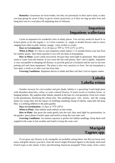**Remarks:** Geraniums are frost-tender, but they are perennials in their native land, so they can kept going for years if they're given winter protection, or if they are dug up after frost and hung bare root in a cool place till replanting time in February.

### **Impatiens Impatiens walleriana**

Count on impatiens for wonderful color in shady places. You can buy seeds for dwarf 6- to 8-inch plants or for the regular 1- to 2-foot varieties, in single or double flowers and in colors ranging from white to pink, fuchsia, orange, coral, orchid, or scarlet.

**Days to Germination**: 15 to 20 days at  $70^0$ F to  $75^0$ F ( $21^0$ C to  $24^0$ C)

When to Plant: It's best to start impatiens seeds indoor 2 1/2 months before your last frost for outdoor plants. Start them anytime if you will use them as houseplants.

**How to Plant**: Leave seeds uncovered, because they need light to germinate. Mist planted seeds or water from the bottom. If you cover the flat with plastic, don't seal it tightly. Impatiens is very susceptible to damping-off disease, so provide good air circulation and be sure to use new potting soil and clean equipment. The plant is also very sensitive to frost. Set out transplants a foot apart, a week or so after your last frost date.

**Growing Conditions**: Impatiens thrives in shade and likes soil that's rich in organic matter.

# **Lobelia Lobelia erinus**

Another treasure for cool weather and part shade, lobelia is a sprawling 5-inch-high plant with abundant deep blue, white, or wine-colored flowers. It looks lovely in window boxes or hanging baskets. My sapphire-blue lobelia, planted at the base of a red geranium, lived over winter in the greenhouse, blooming the whole time. The seedlings grow very slowly, and the young plants are wispy-thin, but the impact of seedlings tumbling clump of lobelia, especially the deep blue, is a striking addition to the patio garden.

**Days to Germination:** 21 days at  $75^{\circ}F(24^{\circ}C)$ 

**When to Plant**: Start lobelia seeds indoors in late winter.

**How to Plant**: Just press the seeds gently into the soil; they need light for germination. In the garden, space plants 6 inches apart and mulch to keep the root zone cool.

**Growing Conditions**: An eastern exposure is perfect for lobelia seedlings. Keep them well supplied with water in hot weather and mulch to keep the roots cool.

# **Marigold Tagetes spp.**

If you grow any flowers at all, marigolds are probably among them, but did you know how many marigold choices you have, from the dwarf single-flowered signets to the bushy mid-sized French types to the stately 3-foot, late-blooming American marigold? Their sunny Aztec colors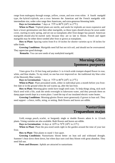range from mahogany through orange, yellow, cream, and now even white. A fourth marigold type, the hybrid triploids, are a cross between the American and the French marigolds with intermediate size, wider color range then Americans, and extra-generous blooming habit.

**Days to Germination:** 7 days at  $75^{\circ}$ F to  $80^{\circ}$ F ( $24^{\circ}$ C to  $27^{\circ}$ C)

**When to Plant**: Triploid plants are sterile, and seeds for triploids are more expensive and have a lower germination rate then other marigolds, so these types should always be sown under cover, starting in early spring, and set out as transplants after frost danger has passed. American marigolds should also be started early because they are so late to bloom. French and signet marigolds may be either direct-seeded after frost or grown as transplants.

**How to Plant**: Spacing varies from 8 to 10 inches for shorter varieties up to 18 inches for taller kinds.

**Growing Conditions**: Marigolds need full but not rich soil, and should not be overwatered. They appreciate good drainage.

**Remarks**: You can save seeds of any nonhybrid marigold.

### **Morning-Glory Ipomoea purpurea**

Vines grow 8 to 10 feet long and produce 3- to 4-inch-wide trumpet-shaped flower in rose, white, and blue shades. To my mind, no one has ever improved on the traditional sky blue color of the Heavenly Blue variety.

**Days to Germination:** 7 days at  $75^{\circ}$ F to  $80^{\circ}$ F ( $24^{\circ}$ C to  $27^{\circ}$ C)

**When to Plant**: Plant presoaked seeds, either in individual pots a month before you frostfree date or in the ground when the soil warms up, after the last frost.

**How to Plant**: Morning-glory seeds have tough seed coats. To help things along, nick each black seed with a file, soak the seeds overnight in lukewarm water, and they presoak them on damp paper towels kept in a warm place. I used the top of our insulated electric water heater.

**Growing Conditions**: Morning-glories flower more generously if grown in lean soil. They need support - a fence, trellis, string, or netting. Both flowers and leaves are edible.

### **Nasturtium Tropaeolum majus**

Gold, orange, peach, scarlet, or burgundy single or double flowers adorn 6- to 12-inch plants. Vining varieties are also available. Both flowers and leaves are edible.

**Days to Germination:** 14 days at  $65^{\circ}$ F to  $70^{\circ}$ F (18<sup>o</sup>C to 21<sup>o</sup>C)

**When to Plant**: Plant the pea-sized seeds right in the garden around the time of your last frost.

**How to Plant**: Thin plants to stand 1 foot apart.

**Growing Conditions**: Nasturtiums bloom better on lean soil and withstand drought. Summer's heat slows them down, but when days turn cool they bloom with great abandon. They need full sun.

**Pests and Diseases**: Aphids are attracted to nasturtiums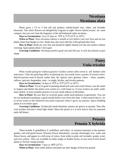### **Nicotiana Nicotiana alata**

Plants grow 1 1/2 to 3 feet tall and produce tubular-based rose, white, and lavender blossoms. The white flowers are delightfully fragrant at night. Newer hybrid strains are more compact, but you can't beat the fragrance of the old-fashioned white nicotiana**.**

**Days to Germination**: 14 to 21 days at  $70^0$ F to  $75^0$ F (21<sup>0</sup>C to 24<sup>0</sup>C)

**When to Plant**: Start nicotiana indoors a month or two before your last frost and set out plants when frost danger is over. Seeds may also sown directly in the ground after frost.

**How to Plant**: Seeds are very fine and should be lightly dusted over the soil surface without covering. Space plants about 1 foot apart.

**Growing Conditions**: Nicotiana prefers good soil and full sun. It will also bloom in part shade.

### **Pansy Viola tricolor**

What would spring be without pansies? Garden centers often seem to sell limited color selections. I like the grab-bag effect of planting my own seeds from a packet of mixed colors. Hybrid pansies tend to bloom earlier than the species have glorious colors - blues, purples, yellows, apricots, burgundies, rusts - in single, bicolor, and tricolor patterns.

**Days to Germination**: 14 days at 70<sup>0</sup>F to 75<sup>0</sup>F (21<sup>0</sup>C to 24<sup>0</sup>C)

**When to Plant**: If you're good at planting ahead and want extra-early bloom, sow the seeds in August and shelter the plants over winter in a cold frame or, if your winters are mild, under straw mulch. A more common practice is to sow seeds indoors in December.

**How to Plant**: Be sure they're covered; pansy seeds need darkness to germinate. You can set out hardened transplants a good month before your frost-free date. I often stretch that to six to seven weeks in the sheltered east patio exposure where I grow my pansies. Space bedding plants 6 to 8 inches apart.

**Growing Conditions**: Technically hardy biennials, pansies are grown as annuals. They like cool weather and don't mind light shade. Shear the plants to a 2-inch stub in July for repeated early fall bloom .

### **Petunia Petunia X hybrida**

These include *P*. grandiflora, *P*. multiflora, and others. A common mainstay in the summer garden, and with good reason. Petunias flower abundantly, cascade charmingly over walls and flower boxes, and appear in a full array of colors, from white to pink, red, lavender, purple, coral, and even yellow. They are available in either single or double forms, in size from 8-inch dwarf plants to 18-inch vining mounds.

**Days to Germination**: 7 days at  $80^{\circ}F(27^{\circ}C)$ 

**When to Plant**: Start seeds indoors and plant out after danger of frost has passed.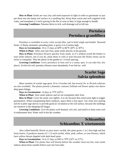**How to Plant**: Seeds are very tiny and need exposure to light in order to germinate so just pat them into the damp soil surface in a seedling flat. Keep them warm and well supplied with water, and transplant to 2-inch spacing in the flat as soon as they're large enough to handle.

**Growing Conditions**: Petunias thrive in rich, well-drainage soil in full sun.

### **Portulaca Portulaca grandiflora**

Portulaca is available in every color except blue, and in both single and double flowered forms. A fleshy-stemmed, spreading plant, it grows 4 to 6 inches high.

**Days to Germination**: 10 to 15 days at  $68^{\circ}$ F to  $86^{\circ}$ F ( $20^{\circ}$ C to  $30^{\circ}$ C)

**When to Plant**: After your last frost, plant seeds directly in the ground.

**How to Plant**: Portulaca flowers quickly from seeds, so it's seldom worth the bother to start seeds indoors, but if you do, plant them in cells or pots because the fleshy stems can be tricky to transplant. Thin the plants in the garden to 1 6-inch spacing.

**Growing Conditions**: Grow portulaca in lean soil in a sunny spot. It can take hot, dry places. Avoid rich soil; portulaca blooms more abundantly if not fed too well.

### **Scarlet Sage Salvia splendens**

Most varieties of scarlet sage grow 10 to 14 inches tall, but several 24- to 30-inch cultivars are also available. The plants present a dramatic contrast; brilliant red flower spikes rise above deep green foliage.

**Days to Germination**: 14 days at  $75^{\circ}F(24^{\circ}C)$ 

**When to Plant**: Start seeds indoors and set out transplants after frost.

**How to Plant**: Cover the seeds very lightly, if at all, because they need some light to trigger germination. When transplanting them outdoors, space them a foot apart. Use clean new potting soil for scarlet sage and try to provide good air circulation at the soil surface, because the seedlings are sensitive to the damping-off fungus.

**Growing Conditions**: Give the plants well-drained, rich soil, and mulch to keep roots cool in midsummer heat. Water well in hot dry weather.

### **Schizanthus Schizanthus X wisetonensis**

Also called butterfly flower or poor man's orchid, this plant grows 1 to 2 feet high and has ferny leaves. It produces masses of 1 1/2-inch orchid, white, pink, yellow, or rose flowers, which have yellow throats dappled with dark-hued spots.

**Days to Germination**: 14 to 21 days at 60F to 70<sup>0</sup>F (16<sup>0</sup>C to 21<sup>0</sup>C)

**When to Plant**: For plants that will bloom before the weather turns too hot, start seeds indoors about three months before your last frost date.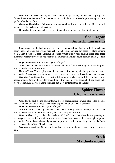**How to Plant**: Seeds are tiny but need darkness to germinate, so cover them lightly with fine soil, and then keep the flats covered or in a dark place. Plant seedlings a foot apart in the garden after the last frost.

**Growing Conditions**: Schizanthus prefers good garden soil in full sun. Keep it well watered. It blooms best in cool weather.

**Remarks**: Schizanthus makes a good pot plant, but sometimes needs a bit of support.

### **Snapdragon Antirrhinum majus**

Snapdragons are the backbone of my early summer cutting garden, with their delicious colors: apricot, bronze, pink, wine, rose, yellow, and orchid. You can buy seeds for plants ranging from 6-inch dwarfs to 3-foot background beauties, which usually need staking. More open-faced blossoms, recently developed, vie with the traditional "snapping" pouch form in catalogs. I love both.

**Days to Germination:** 7 to 14 days at  $75^{\circ}F(24^{\circ}C)$ 

**When to Plant**: For June bloom, sow seeds indoors in flats in February. Plant seedlings out around the time of your last frost.

**How to Plant:** Try keeping seeds in the freezer for two days before planting to hasten germination. Snaps seed light to sprout, so just press the salt-grain-sized seed into the soil surface.

**Growing Conditions:** Snap do best in full sun and fairly good soil, but can take partial shade. Snapdragons are hardy flowers and, once they become well established, can stand light frosts. Technically they're tender perennials, but most gardeners treat as annuals.

### **Spider Flower Cleome hasslerana**

Good for the background of an informal flower border, spider flowers, also called cleome, grow 3 to 6 feet tall and produce 6-inch heads of pink, white, or lavender blossoms.

**Days to Germination:** 14 days at  $70^0F (21^0C)$ 

**When to Plant**: A strong self-seeder, cleome is usually planted directly in the ground around the time of your last frost, but may be started early indoors too.

**How to Plant**: Try chilling the seeds at  $40^{\circ}F$  ( $4^{\circ}C$ ) for five days before planting to encourage earlier germination. When sowing seeds, leave them uncovered, because light improves germination. Warm days and cool nights seem to promote germination of the planted seeds. In the garden, space plants 18 to 24 inches apart.

**Growing Conditions**: Cleome withstands dry weather and appreciates rich, well-drained soil.

# **Stock Matthiola incana**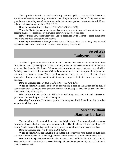Stocks produce densely flowered wands of pastel pink, yellow, rose, or violet flowers on 15- to 36-inch stems, depending on variety. Their fragrance spiced the air of my cool winter greenhouse, where they were happier than in the hot summer garden. In fact, stocks will bloom only in cool weather, up to about  $65^{\circ}F (18^{\circ}C)$ .

**Days to Germination**: 10 days at  $65^{\circ}$ F to  $75^{\circ}$ F (18<sup>o</sup>C to 24<sup>o</sup>C)

**When to Plant**: You can plant the seeds anytime for greenhouse or houseplants, but for bedding plants, sow seeds indoors six weeks before your last frost free date.

**How to Plant**: Sow seeds uncovered. Set out seedlings, 10 to 12 inches apart, around the time of the last frost, perhaps a week sooner.

**Growing Conditions**: Although stocks can't take heat, they last a long time in cool weather. Give them rich soil and an occasional side-dressing of fertilizer.

### **Sweet Pea Lathyrus odoratus**

Another fragrant annual that blooms in cool weather, the sweet pea is available in three form: dwarf, 15-inch; knee-high, 2 1/2 feet; or vining, 6 feet. Some newer varieties bloom better in warm weather than the older kinds. Colors range from soft blue to rose, pink, maroon, and white. Probably because the cool summers of Great Britain are more to the sweet pea's liking than our hot American weather, many English seed companies carry an excellent selection of the wonderfully fragrant sweet pea cultivars that have been largely eliminated from American seed catalogs.

**Days to Germination**: 14 days at 55<sup>0</sup>F to 65<sup>0</sup>F (13<sup>0</sup>C to 18<sup>0</sup>C)

**When to Plant**: Plant seeds outdoors in early spring a soon as the garden can be dug. If your winters aren't severe, you can plant the seeds in fall. Sweet peas may also be grown in a cool greenhouse at any time of year.

**How to Plant**: Cover seeds with 1/2 inch of soil; they need cool soil and darkness to germinate. Thin seedlings to 10 to 12 inches apart.

**Growing Conditions**: Plant sweet pea in rich, composted soil. Provide netting or other support for vining types.

### **Sweet William Dianthus barbatus**

The annual form of sweet william grows to a height of 4 to 12 inches and produces starry flowers in pleasing shades of red, pink, salmon, or lilac. The biennials reach a height of up to 20 inches. An old-fashioned cottage-garden favorite, sweet william flowers best in cool weather.

**Days to Germination**: 7 to 14 days at  $70^0$ F ( $21^0$ C)

**When to Plant**: Plant the annual in flats indoor in February for June bloom, or outside in April for summer flowers. for biennials, plant seeds in the garden for bloom the following year.

**How to Plant**: Space dwarf varieties 6 to 8 inches apart and taller kinds 12 inches apart. Sweet william self-sows freely, so an established patch may bloom perennially, even if individual plants are short-lived.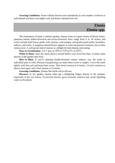**Growing Conditions**: Sweet william flowers most abundantly in cool weather. It thrives in well-drained soil that is not highly acid, and doesn't demand rich soil.

### **Zinnia Zinnia spp.**

The centerpiece of many a summer garden, zinnias come in a great variety of flower forms: pompom, button, dahlia-flowered, and cactus-flowered. Sizes range from 6 to 36 inches, and colors include both brassy golds, reds, bronzes, and oranges, and gentle pastel pinks, lavenders, yellows, and white. A magenta-colored flower appears in some inexpensive mixtures, but no blue zinnias exist. A well-grown bed of zinnias is a delight for both display and cutting.

**Days to Germination:** 5 to 7 days at 70<sup>0</sup>F to 75<sup>0</sup>F (21<sup>0</sup>C to 24<sup>0</sup>C)

**When to Plant**: Start the seeds about a month before your frost-free date, or plant seeds directly in the garden after frost.

**How to Plant**: If you're planting double-flowered zinnias indoors, sow the seeds in individual pots or cells, because transplanting can make them revert to singles. Cover the seeds lightly with fine soil and keep them warm. Thin dwarf zinnias to 6 inches, 15-inch varieties to about a foot apart, and 3-foot zinnias to 15 inches.

**Growing Conditions**: Zinnias like fertile soil in full sun.

**Diseases**: In my garden, zinnias often get a disfiguring fungus disease in the summer, especially in the wet season. To prevent disease, grow resistant varieties and avoid splashing water on the plants.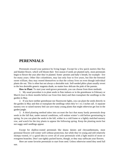### **PERENNIALS**

Perennials reward your patience by living longer. Except for a few quick starters like flax and blanket flower, which will bloom their first season if seeds are planted early, most perennials begin to flower the year after they're planted. Some- peonies and baby's breath, for example - live for many years. Other like columbines, may last only four to five years, but like the biennial sweet william, they may reseed themselves so that the colony lives on even though individual plants die out. This is often but not always a desirable trait. Self-seeded phlox plant usually revert to the less desirable generic magenta shade, no matter how delicate the pink of the parents.

**How to Plant**: To start your seed-grown perennials, you can choose from three methods:

1. My usual procedure is to plant seeds in flats indoors or in the greenhouse in February or March (two to three months before our frost-free date) and then transplant the seedlings to the garden in May.

2. If you have neither greenhouse nor fluorescent lights, you can plant the seeds directly in the garden in May and thin or transplant the seedlings when they're 1 to 2 inches tall. A separate nursery row or raised nursery bed can save many young plants that might otherwise get lost in the garden jungle.

3. A third planting method takes into account the fact that many hardy perennials drop seeds in the fall that, under natural conditions, will endure winter's cold before germinating in spring. So you can plant the seeds in the fall, wither in a cold frame or a lightly mulched nursery row, and watch for the tiny plants to appear the following spring. Keep the planting moist but not soggy until seedlings appear.

Except for shallow-rooted perennials like shasta daisies and chrysanthemums, most perennial flowers will winter well without protection, but while they're young and still relatively skimpy-rooted, it's a good idea to cover all of your perennials with a light mulch of straw or evergreen branches. Don't use tightly packed leaves, though, or they may suffocate your flowers.

Here are some favorite perennials to start from seed. Unless otherwise noted they need full sun.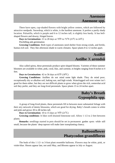### **Anemone Anemone spp.**

There have open, cup-shaded flowers with bright yellow centers, which are followed by attractive seedpods. Snowdrop, which is white, is the hardiest anemone. It prefers a partly shady location. Pulsatilla, which is purple and 6 to 12 inches tall, is slightly less hardy. It has bellshaped flowers and downy, fringed leaves.

**Days to Germination**: 21 to 28 days at  $70^0$ F to  $75^0$ F (21<sup>0</sup>C to 24<sup>0</sup>C)

Prechilling aids germination

**Growing Conditions**: Both types of anemones need shelter from strong winds, and fertile, humus-rich soil. They like afternoon shade in warm climates. Space plants 8 to 12 inches apart.

# **Astilbe Astilbe** X **arendsii**

Also called spirea, these perennials produce spire-shaped blooms. Varieties of these summer bloomers are available in white, pink, coral, lilac, and carmine, in heights ranging from 8 inches to 4 feet.

**Days to Germination:** 42 to 56 days at  $65^{\circ}F(18^{\circ}C)$ 

**Growing Conditions**: Astilbes do not mind some light shade. They do mind poor, exceptionally dry or alkaline soil, baking sun, and high winds. Waterlogged soil over winter isn't good for them either, but they are not difficult plants to grow when given the rich, somewhat acid soil they prefer, and they are long-lived perennials. Space plants 15 to 24 inches apart.

# **Baby's Breath Gypsophila spp.**

A group of long-lived plants, these perennials fill in between more substantial foliage with their airy network of dainty blossoms, which are good for drying. Baby's breath comes in white and pink and grows 30 to 48 inches tall.

**Days to Germination**: 10 to 15 days at  $70^{\circ}$ F (21<sup>o</sup>C)

**Growing conditions**: It likes well-drained limestone soil. Allow 1 1/2 to 2 feet between plants.

**Remarks**: seedlings started in pots should be set in permanent garden spots while still small, because the plants' deep taproot will make later transplanting chancy.

# **Balloonflower Phatycodon grandiflorus**

The buds of this 1 1/2- to 3-foot plant resemble balloons. Flowers may be white, pink, or violet-blue. Shoots appear late, not until May, and Blooms appear in July or August.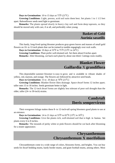### **Days to Germination**: 10 to 15 days at  $75^{\circ}F(21^{\circ}C)$

**Growing Conditions**: Light, porous, acid soil suits them best. Set plants 1 to 1 1/2 feet apart. Baloonflower seeds need light to germinate.

**Remarks:** The plants spread slowly in heavy clay soil and form deep taproots, so they should be moved only with care, if at all, and preferably when young.

### **Basket-of-Gold Aurinia saxatilis**

This hardy, long-lived spring bloomer produces gray-green leaves and masses of small gold flowers on 10- to 12-inch plants that can be trained to tumble engagingly over rock walls.

**Days to Germination**: 10 days at  $55^{\circ}$ F to  $75^{\circ}$ F ( $13^{\circ}$ C to  $24^{\circ}$ C)

**Growing Conditions**: Plant prefer well-drained soil. Set them about 8 inches apart.

**Remarks**: After blooming, cut back each plant by about one-third. Cuttings roots readily.

### **Blanket Flower Gaillardia** X **grandiflora**

This dependable summer bloomer is easy to grow and is available in vibrant shades of yellow, red, maroon, and orange. The flowers are followed by attractive seed heads.

**Days to Germination:** 15 to 20 days at  $70^0F (21^0C)$ 

**Growing Conditions**: Blanket flower likes drainage. Space dwarf forms 12 inches apart; taller ones 15 to 18 inches. Seeds germinate better in light.

**Remarks**: The 12-inch dwarf forms are slightly less tolerant of poor soil drought than the older, taller (24- to 30-inch) strains.

### **Candytuft Iberis sempervirens**

Their evergreen foliage makes these 8- to 12-inch-tall spring bloomers good plants to use at an entrance.

**Days to Germination**: 14 to 21 days at  $55^{\circ}$ F to  $65^{\circ}$ F (13<sup>o</sup>C to 18<sup>o</sup>C)

**Growing Conditions**: Give the plants rich, well-drained soil that is high in humus. Set plants every 6 to 8 inches.

**Remarks**: The mounds of perky white or pink flowers should be cut back after blooming for a neater appearance.

### **Chrysanthemum Chrysanthemum X morifolium**

Chrysanthemum come in a wide range of colors, blossoms forms, and heights. You can buy seeds for dwarf bedding mums, hardy border mums, and giant football mums, among others. Most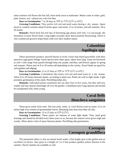mum varieties will flower the first fall, from seeds sown in midwinter. Mums come in white, gold, pink, bronze, rust - almost any color but blue.

**Days to Germination**: 7 to 28 days at 70<sup>0</sup>F to 75<sup>0</sup>F (21<sup>0</sup>C to 24<sup>0</sup>C)

**Growing Conditions**: They prefer rich soil and need water during a dry season. Space dwarf or cushion varieties about 8 inches apart; mid-sized, 12 to 14 inches; and tall varieties, 18 to 20 inches.

**Remarks**: Pinch back the leaf tips of blooming-age plants until July 1 to encourage the formation of more flower buds. Long nights (actually short days) promote blossoming, which is why commercial growers drape black cloth over their outdoor mums.

## **Columbine Aquilegia spp.**

These perennials produce spurred bloom in lively colors that blend gracefully with their attractive sage-green foliage. Some species have short spurs, others have long. Some are bicolored as well. Color range from pastels through deep red, purple, and blue, and flowers appear in spring and summer. Plants may be 8 to 20 inches tall depending on the variety. Dwarf kinds are good for rock gardens and edgings.

**Days to Germination:** 21 to 25 days at  $70^0$ F to  $75^0$ F (21<sup>0</sup>C to 24<sup>0</sup>C)

**Growing Conditions**: Columbines like moist, rich soil and need water in a dry season. Allow 8 to 20 inches between plants, according to plant size. Plants do well in light shade. Light promotes germination of the seeds. Prechilling helps also.

**Remarks**: Individual plants sometimes die out after four to five years, but they self-sow readily and may spread charmingly all over the garden. Columbines have long taproots and should be transplanted only when young.

# **Coral Bells Heuchera sanguinea**

These grow easily from seed. The tiny pink, white, or coral flowers nod on stems 15 to 24 inches high over rosettes of geraniumlike leaves. Blooming time lasts from May till July.

**Days to Germination**: 15 to 25 days at  $55^{\circ}F(13^{\circ}C)$ 

**Growing Conditions**: These plants are tolerant of some light shade. They need good drainage and should be divided every three years or so, because the central crown grows high and woody. Allow about a foot of space between plants. Prechilling aids germination.

# **Coreopsis Coreopsis grandiflora**

The perennials (there is also an annual form) make a fine bright spot in the garden and an excellent cut flower. they grow to a height of 1 to 4 feet produce golden-yellow blooms in the summer. Dwarf varieties are available as well.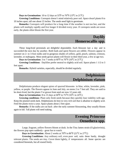**Days to Germination**: 10 to 12 days at  $55^{\circ}$ F to  $70^{\circ}$ F (13<sup>o</sup>C to 21<sup>o</sup>C)

**Growing Conditions**: Coreopsis doesn't mind relatively poor soil. Space dwarf plants 8 to 10 inches apart, tall one about 15 inches. The seeds need light to germinate.

**Remarks:** Coreopsis will produce for a long time if the weather is not too hot, and the plants will multiply rapidly and live longer if divided every year. If coreopsis seeds are sown early, the plants often bloom the first year.

# **Daylily Hemerocallis spp.**

These long-lived perennials are delightful dependable. Each blossom last a day and is succeeded the next day by another. Both buds and spent flowers are edible. Flowers appear in summer on 2- to 3-foot stalks and in gorgeous shades of yellow, gold, peach, salmon, crimson, lavender, or mahogany. Most seeds-grown plants will flower in their third year, a few at age two.

**Days to Germination:** 3 to 7 weeks at  $60^{\circ}$ F to  $70^{\circ}$ F ( $16^{\circ}$ C to  $21^{\circ}$ C)

**Growing Conditions**: Daylilies prefer neutral to slightly acid soil. Space plants 1 1/2 to 3 feet apart.

**Remarks**: Hybrid varieties, especially, should be divided regularly.

#### **Delphinium Delphinium elatum**

Delphiniums produce elegant spires of spurred blossoms in blue, white, lavender, pink, yellow, or purple. The flowers appear in June and July, on stems 2 to 7 feet tall. They are said to be short-lived, but the plants I've grown from seed are now 12 years old.

**Days to Germination:** 8 to 15 days at  $60^{\circ}$ F to  $75^{\circ}$ F (16<sup>o</sup>C to 24<sup>o</sup>C)

**Growing conditions**: Plant only fresh seeds because they quickly lose viability with age. Keep the planted seeds dark. Delphiniums do best in very rich soil that is alkaline to slightly acid. Feed the plants twice a year. Space plants about 2 feet apart.

**Remarks**: If the stalks are cut back after the early summer blossoming, they usually bloom again in fall. Tall plants will need staking.

### **Evening Primrose Oenothera spp.**

Large, fragrant, yellow flowers bloom at dusk. In the Tina James strain (O.glaziovinia), the flowers pop open suddenly - great fun to watch.

**Days to Germination:** About 2 weeks at  $70^0$ F to  $80^0$ F ( $21^0$ C to  $27^0$ C)

**Growing Conditions**: Any ordinary soil, even poor soil, suits these hardy, drought tolerant plants. The seeds are tiny. Cover them lightly, if temperatures all. Some species are considered biennials, but all reseed freely.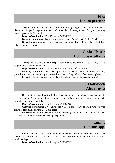The blue or yellow flowers appear from May through August 6- to 12-inch-high plants. Flax blooms longer during cool summers. Individual plants live only three to four years, but they multiple generously from seed.

**Days to Germination**: 20 to 25 days at  $70^{\circ}$ F (21<sup>o</sup>C)

**Growing Conditions**: Flax needs well-drained soil. Thin plants to 10 to 12 inches apart. **Remarks**: try scattering flax seeds among your spring-flowered bulbs. Transplant them only when they are tiny.

# **Globe Thistle Echinops exaltatus**

These perennials have violet-blue spherical blossoms and prickly leaves. They grow to a height of 3 to 5 feet bloom in July.

**Days to Germination**: 15 to 20 days at  $65^{\circ}$ F to  $75^{\circ}$ F (18<sup>o</sup>C to 24<sup>o</sup>C)

**Growing Conditions**: They flavor light soil that is well-drained. Avoid overfertilizing globe thistle plants, or they may grow too rank and need staking. Allow 2 feet between plants.

**Remarks**: the roots grow deep into the soil, and the plants seldom need to be divided.

**Hollyhock Alcea rosea**

Hollyhocks are now bred for double blossoms, but sentimental gardeners like me still prefer the singles. They produce flowers in pink, cream, yellow, rose, peach, or wine on 4- to 6 inch-tall stems in June and July.

**Days to Germination**: 10 to 14 days at  $70^{\circ}F(21^{\circ}C)$ 

**Growing Conditions**: Give hollyhocks rich soil and plenty of water while they're growing. Thin plants to stand 2 to 3 feet apart.

**Remarks**: Hollyhocks self-sow readily. Seedlings should be moved early to their permanent locations because they develop deep taproots.

# **Lupine Lupinus spp.**

Lupines have gorgeous, stately columns od pealike flowers in marvelous colors: blue, cream, rose, purple, yellow, and some bicolors. The stalks are 3 to 4 feet high with attractive palmlike foliage.

**Days to Germination**: 14 to 21 days at  $55^{\circ}F(13^{\circ}C)$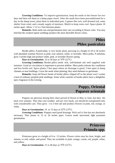**Growing Conditions**: To improve germination, keep the seeds in the freezer for two days and then roll them in a damp paper towel. After the seeds have been preconditioned for a day in the damp towel, plant them in individual pots. Lupines like rich, well-drained soil, some shelter from wind, and a steady supply of moisture. Mulch to keep roots cool. Space plants 18 inches apart. Allow 1 1/2 to 2 feet between plants.

**Remarks**: Both seeds size and germination time vary according to flower color. You may find that the weakest lupine seedlings produce the most desirable flower colors.

## **Phlox Phlox paniculata**

Border phlox, P.*paniculata*, is very hardy plant, growing to a height of 18 to 36 inches with abundant summer flowers in pink, rose salmon, white, or lavender. Moss pinks, P.*subulata*, grow 3 inches high and produce white, pink, or lavender flowers spring.

**Days to Germination**: 25 to 30 days at  $70^0F (21^0C)$ 

**Growing Conditions**: Border phlox needs rich, well-drained soil well supplied with moisture. Good air circulation is important to prevent mildew. Moss pinks tolerate dry conditions and less fertile soil. Space plants 2 feet apart where air drainage is good; 3 feet apart in damp climates or near buildings. Cover the seeds when planting; they need darkness to germinate.

**Remarks**: keep old flower heads of border phlox clipped off so the plants won't scatter a host of ordinary purplish pink seedlings. Some white varieties of border phlox have a delightful, spicy fragrance in the evening.

# **Poppy, Oriental Papaver orientale**

Poppies are glorious during their short period of bloom in May or June, but they die back over summer. They like cool weather and are very hardy, yet should be transplanted only with considerable care. They grow 1 to 3 feet tall and produce flowers in pink, red, orange, or white.

**Days to Germination**: 10 to 15 days at  $55^{\circ}F(13^{\circ}C)$ 

**Growing Conditions**: Poppies need good drainage. Rich soil is fine but not absolutely necessary. Thin plants to 15 to 18 inches apart. Leaves seeds uncovered; light promotes germination.

# **Primrose Primula spp.**

Primroses grow to a height of 6 to 12 inches. Flower colors may be clear, bright, and intense, or soft, subtle, and pastel. They are available in pink, orange, cream, red, purple, white, and yellow.

**Days to Germination**: 21 to 40 days at  $70^{\circ}F(21^{\circ}C)$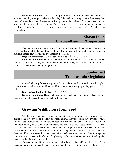**Growing Conditions**: Give these spring-blooming beauties dappled shade and don't be alarmed when they disappear in hot weather; they'll be back next spring. Divide them every third year and water them when the weather is dry. Space the plants about 1 foot apart in rich, moist, slightly acid soil with plenty of humus. The seeds need light to germinate and will appear in desultory fashion for several weeks after sowing, so keep the flats moist. Prechilling aids germination.

### **Shasta Daisy Chrysanthemum X superbum**

This perennial grows easily from seed and is the backbone of any summer bouquet. The large, handsome white daisies bloom on 1- to 4-foot stems. Both tall and compact forms are available. Single-flowered varieties live longer in the garden.

**Days to Germination**: 10 to 14 days at  $70^0$ F to  $75^0$ F ( $21^0$ C to  $24^0$ C)

**Growing Conditions**: Shasta daisies respond well to rich, moist soil. They are summer bloomers, vigorous growers, and should be divided every three years. Allow 1 to 2 feet between plants. The seeds must have light to germinate.

## **Spiderwort Tradescantia virginiana**

Also called trinity flower, this perennial is an old dooryard favorite that now has hybrid cousins in violet, white, rose, and lilac in addition to the traditional purple, they grow 2 to 3 feet tall.

**Days to Germination:** 30 days at  $70^0F (21^0C)$ 

**Growing Conditions**: These undemanding perennials will flower in light shade and even in poorly drained, lean soil. Space them about 1 foot apart.

## **Growing Wildflowers from Seed**

Whether you're raising a few specimen plants to soften a rocky corner, introducing new prairie plants to your yard or meadow, or establishing wildflower colonies in your woods, you'll find your patience well rewarded by the delicate beauty and dependable hardiness of native plants like the following. This list is not by any means exclusive, but I had to stop somewhere! Consult one of the excellent wildflower books listed in the Bibliography for more wildflower suggestions. With several exceptions, which are noted in the text, all plants described are perennials. Most of them will bloom the second or third year after seeds are sown. Unless directions specify otherwise, use the usual rule of thumb for planting seeds. Cover with an amount of soil equal to three times the diameter of the seed.

The recommended temperature range for stratifying seeds is  $34^{0}F$  to  $44^{0}F$  (1<sup>0</sup>C to 7<sup>0</sup>C). Specified germination temperatures refer to the temperature of the soil or growing medium.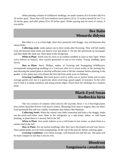When planting colonies of wildflower seedlings, set small varieties (6 to 8 inches tall) 8 to 10 inches apart. Those that will form medium-sized plants (10 to 15 inches) should be set 12 to 18 inches apart, and taller plants 20 to 36 inches apart. Wider spacing may be used, of course, if you prefer.

## **Bee Balm Monarda didyma**

Bee balm is a 2- to 4-foot-high, short-lives perennial with shaggy, rosy red blossoms that attract birds.

**Collecting seeds**: seeds mature one to three weeks after flowering. They will fall readily from the blossom head when you bend it over and shake it. Air-dry the seed heads on newspaper and then shake the seeds out. Store them in the refrigerator.

**When to Plant**: Seeds may be sown in an outdoor seedbed as soon as they ripen. When sown indoors in January, they usually germinate in one to two weeks. Young seedlings grow slowly.

**How to Plant**: Harry Phillips, author of Growing and Propagating Wildflowers, recommends transplanting seedlings to a 3-inch pot after six to seven weeks in the starting flat, and allowing the potted plant to develop sufficient roots to fill the container before planting in the garden. A few plants may even bloom the first fall from seeds sown in February.

**Growing Conditions**: Bee balm grows well in either sun or partial shade and accepts average garden soil, but it is particular about receiving a good supply of moisture. In the wild, you'll find it in damp meadows and along stream edges. Pinch back the seedlings for a bushier plant.

## **Black-Eyed Susan Rudbeckia hirta**

The very essence of summer when seen by the wayside, these 1- to 2-foot-high plants bear yellow daisylike flowers with brown centers. Blooming from June to August, they are shortlived perennials that self-sow readily. Sometimes they behave like biennials.

**Collecting Seeds**: When the central cone fades somewhat and looks a bit shaggy, shake out the seeds and either store them in the refrigerator or a late-winter indoor or cold frame planting, or plant them in a nursery bed in the fall.

**When to Plant**: Sow seeds indoors or in a cold frame in late winter, or plant them in a nursery bed in the fall.

**How to Plant**: Pot up started seedlings after they have developed several true leaves. Once potted plants recover from transplanting, let the soil in the pots dry before watering again.

**Growing Conditions**: Give them average, well-drained soil and full sun. The plant will be more compact in soil that is not too rich.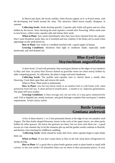In March and April, the lovely starlike, white flowers appear on 6- to 8-inch stems, with the developing leaf furled around the stem. The attractive lobed leaves usually disappear in summer.

**Collecting Seeds**: Seeds develop quickly. Capsules split while still green and are often hidden by the leaves. Start checking the seed capsules a month after flowering. When seeds start to turn brown, collect some capsules split and release their seeds.

**When to Plant**: Sow seeds immediately after they have been released from the capsule. Don't store bloodroot seeds; they rot if stratified and lose viability if the fleshy aril (a small white appendage on the seed) dried out.

**How to Plant**: Sow seeds in a seedbed enriched with a good supply of humus.

**Growing Conditions**: bloodroot likes light to moderate shade; especially under hardwoods, and well-drained soil.

# **Blue-Eyed Grass Sisyrinchium angustifolium**

A short-lived, 12-inch-tall perennial, blue-eyed grass blooms at the edges of our meadows in May and June. Its perky blue flowers dotted on grasslike stems are often nearly hidden by taller competing grasses. In cultivation, the plant is larger and more handsome.

**Collecting Seeds**: The pealike seed capsules start to shrivel about a month after flowering. Crack them open then and remove the seeds.

When to Plant: Plant seeds in midsummer.

**How to Plant**: sow the tiny black seeds in an outdoor bed or cold frame with some protection from full sun. A short period of stratification - a month or so- improves germination. The plant self-sows readily.

**Growing Conditions**: It likes average soil, not too rich, or it may grow unattractively rank. Full or dappled sun, steady moisture, and good drainage complete blue-eyed grass's modest requirements. Avoid a heavy mulch.

## **Bottle Gentian Gentiana andrewsii**

A few of these elusive 1- to 2-foot perennials bloom at the edge of our wet meadow each August. The blue bottle-shaped blossoms, borne in the axils of the upper leaves, are often partly hidden by taller grasses. We know the gentians are there, but we must seek them out - a good excuse on a late summer day to let the tomatoes pile up and the garden weeds continue to flourish, and declare a free morning for wildflower rambling.

**Collecting Seeds**: Seeds should be ready after frost, when capsules begin to open shake them out.

**When to Plant**: If you don't plant them in flats in the fall, keep them refrigerated for spring sowing.

**How to Plant**: It's a good idea to plant bottle gentian seeds in plant bands or small milk cartons, so the root needn't be disturbed when you set them in their permanent places. If your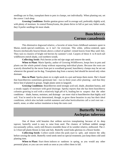seedlings are in flats, transplant them to pots in clumps, not individually. When planting out, set the crown 1 inch deep.

**Growing Conditions**: Bottles gentian grows well in average soil, preferably slightly acid, with plenty of moisture. In central Pennsylvania, the plants thrive in full or part sun; father south, they'd prefer seedlings bit more shade.

## **Bunchberry Cornus canadensis**

This diminutive dogwood relative, a favorite of mine from childhood summers spent in Maine, needs special conditions, so it isn't for everyone. This white, yellow-centered, open flowers (technically bracts) bloom above a whorl of quilted -veined leaves from May until July. They turn to clusters of bright red berries by summer's end. Carpets of these 4- to 8-inch-tall wildflowers enrich shady, cool northern woods.

**Collecting Seeds**: Pick berries at the red ripe stage and remove the seeds.

**When to Plant**: Marie Sperka, author of Growing Wildflowers, keeps hers in pots and plants out the whole potted clump without separating individual plants. Because the roots are scarcely disturbed by the move from pot to woodland ground, bunchberry clumps may be set out whenever the ground can be dug. Transplants dug from a nursery bed should be moved only when dormant.

**How to Plant**: Sperka plant six to eight seeds in a pot and keeps them moist. She's found that bunchberries sometimes germinate late - two to three years after planting - and that they thrive best if planted in groups. Single plants seem to languish.

**Growing Conditions**: Bunchberries need strongly acid soil, shade, abundant humus, and a steady supply of moisture with good drainage. Sperka reports that she has been bunchberry colonies growing in soil with a relatively high pH of 6, leading her to suspect that the other conditions - shade, humus, moisture, and drainage - are more vital to bunchberries than highly acid soil. You're need to be very determined, though, to grow these beauties in any but their ideal conditions, which also include coolish summers and what horticulturists call a cool root run mulch, stone, or other surface insulation to keep the roots cool.

## **Butterfly Weed Asclepias tuberosa**

One of those wild beauties that seldom survives transplanting because of its deep taproot, butterfly weed is easy to raise from seed. The clusters of brilliant reddish orange (occasionally yellow, rarely red) flowers resemble those of its weedier relative, milkweed. The 2 to 3-foot-tall plants bloom in June and July. Butterfly weed looks glorious in a flower border.

**Collecting Seeds**: Collect seeds when the pods start to split, and remove the silks before sowing the seeds. Butterfly weed seeds need no special treatment; just keep them cold until planting time.

**When to Plant**: Start them indoors or outdoors in spring, as you would any other perennial plant; or you can sow seeds as soon as you collect them in fall.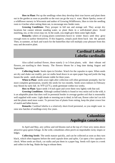**How to Plant**: Pot up the seedlings when they develop their true leaves and plant them out in the garden as soon as possible so the root can go the way it want. Marie Sperka, owner of a wildflower nursery in Wisconsin and author of Growing Wildflowers, likes to trim the seedling roots to 4 inches when setting them out, to encourage new feeder roots.

**Growing Conditions**: They prosper in full sun and average soil. They accept dry locations but cannot tolerate standing water, so plant them in a well-drained place. Avoid mulching, too, or the crown may rot. In the south, you might give them some light shade.

**Remarks**: tubers of young plants sometimes heave in winter thaws until they grow enough roots to author themselves. If this happens, simply push them back into the ground. Then, in summer, sit back and watch for the butterflies that will multiply your pleasure from this easy and decorative plant.

### **Cardinal Lobelia Lobelia cardinalis**

Also called cardinal flower, these stately 2- to 5-foot plants, with their vibrant red flowers, are startling in their beauty. The flowers bloom for a long time during August and September.

**Collecting Seeds**: Seeds ripen in October. Watch for the capsules to open. When seeds are dry and shake out readily, put cut stalks head down in an open paper bag and jostle the bag loosen the seeds . seeds should remain viable for three years.

**When to Plant**: seeds sown right after collection will often germinate promptly, but for more complete germination, stratify the seeds for two months. Seeds sown indoors in February may bloom by early fall. At  $70^0F(21^0C)$ , seeds germinate within two weeks.

**How to Plant**: Space seeds 1/4 inch apart and cover them very lightly with fine soil.

**Growing Conditions**: Although cardinal lobelia is found in very moist soil in the wild, it is an adaptable plant that does well in perennial border in average garden soil that is reasonably well supplied with water. Light shade or morning sun is ideal; in full sun, flower color isn't as rich and the plants need more water. To prevent loss of plants from rotting, keep the plant crown free of mulch and fallen leaves.

**Remarks**: Cardinal lobelia is a relatively short-lived perennial, so you might want to raise new batches of seedlings every few years.

# **Columbine Aquilegia canadensis**

In April and May, airy yellow and red blooms nod at the top of 2-foot wiry stems above attractive gray-green foliage. In the wild, columbines often perch on improbable rocky slopes or ledges.

**Collecting Seeds**: The seeds mature quickly, and can be collected as soon as they turn black, which often happens before the seed capsule dries and splits. Cut open a few capsules to check. When seeds are black, cut stalks and put them in a paper bag. Seeds will ripen in a week and collect in the bag. Shake the bag to release them.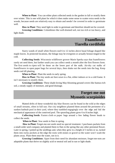**When to Plant**: You can either plant collected seeds in the garden in fall or stratify them over winter. This is one wild plant for which it does make some sense to scatter extra seeds in the woods, because seeds are relatively easy to obtain and needn't be covered in order to germinate well.

**How to Plant**: They need light in order to germinate and therefore should not be covered. **Growing Conditions**: Columbines like well-drained soil, not too rich or too heavy, and

light shade.

# **Foamflower Tiarella cordifolia**

Starry wands of small white flowers nod 6 to 12 inches above basal foliage shaped like maple leaves. In protected locations, the foliage may be evergreen or actually bronze-tinged in the cold.

**Collecting Seeds**: Wisconsin wildflower grower Marie Sperka says that foamflowers rarely set seed there, but farther south you can collect seeds a month after the first flowers form. The first seeds to ripen will be those on the lower part of the stalk. Air-dry cut stalks of foamflowers in open paper bags for several days, then shake out the seeds into the bag. Keep seeds cool till planting.

**When to Plant**: Plant the seeds in early spring.

**How to Plant**: The tiny seeds are best sown in a flat, either indoors or in a cold frame. It isn't necessary to stratify them.

**Growing Conditions**: These shade-loving May-blooming ground covers like humus-rich soil, a steady supply of moisture, and good drainage.

# **Forget-me-not Myosotis scorpioides**

Matted drifts of these wonderful sky blue flowers can be found in the wild at the edges of small streams, often in full sun. Our city neighbors planted them around the perimeter of a sunken bathtub pool in their yard, where they tumbled engagingly over the edge and hid the mechanical appearance of the contrived pool. The sprawling plants grow 6 to 8 inches high.

**Collecting Seeds**: Fasten cloth or paper bags around a few fading flower heads to collect the seeds.

**When to Plant**: Sow seeds in flats in spring.

**How to Plant**: Forget-me-not seeds need no special treatment. I purchases packets from a small-order seed company and planted them in flats in the spring like any other perennial flower. Later in spring, I potted up the seedlings and, when they grew to a height of 3 inches or so, tucked them into rocky pockets at the edge the roots with stones or gravel so the water won't wash the plants away. Plant them near the water, not in it.

**Growing Conditions**: Apart from their need for abundant moisture, forget-me-nots are adaptable plants that thrive on slightly acid or neutral soil and in sun or light shade.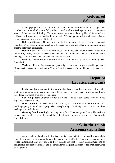# **Goldenrod Solidago spp.**

Arching sprays of these rich gold flower heads bloom in roadside fields from August until October. For those who love the fall, goldenrod evokes all our feelings about this bittersweet season of abundance and finality. Too often taken for granted here, goldenrod is valued and cultivated in Europe, where named varieties are sold. Wayside goldenrods (usually S.*altissima* or S.*canadensis*) grow to a height of 3 to 4 feet.

**Collecting Seeds**: In October, when seeds develop a grayish cast, they are ripe enough to collect. White seeds are immature. Shake the seeds into a bag and either plant them right away or refrigerate them until spring.

**How to Plant**: In any case, sow the seeds thickly, because goldenrod seeds often have low vitality. Harry Philips suggests mounding the soil around the stem of potted goldenrod seedlings so their leaves won't rot from contact with the soil.

**Growing Conditions**: Goldenrod prefers full sun and will grow in an ordinary welldrained soil.

**Varieties**: If you like goldenrod, you might also want to grow seaside goldenrod (S.*sempervirens*) and sweet goldenrod (S.*odora),* which has anise-flavored leaves that make good tea.

# **Hepatica Hepatica americana**

In March and April, soon after the snow melts, these ground-hugging jewels of lavender, white, or pink blossoms appear in our woods. Flowers on 3- to 4-inch stems nestle among droopy three-lobed leaves left from the precious year.

**Collecting Seeds**: Chipmunks often pirate the seeds, so to save some for yourself you might need cage the plants.

**When to Plant**: Sow seeds either in a nursery bed or in flats in the cold frame. Treat seedlings gently to avoid root injury when transplanting. It's all right to leave two or three seedlings in a small clump.

**Growing Conditions**: Light morning sun is fine. Hepaticas grow slowly. H.americana thrives in oak wooks. H.acutiloba, which has pointed leaves, prefers neutral soil and favors welldrained slopes.

# **Jack-in-the-Pulpit Arisaema triphyllum**

A universal childhood favorite for its distinctive shape with three-pointed leaflets and the hooded sheath curving protectively over the spathe or "Jack". Jacks appear in shady, moist woods in April and May, growing 1 to 2 feet tall. By September, the spathe has turned to an upright club of bright red berries, and the remainder of the plant has often rotted or at least wilted on the ground.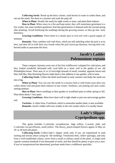**Collecting Seeds**: Break up the berry cluster, soak berries in water to soften them, and rub out the seeds. Put them in a strainer and wash the pulp off.

**When to Plant**: Stratify the seeds for eight weeks or more, and plant them indoors.

**How to Plant**: When sown in a flat and kept moist, they will sometimes germinate in a few weeks, but some northern gardeners find that germination is delayed until the second spring after planting. Avoid fertilizing the seedlings during the growing season, or they go into early dormancy.

**Growing Conditions**: Plant them in a shady spot in rich soil with a good supply of moisture.

**Remarks**: They combine well with ferns, which are still unfurling when the jack is at its best, and then fill in with their airy fronds when the jack leaves go dormant, leaving their redberried stalks to punctuate the ferns.

# **Jacob's Ladder Polemonium reptans**

These compact charmers were one of the first wildflowers I adopted for cultivation, and they looked wonderful alternated with coral bells on a stone wall in the garden of our old Philadelphia house. Their neat, 8- to 12-inch-high mounds of small, rounded, opposite leaves and blue, bell-like, May-blooming flowers make them a fine addition to nay garden, wild or tame.

**Collecting Seeds**: Collect the dried seed heads in early summer and shake the seeds out into a bag.

**When to Plant**: You can sow the seeds in a nursery bed or cold frame soon after you collect them cold and plant them indoors in late winter. Outdoors, use potting soil and a seedstarting medium.

**How to Plant**: Move seedlings to their garden or woodland spots in either spring or fall. Plant them about 1 foot apart.

**Growing Conditions**: Mine have done well in light shade or part sun and average garden soil.

**Varieties**: A white form, P.*mellitum,* which is somewhat smaller plant, is also available. **Remarks**: Jacob's ladder self-sows readily in the rich woods where it is usually found.

# **Lady's Slipper Cypripedium spp.**

This genus includes C.*calceolus* var.pubescens, large yellow; C.*acaule,* pink; and C.*calceolus* var.parviflorum, small yellow. The showy, pouch-shaped flowers appear in May on 10- to 20-inch-tall plants.

**Collecting Seeds**: Collect lady's slipper seeds only if you are experienced in seed starting and serious about caring for the seedlings. Ventilation then, collect sparingly, and only from a well-established colony, never from a small or solitary stand of the plant. A single seed capsule contains hundreds if not thousands of seeds, and that should be plenty to give you a start. If you're inexperienced but determined, purchase seeds from a wildflower specialist.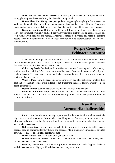**When to Plant**: Plant collected seeds soon after you gather them, or refrigerate them for spring planting. Purchased seeds may be planted in spring or fall.

**How to Plant**: Elda Haring, an expert gardener, suggests planting lady's slipper seeds in a sterile medium under fluorescent lights, but you could also plant them in a cold frame. To prevent transplanting shock, sow seeds in pots. Established plants often spread into handsome colonies.

**Growing Conditions**: Of the three difficult wildflowers mentioned here, large yellow lady's slipper must have highly acid soil, the yellow thrives in slightly acid or neutral soil, or soil well supplied with moisture and humus. Mycorrhizal fungus from woods soil helps the plants to absorb the soil nutrients they need. The variety parviflorum likes cooler weather and somewhat more moisture.

### **Purple Coneflower Echinacea purpurea**

A handsome plant, purple coneflower grows 2 to 4 feet tall. It is often tamed for the flower border and grown as a heading herb. Purple coneflower has 4-inch-wide, pinkish lavender, daisylike flowers with a deep purple central cone.

**Collecting Seeds**: Seeds ripen four to five weeks after flowering and, unfortunately, tend to have low viability. When they can be readily shaken from the dry cone, they're ripe and ready to harvest. The seed heads attract goldfinches, so you might need to bag a few to be sure of having seeds for yourself.

**When to Plant**: Sow the seeds in an outdoor nursery bed after collecting, or store them cold and sow them in spring, either indoors or out. Stratifying the seeds for four weeks promotes better germination.

**How to Plant**: Cover the seeds with 1/8 inch of soil or starting medium.

**Growing Conditions**: Purple coneflower likes rich, well-drained soil that is not too acid; a pH of 6 to 7 is fine. It thrives in either full sun or light open shade. The plant will be more compact in full sun.

## **Rue Anemone Anemonella thalictroides**

Look on wooded slopes under high open shade for these white-flowered, 4- to 6-inchhigh charmers with wiry stems, bearing alert, trembling leaves. For nearly a month in April and May, our walk to the mailbox is enriched by their bloom, which lasts a long time for plants of such fragile appearance.

**Collecting Seeds**: Use a stake to mark plants from which you want to collect seeds, because they go dormant after they bloom and set seed. Make a note on your calendar to watch carefully for dry seed heads after the flowers fade.

**When to Plant**: Sow seeds soon after you collect them.

**How to Plant**: Plan the seeds in flats in a shaded location. They form small tubers, which can be planted in their second year.

**Growing Conditions**: Rue anemones prefer a sheltered spot with dappled shade, in well-drained neutral to slightly acid soil that contains plenty of humus.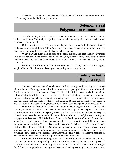**Varieties**: A double pink rue anemone (Schaaf's Double Pink) is sometimes cultivated, but like many other double flowers, it is sterile.

# **Solomon's Seal Polygonatum commutatum**

Graceful arching 2- to 3-foot stalks make these woodland plants an attractive accent or banks or under trees. The small, pale yellow, pendent bells that dangle from the leaf axils turn to dark blue berries in the fall.

**Collecting Seeds**: Collect berries when they turn blue. Berry flesh of some wildflowers contains germination inhibitors. Although it's not certain that this is true of solomon's seal, you might want to remove the seeds from the berries before planting.

**When to Plant**: Plant them as soon as the seeds are ripe, and keep them evenly moist. Even under ideal conditions, germination may be irregular, and the seedlings may develop slowly. Purchased seeds, which have been stored, tend to go dormant, and may take two years to germinate.

**Growing Conditions**: Plant young solomon's seal in a shady, moist spot with a good supply of humus. If soil moisture is adequate, a morning sun exposure is fine.

# **Trailing Arbutus Epigaea repens**

The oval, hairy leaves and woody stems of this creeping, matlike evergreen plant are often rather scruffy in appearance, but its tubular white or pale pink flowers, which bloom in April and May, possess a haunting fragrance. The delightful fragrance might be an aid to pollination, but hasn't done much for the survival of arbutus plants, which have been plundered for years to bring that delicate aroma into our living rooms, where it doesn't even make a decent bouquet. In the wild, the small, five-lobed, seed-containing berries are often pilfered by squirrels and insects. In many states, trailing arbutus is now on the list of endangered or protected plants.

**How to Plant**: Tackle this one only if you enjoy a challenge and if you have the right growing conditions in your area. I've been in touch with two people who have grown this difficult plant from seed. Elda Haring, an expert gardener, purchased seeds from a wildflower nursery and planted them in a sterile medium under fluorescent light at  $80^{\circ}F(27^{\circ}C)$ . Ralph Reitz, who is plant propagator at Bowman's Hill Wildflower Preserve in Washington's Crossing, Pennsylvania, showed me several flats of trailing arbutus plants that he had raised from seed. The plants were two years old and still tiny. "The seeds are as fine as powder", Reitz says. "We use a sterile acid medium. These flats were planted in October and exposed to cold winter temperatures. Trailing arbutus is not an easy plant to grow; we use a mist house for ours. They take three years to reach flowering size". Seeds may be purchased from Bowman's Hill Wildflower Preserve Association. The address is found under the list of suppliers at the back of this book.

**Growing Conditions**: Trailing arbutus needs a location in acid-soiled woods with open shade and some filtered spring sunlight. Colonies of trailing arbutus often appear under pines and hemlocks in somewhat poor soil with good drainage. Started plants may be set out in spring or fall. Water them regularly until new growth has started, and spread a light mulch around them.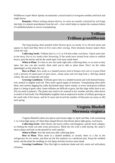Wildflower expert Marie Sperka recommends a mixed mulch of evergreen needles and birch and maple leaves.

**Remarks**: Where trailing arbutus thrives, its roots are usually colonized by soil fungi that help it to absorb nourishment from the soil - a fact which helps to explain the common failure of established plants to survive transplanting.

## **Trillium Trillium grandiflorum**

The long-lasting, three-petaled white flowers grow on sturdy 12 to 18-inch stems and appear in April and May three to five years after sowing. Their dramatic beauty makes them worth the wait.

**Collecting Seeds**: Trillium fruit is a 1/2- to 3/4-inch white, oval berry. Check seed color in the berry five to six weeks after flowering. If the seeds have turned from white to reddish brown, pick the berries and let the seeds ripen a bit more inside them.

When to Plant: It's best to sow the seeds right after collecting them, or as soon as they ripen, but you can also stratify them until you're able to plant them. Don't let the white appendages on the seeds dry out.

**How to Plant**: Sow seeds in a shaded nursery bed of humus-rich soil or in pots filled with a mixture of equal parts of peat moss., sharp sand, and soil dug from a thriving natural colony. Be sure to keep the soil moist.

**Growing Conditions**: Trilliums grow best in a shaded location and well-drained humusrich, neutral or slightly acid soil. They need a good supply of moisture. Transplanting often skills them, and careless digging has sadly decimated many native stands, so every seed-grown trillium plant is a being of great value. Some trilliums are difficult to grow, but this large white form is not. All you need in patience. The plants may need to be watered in dry weather and they often thrive in mulch of leaf mold. Our Philadelphia neighbor had an impressive border of trillium growing on the north side of his house, and he'd count and record the number of blossoms (as many as 40) each spring.

### **Virginia Bluebell Mertensia virginica**

Virginia Bluebell soften low places and stream edges in April and May with enchanting 1- to 2-foot-high sprays of China-blue-shaped flowers that bloom above light green, oval leaves.

**Collecting Seeds**: After bloom, the leaves yellow and disappear, and the stem collapse, so finding the seeds can take some persistence. Mark the site with a stalk during the plant's showy phase and look on the ground for seed capsules.

**When to Plant**: Sow the seed soon after collecting them.

**How to Plant**: Plant seeds in a shaded seedbed, or stratify them in a flat in the refrigerator for six weeks, and then set the flat outdoors in a sheltered spot. Keep the seedbed moist, and the plant the seedlings in rich damp soil that receives some shade.

**Growing Conditions**: They like light to moderate shade and rich, moist soil with plenty of humus.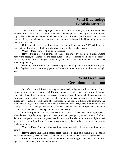This wildflower makes a gorgeous addition to a flower border, or, as wildflower expert Bebe Miles has done, you can plant it as a hedge. The blue pealike flowers grow on 3- to 4-foothigh stalks, and even after bloom, which occurs in May and June in the Northeast, the attractive mounds of gray-green leaves add interest to the garden. A well-established blue indigo plant can live for many years.

**Collecting Seeds**: The seed stalks extend above the leaves and bear 1 1/2-inch-long pods that contain 1/8-inch seeds. Pick the pods when they turn black or start to split.

**When to Plant**: Sow seeds outdoors in spring.

**How to Plant**: Before planting, soak the seed in water overnight. You might want to scarify the seeds, too. Either sow the seeds outdoors in a cold frame, or in pots or a seedbed. Warm soil,  $70^{0}F(21^{0}C)$ , encourages germination, which will be irregular over two to seven weeks after spring planting.

**Growing Conditions**: Avoid overwatering the seedlings, but don't let the soil dry out either. Baptisias do well in ordinary garden soil that is alkaline or neutral, in either sun or light shade.

# **Wild Geranium Geranium maculatum**

One of the first wildflowers we adapted to our backyard garden, wild geraniums came to us on a returned pie plate, part of a wildflower sampler that could have been cut from the corner of a Botticelli painting; a miniature "wildscape" tufted with a small hummock of moss surrounded by a tiny yellow violet, a downy-leaved hepatica, an unfurling mayapple, silky heart-shaped wild ginger leaves, a still-sleeping clump of Jacob's ladder, and a soon-to-bloom wild geranium. We planted the wild geranium under the high shade of several young trees, where it became a thriving colony. The 12-to 18-inch plants bear pleasant open-faced pink flowers in April and May; above deeply-cut attractive leaves. Wild geraniums self-sow readily.

**Collecting Seeds**: The seeds can be tricky to collect because they're forcibly dispersed when the seed capsule springs open, and the capsule can ripen quickly when you're not looking. To be sure of getting some seeds, you can collect the capsules when they turn from light to dark green and let them ripen further in a paper bag, then store them in the refrigerator until you're ready plant them.

**When to Plant**: You can either sow them as soon as collect them, or plant them out in spring.

**How to Plant**: Give them a shaded seedbed and don't give up if seedlings don't appear soon. Sometimes they seem to need a second winter of cold before they're ready to germinate.

**Growing Conditions**: Set plants in moist, fertile soil in light shade. Morning sun is all right. In deeper shade, you'll get fewer flowers.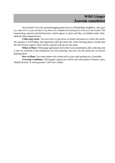We learned to love this ground-hugging plant from our Philadelphia neighbors, who gave us a start of it, so you see that it can thrive in a shaded city backyard as well as in the woods. The long-lasting, maroon-colored blossoms, which appear in April and May, are hidden under silkysheened, heart-shaped leaves.

**Collecting Seeds**: You may have to get down on hands and knees to collect the seeds; the capsules is well hidden, and chipmunks often get there first. Start checking about a month after the first flowers appear. Pluck off the capsules and tap out the seeds.

**When to Plant**: Wild ginger germinates best when sown immediately after collection, but it may be stratified in the refrigerator for late planting. Just don't let the seeds dry out before planting them.

**How to Plant**: Use some humus-rich woods soil in your seed-starting mix, if possible.

**Growing Conditions**: Wild ginger appreciates fertile soil with plenty of humus, and a shaded location. In moist ground, it self-sows readily.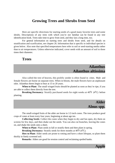#### **Growing Trees and Shrubs from Seed**

Here are specific directions for starting seeds of a good many favorite trees and some shrubs. Descriptions of any trees with which you're not familiar can be found in any tree identification book. Trees take time to grow from seed, and they last a long time, too.

For general information on starting trees and shrubs from seed, and for details on stratification and scarification, see chapter 26. Information that is specific to individual species is given below. Also note that specified temperatures here refer to soil or seed-starting media rather than to air temperatures. Unless otherwise indicated, cover seeds with an amount of soil to three times their diameter.

#### **Trees**

# **Ailanthus Ailanthus altissima**

Also called the tree of heaven, this prolific seeder is often found in cities. Male and female flowers are borne on separate trees. When in bloom, the male flowers have an unpleasant odor. Ailanthus threes begin to bear at 15 to 20 years.

**When to Plant**: The small winged fruits should be planted as soon as they're ripe, if you are able to collect them directly from the tree.

**Breaking Dormancy**: Stratify purchased seeds for eight weeks at  $40^0F$  ( $4^0C$ ) before planting.

# **Alder Alnus spp.**

The small-winged fruits of the alder are borne in 1/2-inch cones. The trees produce good crops of cones at least every four years, beginning at about age ten.

**Collecting Seeds**: Collect the cones when they begin to dry and fan open, dry them on screens for few days, and then shake out the seeds. You can also cut branches, leaving the cones on, and shake the seeds onto a sheet.

**When to Plant**: Plant seeds in fall or stratify them and then plant in spring.

**Breaking Dormancy**: Stratify seeds for three months at  $40^{\circ}F (4^{\circ}C)$ .

**How to Plant**: Alder seeds are prone to rotting and have a short lifespan, so plant them thickly in finely screened soil.

**Remarks**: Alders are good for erosion control and reclaiming spoiled banks.

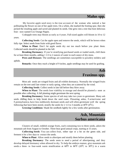My favorite apple seed story is the true account of the woman who noticed a bee pollinating the flower on one of her apple trees. On a whim, she marked the fruiting spur, then she picked the resulting apple and saved and planted its seeds. One grew into a tree that bore delicious fruit - now named Cox Orange Pippin.

Crabapple trees may bloom as early as 4 years. Full-sized apples will bloom in 10 to 12 years.

**Collecting Seeds**: Cut the apple open and remove the seeds, which will be brown when fully ripe. Select seeds from fruits with good flavor.

**When to Plant**: Don't let apple seeds dry out too much before you plant them. Collected seeds should be planted in the fall.

**Breaking Dormancy**: If you're stratifying purchased seeds or traded seeds, chill them for at least three months, adding 1 1/2 to 2 ounces of water to each ounce of dry moss.

**Pests and Diseases**: The seedlings are sometimes susceptible to powdery mildew and aphids.

**Remarks**: Once they reach a height of 9 inches, apple seedlings may be used for grafting.

### **Ash Fraxinus spp.**

Most ash seeds are winged fruits and all exhibit dormancy. Normally the winged fruits remain on the tree until late winter or early spring, when they are scattered by the wind.

**Collecting Seeds**: Collect seeds in late fall before they blow away.

**When to Plant:** The seeds lose viability in storage and should be planted a soon as possible after collecting. A fall planting might germinate the next spring.

**Breaking Dormancy**: Some species of ash may take two years to germinate. Many ash seeds chilling them to help break down the seed coats. Flowering ashes, F.*armericana* and F.*pennsylvanica,* have less stubbornly dormant seeds and will often germinate well the spring following that have been stored, stratify the seeds for 2 1/2 to 3 months at  $40^0F (4^0C)$ .

**Growing Conditions**: Shade the seedbeds lightly for a few weeks after germination.

## **Ash, Mountain Sorbus americana**

Clusters of small, reddish orange fruits, each containing two to three seeds, adorn the mountain ash from August to October. Three bear good annual crops, starting at 15 years.

**Collecting Seeds**: You can collect fruit, either ripe or a bit on the green side, and ferment it for a few days to extract the seeds.

**When to Plant**: Allow seeds to afterripen and stratify them before planting.

**Breaking Dormancy**: The seeds seem to need a period of afterripening, and they develop delayed dormancy when allowed to dry. To help the embryo mature, give mountain ash seeds a three- to four-week warm stratification at  $68^{\circ}F$  to  $86^{\circ}F$  ( $20^{\circ}C$  to  $30^{\circ}C$ ) in a warm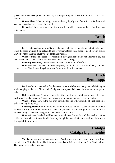greenhouse or enclosed porch, followed by outside planting, or cold stratification for at least two months.

**How to Plant**: When planting, cover seeds very lightly with fine soil, or mix them with sand and spread on the surface of the seedbed.

**Remarks**: The seeds stay viable for several years if kept cool and dry. Seedlings are quite hardy.

### **Beech Fagus spp.**

Beech nuts, each containing two seeds, are enclosed by brickly burrs that split open when the seeds are ripe. Squirrels and birds love them. Beech trees produce good crop in cycles. On "off" years, the nuts usually don't contain any seeds.

**When to Plant**: The seeds lose viability in storage and should be not allowed to dry out. Plant seeds in the fall or stratify them and sow them in the spring.

**Breaking Dormancy:** Stratify seeds for three months at  $40^0F (4^0C)$ .

**How to Plant**: The trees develop a taproot, so should be transplanted early to their chosen places. Give the seedlings light shade for most of their first summer.

# **Birch Betula spp.**

Birch seeds are contained in fragile cones, called strobiles, which dry out and disintegrate while hanging on the tree. Black birch (B.nigra) tree disperse their seeds in summer, other species in fall.

**Collecting Seeds**: Pick the cones before they break apart. Rub them to loosen the small oval winged seeds. Separating seeds from scales is an impossible job; just sow the mixture.

**When to Plant**: Sow in the fall or in spring after one or two months of stratification at  $34^{0}$ F to  $40^{0}$ F ( $1^{0}$ C to  $4^{0}$ C).

**Breaking Dormancy**: Birch is one of the few trees that bear seeds that seem to have some sensitivity to light. Unchilled birch seeds may need exposure to light to germinate. When exposed to light, the seeds may germinate without stratification.

**How to Plant**: Seeds should be just pressed into the surface of the seedbed. When chilled, as they will be if sown in fall, they may be lightly covered. Give the seedlings light shade during their first summer.

# **Catalpa Catalpa bignonioides**

This is an easy tree to start from seed. Catalpa seeds are born in narrow, cylindrical capsules 6 to 12 inches long. The thin, papery seeds are 1/4 inch wide and 1 to 2 inches long. They don't need to be stratified.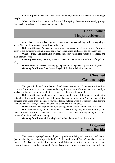**Collecting Seeds**: You can collect them in February and March when the capsules begin to split.

**When to Plant**: Plant them in either the fall or spring. Germination is usually prompt (two weeks in spring), and the germination rate is high.

### **Cedar, white Thuja occidentalis**

Also called arborvita, this tree produces male small cones containing 1/4-inch-long winged seeds. Good seed crops occur every three to five years.

**Collecting Seeds**: Watch as the cones ripen from green to yellow to brown. They open seven to ten days after ripening. Closed cones may be sun-dried until seeds can be shaken out.

**When to Plant**: Fall planting is probably best, but you can also stratify stored seeds and plant them in spring.

**Breaking Dormancy**: Stratify the stored seeds for two months at  $34^0F$  to  $40^0F$  ( $1^0C$  to  $4^0C$ ).

**How to Plant**: Many seeds are empty, so plant about 50 percent square foot of ground. **Growing Conditions**: Give the seedlings half shade for their first summer.

# **Chestnut Castanea spp.**

This genus includes C.mosllissima, the Chinese chestnut, and C.dentata, the American chestnut. Chestnut seeds are good to eat, and the squirrels know it. Chestnuts are protected by a wickedly spiny burr, but they usually fall free when the burr hits the ground.

**Collecting Seeds**: Good nuts should have a smooth surface. If they've deteriorated, the nutshell will be slightly wrinkled and dull. Weevils often infest the nuts. You can float off the damaged ones. Good ones will sink. If you're collecting nuts for a weeks or more in fall and saving them to plant all at once, keep the first ones in a paper bag in a cool place.

**When to Plant**: They spoil quickly, so plant gathered chestnuts immediately in the fall.

**How to Plant**: Bury them 1 inch deep. If chestnuts dry out, they lose viability, but they'll also decay readily if they're too damp. Purchased seeds will probably be dry and should be soaked for 24 hours before planting.

**Growing Conditions**: Mulch fall-planted beds and remove the mulch in spring.

# **Dogwood Cornus florida**

The beautiful spring-flowering dogwood produces striking red 1/4-inch oval berries (technically, they're called drupes) in the fall. Each contain a small "stone" that shelters one or two seeds. Seeds of the familiar flowering dogwood, C.*florida,* are often empty if the tree is not cross-pollinated by another dogwood. The seeds are slow starters because they have both hard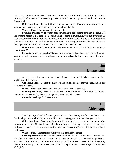seed coats and dormant embryos. Dogwood volunteers are all over the woods, though, and we recently found at least a dozen seedlings near a parent tree in my aunt's yard, so don't be discouraged.

**Collecting Seeds**: The fruit flesh contributes to the seed's dormancy, so remove the stones as soon as the berry turn red, and plant them immediately.

**When to Plant**: Plant immediately in the fall.

**Breaking Dormancy**: They may not germinate until their second spring in the ground. If you want to hasten things along don't mind going to some extra trouble, you can give them 60 days of warm stratification followed by three to four months of cold stratification, or treat them with sulfuric acid for one to three hours. You might try nicking or rubbing the stones between sandpaper also. Seeds that have dried should be soaked in water for a day.

**How to Plant**: Mulch the planted seeds over winter with 1/2 to 1 inch of sawdust or other fine stuff.

**Remarks**: Kousa dogwoods (C.kousa) have smaller seeds and are even more difficult to start from seed. Dogwoods suffer in a drought, so be sure to keep both seedlings and saplings well watered.

#### **Elm Ulmus spp.**

American elms disperse their short-lived, winged seeds in the fall. Viable seeds have firm, slightly rounded centers.

**Collecting Seeds**: Collect the flaky winged fruits a soon as they're shed, and air-dry them for a few days.

**When to Plant**: Sow them right away after they have been air-dried.

**Breaking Dormancy**: Seeds that have been stored should be stratified for two to three months, and planted thickly because the germination rate is often lower.

**Remarks**: Seedlings don't need shade.



Starting at age 20 to 30, fir trees produce 3- to 10-inch-long female cones that contain fragile winged seeds with soft, thin coats. Good seed crops appear in two- to four year cycles.

**Collecting Seeds**: Seeds usually start to blow out of the cones about one month after the cones turn brown. Collect the cones just before they open and dry them on screens. Seeds at the tips of the cones are usually infertile. Don't remove the seed wings. Keep the cones in a damp, cool place.

**When to Plant**: Plant them in fall if you can, spring if you must.

**Breaking Dormancy**: The average germination rate of fir seeds is 20 to 50 percent, and drops lower for seeds that are one year old. Unlike most conifers, fir seeds tend and to go dormant and benefit from a brief period of stratification, around 2 to 4 weeks. Seeds left in the stratify medium for longer periods of 15 weeks or so will often germinate at the stratifying temperature  $40^{0}$ F (4<sup>0</sup>C).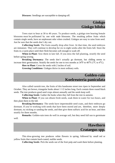**Diseases**: Seedlings are susceptible to damping-off.

# **Ginkgo Ginkgo biloba**

Trees start to bear at 30 to 40 years. To produce seeds, a ginkgo tree bearing female blossoms must be pollinated by one with male blossoms. The resulting yellow fruits which contain single seeds, have an unpleasant odor when crushed. Ginkgos are easy to raise from seed. Just be sure that the seeds don't dry out.

**Collecting Seeds**: The fruits usually drop after frost. At that time, the seed embryos are immature. They will continue to develop for six to eight weeks after the fruits fall. Store the fruits in a warm place until their flesh becomes soft enough to wash off.

**When to Plant**: Sow them in late fall. If you miss the fall planting, stratify the seed before spring sowing.

**Breaking Dormancy:** The seeds don't actually go dormant, but chilling seems to increase their germination. Stratify the seeds for one to two months at  $34^0F$  to  $40^0F$  ( $1^0C$  to  $4^0C$ ).

**How to Plant**: Cover the seeds with 2 inches of soil.

**Growing Conditions**: Ginkgos thrive in most ordinary soils.

## **Golden-rain Koelreuteria paniculata**

Also called varnish tree, the fruits of this handsome street tree ripen in September and October. They are brown, triangular husks about 1 1/2 inches long. Each contain three round black seeds. The tree produces good seed crops almost annually and the seeds keep well.

**Collecting Seeds**: Gather the husks when they fall from the tree in autumn.

**When to Plant**: If you can obtain fresh seeds, soak them in water for two hours, and then plant them in the fall.

**Breaking Dormancy**: The seeds have impermeable seed coats, and their embryos go dormant. If you're working with seeds that have been stored and are, therefore, more deeply dormant, try nicking or sanding the seeds, and then give them sulfuric acid for an hour, and then stratify for three months.

**Remarks**: Golden-rain trees do well in average soil, but they need full sun to germinate well.

# **Hawthorn Crataegus spp.**

This slow-growing tree produces white flowers in spring, followed by small red or yellow fruits that contain hard-coated, nutlike seeds.

**Collecting Seeds**: Pick the seeds out of the fruit pulp and wash them before planting.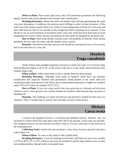**When to Plant**: Plant seeds right away; they will sometimes germinate the following spring. Stored seeds can be planted in the summer after stratification.

**Breaking Dormancy:** Before the seeds can imbibe water and start germinating, the seeds coat must decompose. In addition, the embryos need chilling in order to break dormancy. If the seeds have been stored, stratify them over winter at room temperature to break the seed coats and then chill them for four to five months in the refrigerator before planting out in summer. If you decide to use an acid treatment on hawthorn seeds, treat only seeds that have been kept at room temperature for several weeks, because the embryos in fresh seeds are damaged by the harsh acid.

**How to Plant**: Plant seeds thickly, because some will probably be infertile. Some should germinate the first year, but some will take another year to sprout.

**Remarks**: Hawthorns develop taproots and should be transplanted out of the nursery bed by the time they're a year old.

# **Hemlock Tsuga canadensis**

Seeds of these short-needled evergreens are borne in small oval cones 1/2 to 3/4 inch long. Seed production begins at 20 to 30 , or bit a later if the tree is in the shade. Most hemlocks bear frequent large crops.

**When to Plant**: Either plant seeds in fall or stratify them for three months.

**Breaking Dormancy:** Although some kinds of hemlock seeds don't go dormant, stratification still improves hemlock seed germination. Seeds planted in the south need less stratification than those grown in the North, and recommended temperature is higher for southern seeds  $70^0$ F (21<sup>0</sup>C) than for northern 55<sup>0</sup>F (13<sup>0</sup>C).

**How to Plant**: If you can, plant seeds from trees growing in a latitude and elevation similar to yours. Some growers use a sterile medium for hemlock seeds because they are prone to damping-off.

**Remarks**: The seedlings are small and delicate and should be shaded for their first two summers. They're usually kept in nursery bed until their second or third season.

### **Hickory Carya ovata**

C*.ovata* is the shagbark hickory, C.*laciniosa,* the shellbark hickory. Hickory nuts are enclosed in woody husks that split open when they fall to the ground. Good crops are periodic. Our shagbark hickory tree has had two excellent crops in 14 years, with poor or fair harvests in the remaining years.

**Collecting Seeds**: Gather the nuts promptly a they drop, because squirrels and mice collect them, too.

**When to Plant**: As soon as they drop or after stratification.

**Breaking Dormancy**: If you are planting saved seeds, chill them for one to five months at 33<sup>0</sup>F to 40<sup>0</sup>F (1<sup>0</sup>C to 4<sup>0</sup>C). Hickory nuts may be stratified in plastic bags without moss or other surrounding medium. Spread mulch over planted nuts.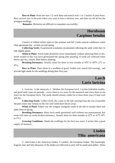**How to Plant**: Plant the nuts 1/2 inch deep and mulch with 1 to 2 inches of peat moss. Bury several nuts in the pots where you want to have a hickory tree, and then cut off all but the strongest seedlings.

**Remarks:** Hickories are difficult to transplant successfully.

### **Hornbeam Carpinus betulus**

Clusters of ribbed nutlets ripen in late summer and fall. Under natural conditions, seeds often germinate late - in their second spring.

**Collecting Seeds**: Experienced woodsmen recommend collecting the seeds while they're still slightly green**.**

**When to Plant**: Fresh seeds should be sown immediately without allowing them to dry. Seeds treated in this way have germinated the spring after planting. If seeds are collected when brown and dry, stratify them before planting.

**Breaking Dormancy**: Stratify seeds for three to four months at  $34^0F$  to  $40^0F$  ( $1^0C$  to  $4^0C$ ).

**How to Plant**: Place them in a seedbed of good, friable soil, mulch fall sowings, and provide light shade for the seedlings during their first year.

# **Larch Larix laricina**

L. *Laricina* is the tamarack, L. *Delidua,* the European larch. Larches hybridize readily, and good seed crops are periodic - every three to six years for the tamarack and every three to ten years for the European larch. The seeds should remain viable for at least three years if kept cool and dry.

**Collecting Seeds**: Collect fresh, dry cones in the fall, picking from the tree if possible because cones may remain on the tree until seeds have blown away.

**When to Plant**: Either sow the winged, triangular seeds in the fall or stratify them and plant them in spring.

**Breaking Dormancy**: Most larch seeds germinate well without any pretreatment, but some will enter an easily-broken dormancy. Stratify them for three months at  $32^0$ F to  $41^0$ F (0<sup>0</sup>C to  $5^0C$ ).

**Growing Conditions**: Shade the seedlings for the first two years. Larches like a good supply of moisture.

# **Linden Tilia americana**

T. *americana* is the American linden, T*.cordata,* the European linden. The hauntingly fragrant June and July blossoms of the linden are followed in early fall be small seed pellets. These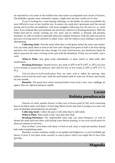are attached by wiry stems to the leaflike bract that earlier accompanied each cluster of flowers. The pelletlike capsules most commonly contain a single seed, but may contain two to four.

If you're looking for a seed-starting challenge, try the linden. Its seeds are probably the most difficult to start of any familiar tree. In nature, the seeds don't germinate until the second spring, and even then incompletely, with more stragglers following over the next six to seven years. Even methods like acid treatment are not always effective in breaking dormancy. Both the linden seed and its woody covering are very hard, and its embryo is dormant and possibly immature. In order to break its especially deep and complex dormancy, both the seed coat and its pericarp covering must be softened to admit water, and the embryo must undergo a period of afterripening.

**Collecting Seeds**: Pick the seeds while they're still green, before the seed coats harden. You can either pluck them as soon as the fruit color change from green to buff or be more daring and pick a few weeks before the color change. For early seed harvests, you should just barely be able to puncture the outer covering of the seed with the thumbnail. If they are too tender, wait a week.

**When to Plant**: Sow green seeds immediately, or plant stored or dried seeds after stratification.

**Breaking Dormancy**: Stratify brown, dry seeds at  $50^{\circ}$ F to  $85^{\circ}$ F ( $10^{\circ}$ C to  $29^{\circ}$ C) for four to five months to mature the embryos, then chill for four to five weeks at  $34^{0}F$  to  $40^{0}F$  ( $1^{0}C$  to  $4^0C$ ).

You can also try acid scarification. First use nitric acid to soften the pericarp, then sulfuric acid to etch the seed coats. Soak the acid-treated seeds in water for 24 hours and stratify for four months.

**Remarks**: The good news about starting lindens from seed is that once seedlings do appear, they are vigorous and grow rapidly.

### **Locust Robinia pseudoacacia**

Panicles of white, pealike flowers in May turn to brown pods by fall, each containing four to ten black seeds, each about 1/4 inch long. Black locusts may bear as young as six years, but years of abundant pod production are periodic.

**Collecting Seeds**: Collect the pods in fall white they're still whole.

**When to Plant**: Plant seeds in fall, soon after they drop.

**Breaking Dormancy:** The impermeable seed coats can cause dormancy, so nick or abrade the seeds and treat them with boiling water before planting, or use acid scarification for about ten minutes to one hour.

How to Plant: Cover them with about 1/4 inch of soil, sand, or sand and sawdust. Raised beds make transplanting easier.

Remarks: Locusts volunteer readily in our garden and hedgerows, so you'll probably get plenty of trees if you plant seeds casually in sunny places where you might like to have then growing.

**Magnolia**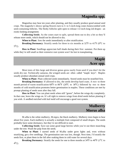#### **Magnolia spp.**

Magnolias may bear ten years after planting, and they usually produce good annual seed crops. The magnolia's showy spring flowers turn to 3- to 5-inch-long cones honeycombed with seed-containing follicles. The fleshy follicles split open to release 1/2-inch-long red drupes - an exotic-looking arrangement.

**Collecting Seeds**: As the cones start to split, spread them out to dry a bit so they'll release more seeds, which should not be allowed to dry.

**When to Plant**: Sow the seeds immediately or after stratification.

**Breaking Dormancy**: Stratify seeds for three to six months at  $32^0F$  to  $41^0F$  ( $0^0C$  to  $5^0C$ ).

**How to Plant**: Seedlings appreciate half shade during their first summer. Pot them up while they're still small so their extensive root system won't be lost in transplanting.

Most trees of this large and diverse genus grow easily from seed if you don't let the seeds dry out. Technically samaras, the winged seeds are often called "maple keys". Maples usually produce abundant annual seed crops.

**When to Plant**: Plant collected seeds immediately. Stored seeds must be stratified first.

**Breaking Dormancy**: If allowed to dry, the seeds develop hard coats. A two- to three month period of warm stratification  $68^{\circ}F$  to  $86^{\circ}F$  (20 $^{\circ}C$  to 30 $^{\circ}C$ ) followed by two to three months of cold stratification promotes better germination in maples. These conditions are met by prompt planting of seeds soon after they fall.

**How to Plant**: You can plant seeds when still "green", before the wings dry completely. In that case, leave the wings on. It's all right to remove wings from dried seeds before planting if you wish. A seedbed enriched with leaf mold will encourage a good root system.

> **Mulberry Morus alba**

**Maple**

 **Acer spp.**

M.*alba* is the white mulberry, M.*nigra,* the black mulberry. Mulberry trees begin to bear about five years. Each mulberry is actually a multiple fruit composed of small drupes. The seeds probably have some dormancy, but they're not difficult to start.

**Collecting Seeds**: Save out some good large berries while you're out there munching under the tree. Wash the pulp from the seeds.

**When to Plant**: I started seeds of M.alba under grow lights and, even without stratifying, got a few seedlings. The germination rate was low, though. Next time, I'd stratify the seeds first, or plant them in the fall after soaking them in cold water for several days.

**Breaking Dormancy**: Stratify the seeds for one to three months at  $34^0F$  to  $40^0F$  ( $1^0C$  to  $4^0C$ ).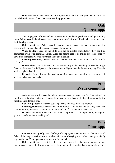**How to Plant**: Cover the seeds very lightly with fine soil, and give the nursery bed partial shade for two to three weeks after seedlings germinate.

# **Oak Quercus spp.**

This large group of trees includes species with a wide range od forms and germinating times. White oaks shed their acorns the same season they're formed; black oaks retain their until the following season.

**Collecting Seeds**: It's best to collect acorns from trees near others of the same species, because self- pollinated oak trees produce seeds of poor quality.

**When to Plant**: Seeds of the white oak can be planted immediately; they don't go dormant and will often germinate in fall. Black oak acorns need to be chilled to break dormancy. Sow them immediately, or stratify them and plant in spring.

**Breaking Dormancy**: Stratify black oak acorns for two to three months at  $34^{\circ}$ F to  $40^{\circ}$ F  $(1^0C \text{ to } 4^0C).$ 

**How to Plant**: Plant only sound acorns, without any evident cracking or weevil damage. Don't let the acorn dry. Fall-planted black oak acorns will germinate fairly late in spring. Keep the seedbed lightly shaded.

**Remarks**: Depending on the local population, you might need to screen your oak seedbed to keep out squirrels.

### **Pear Pyrus communis**

As fruits go, pear trees can be to bear, an some varieties have their "off" years, too. The ripe fruits contain four to ten seeds. A seedling pear we have here on the farm blossomed for the first time in its tenth spring.

**Collecting Seeds**: Pick seeds out of ripe fruits and rinse them in a strainer.

**Breaking Dormancy**: Pear seeds can be treated like apple seeds, but they need less chilling. Stratify presoaked seeds at  $32^{0}F$  to  $36^{0}F$  ( $0^{0}C$  to  $2^{0}C$ ) for eight to ten weeks.

**Disease**: Powdery mildew can sometimes be a problem. To help prevent it, arrange for good air circulation in the seedling bed.

## **Pine Pinus spp.**

Pine seeds vary greatly, from the large edible pinyon (P.*edulis*) nuts to the very small flakes of the mugo pine (P*mugo*). all are borne in cones of varying sizes. Most cones grows fairly high on the tree. They ripen and shed seeds in fall and winter.

**Collecting Seeds**: If possible, collect the cones just before they open, and dry them to free the seeds. Cones of a few pine species are held together by resin that has a high melting point,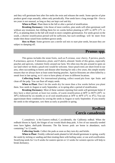and they will germinate best after fire melts the resin and releases the seeds. Some species of pine produce good crops annually, others only periodically. Pine seeds have a long storage life - five to ten years is not unusual, as long as they are kept cool and dry.

**When to Plant**: Plant them in the fall or after a period of stratification.

**Breaking Dormancy**: Like those of most conifers, pine seeds will often germinate well without any treatment, but chilling them for six weeks before planting at  $34^{0}F$  to  $40^{0}F$  ( $1^{0}C$  to  $4<sup>0</sup>C$ ), or planting them in the fall will result in more complete germination. For seeds grown in the south, a shorter stratification period will be sufficient, but such seedlings will be more frost tender then those raised from northern-grown seeds.

**How to Plant**: Some growers use a sterile soil mix to start pine seeds, because they are subject to damping-off.

#### **Prunus spp.**

This genus includes the stone fruits, such as P.*cerasus,* sour cherry, P.*persica,* peach; P.*armeniaca,* apricot; P.*domestica,* plum; and P.*dulcis,* almond. Seeds of this genus, especially peaches and apricots, volunteer freely around our farm. We often toss the pits around in spots on our land where we think a peach tree would be welcome. Since peach trees are short-lived in our area, often succumbing to borers and disease after bearing for only a few years, this simple stratify ensures that we always have at least some bearing peaches. Apricot blossoms are often killed by a sneak frost in late spring, so it's nice to have plenty of trees in different locations.

**Collecting Seeds**: For international planting, collect sound pits from ripe fruits and clean off the pulp. You can float off empty seeds.

**When to Plant**: Don't let the seeds dry for more than a few weeks before you plant them. Sow seeds in August or early September, or in spring after a period of stratification.

**Breaking Dormancy:** Most of these summer-ripening fruit seeds will germinate better if they have a short period, at least two weeks, of warm stratification at  $68^{\circ}F$  to  $86^{\circ}F$  (20<sup>o</sup>C to 30<sup>0</sup>C) followed by six months or so of cool stratification at  $34^{0}F$  to  $40^{0}F$  (1<sup>0</sup>C to 4<sup>0</sup>C). You can approximate these conditions by sowing the seeds in August or early September. If you stratify the seeds in the refrigerator, sow them as early as possible in spring.

# **Redbud Cercis canadensis**

C.*canadensis* is the Eastern redbud, C.*occidentalis,* the California redbud. When the redbuds bloom in April, the fringes of our woods blush deep pink. A few of our naturally-seeded trees have lighter, shell-pink blossoms. The flat brown pods are borne in abundance, each containing 7 to 12 seeds.

**Collecting Seeds**: Collect the pods as soon as they turn dry and brittle.

**When to Plant**: Freshly collected seeds planted in fall should germinate in spring, scarify the seeds by nicking or sanding and then treating them with boiling water, or use acid scarification. Stratifying seeds for 5 to 8 weeks for eastern species or 12 weeks for western species will help to break dormancy.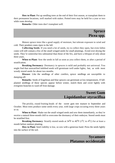**How to Plant**: Pot up seedling trees at the end of their first season, or transplant them to their permanent locations, well marked with stakes. Potted trees may be held for a year or two while roots develop.

**Remarks**: Older trees don't transplant well.

**Spruce Picea spp.**

Mature spruce trees like a good supply of moisture, but tolerate exposure to wind and cold. Their pendent cones ripen in the fall.

**Collecting Seeds**: If you need a lot of seeds, try to collect they open, but even fallen cones will still contain a few of the small winged seeds for small plantings. Avoid over-drying the seeds. They're somewhat less substantial than those of the firs, and have a lifespan of only about three years.

**When to Plant**: Sow the seeds in fall as soon as you collect them, or after a period of stratification.

**Breaking Dormancy**: Dormancy in spruces is mild and probably not universal. You might find that unstratified imbibed seeds will germinate well under lights, but, as with most woody stored seeds for about two months.

**Disease**: Like the seedlings of other conifers, spruce seedlings are susceptible to damping-off.

**Remarks**: Seeds of Engelman and blue spruces can germinate at low temperatures. If fallplanted seedlings of these species appear before winter, mulch them and cover lightly with evergreen branches to ward off frost damage.

## **Sweet Gum Liquidambar styraciflua**

The prickly, round fruiting heads of the sweet gum tree manure in September and October. Most trees produce some seeds every year, with large crops occuring every three years or so.

**When to Plant**: Shake out the small winged seeds and sow them immediately, so they're receive a natural three-month chill to overcome the dormancy of their embryos. Stored seeds must be stratified first.

**Breaking Dormancy**: Stratify stored seeds at  $34^0F$  to  $40^0F$  ( $1^0C$  to  $4^0C$ ) for at least a month before outdoor planting.

**How to Plant**: Seed viability is low, so sow with a generous hand. Press the seeds lightly into the surface of the soil.

#### **Sycamore Platanus occidentalis**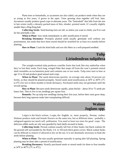Plane trees or buttonballs, as sycamores are also called, can produce seeds when they are as young as five years, if grown in the open. Trees growing close together will fruit later. Sycamores usually produce good crops in alternate years. The "buttonball" that falls from the tree in late winter really a densely-packed mass of thin, slender, pointed seeds. It's usually slightly smaller than a Ping-Pong ball.

**Collecting Seeds**: Seed-bearing trees are tall, so unless you want to climb, you'll to wait for the seed balls o fall.

**When to Plant**: Sow seeds immediately or after stratification if stored.

**Breaking Dormancy:** Promptly planted seeds usually germinate well without any pretreatment, but seeds that have been stored should be stratified for at least two months before planting.

**How to Plant**: Crush the dried balls and sow the fibers in a well-prepared seedbed.

# **Tulip Liriodendron tulipifera**

The straight-trunked tulip produces conelike fruits that look like tiny umbrellas when they've lost their seeds. Each long, winged flake that snaps off from the cone's pointed central shaft resembles an exclamation point and contains one or two seeds. Tulip trees start to bear at age 15 to 20 and produce good annual seed crops.

**When to Plant**: The seeds deteriorate quickly; on average only about 10 percent are fertile, so they should be planted promptly. Stored seeds need stratification at  $34^0F$  to  $40^0F$  ( $1^0C$ to  $4^{\circ}$ C) for two to three months to break dormancy. Purchased seeds may not germinate until the second spring.

**How to Plant**: Because seeds deteriorate rapidly, plant thickly - about 50 to 75 seeds per linear foot. Thin to five to ten seedlings per square foot.

**Remarks**: Pot up tulip tree seedlings during their first year, before their roots grow deep, because their long taproots make later transplanting difficult.

# **Walnut Juglans spp.**

J.*nigra* is the black walnut, J.*regia,* the English, or, more properly, Persian, walnut. Walnuts produce male and female flowers on the same tree, but at different times - probably a safeguard-against too much self- pollination. You need at least two trees for good crops. The delicious edible seeds are oily nuts guarded by hard shells encased in husks.

**Collecting Seeds**: Persian walnuts usually fall free of their husks, but black walnuts hit the ground still surrounded by the fleshy 1/4- to 3/8-inch-thick green covers. Black walnut husks can be difficult to remove if allowed to dry on the nut. It is not absolutely necessary to husk the seeds before planting.

**When to Plant**: The nuts usually germinate naturally in spring after fall planting. Spring planting may be done after a period of stratification.

**Breaking Dormancy**: Stratify purchased seeds or stored seeds for three to four months at  $34^{\circ}$ F to  $40^{\circ}$ F ( $1^{\circ}$ C to  $4^{\circ}$ C).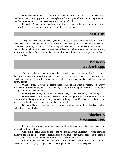**How to Plant**: Cover the nuts with 2 inches of soil. You might need to screen the seedbed to keep out hungry squirrels. Transplant walnuts to your chosen spot during their first year because their taproots can make later transplanting difficult.

**Remarks**: Persian walnut seeds are more likely to dry out in storage than those of the black walnut, and the seedlings are very susceptible to frost injury.

#### **SHRUBS**

The general principles for starting shrubs from seed are the same as for trees. Shrubs bear their seeds at an earlier age than trees, and fewer of them develop taproots. The most outstanding difference is probably the fact that, because they play a smaller part in our economy, shrubs have been studied much less than trees. Because there is less detailed information available on starting shrubs from seed than for tree, your adventures in this area will be even more experimental, but no less rewarding.

# **Barberry Berberis spp.**

This large, diverse group of plants bears good annual crops of berries. The familiar Japanese barberry often used for hedges produces red berries; other species produce purple and bluish black berries. The different species of barberry hybridize readily. Each fruit contains several berries.

**When to Plant**: If you don't get the seeds planted in fall, when they ripen, don't worry. You can plant them as late as March (February in the mid-South), and they will still receive enough chilling to break dormancy.

**Breaking Dormancy**: Seeds have mild dormancy, easily overcome by brief chilling.

**How to Plant**: The pulp doesn't seem to contain any germination inhibitors, so you can plant the whole berry without extracting the seeds, although if mold has been a problem in your seedbed, it might be best to remove the seeds from the pulp.

**Diseases**: Barberry seedlings are susceptible to damping-off, and the plant is also a host to black stem rust of wheat.

## **Blueberry Vaccinium spp.**

Blueberry fruits vary widely in dormancy and chilling requirements. Some species will germinate without chilling.

**Collecting Seeds**: Begin by collecting ripe fruits, always a pleasant job when there are plenty to eat, too, and keep them refrigerated for a few days. Then put the berries in the blender with  $1/2$  cup of water and blend them briefly just to break up the pulp.

Let the blueberry slush stand in a jar until the good seeds settle. Pour off the pulp and the empty seeds. Next, dry the good seeds and refrigerate them. The seeds keep well.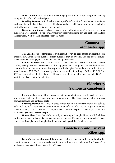**When to Plant**: Mix them with the stratifying medium, or try planting them in early spring in a flat of mixed sand and peat.

**Breaking Dormancy**: In the absence of specific information for each them in variety lowbush, highbush, dwarf, box, and early blueberry, and red huckleberry - you might as well plan to stratify blueberry seeds for two to three months.

**Growing Conditions**: Blueberries need an acid, well-drained soil. The best bushes we've ever grown were in front of a stone wall, where they received morning sun and light open shade in the afternoon. We kept them mulched with peat moss.

### **Cotoneaster Cotoneaster spp.**

This varied group of plants ranges from ground covers to large shrubs. Different species cross readily. Cotoneasters purchased from nurseries may be hybrids. The red or black fruits, which resemble rose hips, ripen in fall and contain up to five seeds.

**Collecting Seeds**: Most have a hard seed coat and need warm stratification before chilling to help to soften the seed coat. Collecting green berries might circumvent the hard seed coat problem, but there are no studies to prove it. Either give the seeds four months of warm stratification at 75<sup>0</sup>F (24<sup>0</sup>C) followed by about three months of chilling at 34<sup>0</sup>F to 40<sup>0</sup>F (1<sup>0</sup>C to  $4^0$ C), or sow acid-scarified seeds in a cold frame or seedbed in midsummer or fall. Don't let stratified seeds dry out before planting.

### **Elderberry Sambucus canadensis**

Lacy umbels of white flowers turn to flat-topped clusters of purple-black berries. If you've ever made elderberry jam, you know what purple is. The seeds keep well, but they have dormant embryos and hard seed coats.

**Breaking Dormancy**: A two- to three-month period of warm stratification at 68<sup>0</sup>F to 86<sup>0</sup>F (20<sup>0</sup>C to 30<sup>0</sup>C) followed by three-month chill at 34<sup>0</sup>F to 40<sup>0</sup>F (1<sup>0</sup>C to 4<sup>0</sup>C) should help to break dormancy. You can also cold-stratify the seeds and sow in spring. Either way, germination is often delayed until the second spring.

**How to Plant**: Plant the whole berry if you have a good supply. If not, you'll find three to five seeds in each berry. To extract the seeds, use the blender treatment described under blueberries. Low places well supplied with moisture make good sites for elderberries.

# **Gooseberry and Currant Ribes spp.**

Both of these low shrubs and their many cousins produce smooth, round berries that contain many seeds and ripen in early to midsummer. Plants start to bear at 3 to 5 years. The seeds can remain viable for as long as 13 to 17 years.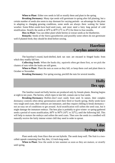**When to Plant**: Either sow seeds in fall or stratify them and plant in the spring.

**Breaking Dormancy**: Many ripe seeds will germinate in spring after fall planting, but a certain number of seeds also seem to stay dormant for varying periods - an advantage for the plant in adapting to changing growing conditions, some seeds are always there waiting for better weather. Some Ribes seeds have hard seed coats, and most need a fairy long period of cold stratification. Stratify the seeds at  $34^0F$  to  $40^0F$  (1<sup>0</sup>C to 4<sup>0</sup>C) for three to four months.

**How to Plant**: You can either plant whole berries or extract seeds as for blueberries.

**Remarks**: Seeds of the Sierra gooseberries and possibly some others do not germinate well if planted fresh; they should be dried before sowing.

#### **Hazelnut Corylus americana**

The hazelnut's round, hard-shelled, dark tan nuts are encased in fringed husks from which they readily fall free.

**Collecting Seeds**: When the husks dry, squirrels often get them first, so we pick the clusters of nuts while the husks are still green.

**When to Plant**: Plant the nuts as soon as they fall, or keep them cool and plant them in October or November.

**Breaking Dormancy**: For spring sowing, prechill the nuts for several months.

The familiar round red holly berries are produced only by female plants. Bearing begins at eight to ten years. The berries, which ripen in late fall, contain one to four seeds.

**Breaking Dormancy**: Hollies don't start easily from seed. In nature, their complex dormancy controls often delay germination until their third or fourth spring. Holly seeds have very tough seed coats, their embryos are immature, and they require chilling to break dormancy not an easy set of conditions to get around. Acid stratification will soften the seed coat, but it might damage the immature embryo. The best plan is probably to give winter- or spring-gathered seeds a period of warm stratification,  $60^{\circ}F$  to  $90^{\circ}F$  (16<sup>o</sup>C to 32<sup>o</sup>C), until the following fall. This will help to mature the embryo and soften the seed coats. Then sow the seeds in a seedbed will naturally receive the fairly intense winter chill they need in order to sprout.

# **Lilac Syringa spp.**

**Holly**

 **Ilex spp.**

Plant seeds only from lilacs that are not hybrids. The seeds keep well. The fruit is a twocelled capsule containing four flat, thin, 1/2-inch-long seeds.

**When to Plant**: Sow the seeds in late summer as soon as they are mature, or stratify until spring.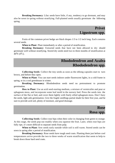**Breaking Dormancy**: Lilac seeds have little, if any, tendency to go dormant, and may also be sown in spring without stratifying. Fall-planted seeds usually germinate the following spring.

> **Privet Ligustrum spp.**

Fruits of the common privet hedge are black drupes 1/3 to 1/2 inch long. Each contains several seeds.

**When to Plant**: Plant immediately or after a period of stratification.

**Breaking Dormancy**: Extracted seeds that have not been allowed to dry should germinate well without stratifying. Stored dry seeds need two to three months of stratification at  $40^{0}$ F (4<sup>0</sup>C).

# **Rhododendron and Azalea Rhododendron spp.**

**Collecting Seeds**: Collect the tiny seeds as soon as the oblong capsules start to turn brown, and before they open.

**When to Plant**: You can start seeds indoors under fluorescent lights, in a cold frame in spring, or in a cool greenhouse in winter.

**Breaking Dormancy**: Rhododendron seeds need no pretreatment to promote germination.

**How to Plant**: Use an acid seed-starting medium, a mixture of vermiculite and peat or sphagnum moss, and incorporate some leaf mold in the nursery bed. Press the seeds into the surface of the flat or bed, and cover them lightly with finely sifted sphagnum moss. Don't bury the seeds, light aids germination. Give the fragile seedlings partial shade for their first year, and be sure to provide acid soil, plenty of moisture, and good drainage.



**Collecting Seeds**: Collect rose hips when their color in changing from green to orange. At this stage, the seeds pop out readily when you squeeze the fruit. Later, when rose hips are fully ripe, it's more difficult to separate seeds from pulp.

**When to Plant**: Sow seeds early outside while soil is still warm. Stored seeds can be sown in spring after a period of stratification.

**Breaking Dormancy**: Rose seeds have tough seed coats. Planting them just before cool temperatures arrive provide the two to three weeks of warm stratification that seem to help to break down those hard seed coats.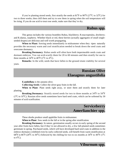If you're planting stored seeds, first stratify the seeds at  $81^0$ F to  $90^0$ F (27<sup>0</sup>C to 32<sup>0</sup>C) for two to three weeks; then chill them and try to sow them in spring when the soil temperature will be rising. If you do use acid to treat rose seeds, make sure that they're dry.

#### **Rubus spp.**

This genus includes the various brambles Rubus, blackberry; R.macropetalus, dewberry; and R.idaeus, raspberry. Whether black or red, these berries (actually aggregates of small singleseeded drupes) are delicious and well worth propagating.

**When to Plant**: Sowing seeds immediately in midsummer when they ripen naturally provides the necessary warm and cool stratification needed to break down the seed coats and overcome dormancy.

**Breaking Dormancy**: Rubus seeds will often have both impermeable seeds coats and dormant embryos. You can acid-scarify them for 20 to 60 minutes and then stratify for one to three months at  $34^{\circ}$ F to  $40^{\circ}$ F ( $1^{\circ}$ C to  $4^{\circ}$ C).

**Remarks**: In the wild, seeds that have fallen to the ground retain viability for several years.

## **Russian Olive Elaeagnus angustifolia**

**E.umbellata** is the autumn olive.

**Collecting Seeds**: Collect the silver-gray fruits in the fall.

**When to Plant**: Plant seeds right away, or store them and stratify them for later planting.

**Breaking Dormancy**: Stratify stored seeds for two to three months at  $34^{\circ}$ F to  $50^{\circ}$ F ( $1^{0}$ C to  $10^{0}$ C). Russian olive seeds sometimes have hard seed coats, which can be softened by 30 minutes of acid scarification.

## **Serviceberry Amerlianchier spp.**

**Viburnum spp.**

These shrubs produce small applelike fruits in midsummer.

**When to Plant**: Sow seeds in the fall or in the spring after stratification.

**Breaking Dormancy**: In nature, germination usually occurs in early spring of the second year after fruits have fallen, but if they're not allowed to dry, a few fall-planted seeds sometimes germinate in spring. Purchased seeds, which will have developed hard seed coats in addition to the embryo dormancy exhibited even by early-collected seeds, will benefit from warm stratification at  $68^0$ F to  $86^0$ F ( $20^0$ C to  $30^0$ C) followed by the chilling for two to six months at  $34^0$ F to  $40^0$ F ( $1^0$ C) to  $4^0C$ ).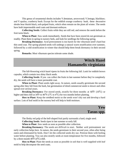This genus of ornamental shrubs includes V.dentatum, arrowwood; V.lentago, blackhaw; and V.opulus, cranberry bush. Except for the reddish orange cranberry bush, these decorative shrubs bear bluish black, soft-pulped fruits, which often remain on the plant all winter. The seeds have both impermeable seed coats and dormant embryos.

**Collecting Seeds**: Collect fruits while they are still red, and remove the seeds before the fruit turns black.

**When to Plant**: Sow seeds immediately. Seeds that have been stored do not germinate as readily. Plant them in spring in nursery beds, and look for seedlings the following spring.

**Breaking Dormancy:** Acid pretreatment is too harsh for the viburnum seed's hard but thin seed coat. The spring-planted seeds will undergo a natural warm stratification over summer, followed by a cold stratification in winter that should help them break dormancy in their second spring.

**Remarks**: Most viburnum species tolerate some shade.

## **Witch Hazel Hamamelis virginiana**

**Yew**

The fall-flowering witch hazel ripens its fruits the following fall. Look for reddish brown capsules, which contain two shiny black seeds.

**Collecting Seeds**: If you can collect the fruits in late summer before they're completely dry, the seeds will have a more permeable coat.

**When to Plant**: Plant seeds right away. In nature, seeds usually germinate the second spring after they fall from the bush, but germination of dried commercial seeds is slower and often spread over several years.

**Breaking Dormancy**: For stored seeds, stratify for three months at  $60^{\circ}F$  (16<sup>0</sup>C) or higher and then chill at  $34^0$ F to  $40^0$ F ( $1^0$ C to  $4^0$ C) for two months before planting.

**How to Plant**: Keep the seedbed moist so the seeds won't dry out and develop a hard surface. Lots of leaf mold in the nursery bed will help to hold moisture.

**Taxus spp.**

The fleshy red pulp of the bell-shaped fruit partly surrounds a hard, single seed.

**Collecting Seeds**: Seeds ripen in late summer or early fall.

**When to Plant**: Sow seeds as soon as possible after collection.

**Breaking Dormancy**: The seeds are difficult to start. Neither acid pretreatment nor early collection helps here. In nature, the seeds germinate in their second year, often after being eaten and eliminated by birds. Don't let the collected seeds dry out. Pretreat them with boiling water before planting. You can also stratify seeds at room temperature for five months, followed by a three-month  $40^{\circ}F (4^{\circ}C)$  chill.

**How to Plant**: Plant the seeds as soon as possible in soil that is well supplied with leaf mold to help decompose the seed coats.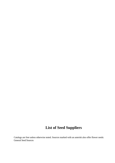# **List of Seed Suppliers**

Catalogs are free unless otherwise noted. Sources marked with an asterisk also offer flower seeds: General Seed Sources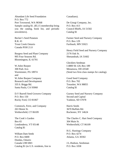Abundant Life Seed Foundation P.O. Box 772 Port Townsend, WA 98368 Sample catalog \$1. (\$5.15 membership bring you the catalog, book list, and periodic newsletters).

Becker's Seed Potatoes R.R. #1 Trout Creek Ontario Canada POH 21.0

Burgess Seed and Plant Company 905 Four Seasons Rd. Bloomington, IL 61701

W.Atlee Burpee 300 Park Ave. Warminster, PA 18974 and W.Atlee Burpee Company Research and Development 335 S. Briggs Rd. Santa Paula, CA 93060

D.V Burrell Seed Growers Company P.O. Box 150 Rocky Ford, CO 81067

Comstock, Ferre, and Company 263 Maint St. Wethersfield, CT 06109

The Cook's Garden Box 65 Londonderry, VT 05148 Catalog \$1

William Dam Seeds P.O. Box 8400 Dundas, Ontario Canada L9H 6M1 Catalog \$1 (to U.S. residents, free to Canadians).

De Giorgi Company, Inc. P.O. Box 413 Council Bluffs, IA 51502 Catalog \$1

Farmer Seed and Nursery Company P.O. Box 129 Faribault, MN 55021

Henry Field Seed and Nursery Company 2176 Oak St. Shenandoah, IA 51602

Glecklers Seedman I-4800 Sh 120, Box 189 Metamora, OH 43540 (Send two first-class stamps for catalog).

Good Seed Company P.O. Box 702 Tonasket, WA 98855 Catalog \$1

Gurney Seed and Nursery Company Second and Capital Yankton, SD 57078

Harris Seeds 3670 Buffalo Rd. Rochester, NY 14624

The Charles C. Hart Seed Company 304 Main St. Wethersfield, CT 06109

H.G. Hastings Company P.O. Box 4274 Atlanta, GA 30302

J.L.Hudson, Seedsman P.O. Box 1058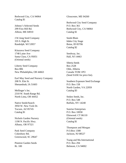Redwood City, CA 94064 Catalog \$1

Johnny's Selected Seeds 299 Foss Hill Rd. Albion, ME 04910

J.W.Jung Seed Company 335 S. High St. Randolph. WI 53957

Kitazawa Seed Company 1748 Laine Ave Santa Clara, CA 95051 (Oriental seeds)

Liberty Seed Company Box 806 New Philadelphia, OH 44663

Earl May Seed and Nursery Company 208 N. Elm St. Shenandoah, IA 51603

Mellinger's Inc. 2310 W. South Range Rd. North Lima, OH 44452

Native Seeds/Search 3950 W. New York Dr. Tucson, AZ 85745 Catalog \$1

Nichols Garden Nursery 1190 N. Pacific Hwy. Albany, OR 97321

Park Seed Company Cokesbury Rd. Greenwood, SC 29647

Pinetree Garden Seeds Rt. 100

Gloucester, ME 04260

Redwood City Seed Company P.O. Box 361 Redwood City, CA 94064 Catalog \$1

Seeds Blum Idaho City Stage Boise, ID 83706 Catalog \$2

Seedway, Inc. Hall, NJ 14463

Siberia Seeds Box 2528 Olds, Alberta Canada TOM 1PO (Send SASE for price list).

Southern Exposure Seed Exchange P.O. Box 158 North Garden, VA 22959 Catalog \$3

Stokes Seeds, Inc. P.O. Box 548 Buffalo, NY 14240

Sunrise Enterprises P.O. Box 10058 Elmwood. CT 06110 (Oriental seeds) Catalog \$1

Thompson and Morgan P.O.Box 1308 Jackson, NJ 08527

Tsang and Ma International P.O. Box 294 Belmont, CA 94002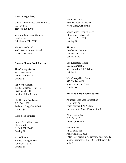### (Oriental vegetables)

Otis S. Twilley Seed Company Inc. P.O. Box 65 Trevose, PA 19047

Vermont Bean Seed Company Garden Ln. Fair Haven, VT 05743

Vesey's Seeds Ltd. York, Prince Edward Island Canada C0A 1P0

## **Garden Flower Seed Sources**

The Country Garden Rt. 2, Box 455A Crivitz, WI 54114 Catalog \$2

Far North Gardens 16785 Harrison, Dept, RD Livonia, MI 48154 Catalog \$2 for 3 years

J.L. Hudson, Seedsman P.O. Box 1058 Redwood City, CA 94064 Catalog \$1

## **Herb Seed Sources**

Catnip Acres Herb Farm Christian St. Oxford, CT 06483 Catalog \$2

Fox Hill Farm 444 W. Michigan Ave. Parma, MI 49269 Catalog \$1

Mellinger's Inc. 2310 W. South Range Rd. North Lima, OH 44452

Sandy Mush Herb Nursery Rt. 2, Surrett Cove Rd. Leicester, NC 28748 Catalog \$4

Richters Goodwood, Ontario Canada L0C 1A0 Catalog \$2.50

The Rosemary House 120 S. Market St. Mechanicsburg, PA 17055 Catalog \$2

Well-Sweep Herb Farm 317 Mt. Bethel Rd. Port Murray, NJ 07865 Catalog \$1

## **Tree and Shrub Seed Sources**

Abundant Life Seed Foundation P.O. Box 772 Port Townsend, WA 98368 (Membership, \$5 to \$15 donation).

Girard Nurseries P.O. Box 428 Geneva, OH 44041

Maver Seeds Rt. 2, Box 265B Asheville, NC 28805 (Also for perennials, grasses, and woody plants. Complete list \$5; wildflower list only, \$1).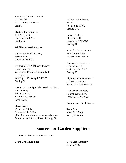Bruce J. Miller International P.O. Box 66 Germantown, WI 53022 List \$1

Plants of the Southwest 1812 Second St. Santa Fe, NM 87501 Catalog \$2

## **Wildflower Seed Sources**

Applewood Seed Company 5380 Vivian St. Arvada, CO 80002

Bowman's Hill Wildflower Preserve Association, Inc. Washington Crossing Historic Park P.O. Box 103 Washington Crossing, PA 18977 Catalog \$1

Green Horizons (provides seeds of Texas wild flowers) 218 Quinlan 571 Kerrville, TX 78028 (Send SASE).

Maver Seeds RT. 2, Box 265B Asheville, NC 28805 (Also for perennials, grasses, woody plants. Complete list, \$5; wildflower list only, \$1)

Midwest Wildflowers Box 64 Rockton, IL 61072 Catalog \$.50

Native Gardens Rt. 1, Box 494 Greenback, TN 37742 Catalog \$1

Natural Habitat Nursery 4818 Terminal Rd. McFarland,WI 53558

Plants of the Southwest 1812 Second St. Santa Fe, NM 87501 Catalog \$2

Clyde Robin Seed Nursery 25670 Nickel Place Hayward. CA 94545-3222

Yerba Buena Nursery 19500 Skyline Blvd. Woodside, CA 94062

## **Broom Corn Seed Source**

Seeds Blum Idaho City Stage Boise, ID 83706

## **Sources for Garden Suppliers**

Catalogs are free unless otherwise noted.

## **Beans-Threshing Bags** Good Seed Company

P.O. Box 702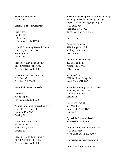Tonasket, WA 98855 Catalog \$1

## **Biological Insect Controls**

Earlee, Inc. Catalog \$1 726 Spring St. Jeffersonville, IN 47130

Natural Gardening Research Center Hwy. 48, P.O. Box 149 Sunman, IN 47041 Catalog \$1

Peaceful Valley Farm Supply 11173 Peaceful Valley Rd. Nevada City, CA 95959

Rincon-Vitova Insectaries Inc. P.O. Box 95 Oakview, CA 93022

### **Botanical Insect Controls**

Earlee, Inc. 726 Spring St. Jeffersonville, IN 47130

Natural Gardening Research Center Hwy. 48, P.O. Box 149 Sunman, IN 47041 Catalog \$1

Necessary Trading Co. 663 Maint St. New Castle, VA 24127 Catalog \$2

Peaceful Valley Farm Supply 11173 Peaceful Valley Rd. Nevada City, CA 95959

## **Seed-Saving Supplies** (including small zip-

lock bags and color-indicating silica gel) Crystal Springs Packaging Company P.O. Box 2924 Petaluma, CA 94952 (Send SASE for price list).

#### **Cover Crops**

Bountiful Gardens 5798 Ridgewood Rd. Willits, CA 95490 (Also grains)

Johnny's Selected Seeds 299 Foss Hill Rd. Albion, ME 04910 (Also grains)

Mellinger's Inc. 2310 W. South Range Rd. North Lima, OH 44452

Natural Gardening Research Center Hwy. 48, P.O. Box 149 Sunman, IN 47041 Catalog \$1

Necessary Trading Co. 663 Maint St. New Castle, VA 24127 Catalog \$2

## **Cytokinin Standardized Seaweed(SM-3 brand)**

Atlantic and Pacific Research, Inc. P.O. Box 14366 North Palm Beach, FL 33408

## **Garden Irrigation Equipment**

Gardeners Supply Company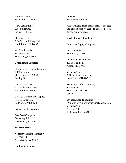128 Intervale Rd. Burlington, VT 05401

A.M. Leonard Inc. 6665 Spiker Rd. Piqua, OH 45356

Mellinger's Inc. 2310 W. South Range Rd. North Lima, OH 44452

Smith and Hawken 25 Corte Madera Mill Valley, CA 94941

## **Greenhouse Supplies**

Charley's Greenhouse Supplies 1569 Memorial Hwy. Mt. Vernon, WA 98273 Catalog \$2

Great Lakes IPM 10220 Church Rd., NE Vestaburg, MI 48891

Gro-Tek Greenhouse Supplies RFD 1, Box 518A S. Berwich, ME 03908

## **Peanut Seed Inoculant**

Park Seed Company Cokesbury Rd. Greenwood, SC 29647

### **Seaweed Extract**

Necessary Trading Company 663 Main St. New Castle, VA 24127

North American Kelp

Cross St. Waldoboro, ME 04572

Also available from many mail-order seed and garden supply catalogs and from local garden supply stores.

## **Seed-Starting Supplies**

Gardeners Supply Company

128 Intervale Rd. Burlington, VT 05401

Johnny's Selected Seeds 299 Foss Hill Rd. Albion, ME 04910

Mellinger's Inc. 2310 W. South Range Rd. North Lima, OH 44452

Necessary Trading Company 663 Main St. New Castle, VA 24127 Catalog \$2

## **Soybean Seed Inoculant**

(Pea/bean seed inoculant is widely available). Mellinger's Inc. P.O. Box 1393 St. Joseph, MO 64501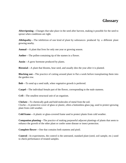## **Glossary**

**Afterripening**—Changes that take place in the seed after harvest, making it possible for the seed to sprout when conditions are right.

**Allelopathy**—The inhibition of one kind of plant by substances produced by a different plant growing nearby.

**Annual**—A plant that lives for only one year or growing season.

**Anther**—The pollen-containing tip of the stamen in a flower.

**Auxin**—A grow hormone produced by plants.

**Biennial**—A plant that blooms, bear seed, and usually dies the year after it is planted.

**Blocking out**—The practice of cutting around plant in flat a week before transplanting them into the garden row.

**Bolt**—To send up a seed stalk, when vegetative growth is preferred.

**Carpel**—The individual female part of the flower, corresponding to the male stamens.

**Cell**—The smallest structural unit of an organism.

**Chelate**—To chemically grab and hold molecules of metal from the soil. Cloche—A protective cover of glass or plastic, often a bottomless glass jug, used to protect growing plant from cold weather.

**Cold frame**—A plastic or glass-covered frame used to protect plants from cold weather.

**Companion planting**—The practice of making purposeful adjacent plantings of plants that seem to enhance the growth of the other plant or confer some disease or insect protection.

**Complete flower**—One that contains both stamens and pistil.

**Control**—In experiments, the control is the untreated, standard plant (seed, soil sample, etc.) used to check performance of treated samples.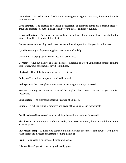**Cotyledon**—The seed leaves or first leaves that emerge from a germinated seed, different in form the later true leaves.

**Crop rotation**—The practice of planting a succession of different plants on a certain piece of ground to promote soil nutrient balance and prevent disease and insect buildup.

**Cross-pollination**—The transfer of pollen from the anthers of one kind of flowering plant to the stigma of a different variety of that plant.

**Cutworm**—A soil-dwelling beetle larva that encircles and nips off seedlings at the soil surface.

**Cytokinin**—A growth-promoting plant hormone found in kelp.

**Dessicant**—A drying agent; a substance that absorbs mo.

**Dormant**—Alive but inactive and, in some cases, incapable of growth until certain conditions (light, temperature, time, for example) have been fulfilled.

**Electrode**—One of the two terminals of an electric source.

**Embryo**—The rudimentary plant contained in a seed.

**Endosperm**—The stored plant nourishment surrounding the embryo in a seed.

**Enzyme**—An organic substance produced by a plant that causes chemical changes in other substances.

**Exoskeleton**—The external supporting structure of an insect.

**Exudate**—A substance that is produced and given off by a plant, as in root exudate.

**Fertilization**—The union of the male cell in pollen with the ovule, or female cell.

**Flea beetle**—A tiny, very active black beetle, about 1/16-inch long, that eats small holes in the leaves of plants.

**Fluorescent lamp**—A glass tube coated on the inside with phosphorescent powder, with glows when exposed to a stream of electrons from the electrode.

**Fruit**—Botanically, a ripened, seed-containing ovary.

**Gibberellin**—A growth hormone produced by plants.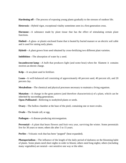**Hardening off**—The process of exposing young plants gradually to the stresses of outdoor life.

**Heterosis**—Hybrid vigor, exceptional vitality sometimes seen in a first-generation cross.

**Hormone**—A substance made by plant tissue that has the effect of stimulating certain plant functions.

**Hotbed**—A glass- or plastic-enclosed frame that is heated by buried manure or an electric soil cable and is used for raising early plants.

**Hybrid**—A plant grown from seed obtained by cross-fertilizing two different plant varieties.

**Imbibition**—The absorption of water by a seed.

**Incandescent lamp**—A bulb that produces light (and some heat) when the filament it contains receives an electric charge.

**Kelp**—A sea plant used in fertilizer.

**Loam**—A well-balanced soil consisting of approximately 40 percent sand, 40 percent silt, and 20 percent clay.

**Metabolism**—The chemical and physical processes necessary to maintain a living organism.

**Mutation**—A change in the gene pattern (and therefore characteristics) of a plant, which can be inherited by succeeding generations.

**Open-Pollinated**—Referring to nonhybrid plants or seeds.

**Ovary**—The hollow chamber at the base of the pistil, containing one or more ovules.

**Ovule**—The female cell, or egg.

**Pathogen**—A disease-producing microorganism.

**Perennial**—A plant that bears flowers and fruit very year, surviving the winter. Some perennials live for 30 years or more; others die after 5 to 15 years.

**Perlite**—Volcanic rock that has been "popped" (heat expanded).

**Photoperiodism**—The influence of the length of the daily period of darkness on the blooming habit of plants. Some plants need short nights in order to bloom; others need long nights; others (including many vegetables) are neutral—not sensitive one way or the other.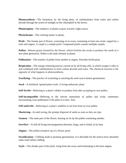**Photosynthesis**—The formation, by the living plant, of carbohydrates from water and carbon dioxide through the action of sunlight on the chlorophyll in the leaves.

**Phototropism—The tendency of plants to grow toward a light source.** 

**Phytochrome**—The coloring matter in plants.

**Pistil—The female part of flower, consisting of an ovary containing at least one ovule, topped by a** style and stigma. A carpel is a simple pistil. Compound pistils contain multiple carpels.

**Pollen**—Minute grains formed by the flower, which fertilize the ovule to produce the seeds of a new plant generation. Pollen is the male element in plants.

**Pollination—The transfer of pollen from another to stigma. Precedes fertilization.** 

**Respiration**—The energy-releasing process carried on by all living cells, in which oxygen is take in and combined with carbohydrates to form carbon dioxide and water. The chemical reaction is the opposite of what happens in photosynthesis.

**Scarifying**—The practice of scratching or notching the seed coat to hasten germination.

**Seed**—A fertilized, ripened plant ovule. A living embryonic plant.

**Self-fertile**—Referring to a plant's ability to produce fruit after accepting its own pollen.

**Self-incompatible**—Referring to the uneven maturation of pollen and ovule, sometimes necessitating cross-pollination if the plant is to bear fruit.

**Self-unfertile**—Referring to a plant's inability to set fruit from its own pollen.

**Shattering**—In seed saving, the prompt dispersal of seeds as soon as they are ripe.

**Stamen**—The male part of the flower, bearing on its tip the pollen-containing another.

**Sterilize**—To kill all living microorganisms (bacteria, fungi, and so forth), as by heat.

**Stigma**—The pollen-receptive tip of a flower pistil.

**Stratification**—Chilling seeds to promote germination. It is desirable for the seed to have absorbed some water before chilling.

**Style**—The slender part of the pistil, rising from the ovary and terminating in the have stigma.